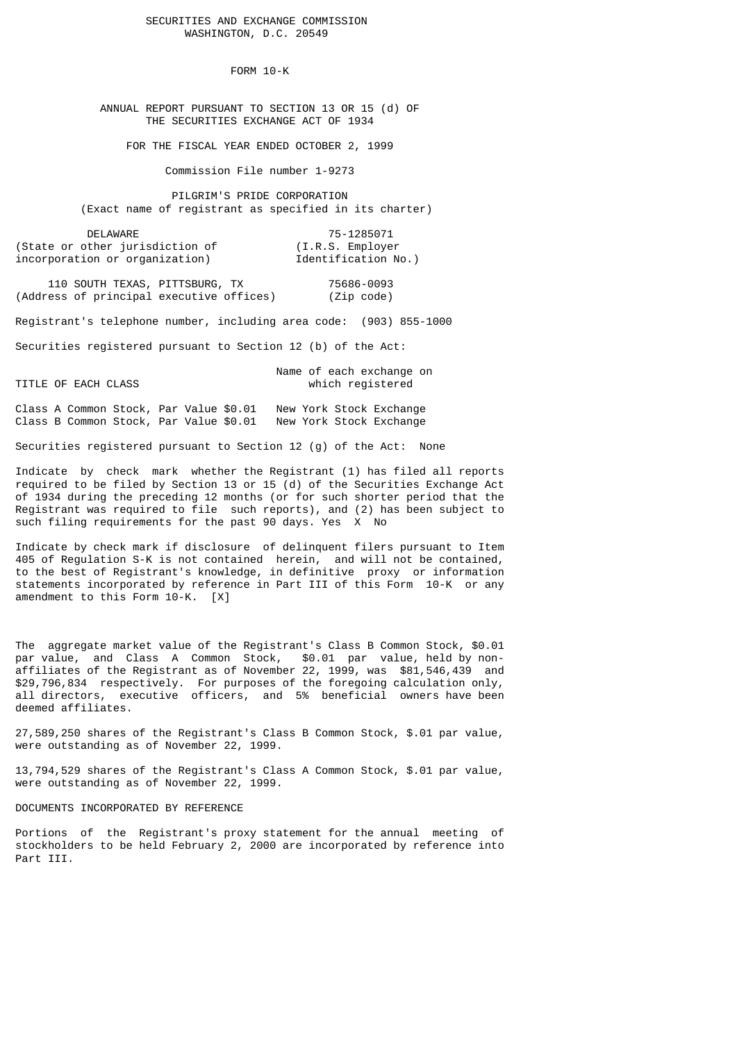# SECURITIES AND EXCHANGE COMMISSION WASHINGTON, D.C. 20549

FORM 10-K

 ANNUAL REPORT PURSUANT TO SECTION 13 OR 15 (d) OF THE SECURITIES EXCHANGE ACT OF 1934

FOR THE FISCAL YEAR ENDED OCTOBER 2, 1999

Commission File number 1-9273

 PILGRIM'S PRIDE CORPORATION (Exact name of registrant as specified in its charter)

DELAWARE 75-1285071<br>John Sther jurisdiction of (I.R.S. Employer) (State or other jurisdiction of incorporation or organization) Tdentification No.)

 110 SOUTH TEXAS, PITTSBURG, TX 75686-0093 (Address of principal executive offices) (Zip code)

Registrant's telephone number, including area code: (903) 855-1000

Securities registered pursuant to Section 12 (b) of the Act:

 Name of each exchange on TITLE OF EACH CLASS which registered

Class A Common Stock, Par Value \$0.01 New York Stock Exchange<br>Class B Common Stock, Par Value \$0.01 New York Stock Exchange Class B Common Stock, Par Value  $$0.01$ 

Securities registered pursuant to Section 12 (g) of the Act: None

Indicate by check mark whether the Registrant (1) has filed all reports required to be filed by Section 13 or 15 (d) of the Securities Exchange Act of 1934 during the preceding 12 months (or for such shorter period that the Registrant was required to file such reports), and (2) has been subject to such filing requirements for the past 90 days. Yes X No

Indicate by check mark if disclosure of delinquent filers pursuant to Item 405 of Regulation S-K is not contained herein, and will not be contained, to the best of Registrant's knowledge, in definitive proxy or information statements incorporated by reference in Part III of this Form 10-K or any amendment to this Form 10-K. [X]

The aggregate market value of the Registrant's Class B Common Stock, \$0.01 par value, and Class A Common Stock, \$0.01 par value, held by nonaffiliates of the Registrant as of November 22, 1999, was \$81,546,439 and \$29,796,834 respectively. For purposes of the foregoing calculation only, all directors, executive officers, and 5% beneficial owners have been deemed affiliates.

27,589,250 shares of the Registrant's Class B Common Stock, \$.01 par value, were outstanding as of November 22, 1999.

13,794,529 shares of the Registrant's Class A Common Stock, \$.01 par value, were outstanding as of November 22, 1999.

DOCUMENTS INCORPORATED BY REFERENCE

Portions of the Registrant's proxy statement for the annual meeting of stockholders to be held February 2, 2000 are incorporated by reference into Part III.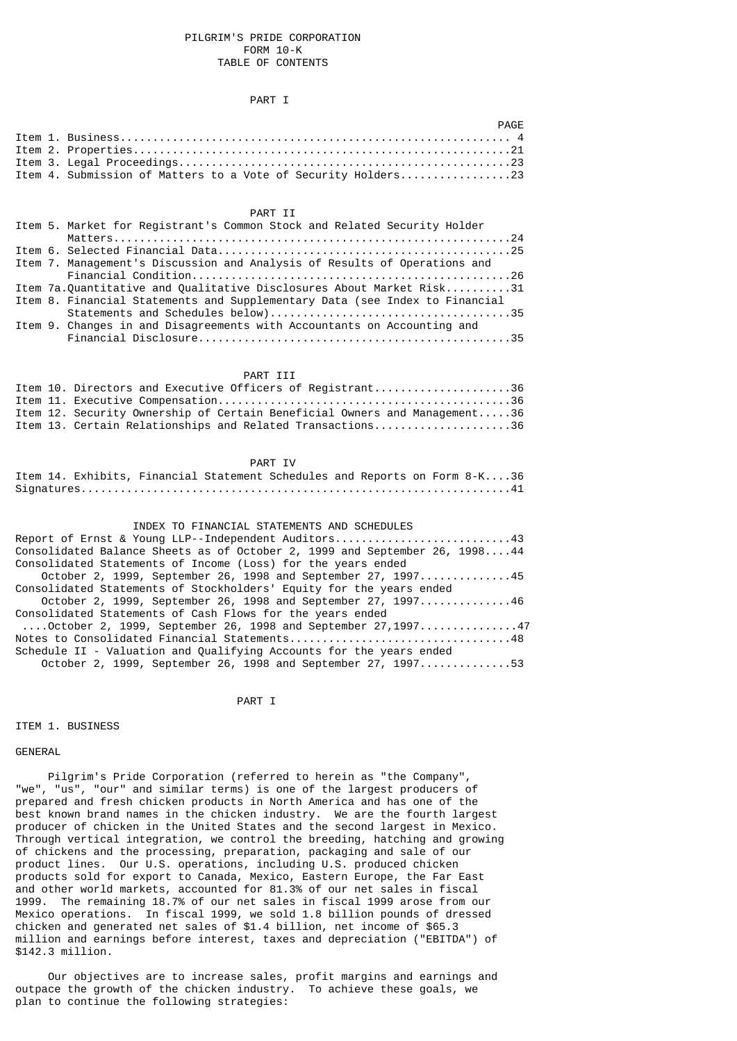### PILGRIM'S PRIDE CORPORATION FORM 10-K TABLE OF CONTENTS

# PART I

|  | PAGF                                                          |
|--|---------------------------------------------------------------|
|  |                                                               |
|  |                                                               |
|  |                                                               |
|  | Item 4. Submission of Matters to a Vote of Security Holders23 |

# PART TT

|  | Item 5. Market for Registrant's Common Stock and Related Security Holder    |
|--|-----------------------------------------------------------------------------|
|  |                                                                             |
|  |                                                                             |
|  | Item 7. Management's Discussion and Analysis of Results of Operations and   |
|  |                                                                             |
|  | Item 7a.Quantitative and Qualitative Disclosures About Market Risk31        |
|  | Item 8. Financial Statements and Supplementary Data (see Index to Financial |
|  |                                                                             |
|  | Item 9. Changes in and Disagreements with Accountants on Accounting and     |
|  |                                                                             |

# PART III

|  | Item 10. Directors and Executive Officers of Registrant36                 |
|--|---------------------------------------------------------------------------|
|  |                                                                           |
|  | Item 12. Security Ownership of Certain Beneficial Owners and Management36 |
|  | Item 13. Certain Relationships and Related Transactions36                 |

### PART IV

|  |  | Item 14. Exhibits, Financial Statement Schedules and Reports on Form 8-K36 |  |  |  |
|--|--|----------------------------------------------------------------------------|--|--|--|
|  |  |                                                                            |  |  |  |

### INDEX TO FINANCIAL STATEMENTS AND SCHEDULES

| Report of Ernst & Young LLP--Independent Auditors43                        |
|----------------------------------------------------------------------------|
| Consolidated Balance Sheets as of October 2, 1999 and September 26, 199844 |
| Consolidated Statements of Income (Loss) for the years ended               |
| October 2, 1999, September 26, 1998 and September 27, 199745               |
| Consolidated Statements of Stockholders' Equity for the years ended        |
| October 2, 1999, September 26, 1998 and September 27, 199746               |
| Consolidated Statements of Cash Flows for the years ended                  |
| $\ldots.0$ ctober 2, 1999, September 26, 1998 and September 27,199747      |
| Notes to Consolidated Financial Statements48                               |
| Schedule II - Valuation and Qualifying Accounts for the years ended        |
| October 2, 1999, September 26, 1998 and September 27, 199753               |

PART I

ITEM 1. BUSINESS

GENERAL

 Pilgrim's Pride Corporation (referred to herein as "the Company", "we", "us", "our" and similar terms) is one of the largest producers of prepared and fresh chicken products in North America and has one of the best known brand names in the chicken industry. We are the fourth largest producer of chicken in the United States and the second largest in Mexico. Through vertical integration, we control the breeding, hatching and growing of chickens and the processing, preparation, packaging and sale of our product lines. Our U.S. operations, including U.S. produced chicken products sold for export to Canada, Mexico, Eastern Europe, the Far East and other world markets, accounted for 81.3% of our net sales in fiscal 1999. The remaining 18.7% of our net sales in fiscal 1999 arose from our Mexico operations. In fiscal 1999, we sold 1.8 billion pounds of dressed chicken and generated net sales of \$1.4 billion, net income of \$65.3 million and earnings before interest, taxes and depreciation ("EBITDA") of \$142.3 million.

 Our objectives are to increase sales, profit margins and earnings and outpace the growth of the chicken industry. To achieve these goals, we plan to continue the following strategies: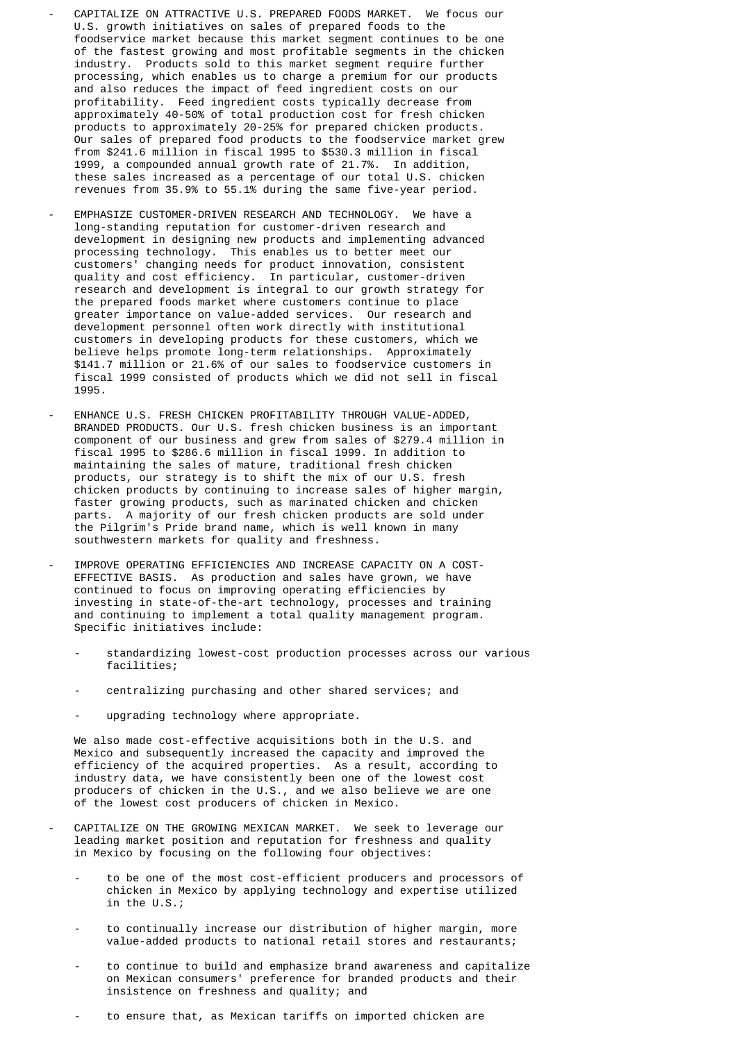- CAPITALIZE ON ATTRACTIVE U.S. PREPARED FOODS MARKET. We focus our U.S. growth initiatives on sales of prepared foods to the foodservice market because this market segment continues to be one of the fastest growing and most profitable segments in the chicken industry. Products sold to this market segment require further processing, which enables us to charge a premium for our products and also reduces the impact of feed ingredient costs on our profitability. Feed ingredient costs typically decrease from approximately 40-50% of total production cost for fresh chicken products to approximately 20-25% for prepared chicken products. Our sales of prepared food products to the foodservice market grew from \$241.6 million in fiscal 1995 to \$530.3 million in fiscal 1999, a compounded annual growth rate of 21.7%. In addition, these sales increased as a percentage of our total U.S. chicken revenues from 35.9% to 55.1% during the same five-year period.
- EMPHASIZE CUSTOMER-DRIVEN RESEARCH AND TECHNOLOGY. We have a long-standing reputation for customer-driven research and development in designing new products and implementing advanced processing technology. This enables us to better meet our customers' changing needs for product innovation, consistent quality and cost efficiency. In particular, customer-driven research and development is integral to our growth strategy for the prepared foods market where customers continue to place greater importance on value-added services. Our research and development personnel often work directly with institutional customers in developing products for these customers, which we believe helps promote long-term relationships. Approximately \$141.7 million or 21.6% of our sales to foodservice customers in fiscal 1999 consisted of products which we did not sell in fiscal 1995.
	- ENHANCE U.S. FRESH CHICKEN PROFITABILITY THROUGH VALUE-ADDED, BRANDED PRODUCTS. Our U.S. fresh chicken business is an important component of our business and grew from sales of \$279.4 million in fiscal 1995 to \$286.6 million in fiscal 1999. In addition to maintaining the sales of mature, traditional fresh chicken products, our strategy is to shift the mix of our U.S. fresh chicken products by continuing to increase sales of higher margin, faster growing products, such as marinated chicken and chicken parts. A majority of our fresh chicken products are sold under the Pilgrim's Pride brand name, which is well known in many southwestern markets for quality and freshness.
	- IMPROVE OPERATING EFFICIENCIES AND INCREASE CAPACITY ON A COST- EFFECTIVE BASIS. As production and sales have grown, we have continued to focus on improving operating efficiencies by investing in state-of-the-art technology, processes and training and continuing to implement a total quality management program. Specific initiatives include:
		- standardizing lowest-cost production processes across our various facilities;
		- centralizing purchasing and other shared services; and
		- upgrading technology where appropriate.

 We also made cost-effective acquisitions both in the U.S. and Mexico and subsequently increased the capacity and improved the efficiency of the acquired properties. As a result, according to industry data, we have consistently been one of the lowest cost producers of chicken in the U.S., and we also believe we are one of the lowest cost producers of chicken in Mexico.

- CAPITALIZE ON THE GROWING MEXICAN MARKET. We seek to leverage our leading market position and reputation for freshness and quality in Mexico by focusing on the following four objectives:
	- to be one of the most cost-efficient producers and processors of chicken in Mexico by applying technology and expertise utilized in the U.S.;
	- to continually increase our distribution of higher margin, more value-added products to national retail stores and restaurants;
	- to continue to build and emphasize brand awareness and capitalize on Mexican consumers' preference for branded products and their insistence on freshness and quality; and
	- to ensure that, as Mexican tariffs on imported chicken are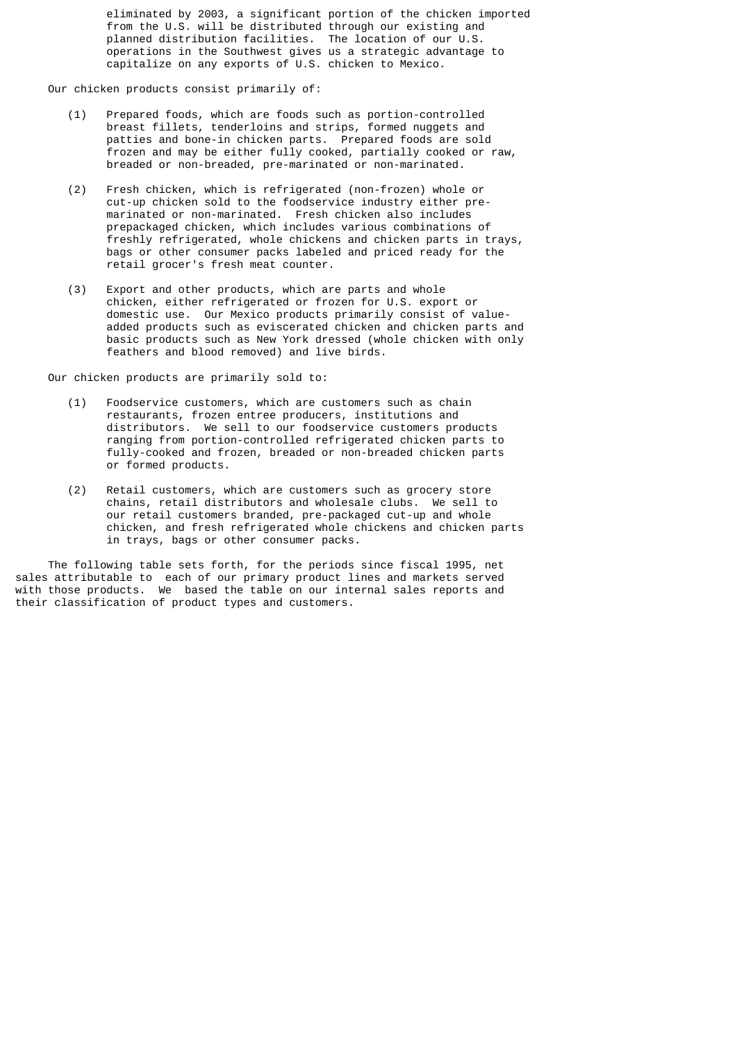eliminated by 2003, a significant portion of the chicken imported from the U.S. will be distributed through our existing and planned distribution facilities. The location of our U.S. operations in the Southwest gives us a strategic advantage to capitalize on any exports of U.S. chicken to Mexico.

Our chicken products consist primarily of:

- (1) Prepared foods, which are foods such as portion-controlled breast fillets, tenderloins and strips, formed nuggets and patties and bone-in chicken parts. Prepared foods are sold frozen and may be either fully cooked, partially cooked or raw, breaded or non-breaded, pre-marinated or non-marinated.
- (2) Fresh chicken, which is refrigerated (non-frozen) whole or cut-up chicken sold to the foodservice industry either pre marinated or non-marinated. Fresh chicken also includes prepackaged chicken, which includes various combinations of freshly refrigerated, whole chickens and chicken parts in trays, bags or other consumer packs labeled and priced ready for the retail grocer's fresh meat counter.
- (3) Export and other products, which are parts and whole chicken, either refrigerated or frozen for U.S. export or domestic use. Our Mexico products primarily consist of value added products such as eviscerated chicken and chicken parts and basic products such as New York dressed (whole chicken with only feathers and blood removed) and live birds.

Our chicken products are primarily sold to:

- (1) Foodservice customers, which are customers such as chain restaurants, frozen entree producers, institutions and distributors. We sell to our foodservice customers products ranging from portion-controlled refrigerated chicken parts to fully-cooked and frozen, breaded or non-breaded chicken parts or formed products.
- (2) Retail customers, which are customers such as grocery store chains, retail distributors and wholesale clubs. We sell to our retail customers branded, pre-packaged cut-up and whole chicken, and fresh refrigerated whole chickens and chicken parts in trays, bags or other consumer packs.

 The following table sets forth, for the periods since fiscal 1995, net sales attributable to each of our primary product lines and markets served with those products. We based the table on our internal sales reports and their classification of product types and customers.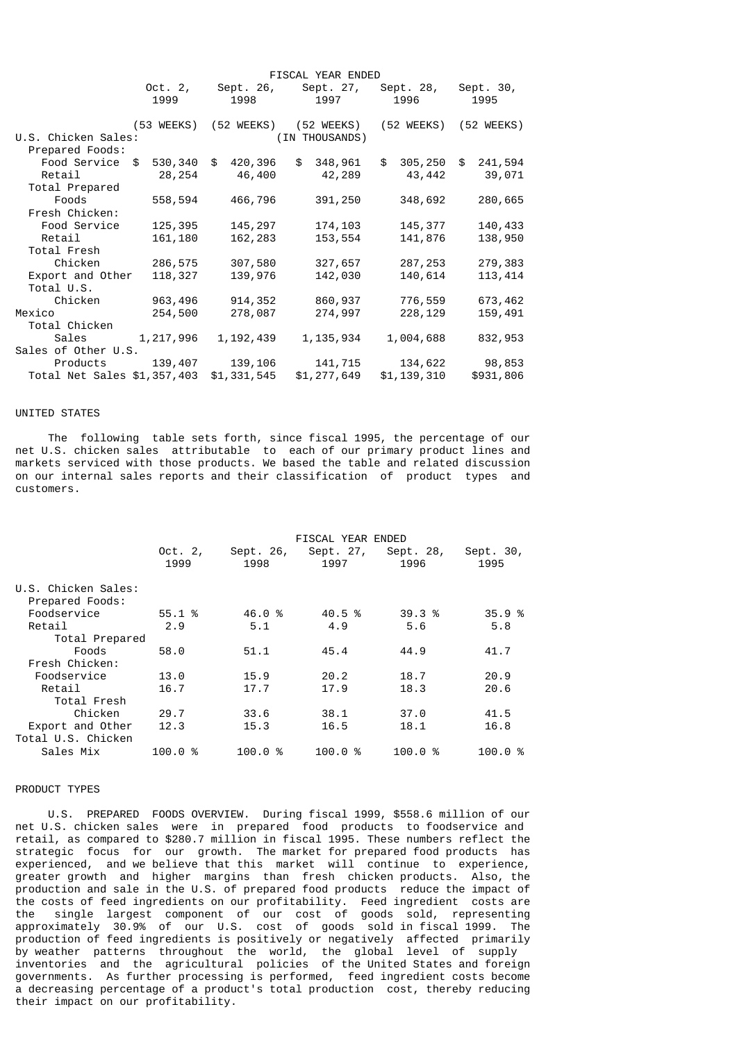|                                         |           |                           | FISCAL YEAR ENDED                |                             |               |
|-----------------------------------------|-----------|---------------------------|----------------------------------|-----------------------------|---------------|
|                                         | 1999      | Oct. 2, Sept. 26,<br>1998 | Sept. 27,<br>1997                | Sept. 28, Sept. 30,<br>1996 | 1995          |
|                                         |           |                           |                                  |                             |               |
|                                         |           |                           | (53 WEEKS) (52 WEEKS) (52 WEEKS) | (52 WEEKS) (52 WEEKS)       |               |
| U.S. Chicken Sales:                     |           |                           | (IN THOUSANDS)                   |                             |               |
| Prepared Foods:                         |           |                           |                                  |                             |               |
| Food Service \$                         | 530,340   | \$<br>420,396             | \$<br>348,961                    | \$<br>305,250               | \$<br>241,594 |
| Retail                                  | 28,254    | 46,400                    | 42,289                           | 43,442                      | 39,071        |
| Total Prepared                          |           |                           |                                  |                             |               |
| Foods                                   | 558,594   | 466,796                   | 391,250                          | 348,692                     | 280,665       |
| Fresh Chicken:                          |           |                           |                                  |                             |               |
| Food Service                            | 125,395   | 145,297                   | 174,103                          | 145,377                     | 140,433       |
| Retail                                  | 161,180   | 162,283                   | 153,554                          | 141,876                     | 138,950       |
| Total Fresh                             |           |                           |                                  |                             |               |
| Chicken                                 | 286,575   | 307,580                   | 327,657                          | 287,253                     | 279,383       |
| Export and Other                        | 118,327   | 139,976                   | 142,030                          | 140,614                     | 113,414       |
| Total U.S.                              |           |                           |                                  |                             |               |
| Chicken                                 | 963,496   | 914,352                   | 860,937                          | 776,559                     | 673,462       |
| Mexico                                  | 254,500   | 278,087                   | 274,997                          | 228,129                     | 159,491       |
| Total Chicken                           |           |                           |                                  |                             |               |
| Sales                                   | 1,217,996 | 1,192,439                 | 1,135,934                        | 1,004,688                   | 832,953       |
| Sales of Other U.S.                     |           |                           |                                  |                             |               |
| Products                                | 139,407   | 139,106                   | 141,715                          | 134,622                     | 98,853        |
| Total Net Sales \$1,357,403 \$1,331,545 |           |                           | \$1,277,649                      | \$1,139,310                 | \$931,806     |
|                                         |           |                           |                                  |                             |               |

# UNITED STATES

 The following table sets forth, since fiscal 1995, the percentage of our net U.S. chicken sales attributable to each of our primary product lines and markets serviced with those products. We based the table and related discussion on our internal sales reports and their classification of product types and customers.

|                                        |                   |                   | FISCAL YEAR ENDED |                   |                   |
|----------------------------------------|-------------------|-------------------|-------------------|-------------------|-------------------|
|                                        | Oct. $2,$<br>1999 | Sept. 26,<br>1998 | Sept. 27,<br>1997 | Sept. 28,<br>1996 | Sept. 30,<br>1995 |
| U.S. Chicken Sales:<br>Prepared Foods: |                   |                   |                   |                   |                   |
| Foodservice                            | 55.1 %            | 46.0 %            | 40.5 %            | 39.3%             | 35.9%             |
| Retail                                 | 2.9               | 5.1               | 4.9               | 5.6               | 5.8               |
| Total Prepared                         |                   |                   |                   |                   |                   |
| Foods                                  | 58.0              | 51.1              | 45.4              | 44.9              | 41.7              |
| Fresh Chicken:                         |                   |                   |                   |                   |                   |
| Foodservice                            | 13.0              | 15.9              | 20.2              | 18.7              | 20.9              |
| Retail                                 | 16.7              | 17.7              | 17.9              | 18.3              | 20.6              |
| Total Fresh                            |                   |                   |                   |                   |                   |
| Chicken                                | 29.7              | 33.6              | 38.1              | 37.0              | 41.5              |
| Export and Other                       | 12.3              | 15.3              | 16.5              | 18.1              | 16.8              |
| Total U.S. Chicken                     |                   |                   |                   |                   |                   |
| Sales Mix                              | 100.0 %           | 100.0%            | 100.0%            | 100.0%            | 100.0%            |
|                                        |                   |                   |                   |                   |                   |

#### PRODUCT TYPES

 U.S. PREPARED FOODS OVERVIEW. During fiscal 1999, \$558.6 million of our net U.S. chicken sales were in prepared food products to foodservice and retail, as compared to \$280.7 million in fiscal 1995. These numbers reflect the strategic focus for our growth. The market for prepared food products has experienced, and we believe that this market will continue to experience, greater growth and higher margins than fresh chicken products. Also, the production and sale in the U.S. of prepared food products reduce the impact of the costs of feed ingredients on our profitability. Feed ingredient costs are the single largest component of our cost of goods sold, representing approximately 30.9% of our U.S. cost of goods sold in fiscal 1999. The production of feed ingredients is positively or negatively affected primarily by weather patterns throughout the world, the global level of supply inventories and the agricultural policies of the United States and foreign governments. As further processing is performed, feed ingredient costs become a decreasing percentage of a product's total production cost, thereby reducing their impact on our profitability.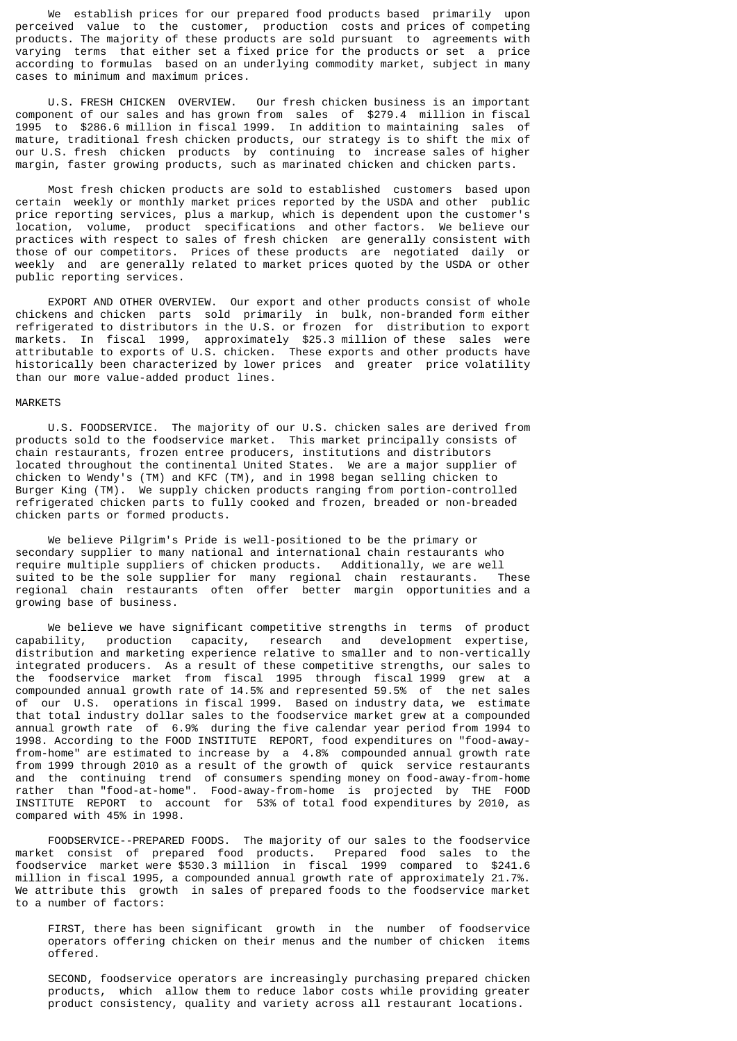We establish prices for our prepared food products based primarily upon perceived value to the customer, production costs and prices of competing products. The majority of these products are sold pursuant to agreements with varying terms that either set a fixed price for the products or set a price according to formulas based on an underlying commodity market, subject in many cases to minimum and maximum prices.

 U.S. FRESH CHICKEN OVERVIEW. Our fresh chicken business is an important component of our sales and has grown from sales of \$279.4 million in fiscal 1995 to \$286.6 million in fiscal 1999. In addition to maintaining sales of mature, traditional fresh chicken products, our strategy is to shift the mix of our U.S. fresh chicken products by continuing to increase sales of higher margin, faster growing products, such as marinated chicken and chicken parts.

 Most fresh chicken products are sold to established customers based upon certain weekly or monthly market prices reported by the USDA and other public price reporting services, plus a markup, which is dependent upon the customer's location, volume, product specifications and other factors. We believe our practices with respect to sales of fresh chicken are generally consistent with those of our competitors. Prices of these products are negotiated daily or weekly and are generally related to market prices quoted by the USDA or other public reporting services.

 EXPORT AND OTHER OVERVIEW. Our export and other products consist of whole chickens and chicken parts sold primarily in bulk, non-branded form either refrigerated to distributors in the U.S. or frozen for distribution to export markets. In fiscal 1999, approximately \$25.3 million of these sales were attributable to exports of U.S. chicken. These exports and other products have historically been characterized by lower prices and greater price volatility than our more value-added product lines.

#### MARKETS

 U.S. FOODSERVICE. The majority of our U.S. chicken sales are derived from products sold to the foodservice market. This market principally consists of chain restaurants, frozen entree producers, institutions and distributors located throughout the continental United States. We are a major supplier of chicken to Wendy's (TM) and KFC (TM), and in 1998 began selling chicken to Burger King (TM). We supply chicken products ranging from portion-controlled refrigerated chicken parts to fully cooked and frozen, breaded or non-breaded chicken parts or formed products.

 We believe Pilgrim's Pride is well-positioned to be the primary or secondary supplier to many national and international chain restaurants who require multiple suppliers of chicken products. Additionally, we are well suited to be the sole supplier for many regional chain restaurants. These regional chain restaurants often offer better margin opportunities and a growing base of business.

 We believe we have significant competitive strengths in terms of product capability, production capacity, research and development expertise, distribution and marketing experience relative to smaller and to non-vertically integrated producers. As a result of these competitive strengths, our sales to the foodservice market from fiscal 1995 through fiscal 1999 grew at a compounded annual growth rate of 14.5% and represented 59.5% of the net sales of our U.S. operations in fiscal 1999. Based on industry data, we estimate that total industry dollar sales to the foodservice market grew at a compounded annual growth rate of 6.9% during the five calendar year period from 1994 to 1998. According to the FOOD INSTITUTE REPORT, food expenditures on "food-awayfrom-home" are estimated to increase by a 4.8% compounded annual growth rate from 1999 through 2010 as a result of the growth of quick service restaurants and the continuing trend of consumers spending money on food-away-from-home rather than "food-at-home". Food-away-from-home is projected by THE FOOD INSTITUTE REPORT to account for 53% of total food expenditures by 2010, as compared with 45% in 1998.

 FOODSERVICE--PREPARED FOODS. The majority of our sales to the foodservice market consist of prepared food products. Prepared food sales to the foodservice market were \$530.3 million in fiscal 1999 compared to \$241.6 million in fiscal 1995, a compounded annual growth rate of approximately 21.7%. We attribute this growth in sales of prepared foods to the foodservice market to a number of factors:

 FIRST, there has been significant growth in the number of foodservice operators offering chicken on their menus and the number of chicken items offered.

 SECOND, foodservice operators are increasingly purchasing prepared chicken products, which allow them to reduce labor costs while providing greater product consistency, quality and variety across all restaurant locations.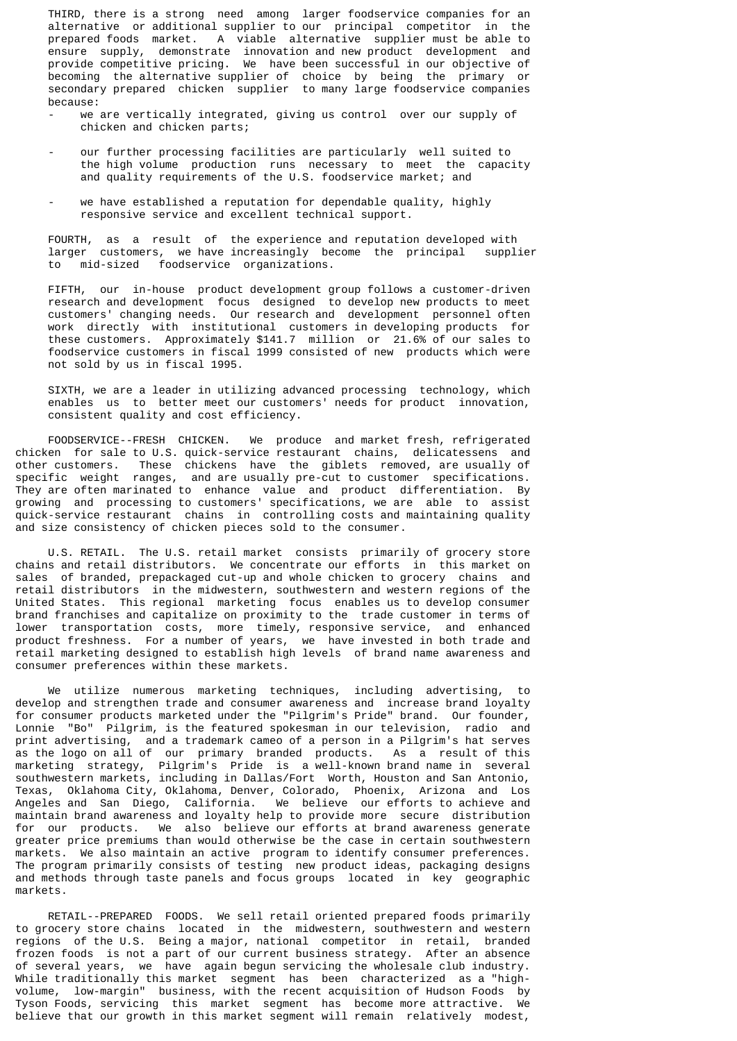THIRD, there is a strong need among larger foodservice companies for an alternative or additional supplier to our principal competitor in the prepared foods market. A viable alternative supplier must be able to ensure supply, demonstrate innovation and new product development and provide competitive pricing. We have been successful in our objective of becoming the alternative supplier of choice by being the primary or secondary prepared chicken supplier to many large foodservice companies because:

- we are vertically integrated, giving us control over our supply of chicken and chicken parts;
- our further processing facilities are particularly well suited to the high volume production runs necessary to meet the capacity and quality requirements of the U.S. foodservice market; and
- we have established a reputation for dependable quality, highly responsive service and excellent technical support.

 FOURTH, as a result of the experience and reputation developed with larger customers, we have increasingly become the principal supplier mid-sized foodservice organizations.

 FIFTH, our in-house product development group follows a customer-driven research and development focus designed to develop new products to meet customers' changing needs. Our research and development personnel often work directly with institutional customers in developing products for these customers. Approximately \$141.7 million or 21.6% of our sales to foodservice customers in fiscal 1999 consisted of new products which were not sold by us in fiscal 1995.

 SIXTH, we are a leader in utilizing advanced processing technology, which enables us to better meet our customers' needs for product innovation, consistent quality and cost efficiency.

 FOODSERVICE--FRESH CHICKEN. We produce and market fresh, refrigerated chicken for sale to U.S. quick-service restaurant chains, delicatessens and other customers. These chickens have the giblets removed, are usually of specific weight ranges, and are usually pre-cut to customer specifications. They are often marinated to enhance value and product differentiation. By growing and processing to customers' specifications, we are able to assist quick-service restaurant chains in controlling costs and maintaining quality and size consistency of chicken pieces sold to the consumer.

 U.S. RETAIL. The U.S. retail market consists primarily of grocery store chains and retail distributors. We concentrate our efforts in this market on sales of branded, prepackaged cut-up and whole chicken to grocery chains and retail distributors in the midwestern, southwestern and western regions of the United States. This regional marketing focus enables us to develop consumer brand franchises and capitalize on proximity to the trade customer in terms of lower transportation costs, more timely, responsive service, and enhanced product freshness. For a number of years, we have invested in both trade and retail marketing designed to establish high levels of brand name awareness and consumer preferences within these markets.

 We utilize numerous marketing techniques, including advertising, to develop and strengthen trade and consumer awareness and increase brand loyalty for consumer products marketed under the "Pilgrim's Pride" brand. Our founder, Lonnie "Bo" Pilgrim, is the featured spokesman in our television, radio and print advertising, and a trademark cameo of a person in a Pilgrim's hat serves as the logo on all of our primary branded products. As a result of this marketing strategy, Pilgrim's Pride is a well-known brand name in several southwestern markets, including in Dallas/Fort Worth, Houston and San Antonio, Texas, Oklahoma City, Oklahoma, Denver, Colorado, Phoenix, Arizona and Los Angeles and San Diego, California. We believe our efforts to achieve and maintain brand awareness and loyalty help to provide more secure distribution for our products. We also believe our efforts at brand awareness generate greater price premiums than would otherwise be the case in certain southwestern markets. We also maintain an active program to identify consumer preferences. The program primarily consists of testing new product ideas, packaging designs and methods through taste panels and focus groups located in key geographic markets.

 RETAIL--PREPARED FOODS. We sell retail oriented prepared foods primarily to grocery store chains located in the midwestern, southwestern and western regions of the U.S. Being a major, national competitor in retail, branded frozen foods is not a part of our current business strategy. After an absence of several years, we have again begun servicing the wholesale club industry. While traditionally this market segment has been characterized as a "highvolume, low-margin" business, with the recent acquisition of Hudson Foods by Tyson Foods, servicing this market segment has become more attractive. We believe that our growth in this market segment will remain relatively modest,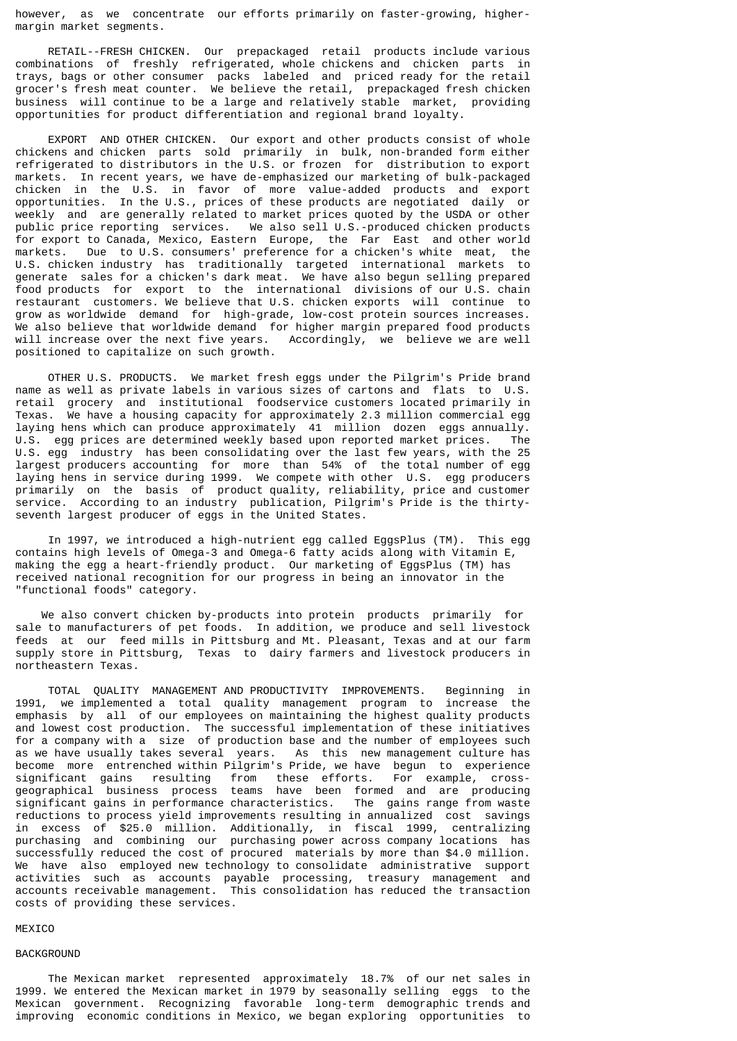however, as we concentrate our efforts primarily on faster-growing, highermargin market segments.

 RETAIL--FRESH CHICKEN. Our prepackaged retail products include various combinations of freshly refrigerated, whole chickens and chicken parts in trays, bags or other consumer packs labeled and priced ready for the retail grocer's fresh meat counter. We believe the retail, prepackaged fresh chicken business will continue to be a large and relatively stable market, providing opportunities for product differentiation and regional brand loyalty.

 EXPORT AND OTHER CHICKEN. Our export and other products consist of whole chickens and chicken parts sold primarily in bulk, non-branded form either refrigerated to distributors in the U.S. or frozen for distribution to export markets. In recent years, we have de-emphasized our marketing of bulk-packaged chicken in the U.S. in favor of more value-added products and export opportunities. In the U.S., prices of these products are negotiated daily or weekly and are generally related to market prices quoted by the USDA or other public price reporting services. We also sell U.S.-produced chicken products for export to Canada, Mexico, Eastern Europe, the Far East and other world Due to U.S. consumers' preference for a chicken's white meat, the U.S. chicken industry has traditionally targeted international markets to generate sales for a chicken's dark meat. We have also begun selling prepared food products for export to the international divisions of our U.S. chain restaurant customers. We believe that U.S. chicken exports will continue to grow as worldwide demand for high-grade, low-cost protein sources increases. We also believe that worldwide demand for higher margin prepared food products<br>will increase over the next five years. Accordingly, we believe we are well will increase over the next five years. positioned to capitalize on such growth.

 OTHER U.S. PRODUCTS. We market fresh eggs under the Pilgrim's Pride brand name as well as private labels in various sizes of cartons and flats to U.S. retail grocery and institutional foodservice customers located primarily in Texas. We have a housing capacity for approximately 2.3 million commercial egg laying hens which can produce approximately 41 million dozen eggs annually. U.S. egg prices are determined weekly based upon reported market prices. The U.S. egg industry has been consolidating over the last few years, with the 25 largest producers accounting for more than 54% of the total number of egg laying hens in service during 1999. We compete with other U.S. egg producers primarily on the basis of product quality, reliability, price and customer service. According to an industry publication, Pilgrim's Pride is the thirtyseventh largest producer of eggs in the United States.

 In 1997, we introduced a high-nutrient egg called EggsPlus (TM). This egg contains high levels of Omega-3 and Omega-6 fatty acids along with Vitamin E, making the egg a heart-friendly product. Our marketing of EggsPlus (TM) has received national recognition for our progress in being an innovator in the "functional foods" category.

 We also convert chicken by-products into protein products primarily for sale to manufacturers of pet foods. In addition, we produce and sell livestock feeds at our feed mills in Pittsburg and Mt. Pleasant, Texas and at our farm supply store in Pittsburg, Texas to dairy farmers and livestock producers in northeastern Texas.

 TOTAL QUALITY MANAGEMENT AND PRODUCTIVITY IMPROVEMENTS. Beginning in 1991, we implemented a total quality management program to increase the emphasis by all of our employees on maintaining the highest quality products and lowest cost production. The successful implementation of these initiatives for a company with a size of production base and the number of employees such as we have usually takes several years. As this new management culture has become more entrenched within Pilgrim's Pride, we have begun to experience significant gains resulting from these efforts. For example, crossgeographical business process teams have been formed and are producing significant gains in performance characteristics. The gains range from waste reductions to process yield improvements resulting in annualized cost savings in excess of \$25.0 million. Additionally, in fiscal 1999, centralizing purchasing and combining our purchasing power across company locations has successfully reduced the cost of procured materials by more than \$4.0 million. We have also employed new technology to consolidate administrative support activities such as accounts payable processing, treasury management and accounts receivable management. This consolidation has reduced the transaction costs of providing these services.

#### **MEXICO**

#### BACKGROUND

 The Mexican market represented approximately 18.7% of our net sales in 1999. We entered the Mexican market in 1979 by seasonally selling eggs to the Mexican government. Recognizing favorable long-term demographic trends and improving economic conditions in Mexico, we began exploring opportunities to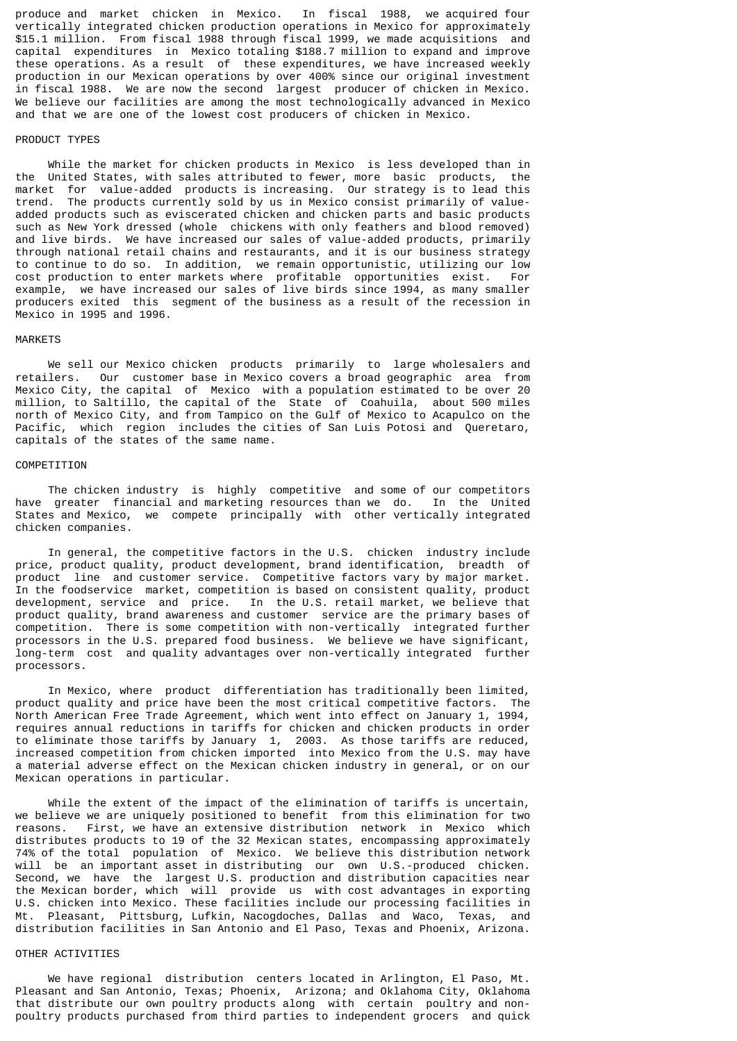produce and market chicken in Mexico. In fiscal 1988, we acquired four vertically integrated chicken production operations in Mexico for approximately \$15.1 million. From fiscal 1988 through fiscal 1999, we made acquisitions and capital expenditures in Mexico totaling \$188.7 million to expand and improve these operations. As a result of these expenditures, we have increased weekly production in our Mexican operations by over 400% since our original investment in fiscal 1988. We are now the second largest producer of chicken in Mexico. We believe our facilities are among the most technologically advanced in Mexico and that we are one of the lowest cost producers of chicken in Mexico.

#### PRODUCT TYPES

 While the market for chicken products in Mexico is less developed than in the United States, with sales attributed to fewer, more basic products, the market for value-added products is increasing. Our strategy is to lead this trend. The products currently sold by us in Mexico consist primarily of valueadded products such as eviscerated chicken and chicken parts and basic products such as New York dressed (whole chickens with only feathers and blood removed) and live birds. We have increased our sales of value-added products, primarily through national retail chains and restaurants, and it is our business strategy to continue to do so. In addition, we remain opportunistic, utilizing our low cost production to enter markets where profitable opportunities exist. For example, we have increased our sales of live birds since 1994, as many smaller producers exited this segment of the business as a result of the recession in Mexico in 1995 and 1996.

#### MARKETS

 We sell our Mexico chicken products primarily to large wholesalers and retailers. Our customer base in Mexico covers a broad geographic area from Mexico City, the capital of Mexico with a population estimated to be over 20 million, to Saltillo, the capital of the State of Coahuila, about 500 miles north of Mexico City, and from Tampico on the Gulf of Mexico to Acapulco on the Pacific, which region includes the cities of San Luis Potosi and Queretaro, capitals of the states of the same name.

### COMPETITION

 The chicken industry is highly competitive and some of our competitors have greater financial and marketing resources than we do. In the United States and Mexico, we compete principally with other vertically integrated chicken companies.

 In general, the competitive factors in the U.S. chicken industry include price, product quality, product development, brand identification, breadth of product line and customer service. Competitive factors vary by major market. In the foodservice market, competition is based on consistent quality, product development, service and price. In the U.S. retail market, we believe that product quality, brand awareness and customer service are the primary bases of competition. There is some competition with non-vertically integrated further processors in the U.S. prepared food business. We believe we have significant, long-term cost and quality advantages over non-vertically integrated further processors.

 In Mexico, where product differentiation has traditionally been limited, product quality and price have been the most critical competitive factors. The North American Free Trade Agreement, which went into effect on January 1, 1994, requires annual reductions in tariffs for chicken and chicken products in order to eliminate those tariffs by January 1, 2003. As those tariffs are reduced, increased competition from chicken imported into Mexico from the U.S. may have a material adverse effect on the Mexican chicken industry in general, or on our Mexican operations in particular.

 While the extent of the impact of the elimination of tariffs is uncertain, we believe we are uniquely positioned to benefit from this elimination for two reasons. First, we have an extensive distribution network in Mexico which distributes products to 19 of the 32 Mexican states, encompassing approximately 74% of the total population of Mexico. We believe this distribution network will be an important asset in distributing our own U.S.-produced chicken. Second, we have the largest U.S. production and distribution capacities near the Mexican border, which will provide us with cost advantages in exporting U.S. chicken into Mexico. These facilities include our processing facilities in Mt. Pleasant, Pittsburg, Lufkin, Nacogdoches, Dallas and Waco, Texas, and distribution facilities in San Antonio and El Paso, Texas and Phoenix, Arizona.

### OTHER ACTIVITIES

 We have regional distribution centers located in Arlington, El Paso, Mt. Pleasant and San Antonio, Texas; Phoenix, Arizona; and Oklahoma City, Oklahoma that distribute our own poultry products along with certain poultry and nonpoultry products purchased from third parties to independent grocers and quick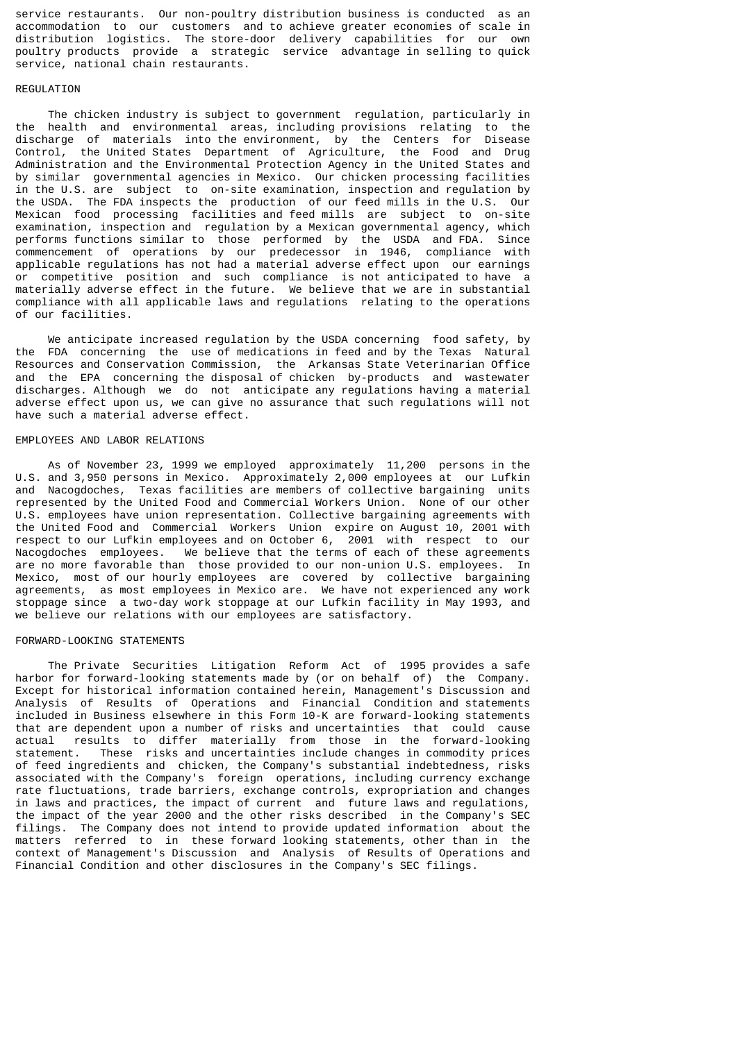service restaurants. Our non-poultry distribution business is conducted as an accommodation to our customers and to achieve greater economies of scale in distribution logistics. The store-door delivery capabilities for our own poultry products provide a strategic service advantage in selling to quick service, national chain restaurants.

### REGULATION

 The chicken industry is subject to government regulation, particularly in the health and environmental areas, including provisions relating to the discharge of materials into the environment by the Centers for Disease discharge of materials into the environment, by the Centers for Control, the United States Department of Agriculture, the Food and Drug Administration and the Environmental Protection Agency in the United States and by similar governmental agencies in Mexico. Our chicken processing facilities in the U.S. are subject to on-site examination, inspection and regulation by the USDA. The FDA inspects the production of our feed mills in the U.S. Our Mexican food processing facilities and feed mills are subject to on-site examination, inspection and regulation by a Mexican governmental agency, which performs functions similar to those performed by the USDA and FDA. Since commencement of operations by our predecessor in 1946, compliance with applicable regulations has not had a material adverse effect upon our earnings or competitive position and such compliance is not anticipated to have a materially adverse effect in the future. We believe that we are in substantial compliance with all applicable laws and regulations relating to the operations of our facilities.

 We anticipate increased regulation by the USDA concerning food safety, by the FDA concerning the use of medications in feed and by the Texas Natural Resources and Conservation Commission, the Arkansas State Veterinarian Office and the EPA concerning the disposal of chicken by-products and wastewater discharges. Although we do not anticipate any regulations having a material adverse effect upon us, we can give no assurance that such regulations will not have such a material adverse effect.

#### EMPLOYEES AND LABOR RELATIONS

 As of November 23, 1999 we employed approximately 11,200 persons in the U.S. and 3,950 persons in Mexico. Approximately 2,000 employees at our Lufkin and Nacogdoches, Texas facilities are members of collective bargaining units represented by the United Food and Commercial Workers Union. None of our other U.S. employees have union representation. Collective bargaining agreements with the United Food and Commercial Workers Union expire on August 10, 2001 with respect to our Lufkin employees and on October 6, 2001 with respect to our Nacogdoches employees. We believe that the terms of each of these agreements are no more favorable than those provided to our non-union U.S. employees. In Mexico, most of our hourly employees are covered by collective bargaining agreements, as most employees in Mexico are. We have not experienced any work stoppage since a two-day work stoppage at our Lufkin facility in May 1993, and we believe our relations with our employees are satisfactory.

#### FORWARD-LOOKING STATEMENTS

 The Private Securities Litigation Reform Act of 1995 provides a safe harbor for forward-looking statements made by (or on behalf of) the Company. Except for historical information contained herein, Management's Discussion and Analysis of Results of Operations and Financial Condition and statements included in Business elsewhere in this Form 10-K are forward-looking statements that are dependent upon a number of risks and uncertainties that could cause actual results to differ materially from those in the forward-looking<br>statement. These risks and uncertainties include changes in commodity prices These risks and uncertainties include changes in commodity prices of feed ingredients and chicken, the Company's substantial indebtedness, risks associated with the Company's foreign operations, including currency exchange rate fluctuations, trade barriers, exchange controls, expropriation and changes in laws and practices, the impact of current and future laws and regulations, the impact of the year 2000 and the other risks described in the Company's SEC filings. The Company does not intend to provide updated information about the matters referred to in these forward looking statements, other than in the context of Management's Discussion and Analysis of Results of Operations and Financial Condition and other disclosures in the Company's SEC filings.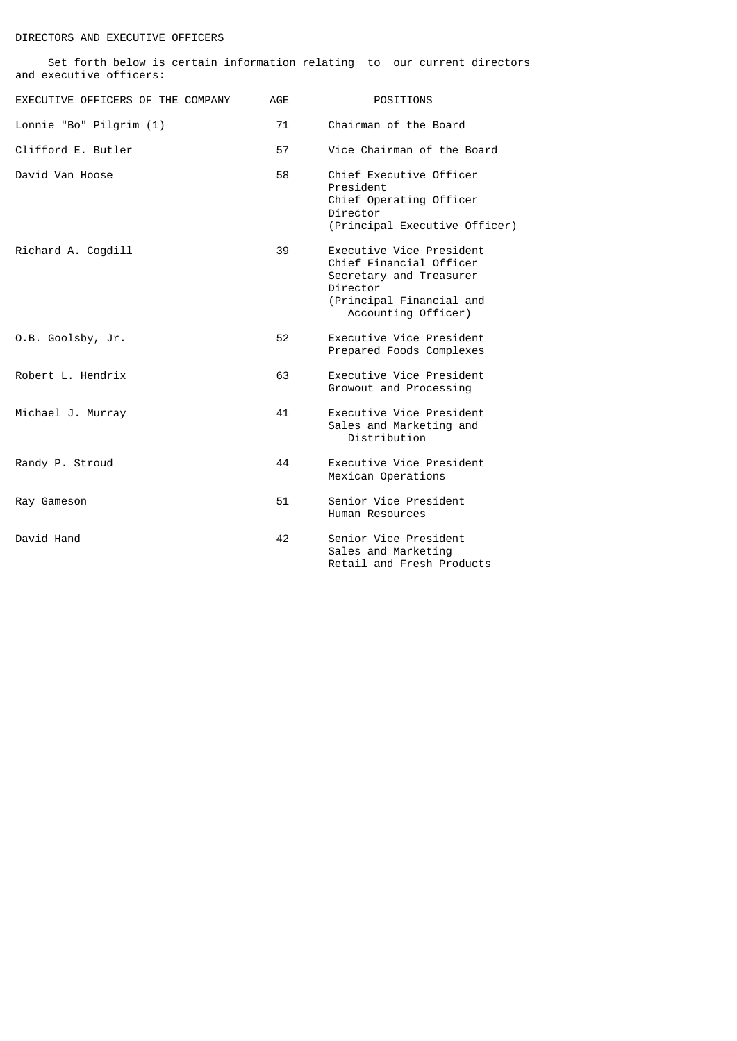# DIRECTORS AND EXECUTIVE OFFICERS

| and executive officers:           |            |                                                                                                                                               |
|-----------------------------------|------------|-----------------------------------------------------------------------------------------------------------------------------------------------|
| EXECUTIVE OFFICERS OF THE COMPANY | <b>AGE</b> | POSITIONS                                                                                                                                     |
| Lonnie "Bo" Pilgrim (1)           | 71         | Chairman of the Board                                                                                                                         |
| Clifford E. Butler                | 57         | Vice Chairman of the Board                                                                                                                    |
| David Van Hoose                   | 58         | Chief Executive Officer<br>President<br>Chief Operating Officer<br>Director<br>(Principal Executive Officer)                                  |
| Richard A. Cogdill                | 39         | Executive Vice President<br>Chief Financial Officer<br>Secretary and Treasurer<br>Director<br>(Principal Financial and<br>Accounting Officer) |
| O.B. Goolsby, Jr.                 | 52         | Executive Vice President<br>Prepared Foods Complexes                                                                                          |
| Robert L. Hendrix                 | 63         | Executive Vice President<br>Growout and Processing                                                                                            |
| Michael J. Murray                 | 41         | Executive Vice President<br>Sales and Marketing and<br>Distribution                                                                           |
| Randy P. Stroud                   | 44         | Executive Vice President<br>Mexican Operations                                                                                                |
| Ray Gameson                       | 51         | Senior Vice President<br>Human Resources                                                                                                      |
| David Hand                        | 42         | Senior Vice President<br>Sales and Marketing<br>Retail and Fresh Products                                                                     |

Set forth below is certain information relating to our current directors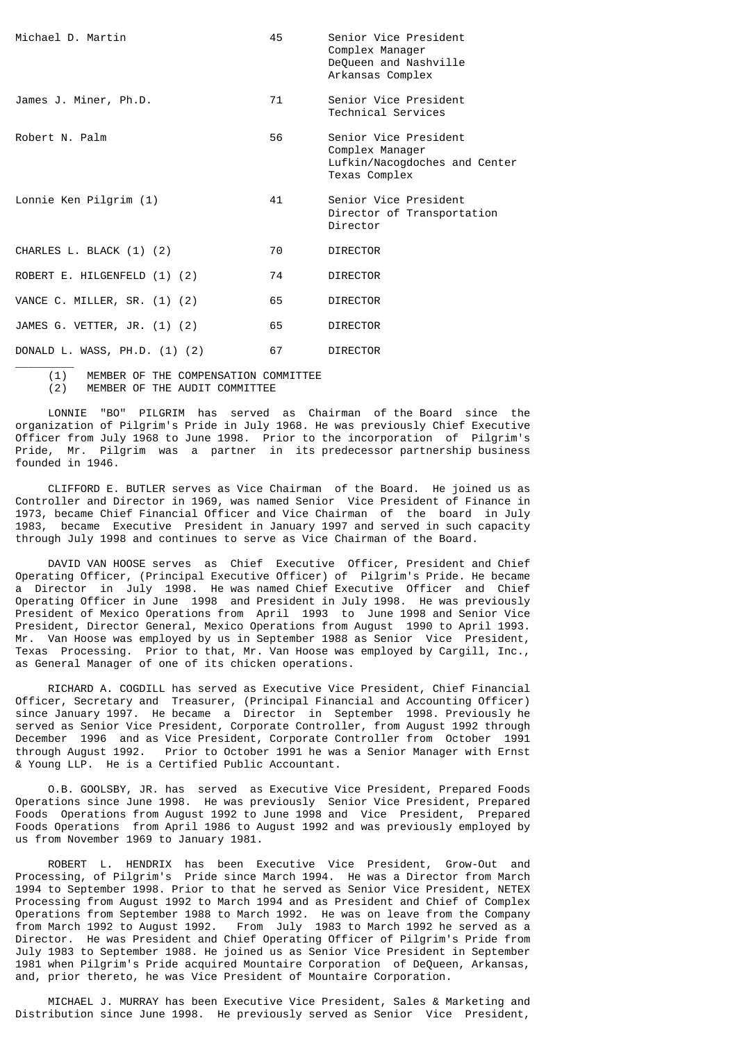| Michael D. Martin             | 45  | Senior Vice President<br>Complex Manager<br>DeQueen and Nashville<br>Arkansas Complex      |
|-------------------------------|-----|--------------------------------------------------------------------------------------------|
| James J. Miner, Ph.D.         | 71  | Senior Vice President<br>Technical Services                                                |
| Robert N. Palm                | 56. | Senior Vice President<br>Complex Manager<br>Lufkin/Nacogdoches and Center<br>Texas Complex |
| Lonnie Ken Pilgrim (1)        | 41  | Senior Vice President<br>Director of Transportation<br>Director                            |
| CHARLES L. BLACK (1) (2)      | 70  | <b>DIRECTOR</b>                                                                            |
| ROBERT E. HILGENFELD (1) (2)  | 74  | <b>DIRECTOR</b>                                                                            |
| VANCE C. MILLER, SR. (1) (2)  | 65  | <b>DIRECTOR</b>                                                                            |
| JAMES G. VETTER, JR. (1) (2)  | 65  | <b>DIRECTOR</b>                                                                            |
| DONALD L. WASS, PH.D. (1) (2) | 67  | <b>DIRECTOR</b>                                                                            |

 $\frac{1}{2}$  (1) MEMBER OF THE COMPENSATION COMMITTEE (2) MEMBER OF THE AUDIT COMMITTEE

 LONNIE "BO" PILGRIM has served as Chairman of the Board since the organization of Pilgrim's Pride in July 1968. He was previously Chief Executive Officer from July 1968 to June 1998. Prior to the incorporation of Pilgrim's Pride, Mr. Pilgrim was a partner in its predecessor partnership business founded in 1946.

 CLIFFORD E. BUTLER serves as Vice Chairman of the Board. He joined us as Controller and Director in 1969, was named Senior Vice President of Finance in 1973, became Chief Financial Officer and Vice Chairman of the board in July 1983, became Executive President in January 1997 and served in such capacity through July 1998 and continues to serve as Vice Chairman of the Board.

 DAVID VAN HOOSE serves as Chief Executive Officer, President and Chief Operating Officer, (Principal Executive Officer) of Pilgrim's Pride. He became a Director in July 1998. He was named Chief Executive Officer and Chief Operating Officer in June 1998 and President in July 1998. He was previously President of Mexico Operations from April 1993 to June 1998 and Senior Vice President, Director General, Mexico Operations from August 1990 to April 1993. Mr. Van Hoose was employed by us in September 1988 as Senior Vice President, Texas Processing. Prior to that, Mr. Van Hoose was employed by Cargill, Inc., as General Manager of one of its chicken operations.

 RICHARD A. COGDILL has served as Executive Vice President, Chief Financial Officer, Secretary and Treasurer, (Principal Financial and Accounting Officer) since January 1997. He became a Director in September 1998. Previously he served as Senior Vice President, Corporate Controller, from August 1992 through December 1996 and as Vice President, Corporate Controller from October 1991 through August 1992. Prior to October 1991 he was a Senior Manager with Ernst & Young LLP. He is a Certified Public Accountant.

 O.B. GOOLSBY, JR. has served as Executive Vice President, Prepared Foods Operations since June 1998. He was previously Senior Vice President, Prepared Foods Operations from August 1992 to June 1998 and Vice President, Prepared Foods Operations from April 1986 to August 1992 and was previously employed by us from November 1969 to January 1981.

 ROBERT L. HENDRIX has been Executive Vice President, Grow-Out and Processing, of Pilgrim's Pride since March 1994. He was a Director from March 1994 to September 1998. Prior to that he served as Senior Vice President, NETEX Processing from August 1992 to March 1994 and as President and Chief of Complex Operations from September 1988 to March 1992. He was on leave from the Company from March 1992 to August 1992. From July 1983 to March 1992 he served as a From July 1983 to March 1992 he served as a Director. He was President and Chief Operating Officer of Pilgrim's Pride from July 1983 to September 1988. He joined us as Senior Vice President in September 1981 when Pilgrim's Pride acquired Mountaire Corporation of DeQueen, Arkansas, and, prior thereto, he was Vice President of Mountaire Corporation.

 MICHAEL J. MURRAY has been Executive Vice President, Sales & Marketing and Distribution since June 1998. He previously served as Senior Vice President,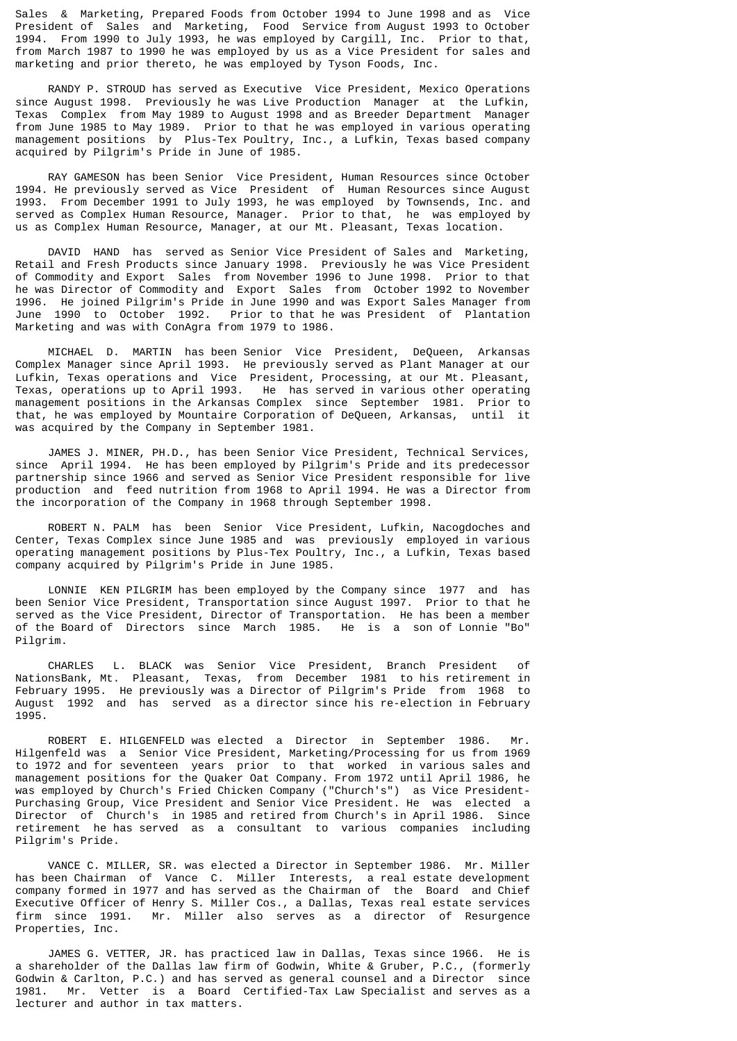Sales & Marketing, Prepared Foods from October 1994 to June 1998 and as Vice President of Sales and Marketing, Food Service from August 1993 to October 1994. From 1990 to July 1993, he was employed by Cargill, Inc. Prior to that, from March 1987 to 1990 he was employed by us as a Vice President for sales and marketing and prior thereto, he was employed by Tyson Foods, Inc.

 RANDY P. STROUD has served as Executive Vice President, Mexico Operations since August 1998. Previously he was Live Production Manager at the Lufkin, Texas Complex from May 1989 to August 1998 and as Breeder Department Manager from June 1985 to May 1989. Prior to that he was employed in various operating management positions by Plus-Tex Poultry, Inc., a Lufkin, Texas based company acquired by Pilgrim's Pride in June of 1985.

 RAY GAMESON has been Senior Vice President, Human Resources since October 1994. He previously served as Vice President of Human Resources since August 1993. From December 1991 to July 1993, he was employed by Townsends, Inc. and served as Complex Human Resource, Manager. Prior to that, he was employed by us as Complex Human Resource, Manager, at our Mt. Pleasant, Texas location.

 DAVID HAND has served as Senior Vice President of Sales and Marketing, Retail and Fresh Products since January 1998. Previously he was Vice President of Commodity and Export Sales from November 1996 to June 1998. Prior to that he was Director of Commodity and Export Sales from October 1992 to November 1996. He joined Pilgrim's Pride in June 1990 and was Export Sales Manager from June 1990 to October 1992. Prior to that he was President of Plantation Marketing and was with ConAgra from 1979 to 1986.

 MICHAEL D. MARTIN has been Senior Vice President, DeQueen, Arkansas Complex Manager since April 1993. He previously served as Plant Manager at our Lufkin, Texas operations and Vice President, Processing, at our Mt. Pleasant, Texas, operations up to April 1993. He has served in various other operating management positions in the Arkansas Complex since September 1981. Prior to that, he was employed by Mountaire Corporation of DeQueen, Arkansas, until it was acquired by the Company in September 1981.

 JAMES J. MINER, PH.D., has been Senior Vice President, Technical Services, since April 1994. He has been employed by Pilgrim's Pride and its predecessor partnership since 1966 and served as Senior Vice President responsible for live production and feed nutrition from 1968 to April 1994. He was a Director from the incorporation of the Company in 1968 through September 1998.

 ROBERT N. PALM has been Senior Vice President, Lufkin, Nacogdoches and Center, Texas Complex since June 1985 and was previously employed in various operating management positions by Plus-Tex Poultry, Inc., a Lufkin, Texas based company acquired by Pilgrim's Pride in June 1985.

 LONNIE KEN PILGRIM has been employed by the Company since 1977 and has been Senior Vice President, Transportation since August 1997. Prior to that he served as the Vice President, Director of Transportation. He has been a member<br>of the Board of Directors since March 1985. He is a son of Lonnie "Bo" of the Board of Directors since March 1985. Pilgrim.

 CHARLES L. BLACK was Senior Vice President, Branch President of NationsBank, Mt. Pleasant, Texas, from December 1981 to his retirement in February 1995. He previously was a Director of Pilgrim's Pride from 1968 to August 1992 and has served as a director since his re-election in February 1995.

 ROBERT E. HILGENFELD was elected a Director in September 1986. Mr. Hilgenfeld was a Senior Vice President, Marketing/Processing for us from 1969 to 1972 and for seventeen years prior to that worked in various sales and management positions for the Quaker Oat Company. From 1972 until April 1986, he was employed by Church's Fried Chicken Company ("Church's") as Vice President-Purchasing Group, Vice President and Senior Vice President. He was elected a Director of Church's in 1985 and retired from Church's in April 1986. Since retirement he has served as a consultant to various companies including Pilgrim's Pride.

 VANCE C. MILLER, SR. was elected a Director in September 1986. Mr. Miller has been Chairman of Vance C. Miller Interests, a real estate development company formed in 1977 and has served as the Chairman of the Board and Chief Executive Officer of Henry S. Miller Cos., a Dallas, Texas real estate services firm since 1991. Mr. Miller also serves as a director of Resurgence Properties, Inc.

 JAMES G. VETTER, JR. has practiced law in Dallas, Texas since 1966. He is a shareholder of the Dallas law firm of Godwin, White & Gruber, P.C., (formerly Godwin & Carlton, P.C.) and has served as general counsel and a Director since 1981. Mr. Vetter is a Board Certified-Tax Law Specialist and serves as a lecturer and author in tax matters.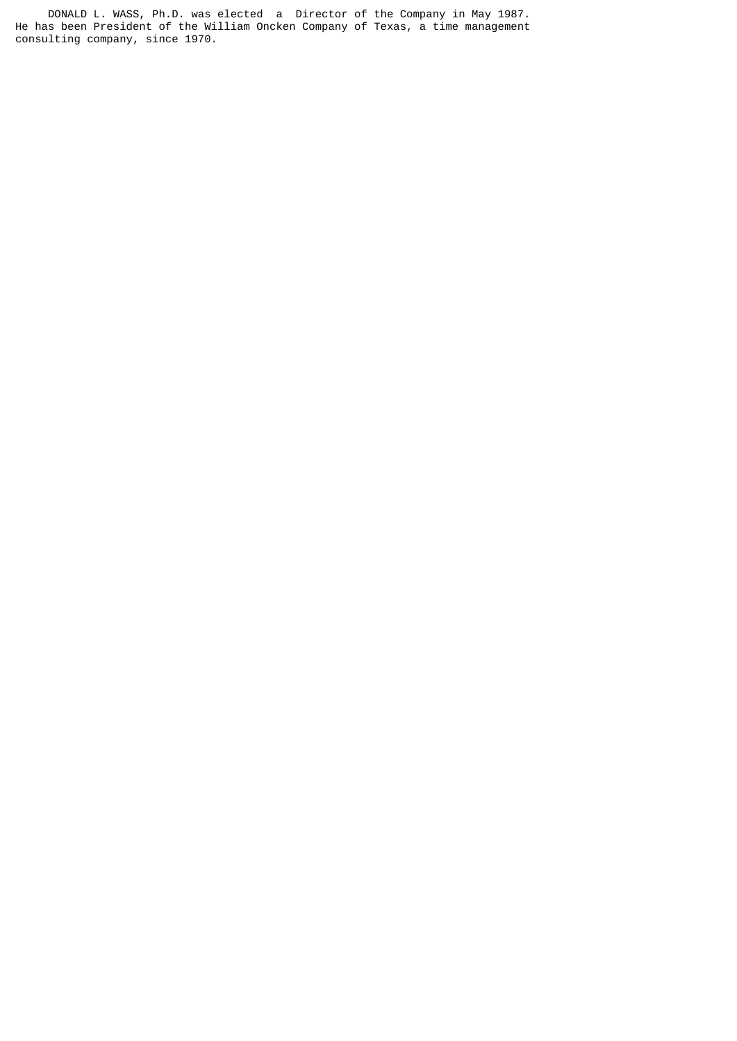DONALD L. WASS, Ph.D. was elected a Director of the Company in May 1987. He has been President of the William Oncken Company of Texas, a time management consulting company, since 1970.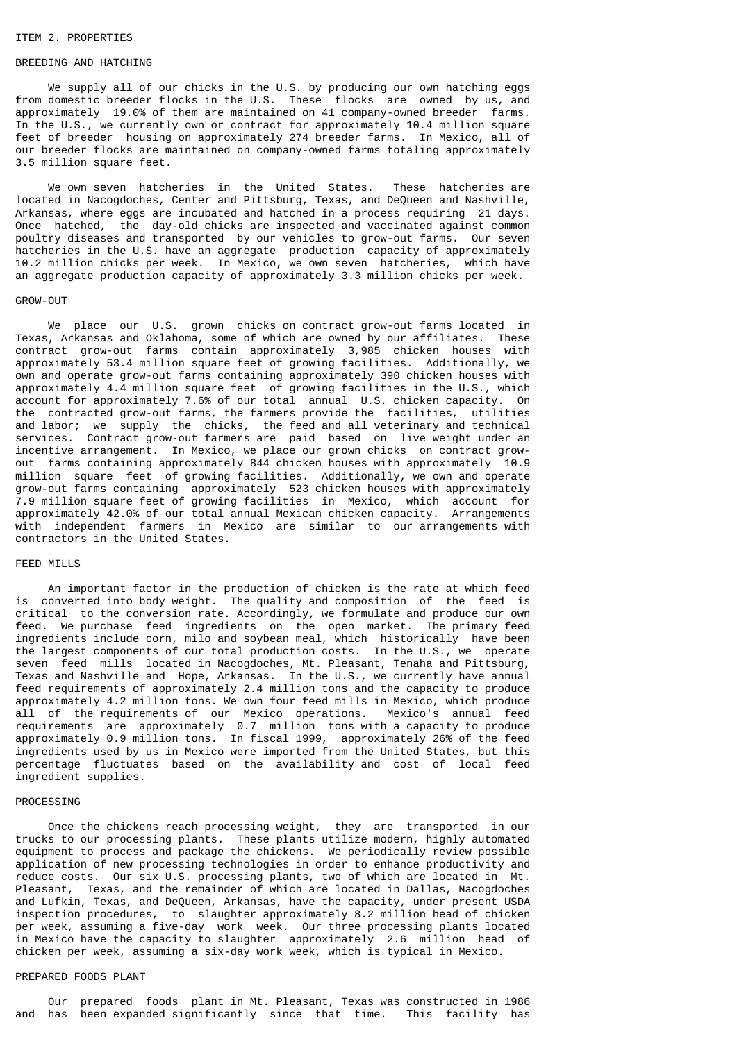#### ITEM 2. PROPERTIES

#### BREEDING AND HATCHING

 We supply all of our chicks in the U.S. by producing our own hatching eggs from domestic breeder flocks in the U.S. These flocks are owned by us, and approximately 19.0% of them are maintained on 41 company-owned breeder farms. In the U.S., we currently own or contract for approximately 10.4 million square feet of breeder housing on approximately 274 breeder farms. In Mexico, all of our breeder flocks are maintained on company-owned farms totaling approximately 3.5 million square feet.

 We own seven hatcheries in the United States. These hatcheries are located in Nacogdoches, Center and Pittsburg, Texas, and DeQueen and Nashville, Arkansas, where eggs are incubated and hatched in a process requiring 21 days. Once hatched, the day-old chicks are inspected and vaccinated against common poultry diseases and transported by our vehicles to grow-out farms. Our seven hatcheries in the U.S. have an aggregate production capacity of approximately 10.2 million chicks per week. In Mexico, we own seven hatcheries, which have an aggregate production capacity of approximately 3.3 million chicks per week.

#### GROW-OUT

We place our U.S. grown chicks on contract grow-out farms located in Texas, Arkansas and Oklahoma, some of which are owned by our affiliates. These contract grow-out farms contain approximately 3,985 chicken houses with approximately 53.4 million square feet of growing facilities. Additionally, we own and operate grow-out farms containing approximately 390 chicken houses with approximately 4.4 million square feet of growing facilities in the U.S., which account for approximately 7.6% of our total annual U.S. chicken capacity. On the contracted grow-out farms, the farmers provide the facilities, utilities and labor; we supply the chicks, the feed and all veterinary and technical services. Contract grow-out farmers are paid based on live weight under an incentive arrangement. In Mexico, we place our grown chicks on contract growout farms containing approximately 844 chicken houses with approximately 10.9 million square feet of growing facilities. Additionally, we own and operate grow-out farms containing approximately 523 chicken houses with approximately 7.9 million square feet of growing facilities in Mexico, which account for approximately 42.0% of our total annual Mexican chicken capacity. Arrangements with independent farmers in Mexico are similar to our arrangements with contractors in the United States.

# FEED MILLS

 An important factor in the production of chicken is the rate at which feed is converted into body weight. The quality and composition of the feed is critical to the conversion rate. Accordingly, we formulate and produce our own feed. We purchase feed ingredients on the open market. The primary feed ingredients include corn, milo and soybean meal, which historically have been the largest components of our total production costs. In the U.S., we operate seven feed mills located in Nacogdoches, Mt. Pleasant, Tenaha and Pittsburg, Texas and Nashville and Hope, Arkansas. In the U.S., we currently have annual feed requirements of approximately 2.4 million tons and the capacity to produce approximately 4.2 million tons. We own four feed mills in Mexico, which produce all of the requirements of our Mexico operations. Mexico's annual feed requirements are approximately 0.7 million tons with a capacity to produce approximately 0.9 million tons. In fiscal 1999, approximately 26% of the feed ingredients used by us in Mexico were imported from the United States, but this percentage fluctuates based on the availability and cost of local feed ingredient supplies.

#### PROCESSING

 Once the chickens reach processing weight, they are transported in our trucks to our processing plants. These plants utilize modern, highly automated equipment to process and package the chickens. We periodically review possible application of new processing technologies in order to enhance productivity and reduce costs. Our six U.S. processing plants, two of which are located in Mt. Pleasant, Texas, and the remainder of which are located in Dallas, Nacogdoches and Lufkin, Texas, and DeQueen, Arkansas, have the capacity, under present USDA inspection procedures, to slaughter approximately 8.2 million head of chicken per week, assuming a five-day work week. Our three processing plants located in Mexico have the capacity to slaughter approximately 2.6 million head of chicken per week, assuming a six-day work week, which is typical in Mexico.

### PREPARED FOODS PLANT

 Our prepared foods plant in Mt. Pleasant, Texas was constructed in 1986 and has been expanded significantly since that time. This facility has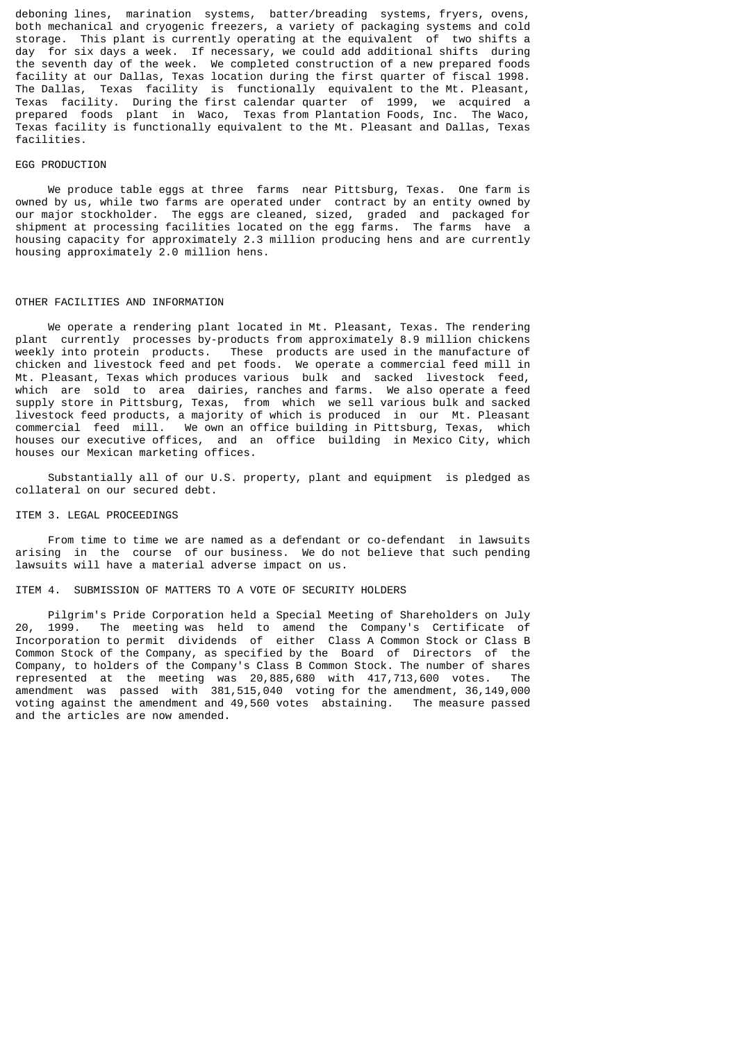deboning lines, marination systems, batter/breading systems, fryers, ovens, both mechanical and cryogenic freezers, a variety of packaging systems and cold storage. This plant is currently operating at the equivalent of two shifts a day for six days a week. If necessary, we could add additional shifts during the seventh day of the week. We completed construction of a new prepared foods facility at our Dallas, Texas location during the first quarter of fiscal 1998. Texas facility is functionally equivalent to the Mt. Pleasant, Texas facility. During the first calendar quarter of 1999, we acquired a prepared foods plant in Waco, Texas from Plantation Foods, Inc. The Waco, Texas facility is functionally equivalent to the Mt. Pleasant and Dallas, Texas facilities.

#### EGG PRODUCTION

 We produce table eggs at three farms near Pittsburg, Texas. One farm is owned by us, while two farms are operated under contract by an entity owned by our major stockholder. The eggs are cleaned, sized, graded and packaged for shipment at processing facilities located on the egg farms. The farms have a housing capacity for approximately 2.3 million producing hens and are currently housing approximately 2.0 million hens.

#### OTHER FACILITIES AND INFORMATION

 We operate a rendering plant located in Mt. Pleasant, Texas. The rendering plant currently processes by-products from approximately 8.9 million chickens weekly into protein products. These products are used in the manufacture of chicken and livestock feed and pet foods. We operate a commercial feed mill in Mt. Pleasant, Texas which produces various bulk and sacked livestock feed, which are sold to area dairies, ranches and farms. We also operate a feed supply store in Pittsburg, Texas, from which we sell various bulk and sacked livestock feed products, a majority of which is produced in our Mt. Pleasant commercial feed mill. We own an office building in Pittsburg, Texas, which houses our executive offices, and an office building in Mexico City, which houses our Mexican marketing offices.

 Substantially all of our U.S. property, plant and equipment is pledged as collateral on our secured debt.

#### ITEM 3. LEGAL PROCEEDINGS

 From time to time we are named as a defendant or co-defendant in lawsuits arising in the course of our business. We do not believe that such pending lawsuits will have a material adverse impact on us.

# ITEM 4. SUBMISSION OF MATTERS TO A VOTE OF SECURITY HOLDERS

 Pilgrim's Pride Corporation held a Special Meeting of Shareholders on July 20, 1999. The meeting was held to amend the Company's Certificate of Incorporation to permit dividends of either Class A Common Stock or Class B Common Stock of the Company, as specified by the Board of Directors of the Company, to holders of the Company's Class B Common Stock. The number of shares represented at the meeting was 20,885,680 with 417,713,600 votes. The amendment was passed with 381,515,040 voting for the amendment, 36,149,000 voting against the amendment and 49,560 votes abstaining. The measure passed and the articles are now amended.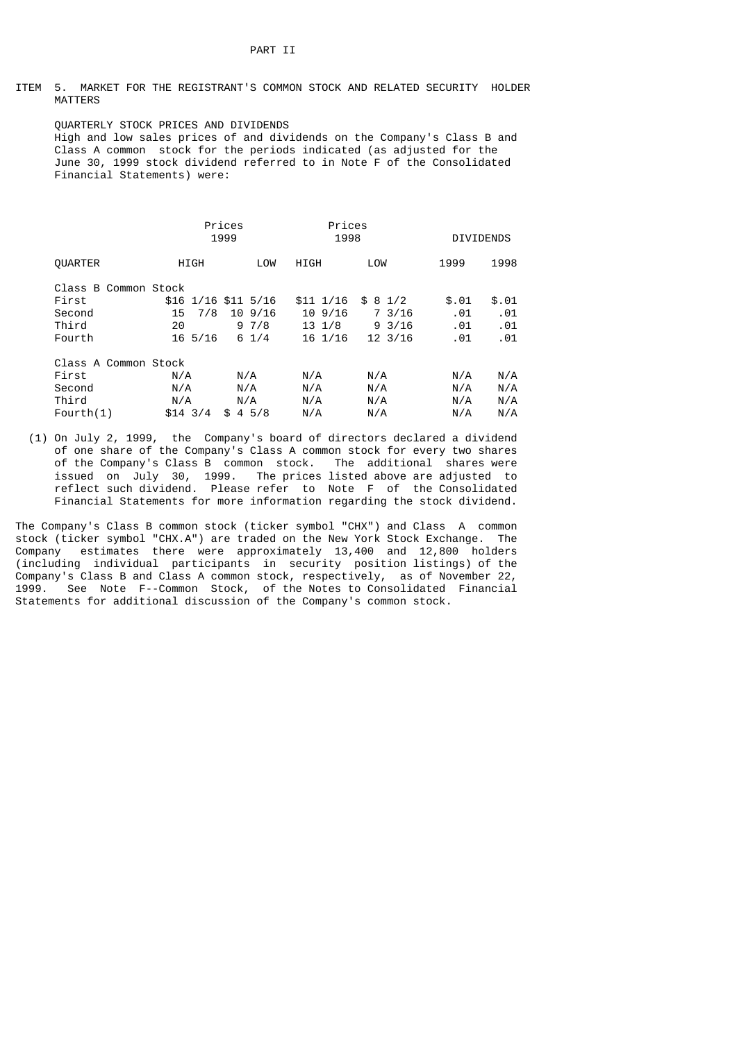ITEM 5. MARKET FOR THE REGISTRANT'S COMMON STOCK AND RELATED SECURITY HOLDER MATTERS

 QUARTERLY STOCK PRICES AND DIVIDENDS High and low sales prices of and dividends on the Company's Class B and Class A common stock for the periods indicated (as adjusted for the June 30, 1999 stock dividend referred to in Note F of the Consolidated Financial Statements) were:

|                      |                  | Prices<br>1999      | Prices<br>1998    |                   | <b>DIVIDENDS</b> |       |
|----------------------|------------------|---------------------|-------------------|-------------------|------------------|-------|
| <b>OUARTER</b>       | <b>HIGH</b>      | LOW                 | HIGH              | LOW               | 1999             | 1998  |
| Class B Common Stock |                  |                     |                   |                   |                  |       |
| First                |                  | \$16 1/16 \$11 5/16 | \$11 1/16         | \$81/2            | \$.01            | \$.01 |
| Second               | 7/8<br>15        | 109/16              | $10\,9/16$        | 7 3/16            | .01              | .01   |
| Third                | 20               | 97/8                | $13 \frac{1}{8}$  | $9 \frac{3}{16}$  | .01              | .01   |
| Fourth               | $16\frac{5}{16}$ | $6 \frac{1}{4}$     | $16 \frac{1}{16}$ | $12 \frac{3}{16}$ | .01              | .01   |
| Class A Common Stock |                  |                     |                   |                   |                  |       |
| First                | N/A              | N/A                 | N/A               | N/A               | N/A              | N/A   |
| Second               | N/A              | N/A                 | N/A               | N/A               | N/A              | N/A   |
| Third                | N/A              | N/A                 | N/A               | N/A               | N/A              | N/A   |
| Fourth(1)            | $$14 \t3/4$      | 45/8<br>\$          | N/A               | N/A               | N/A              | N/A   |

 (1) On July 2, 1999, the Company's board of directors declared a dividend of one share of the Company's Class A common stock for every two shares of the Company's Class B common stock. The additional shares were issued on July 30, 1999. The prices listed above are adjusted to reflect such dividend. Please refer to Note F of the Consolidated Financial Statements for more information regarding the stock dividend.

The Company's Class B common stock (ticker symbol "CHX") and Class A common stock (ticker symbol "CHX.A") are traded on the New York Stock Exchange. The Company estimates there were approximately 13,400 and 12,800 holders (including individual participants in security position listings) of the Company's Class B and Class A common stock, respectively, as of November 22, 1999. See Note F--Common Stock, of the Notes to Consolidated Financial Statements for additional discussion of the Company's common stock.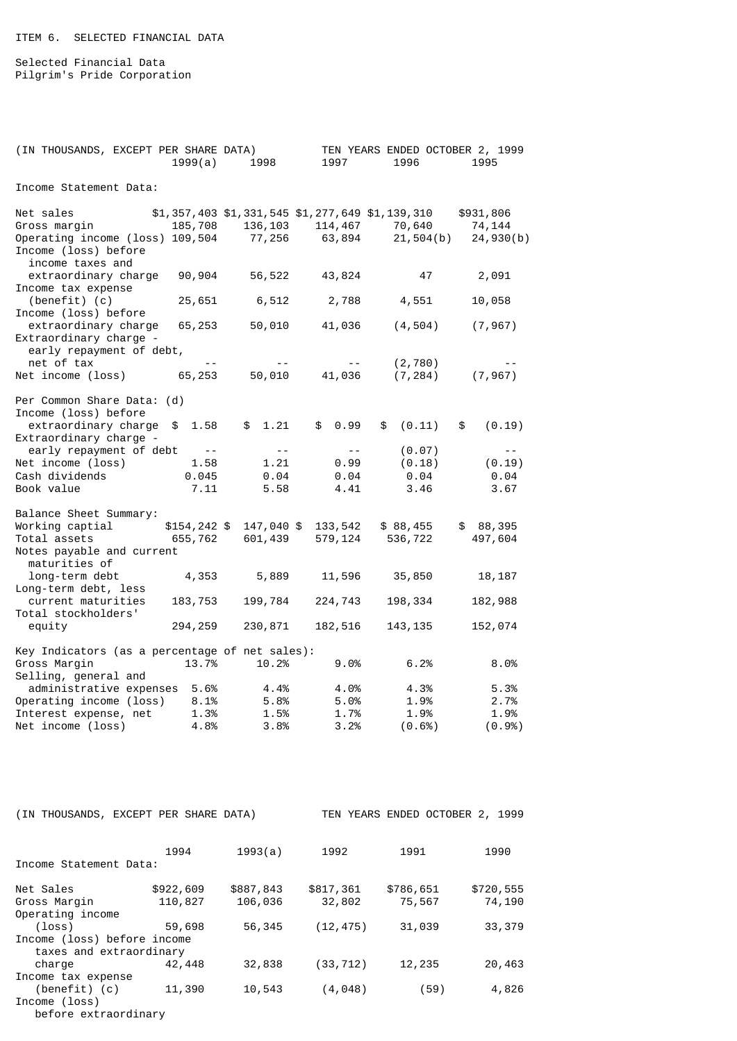Selected Financial Data Pilgrim's Pride Corporation

| (IN THOUSANDS, EXCEPT PER SHARE DATA)          |            |                                                 | TEN YEARS ENDED OCTOBER 2, 1999 |              |
|------------------------------------------------|------------|-------------------------------------------------|---------------------------------|--------------|
| 1999(a)                                        | 1998       | 1997                                            | 1996                            | 1995         |
|                                                |            |                                                 |                                 |              |
| Income Statement Data:                         |            |                                                 |                                 |              |
|                                                |            |                                                 |                                 |              |
| Net sales                                      |            | \$1,357,403 \$1,331,545 \$1,277,649 \$1,139,310 |                                 | \$931,806    |
| Gross margin<br>185,708                        | 136, 103   | 114,467                                         | 70,640                          | 74, 144      |
| Operating income (loss) 109,504                | 77, 256    | 63,894                                          | 21,504(b)                       | 24,930(b)    |
| Income (loss) before                           |            |                                                 |                                 |              |
| income taxes and                               |            |                                                 |                                 |              |
| extraordinary charge<br>90,904                 | 56,522     | 43,824                                          | 47                              | 2,091        |
| Income tax expense                             |            |                                                 |                                 |              |
| $(benefit)$ (c)<br>25,651                      | 6,512      | 2,788                                           | 4,551                           | 10,058       |
| Income (loss) before                           |            |                                                 |                                 |              |
| extraordinary charge<br>65,253                 | 50,010     | 41,036                                          | (4, 504)                        | (7, 967)     |
| Extraordinary charge -                         |            |                                                 |                                 |              |
| early repayment of debt,                       |            |                                                 |                                 |              |
| net of tax                                     |            | $- -$                                           | (2, 780)                        |              |
| Net income (loss)<br>65,253                    | 50,010     | 41,036                                          | (7, 284)                        | (7, 967)     |
|                                                |            |                                                 |                                 |              |
| Per Common Share Data: (d)                     |            |                                                 |                                 |              |
| Income (loss) before                           |            |                                                 |                                 |              |
| extraordinary charge<br>1.58<br>\$             | \$1.21     | \$<br>0.99                                      | (0.11)<br>\$                    | \$<br>(0.19) |
| Extraordinary charge -                         |            |                                                 |                                 |              |
| early repayment of debt<br>$\sim$ $  -$        | $\sim$ $-$ | $\sim$ $-$                                      | (0.07)                          | $ -$         |
| Net income (loss)<br>1.58                      | 1.21       | 0.99                                            | (0.18)                          | (0.19)       |
| Cash dividends<br>0.045                        | 0.04       | 0.04                                            | 0.04                            | 0.04         |
| Book value<br>7.11                             | 5.58       | 4.41                                            | 3.46                            | 3.67         |
|                                                |            |                                                 |                                 |              |
| Balance Sheet Summary:                         |            |                                                 |                                 |              |
| $$154, 242$ \$<br>Working captial              | 147,040 \$ | 133, 542                                        | \$88,455                        | \$88,395     |
| Total assets<br>655,762                        | 601,439    | 579,124                                         | 536,722                         | 497,604      |
| Notes payable and current                      |            |                                                 |                                 |              |
| maturities of                                  |            |                                                 |                                 |              |
| 4,353<br>long-term debt                        | 5,889      | 11,596                                          | 35,850                          | 18, 187      |
| Long-term debt, less                           |            |                                                 |                                 |              |
|                                                |            |                                                 |                                 |              |
| current maturities<br>183,753                  | 199,784    | 224,743                                         | 198,334                         | 182,988      |
| Total stockholders'                            |            |                                                 |                                 |              |
| 294,259<br>equity                              | 230,871    | 182,516                                         | 143, 135                        | 152,074      |
|                                                |            |                                                 |                                 |              |
| Key Indicators (as a percentage of net sales): |            |                                                 |                                 |              |
| Gross Margin<br>13.7%                          | 10.2%      | 9.0%                                            | 6.2%                            | 8.0%         |
| Selling, general and                           |            |                                                 |                                 |              |
| administrative expenses<br>5.6%                | 4.4%       | 4.0%                                            | 4.3%                            | 5.3%         |
| Operating income (loss)<br>8.1%                | 5.8%       | 5.0%                                            | 1.9%                            | 2.7%         |
| Interest expense, net<br>1.3%                  | 1.5%       | 1.7%                                            | 1.9%                            | 1.9%         |
| Net income (loss)<br>4.8%                      | 3.8%       | 3.2%                                            | (0.6%)                          | (0.9%)       |

| (IN THOUSANDS, EXCEPT PER SHARE DATA) |                    |           | TEN YEARS ENDED OCTOBER 2, | 1999      |           |  |  |
|---------------------------------------|--------------------|-----------|----------------------------|-----------|-----------|--|--|
|                                       |                    |           |                            |           |           |  |  |
|                                       | 1994               | 1993(a)   | 1992                       | 1991      | 1990      |  |  |
| Income Statement Data:                |                    |           |                            |           |           |  |  |
| Net Sales                             | \$922,609          | \$887,843 | \$817,361                  | \$786,651 | \$720,555 |  |  |
| Gross Margin                          | 110,827            | 106,036   | 32,802                     | 75,567    | 74,190    |  |  |
| Operating income                      |                    |           |                            |           |           |  |  |
| $(\text{loss})$                       | 59,698             | 56,345    | (12, 475)                  | 31,039    | 33,379    |  |  |
| Income (loss) before income           |                    |           |                            |           |           |  |  |
| taxes and extraordinary               |                    |           |                            |           |           |  |  |
| charge                                | 42,448             | 32,838    | (33, 712)                  | 12,235    | 20,463    |  |  |
|                                       | Income tax expense |           |                            |           |           |  |  |
| $(benefit)$ $(c)$                     | 11,390             | 10,543    | (4,048)                    | (59)      | 4,826     |  |  |
| Income (loss)                         |                    |           |                            |           |           |  |  |
| before extraordinary                  |                    |           |                            |           |           |  |  |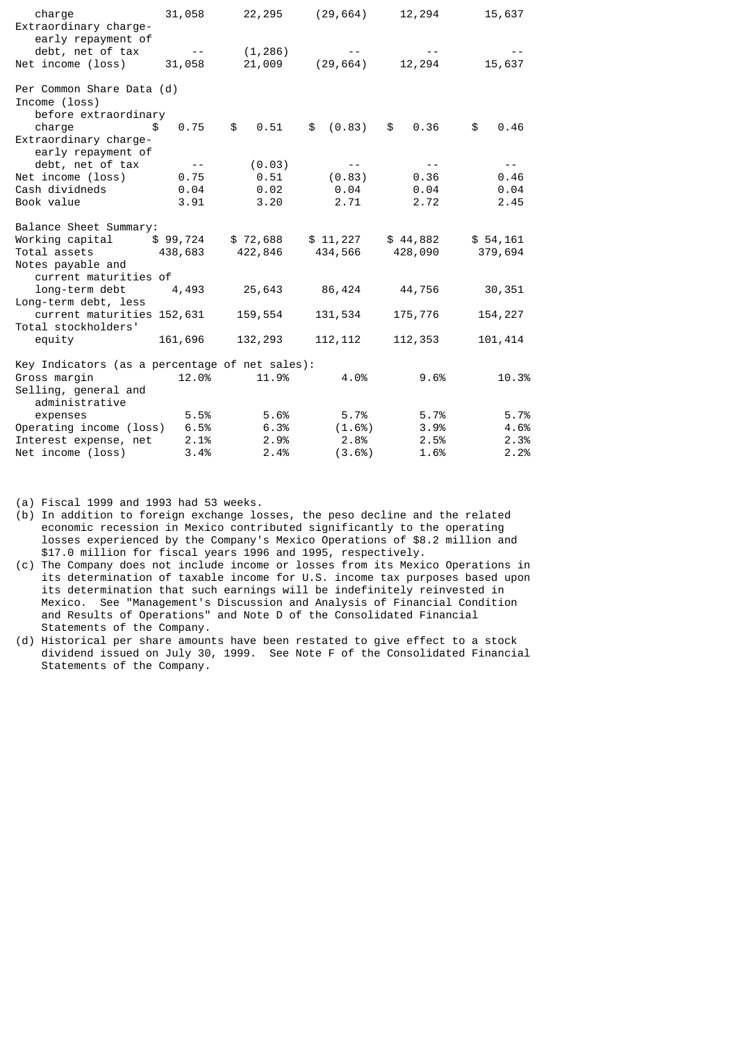| charge<br>Extraordinary charge-                      | 31,058                  | 22,295              | (29, 664)                                             | 12,294     | 15,637     |
|------------------------------------------------------|-------------------------|---------------------|-------------------------------------------------------|------------|------------|
| early repayment of                                   |                         |                     |                                                       |            |            |
| debt, net of tax                                     | $\sim 100$ km s $^{-1}$ | (1, 286)            |                                                       |            |            |
| Net income (loss)                                    | 31,058                  | 21,009              | (29, 664)                                             | 12,294     | 15,637     |
| Per Common Share Data (d)<br>Income (loss)           |                         |                     |                                                       |            |            |
| before extraordinary<br>charge<br>\$                 | 0.75                    | $$^{\circ}$<br>0.51 | (0.83)<br>\$                                          | \$<br>0.36 | \$<br>0.46 |
| Extraordinary charge-<br>early repayment of          |                         |                     |                                                       |            |            |
| debt, net of tax                                     | $\sim$ $-$              | (0.03)              |                                                       | $- -$      | $ -$       |
| Net income (loss)                                    | 0.75                    | 0.51                | (0.83)                                                | 0.36       | 0.46       |
| Cash dividneds                                       | 0.04                    | 0.02                | $\bm{\mathsf{\Theta}}$ . $\bm{\mathsf{\Theta}}\bm{4}$ | 0.04       | 0.04       |
| Book value                                           | 3.91                    | 3.20                | 2.71                                                  | 2.72       | 2.45       |
| Balance Sheet Summary:                               |                         |                     |                                                       |            |            |
| Working capital \$99,724                             |                         | \$72,688            | \$11,227                                              | \$44,882   | \$54,161   |
| Total assets   438,683   422,846   434,566   428,090 |                         |                     |                                                       |            | 379,694    |
| Notes payable and                                    |                         |                     |                                                       |            |            |
| current maturities of                                |                         |                     |                                                       |            |            |
| long-term debt                                       | 4,493                   | 25,643              | 86,424 44,756                                         |            | 30,351     |
| Long-term debt, less                                 |                         |                     |                                                       |            |            |
| current maturities 152,631                           |                         | 159,554             | 131, 534                                              | 175,776    | 154, 227   |
| Total stockholders'                                  |                         |                     |                                                       |            |            |
| equity 161,696                                       |                         | 132, 293            | 112, 112                                              | 112,353    | 101,414    |
| Key Indicators (as a percentage of net sales):       |                         |                     |                                                       |            |            |
| Gross margin                                         | 12.0%                   | 11.9%               | 4.0%                                                  | 9.6%       | 10.3%      |
| Selling, general and<br>administrative               |                         |                     |                                                       |            |            |
| expenses                                             | 5.5%                    | 5.6%                | 5.7%                                                  | 5.7%       | 5.7%       |
| Operating income (loss)                              | 6.5%                    | 6.3%                | (1.6%)                                                | 3.9%       | 4.6%       |
| Interest expense, net                                | 2.1%                    | 2.9%                | 2.8%                                                  | 2.5%       | 2.3%       |
| Net income (loss)                                    | 3.4%                    | 2.4%                | (3.6%)                                                | 1.6%       | 2.2%       |

(a) Fiscal 1999 and 1993 had 53 weeks.

(b) In addition to foreign exchange losses, the peso decline and the related economic recession in Mexico contributed significantly to the operating losses experienced by the Company's Mexico Operations of \$8.2 million and \$17.0 million for fiscal years 1996 and 1995, respectively.

(c) The Company does not include income or losses from its Mexico Operations in its determination of taxable income for U.S. income tax purposes based upon its determination that such earnings will be indefinitely reinvested in Mexico. See "Management's Discussion and Analysis of Financial Condition and Results of Operations" and Note D of the Consolidated Financial Statements of the Company.

(d) Historical per share amounts have been restated to give effect to a stock dividend issued on July 30, 1999. See Note F of the Consolidated Financial Statements of the Company.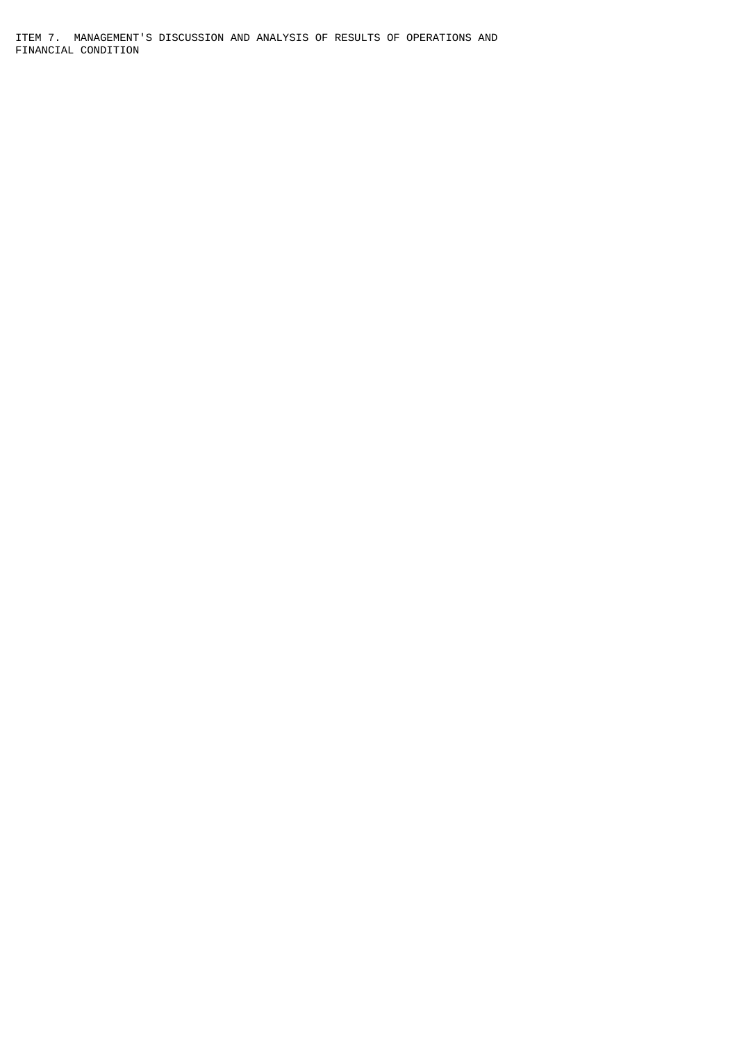ITEM 7. MANAGEMENT'S DISCUSSION AND ANALYSIS OF RESULTS OF OPERATIONS AND FINANCIAL CONDITION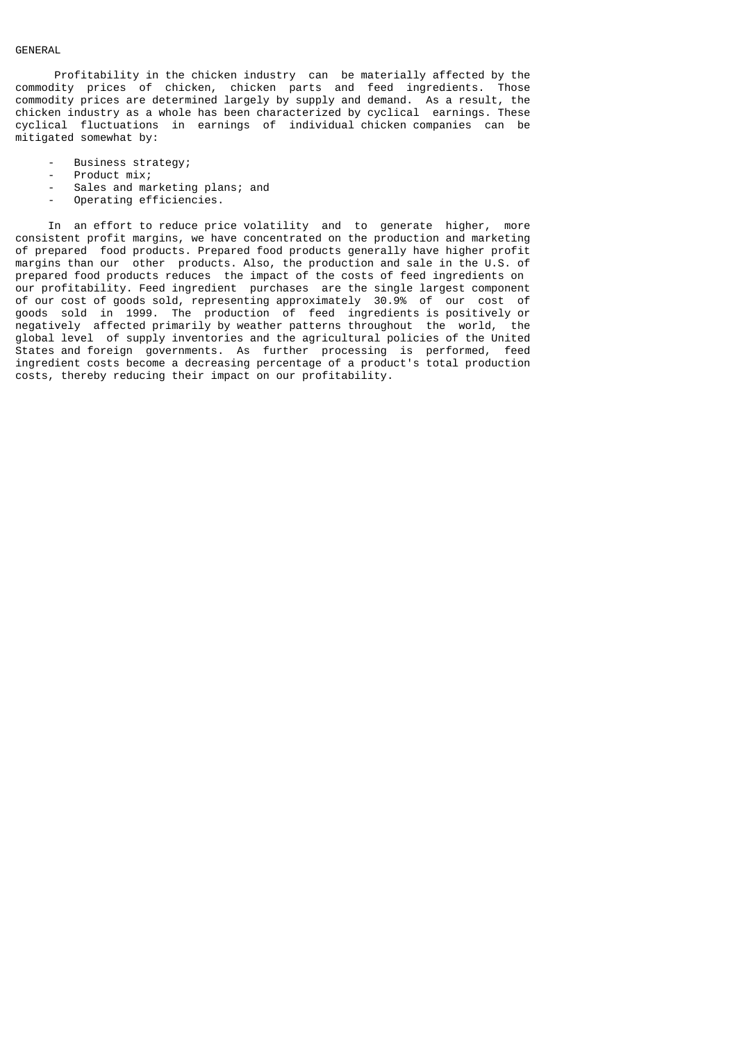# GENERAL

 Profitability in the chicken industry can be materially affected by the commodity prices of chicken, chicken parts and feed ingredients. Those commodity prices are determined largely by supply and demand. As a result, the chicken industry as a whole has been characterized by cyclical earnings. These cyclical fluctuations in earnings of individual chicken companies can be mitigated somewhat by:

- Business strategy;
- Product mix;
- Sales and marketing plans; and
- Operating efficiencies.

 In an effort to reduce price volatility and to generate higher, more consistent profit margins, we have concentrated on the production and marketing of prepared food products. Prepared food products generally have higher profit margins than our other products. Also, the production and sale in the U.S. of prepared food products reduces the impact of the costs of feed ingredients on our profitability. Feed ingredient purchases are the single largest component of our cost of goods sold, representing approximately 30.9% of our cost of goods sold in 1999. The production of feed ingredients is positively or negatively affected primarily by weather patterns throughout the world, the global level of supply inventories and the agricultural policies of the United States and foreign governments. As further processing is performed, feed ingredient costs become a decreasing percentage of a product's total production costs, thereby reducing their impact on our profitability.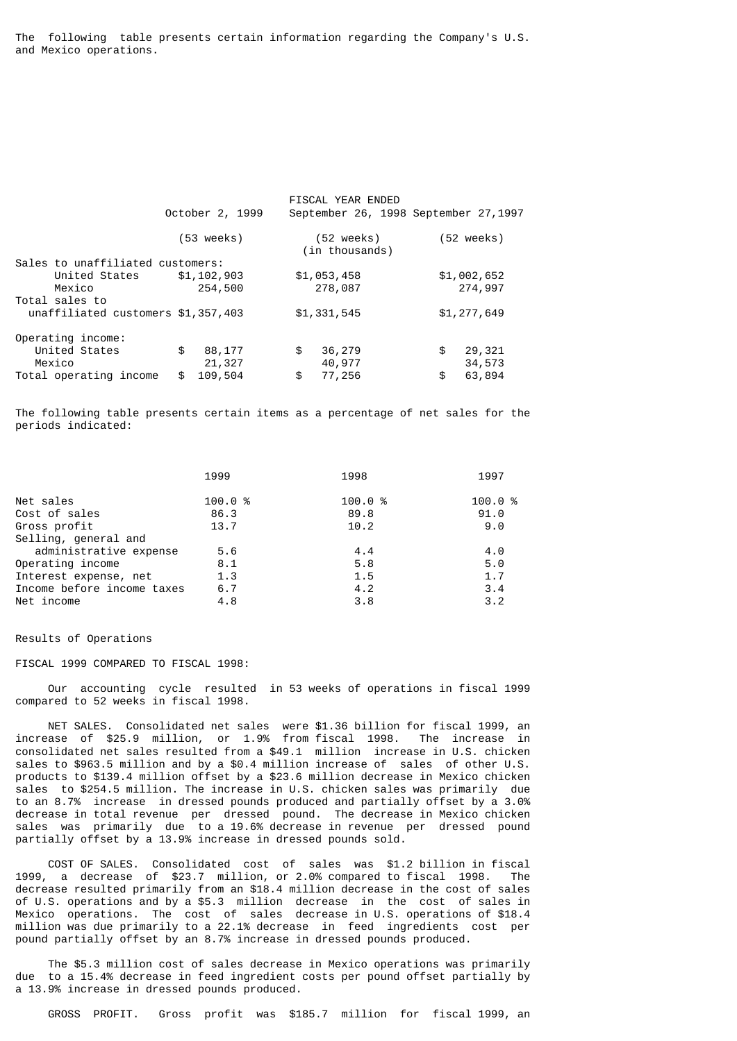The following table presents certain information regarding the Company's U.S. and Mexico operations.

|                                    | October 2, 1999      | FISCAL YEAR ENDED<br>September 26, 1998 September 27, 1997 |                      |
|------------------------------------|----------------------|------------------------------------------------------------|----------------------|
|                                    | $(53 \text{ weeks})$ | (52 weeks)<br>(in thousands)                               | $(52 \text{ weeks})$ |
| Sales to unaffiliated customers:   |                      |                                                            |                      |
| United States                      | \$1,102,903          | \$1,053,458                                                | \$1,002,652          |
| Mexico                             | 254,500              | 278,087                                                    | 274,997              |
| Total sales to                     |                      |                                                            |                      |
| unaffiliated customers \$1,357,403 |                      | \$1,331,545                                                | \$1,277,649          |
| Operating income:                  |                      |                                                            |                      |
| United States                      | \$<br>88,177         | \$<br>36,279                                               | \$<br>29,321         |
| Mexico                             | 21,327               | 40,977                                                     | 34,573               |
| Total operating income             | 109,504<br>\$        | \$<br>77,256                                               | \$<br>63,894         |

The following table presents certain items as a percentage of net sales for the periods indicated:

| 1999   | 1998   | 1997   |
|--------|--------|--------|
| 100.0% | 100.0% | 100.0% |
| 86.3   | 89.8   | 91.0   |
| 13.7   | 10.2   | 9.0    |
|        |        |        |
| 5.6    | 4.4    | 4.0    |
| 8.1    | 5.8    | 5.0    |
| 1.3    | 1.5    | 1.7    |
| 6.7    | 4.2    | 3.4    |
| 4.8    | 3.8    | 3.2    |
|        |        |        |

#### Results of Operations

# FISCAL 1999 COMPARED TO FISCAL 1998:

 Our accounting cycle resulted in 53 weeks of operations in fiscal 1999 compared to 52 weeks in fiscal 1998.

 NET SALES. Consolidated net sales were \$1.36 billion for fiscal 1999, an increase of \$25.9 million, or 1.9% from fiscal 1998. The increase in consolidated net sales resulted from a \$49.1 million increase in U.S. chicken sales to \$963.5 million and by a \$0.4 million increase of sales of other U.S. products to \$139.4 million offset by a \$23.6 million decrease in Mexico chicken sales to \$254.5 million. The increase in U.S. chicken sales was primarily due to an 8.7% increase in dressed pounds produced and partially offset by a 3.0% decrease in total revenue per dressed pound. The decrease in Mexico chicken sales was primarily due to a 19.6% decrease in revenue per dressed pound partially offset by a 13.9% increase in dressed pounds sold.

 COST OF SALES. Consolidated cost of sales was \$1.2 billion in fiscal 1999, a decrease of \$23.7 million, or 2.0% compared to fiscal 1998. The decrease resulted primarily from an \$18.4 million decrease in the cost of sales of U.S. operations and by a \$5.3 million decrease in the cost of sales in Mexico operations. The cost of sales decrease in U.S. operations of \$18.4 million was due primarily to a 22.1% decrease in feed ingredients cost per pound partially offset by an 8.7% increase in dressed pounds produced.

 The \$5.3 million cost of sales decrease in Mexico operations was primarily due to a 15.4% decrease in feed ingredient costs per pound offset partially by a 13.9% increase in dressed pounds produced.

GROSS PROFIT. Gross profit was \$185.7 million for fiscal 1999, an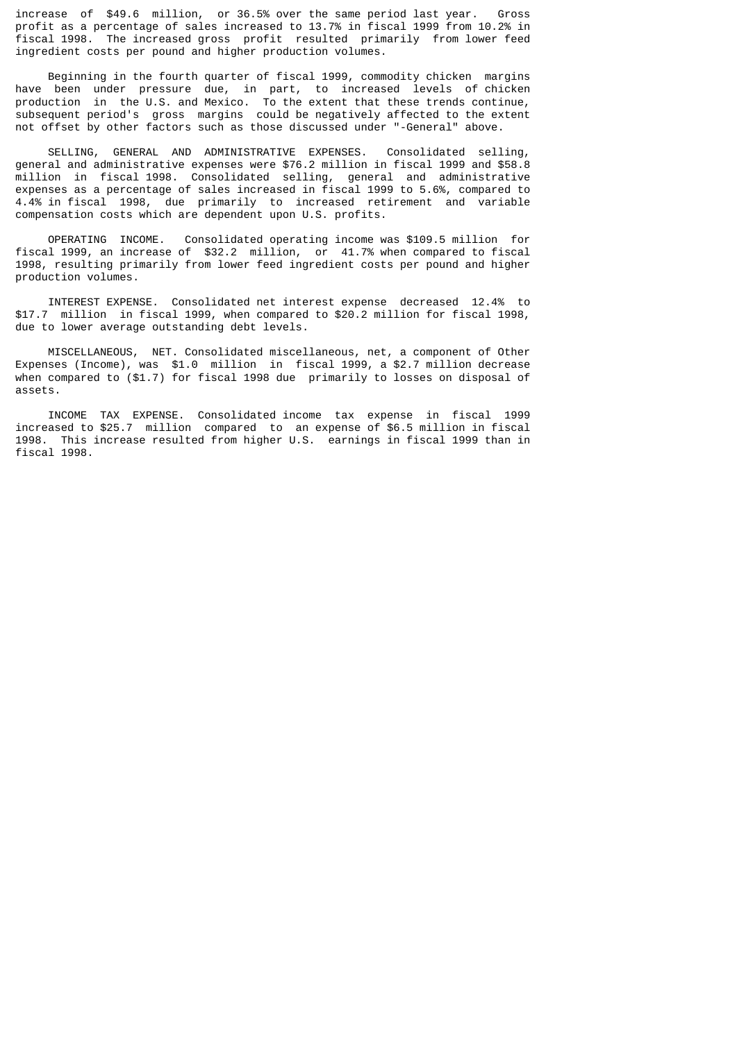increase of \$49.6 million, or 36.5% over the same period last year. Gross profit as a percentage of sales increased to 13.7% in fiscal 1999 from 10.2% in fiscal 1998. The increased gross profit resulted primarily from lower feed ingredient costs per pound and higher production volumes.

 Beginning in the fourth quarter of fiscal 1999, commodity chicken margins have been under pressure due, in part, to increased levels of chicken production in the U.S. and Mexico. To the extent that these trends continue, subsequent period's gross margins could be negatively affected to the extent not offset by other factors such as those discussed under "-General" above.

 SELLING, GENERAL AND ADMINISTRATIVE EXPENSES. Consolidated selling, general and administrative expenses were \$76.2 million in fiscal 1999 and \$58.8 million in fiscal 1998. Consolidated selling, general and administrative expenses as a percentage of sales increased in fiscal 1999 to 5.6%, compared to 4.4% in fiscal 1998, due primarily to increased retirement and variable compensation costs which are dependent upon U.S. profits.

 OPERATING INCOME. Consolidated operating income was \$109.5 million for fiscal 1999, an increase of \$32.2 million, or 41.7% when compared to fiscal 1998, resulting primarily from lower feed ingredient costs per pound and higher production volumes.

 INTEREST EXPENSE. Consolidated net interest expense decreased 12.4% to \$17.7 million in fiscal 1999, when compared to \$20.2 million for fiscal 1998, due to lower average outstanding debt levels.

 MISCELLANEOUS, NET. Consolidated miscellaneous, net, a component of Other Expenses (Income), was \$1.0 million in fiscal 1999, a \$2.7 million decrease when compared to (\$1.7) for fiscal 1998 due primarily to losses on disposal of assets.

 INCOME TAX EXPENSE. Consolidated income tax expense in fiscal 1999 increased to \$25.7 million compared to an expense of \$6.5 million in fiscal 1998. This increase resulted from higher U.S. earnings in fiscal 1999 than in fiscal 1998.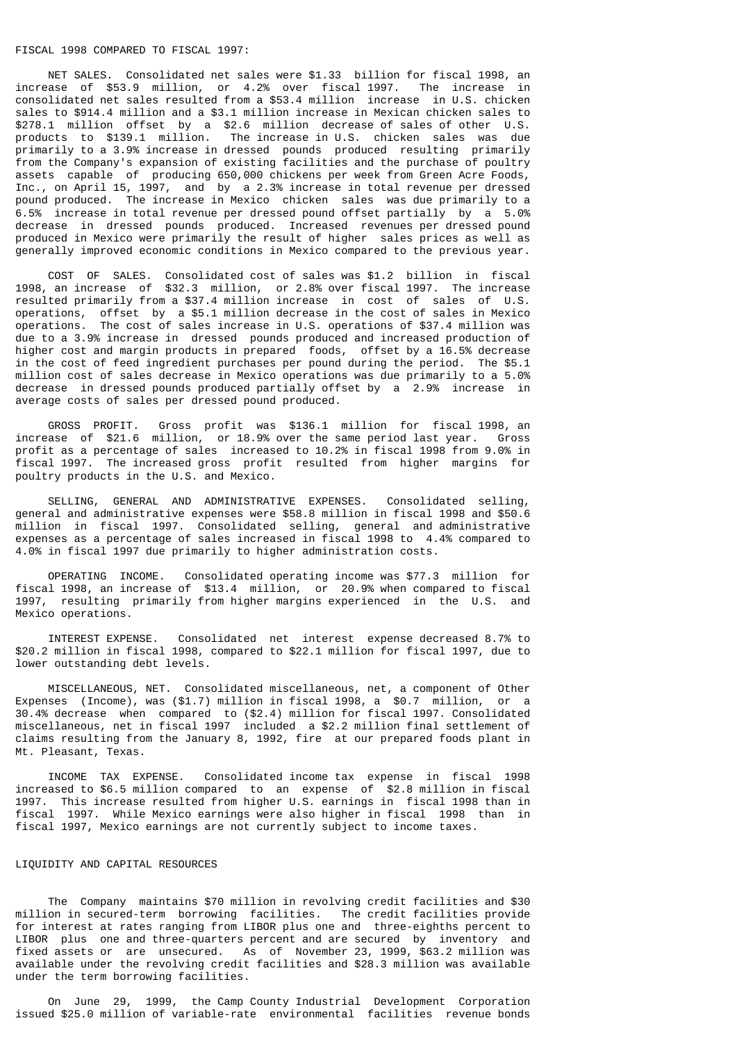# FISCAL 1998 COMPARED TO FISCAL 1997:

 NET SALES. Consolidated net sales were \$1.33 billion for fiscal 1998, an increase of \$53.9 million, or 4.2% over fiscal 1997. The increase in consolidated net sales resulted from a \$53.4 million increase in U.S. chicken sales to \$914.4 million and a \$3.1 million increase in Mexican chicken sales to \$278.1 million offset by a \$2.6 million decrease of sales of other U.S. products to \$139.1 million. The increase in U.S. chicken sales was due primarily to a 3.9% increase in dressed pounds produced resulting primarily from the Company's expansion of existing facilities and the purchase of poultry assets capable of producing 650,000 chickens per week from Green Acre Foods, Inc., on April 15, 1997, and by a 2.3% increase in total revenue per dressed pound produced. The increase in Mexico chicken sales was due primarily to a 6.5% increase in total revenue per dressed pound offset partially by a 5.0% decrease in dressed pounds produced. Increased revenues per dressed pound produced in Mexico were primarily the result of higher sales prices as well as generally improved economic conditions in Mexico compared to the previous year.

 COST OF SALES. Consolidated cost of sales was \$1.2 billion in fiscal 1998, an increase of \$32.3 million, or 2.8% over fiscal 1997. The increase resulted primarily from a \$37.4 million increase in cost of sales of U.S. operations, offset by a \$5.1 million decrease in the cost of sales in Mexico operations. The cost of sales increase in U.S. operations of \$37.4 million was due to a 3.9% increase in dressed pounds produced and increased production of higher cost and margin products in prepared foods, offset by a 16.5% decrease in the cost of feed ingredient purchases per pound during the period. The \$5.1 million cost of sales decrease in Mexico operations was due primarily to a 5.0% decrease in dressed pounds produced partially offset by a 2.9% increase in average costs of sales per dressed pound produced.

 GROSS PROFIT. Gross profit was \$136.1 million for fiscal 1998, an increase of \$21.6 million, or 18.9% over the same period last year. Gross profit as a percentage of sales increased to 10.2% in fiscal 1998 from 9.0% in fiscal 1997. The increased gross profit resulted from higher margins for poultry products in the U.S. and Mexico.

 SELLING, GENERAL AND ADMINISTRATIVE EXPENSES. Consolidated selling, general and administrative expenses were \$58.8 million in fiscal 1998 and \$50.6 million in fiscal 1997. Consolidated selling, general and administrative expenses as a percentage of sales increased in fiscal 1998 to 4.4% compared to 4.0% in fiscal 1997 due primarily to higher administration costs.

 OPERATING INCOME. Consolidated operating income was \$77.3 million for fiscal 1998, an increase of \$13.4 million, or 20.9% when compared to fiscal 1997, resulting primarily from higher margins experienced in the U.S. and Mexico operations.

 INTEREST EXPENSE. Consolidated net interest expense decreased 8.7% to \$20.2 million in fiscal 1998, compared to \$22.1 million for fiscal 1997, due to lower outstanding debt levels.

 MISCELLANEOUS, NET. Consolidated miscellaneous, net, a component of Other Expenses (Income), was (\$1.7) million in fiscal 1998, a \$0.7 million, or a 30.4% decrease when compared to (\$2.4) million for fiscal 1997. Consolidated miscellaneous, net in fiscal 1997 included a \$2.2 million final settlement of claims resulting from the January 8, 1992, fire at our prepared foods plant in Mt. Pleasant, Texas.

 INCOME TAX EXPENSE. Consolidated income tax expense in fiscal 1998 increased to \$6.5 million compared to an expense of \$2.8 million in fiscal 1997. This increase resulted from higher U.S. earnings in fiscal 1998 than in fiscal 1997. While Mexico earnings were also higher in fiscal 1998 than in fiscal 1997, Mexico earnings are not currently subject to income taxes.

### LIQUIDITY AND CAPITAL RESOURCES

 The Company maintains \$70 million in revolving credit facilities and \$30 million in secured-term borrowing facilities. The credit facilities provide for interest at rates ranging from LIBOR plus one and three-eighths percent to LIBOR plus one and three-quarters percent and are secured by inventory and fixed assets or are unsecured. As of November 23, 1999, \$63.2 million was available under the revolving credit facilities and \$28.3 million was available under the term borrowing facilities.

 On June 29, 1999, the Camp County Industrial Development Corporation issued \$25.0 million of variable-rate environmental facilities revenue bonds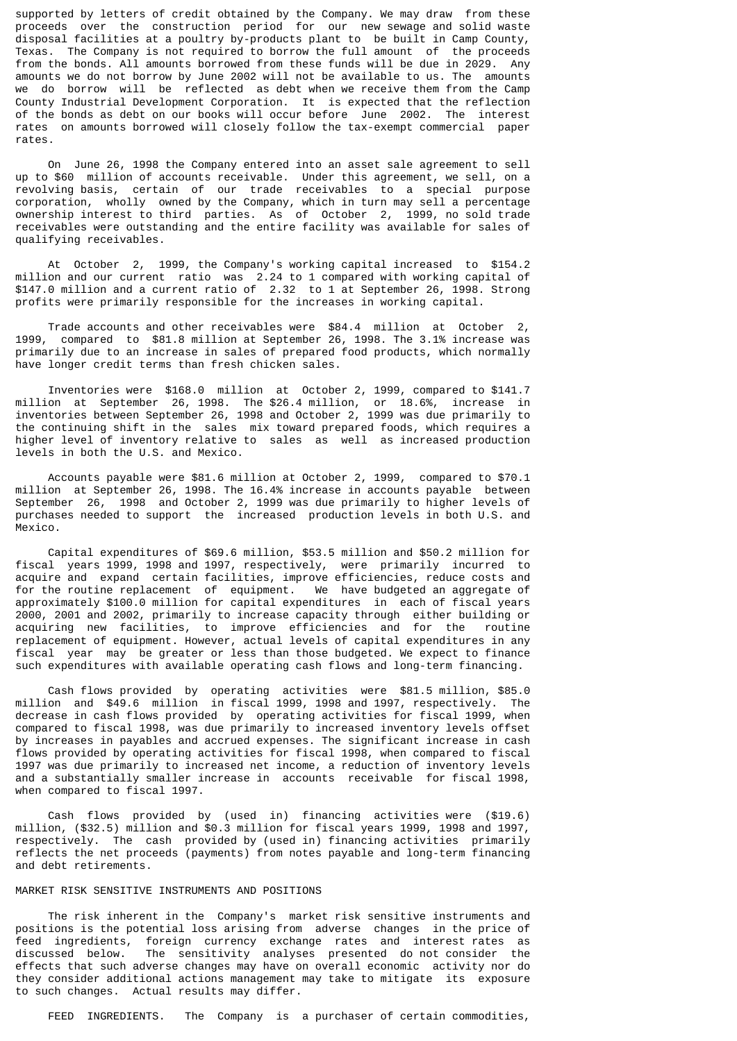supported by letters of credit obtained by the Company. We may draw from these proceeds over the construction period for our new sewage and solid waste disposal facilities at a poultry by-products plant to be built in Camp County, Texas. The Company is not required to borrow the full amount of the proceeds from the bonds. All amounts borrowed from these funds will be due in 2029. Any amounts we do not borrow by June 2002 will not be available to us. The amounts we do borrow will be reflected as debt when we receive them from the Camp County Industrial Development Corporation. It is expected that the reflection of the bonds as debt on our books will occur before June 2002. The interest rates on amounts borrowed will closely follow the tax-exempt commercial paper rates.

 On June 26, 1998 the Company entered into an asset sale agreement to sell up to \$60 million of accounts receivable. Under this agreement, we sell, on a revolving basis, certain of our trade receivables to a special purpose corporation, wholly owned by the Company, which in turn may sell a percentage ownership interest to third parties. As of October 2, 1999, no sold trade receivables were outstanding and the entire facility was available for sales of qualifying receivables.

 At October 2, 1999, the Company's working capital increased to \$154.2 million and our current ratio was 2.24 to 1 compared with working capital of \$147.0 million and a current ratio of 2.32 to 1 at September 26, 1998. Strong profits were primarily responsible for the increases in working capital.

 Trade accounts and other receivables were \$84.4 million at October 2, 1999, compared to \$81.8 million at September 26, 1998. The 3.1% increase was primarily due to an increase in sales of prepared food products, which normally have longer credit terms than fresh chicken sales.

 Inventories were \$168.0 million at October 2, 1999, compared to \$141.7 million at September 26, 1998. The \$26.4 million, or 18.6%, increase in inventories between September 26, 1998 and October 2, 1999 was due primarily to the continuing shift in the sales mix toward prepared foods, which requires a higher level of inventory relative to sales as well as increased production levels in both the U.S. and Mexico.

 Accounts payable were \$81.6 million at October 2, 1999, compared to \$70.1 million at September 26, 1998. The 16.4% increase in accounts payable between September 26, 1998 and October 2, 1999 was due primarily to higher levels of purchases needed to support the increased production levels in both U.S. and Mexico.

 Capital expenditures of \$69.6 million, \$53.5 million and \$50.2 million for fiscal years 1999, 1998 and 1997, respectively, were primarily incurred to acquire and expand certain facilities, improve efficiencies, reduce costs and for the routine replacement of equipment. We have budgeted an aggregate of approximately \$100.0 million for capital expenditures in each of fiscal years 2000, 2001 and 2002, primarily to increase capacity through either building or acquiring new facilities, to improve efficiencies and for the routine replacement of equipment. However, actual levels of capital expenditures in any fiscal year may be greater or less than those budgeted. We expect to finance such expenditures with available operating cash flows and long-term financing.

 Cash flows provided by operating activities were \$81.5 million, \$85.0 million and \$49.6 million in fiscal 1999, 1998 and 1997, respectively. The decrease in cash flows provided by operating activities for fiscal 1999, when compared to fiscal 1998, was due primarily to increased inventory levels offset by increases in payables and accrued expenses. The significant increase in cash flows provided by operating activities for fiscal 1998, when compared to fiscal 1997 was due primarily to increased net income, a reduction of inventory levels and a substantially smaller increase in accounts receivable for fiscal 1998, when compared to fiscal 1997.

 Cash flows provided by (used in) financing activities were (\$19.6) million, (\$32.5) million and \$0.3 million for fiscal years 1999, 1998 and 1997, respectively. The cash provided by (used in) financing activities primarily reflects the net proceeds (payments) from notes payable and long-term financing and debt retirements.

#### MARKET RISK SENSITIVE INSTRUMENTS AND POSITIONS

 The risk inherent in the Company's market risk sensitive instruments and positions is the potential loss arising from adverse changes in the price of feed ingredients, foreign currency exchange rates and interest rates as discussed below. The sensitivity analyses presented do not consider the effects that such adverse changes may have on overall economic activity nor do they consider additional actions management may take to mitigate its exposure to such changes. Actual results may differ.

FEED INGREDIENTS. The Company is a purchaser of certain commodities,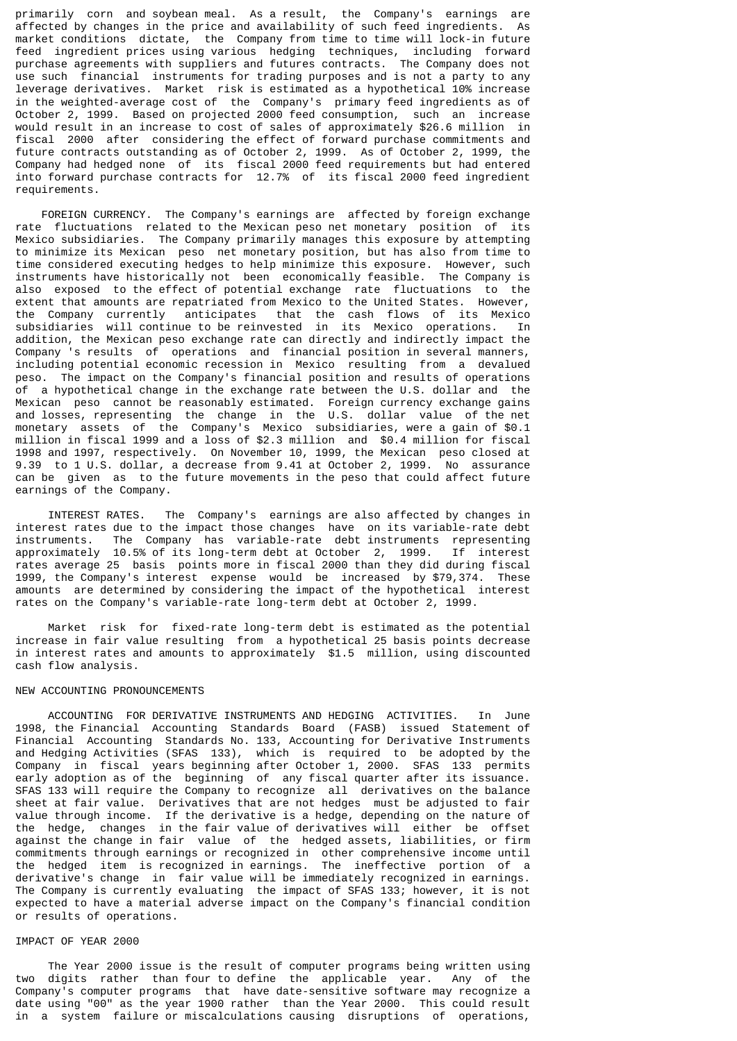primarily corn and soybean meal. As a result, the Company's earnings are affected by changes in the price and availability of such feed ingredients. As market conditions dictate, the Company from time to time will lock-in future feed ingredient prices using various hedging techniques, including forward purchase agreements with suppliers and futures contracts. The Company does not use such financial instruments for trading purposes and is not a party to any leverage derivatives. Market risk is estimated as a hypothetical 10% increase in the weighted-average cost of the Company's primary feed ingredients as of October 2, 1999. Based on projected 2000 feed consumption, such an increase would result in an increase to cost of sales of approximately \$26.6 million in fiscal 2000 after considering the effect of forward purchase commitments and future contracts outstanding as of October 2, 1999. As of October 2, 1999, the Company had hedged none of its fiscal 2000 feed requirements but had entered into forward purchase contracts for 12.7% of its fiscal 2000 feed ingredient requirements.

 FOREIGN CURRENCY. The Company's earnings are affected by foreign exchange rate fluctuations related to the Mexican peso net monetary position of its Mexico subsidiaries. The Company primarily manages this exposure by attempting to minimize its Mexican peso net monetary position, but has also from time to time considered executing hedges to help minimize this exposure. However, such instruments have historically not been economically feasible. The Company is also exposed to the effect of potential exchange rate fluctuations to the extent that amounts are repatriated from Mexico to the United States. However, the Company currently anticipates that the cash flows of its Mexico subsidiaries will continue to be reinvested in its Mexico operations. In addition, the Mexican peso exchange rate can directly and indirectly impact the Company 's results of operations and financial position in several manners, including potential economic recession in Mexico resulting from a devalued peso. The impact on the Company's financial position and results of operations of a hypothetical change in the exchange rate between the U.S. dollar and the Mexican peso cannot be reasonably estimated. Foreign currency exchange gains and losses, representing the change in the U.S. dollar value of the net monetary assets of the Company's Mexico subsidiaries, were a gain of \$0.1 million in fiscal 1999 and a loss of \$2.3 million and \$0.4 million for fiscal 1998 and 1997, respectively. On November 10, 1999, the Mexican peso closed at 9.39 to 1 U.S. dollar, a decrease from 9.41 at October 2, 1999. No assurance can be given as to the future movements in the peso that could affect future earnings of the Company.

 INTEREST RATES. The Company's earnings are also affected by changes in interest rates due to the impact those changes have on its variable-rate debt instruments. The Company has variable-rate debt instruments representing approximately 10.5% of its long-term debt at October 2, 1999. If interest rates average 25 basis points more in fiscal 2000 than they did during fiscal 1999, the Company's interest expense would be increased by \$79,374. These amounts are determined by considering the impact of the hypothetical interest rates on the Company's variable-rate long-term debt at October 2, 1999.

 Market risk for fixed-rate long-term debt is estimated as the potential increase in fair value resulting from a hypothetical 25 basis points decrease in interest rates and amounts to approximately \$1.5 million, using discounted cash flow analysis.

### NEW ACCOUNTING PRONOUNCEMENTS

 ACCOUNTING FOR DERIVATIVE INSTRUMENTS AND HEDGING ACTIVITIES. In June 1998, the Financial Accounting Standards Board (FASB) issued Statement of Financial Accounting Standards No. 133, Accounting for Derivative Instruments and Hedging Activities (SFAS 133), which is required to be adopted by the Company in fiscal years beginning after October 1, 2000. SFAS 133 permits early adoption as of the beginning of any fiscal quarter after its issuance. SFAS 133 will require the Company to recognize all derivatives on the balance sheet at fair value. Derivatives that are not hedges must be adjusted to fair value through income. If the derivative is a hedge, depending on the nature of the hedge, changes in the fair value of derivatives will either be offset against the change in fair value of the hedged assets, liabilities, or firm commitments through earnings or recognized in other comprehensive income until the hedged item is recognized in earnings. The ineffective portion of a derivative's change in fair value will be immediately recognized in earnings. The Company is currently evaluating the impact of SFAS 133; however, it is not expected to have a material adverse impact on the Company's financial condition or results of operations.

# IMPACT OF YEAR 2000

 The Year 2000 issue is the result of computer programs being written using two digits rather than four to define the applicable year. Any of the Company's computer programs that have date-sensitive software may recognize a date using "00" as the year 1900 rather than the Year 2000. This could result in a system failure or miscalculations causing disruptions of operations,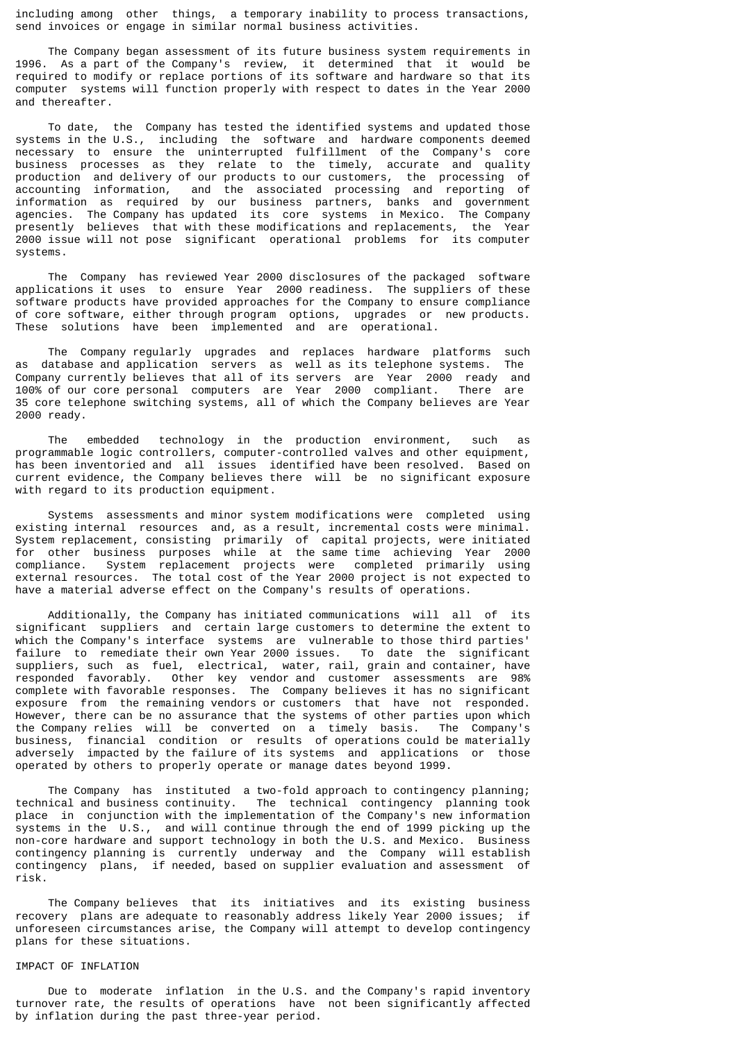including among other things, a temporary inability to process transactions, send invoices or engage in similar normal business activities.

 The Company began assessment of its future business system requirements in 1996. As a part of the Company's review, it determined that it would be required to modify or replace portions of its software and hardware so that its computer systems will function properly with respect to dates in the Year 2000 and thereafter.

 To date, the Company has tested the identified systems and updated those systems in the U.S., including the software and hardware components deemed necessary to ensure the uninterrupted fulfillment of the Company's core business processes as they relate to the timely, accurate and quality production and delivery of our products to our customers, the processing of accounting information, and the associated processing and reporting of information as required by our business partners, banks and government agencies. The Company has updated its core systems in Mexico. The Company presently believes that with these modifications and replacements, the Year 2000 issue will not pose significant operational problems for its computer systems.

 The Company has reviewed Year 2000 disclosures of the packaged software applications it uses to ensure Year 2000 readiness. The suppliers of these software products have provided approaches for the Company to ensure compliance of core software, either through program options, upgrades or new products. These solutions have been implemented and are operational.

 The Company regularly upgrades and replaces hardware platforms such as database and application servers as well as its telephone systems. The Company currently believes that all of its servers are Year 2000 ready and 100% of our core personal computers are Year 2000 compliant. There are 35 core telephone switching systems, all of which the Company believes are Year 2000 ready.

 The embedded technology in the production environment, such as programmable logic controllers, computer-controlled valves and other equipment, has been inventoried and all issues identified have been resolved. Based on current evidence, the Company believes there will be no significant exposure with regard to its production equipment.

 Systems assessments and minor system modifications were completed using existing internal resources and, as a result, incremental costs were minimal. System replacement, consisting primarily of capital projects, were initiated for other business purposes while at the same time achieving Year 2000 compliance. System replacement projects were completed primarily using external resources. The total cost of the Year 2000 project is not expected to have a material adverse effect on the Company's results of operations.

 Additionally, the Company has initiated communications will all of its significant suppliers and certain large customers to determine the extent to which the Company's interface systems are vulnerable to those third parties' failure to remediate their own Year 2000 issues. To date the significant suppliers, such as fuel, electrical, water, rail, grain and container, have responded favorably. Other key vendor and customer assessments are 98% complete with favorable responses. The Company believes it has no significant exposure from the remaining vendors or customers that have not responded. However, there can be no assurance that the systems of other parties upon which the Company relies will be converted on a timely basis. The Company's business, financial condition or results of operations could be materially adversely impacted by the failure of its systems and applications or those operated by others to properly operate or manage dates beyond 1999.

 The Company has instituted a two-fold approach to contingency planning; technical and business continuity. The technical contingency planning took place in conjunction with the implementation of the Company's new information systems in the U.S., and will continue through the end of 1999 picking up the non-core hardware and support technology in both the U.S. and Mexico. Business contingency planning is currently underway and the Company will establish contingency plans, if needed, based on supplier evaluation and assessment of risk.

 The Company believes that its initiatives and its existing business recovery plans are adequate to reasonably address likely Year 2000 issues; if unforeseen circumstances arise, the Company will attempt to develop contingency plans for these situations.

# IMPACT OF INFLATION

 Due to moderate inflation in the U.S. and the Company's rapid inventory turnover rate, the results of operations have not been significantly affected by inflation during the past three-year period.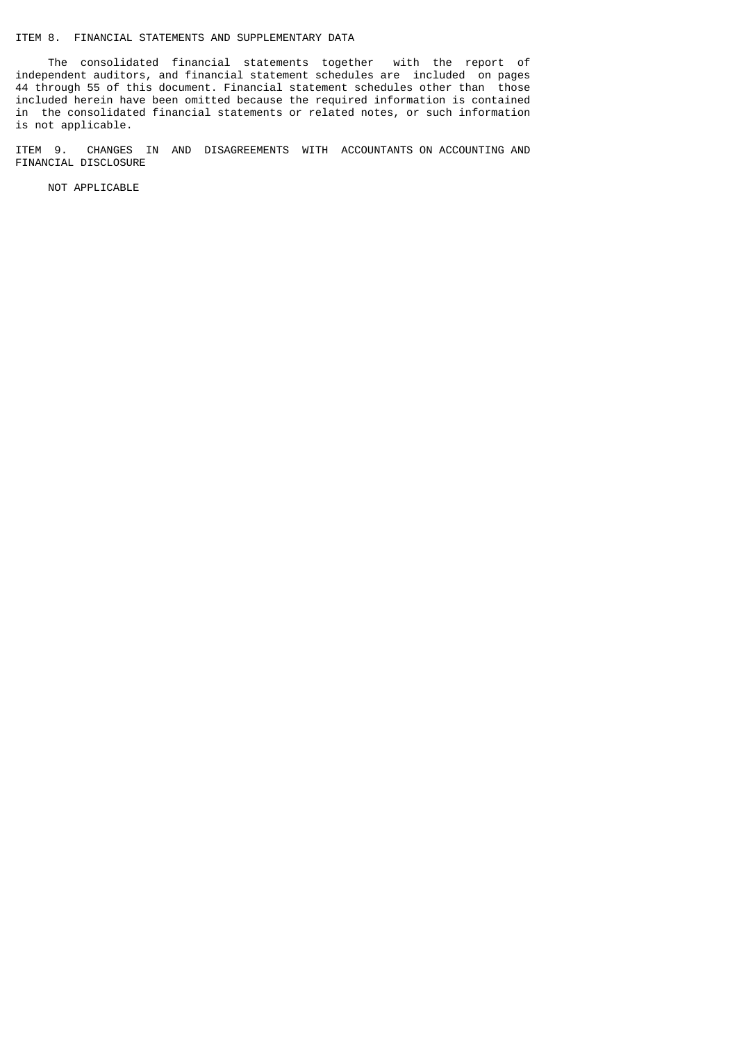# ITEM 8. FINANCIAL STATEMENTS AND SUPPLEMENTARY DATA

 The consolidated financial statements together with the report of independent auditors, and financial statement schedules are included on pages 44 through 55 of this document. Financial statement schedules other than those included herein have been omitted because the required information is contained in the consolidated financial statements or related notes, or such information is not applicable.

ITEM 9. CHANGES IN AND DISAGREEMENTS WITH ACCOUNTANTS ON ACCOUNTING AND FINANCIAL DISCLOSURE

NOT APPLICABLE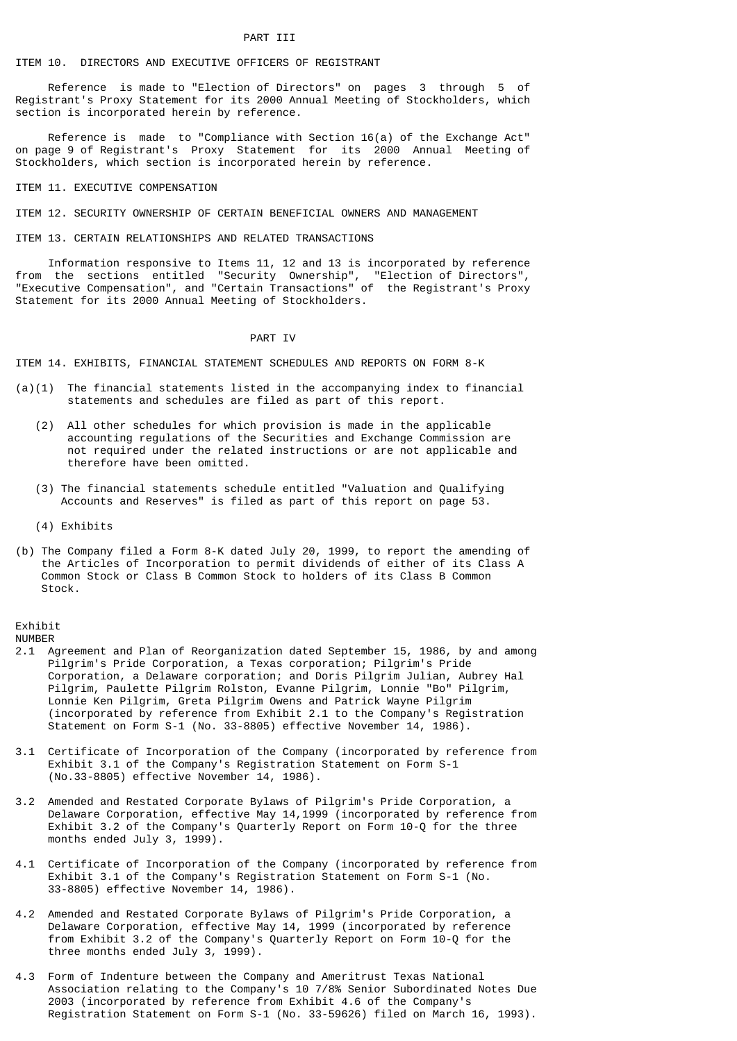# ITEM 10. DIRECTORS AND EXECUTIVE OFFICERS OF REGISTRANT

 Reference is made to "Election of Directors" on pages 3 through 5 of Registrant's Proxy Statement for its 2000 Annual Meeting of Stockholders, which section is incorporated herein by reference.

 Reference is made to "Compliance with Section 16(a) of the Exchange Act" on page 9 of Registrant's Proxy Statement for its 2000 Annual Meeting of Stockholders, which section is incorporated herein by reference.

#### ITEM 11. EXECUTIVE COMPENSATION

ITEM 12. SECURITY OWNERSHIP OF CERTAIN BENEFICIAL OWNERS AND MANAGEMENT

### ITEM 13. CERTAIN RELATIONSHIPS AND RELATED TRANSACTIONS

 Information responsive to Items 11, 12 and 13 is incorporated by reference from the sections entitled "Security Ownership", "Election of Directors", "Executive Compensation", and "Certain Transactions" of the Registrant's Proxy Statement for its 2000 Annual Meeting of Stockholders.

#### PART IV

ITEM 14. EXHIBITS, FINANCIAL STATEMENT SCHEDULES AND REPORTS ON FORM 8-K

- $(a)(1)$  The financial statements listed in the accompanying index to financial statements and schedules are filed as part of this report.
	- (2) All other schedules for which provision is made in the applicable accounting regulations of the Securities and Exchange Commission are not required under the related instructions or are not applicable and therefore have been omitted.
	- (3) The financial statements schedule entitled "Valuation and Qualifying Accounts and Reserves" is filed as part of this report on page 53.
	- (4) Exhibits
- (b) The Company filed a Form 8-K dated July 20, 1999, to report the amending of the Articles of Incorporation to permit dividends of either of its Class A Common Stock or Class B Common Stock to holders of its Class B Common Stock.

Exhibit

NUMBER

- 2.1 Agreement and Plan of Reorganization dated September 15, 1986, by and among Pilgrim's Pride Corporation, a Texas corporation; Pilgrim's Pride Corporation, a Delaware corporation; and Doris Pilgrim Julian, Aubrey Hal Pilgrim, Paulette Pilgrim Rolston, Evanne Pilgrim, Lonnie "Bo" Pilgrim, Lonnie Ken Pilgrim, Greta Pilgrim Owens and Patrick Wayne Pilgrim (incorporated by reference from Exhibit 2.1 to the Company's Registration Statement on Form S-1 (No. 33-8805) effective November 14, 1986).
- 3.1 Certificate of Incorporation of the Company (incorporated by reference from Exhibit 3.1 of the Company's Registration Statement on Form S-1 (No.33-8805) effective November 14, 1986).
- 3.2 Amended and Restated Corporate Bylaws of Pilgrim's Pride Corporation, a Delaware Corporation, effective May 14,1999 (incorporated by reference from Exhibit 3.2 of the Company's Quarterly Report on Form 10-Q for the three months ended July 3, 1999).
- 4.1 Certificate of Incorporation of the Company (incorporated by reference from Exhibit 3.1 of the Company's Registration Statement on Form S-1 (No. 33-8805) effective November 14, 1986).
- 4.2 Amended and Restated Corporate Bylaws of Pilgrim's Pride Corporation, a Delaware Corporation, effective May 14, 1999 (incorporated by reference from Exhibit 3.2 of the Company's Quarterly Report on Form 10-Q for the three months ended July 3, 1999).
- 4.3 Form of Indenture between the Company and Ameritrust Texas National Association relating to the Company's 10 7/8% Senior Subordinated Notes Due 2003 (incorporated by reference from Exhibit 4.6 of the Company's Registration Statement on Form S-1 (No. 33-59626) filed on March 16, 1993).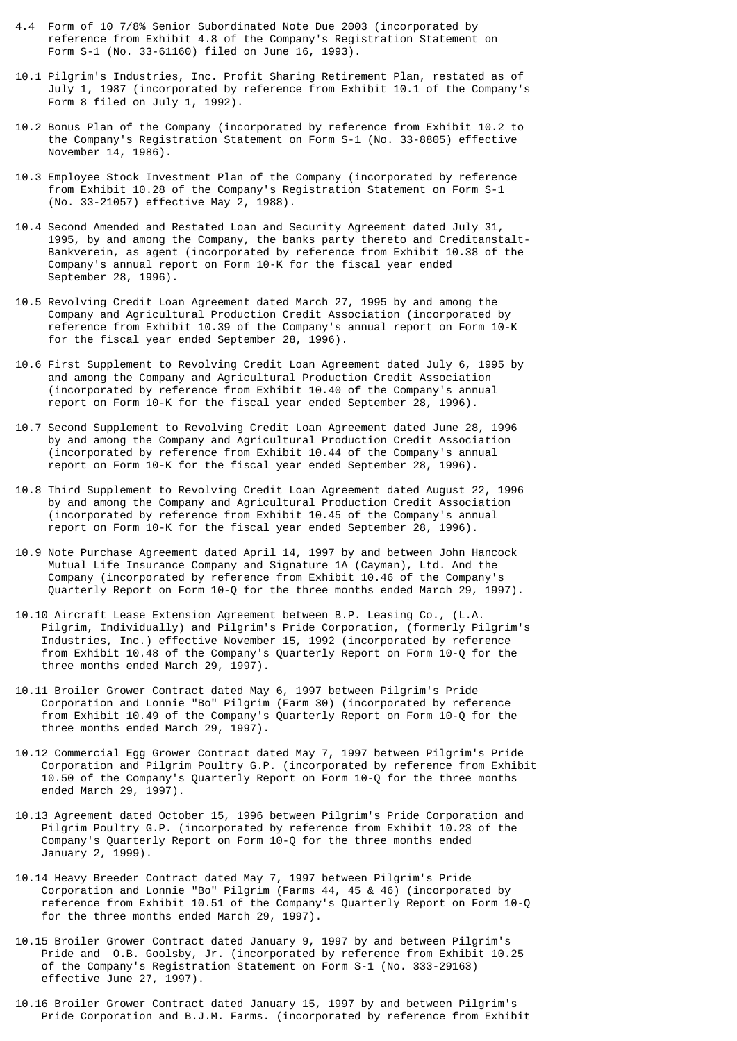- 4.4 Form of 10 7/8% Senior Subordinated Note Due 2003 (incorporated by reference from Exhibit 4.8 of the Company's Registration Statement on Form S-1 (No. 33-61160) filed on June 16, 1993).
- 10.1 Pilgrim's Industries, Inc. Profit Sharing Retirement Plan, restated as of July 1, 1987 (incorporated by reference from Exhibit 10.1 of the Company's Form 8 filed on July 1, 1992).
- 10.2 Bonus Plan of the Company (incorporated by reference from Exhibit 10.2 to the Company's Registration Statement on Form S-1 (No. 33-8805) effective November 14, 1986).
- 10.3 Employee Stock Investment Plan of the Company (incorporated by reference from Exhibit 10.28 of the Company's Registration Statement on Form S-1 (No. 33-21057) effective May 2, 1988).
- 10.4 Second Amended and Restated Loan and Security Agreement dated July 31, 1995, by and among the Company, the banks party thereto and Creditanstalt- Bankverein, as agent (incorporated by reference from Exhibit 10.38 of the Company's annual report on Form 10-K for the fiscal year ended September 28, 1996).
- 10.5 Revolving Credit Loan Agreement dated March 27, 1995 by and among the Company and Agricultural Production Credit Association (incorporated by reference from Exhibit 10.39 of the Company's annual report on Form 10-K for the fiscal year ended September 28, 1996).
- 10.6 First Supplement to Revolving Credit Loan Agreement dated July 6, 1995 by and among the Company and Agricultural Production Credit Association (incorporated by reference from Exhibit 10.40 of the Company's annual report on Form 10-K for the fiscal year ended September 28, 1996).
- 10.7 Second Supplement to Revolving Credit Loan Agreement dated June 28, 1996 by and among the Company and Agricultural Production Credit Association (incorporated by reference from Exhibit 10.44 of the Company's annual report on Form 10-K for the fiscal year ended September 28, 1996).
- 10.8 Third Supplement to Revolving Credit Loan Agreement dated August 22, 1996 by and among the Company and Agricultural Production Credit Association (incorporated by reference from Exhibit 10.45 of the Company's annual report on Form 10-K for the fiscal year ended September 28, 1996).
- 10.9 Note Purchase Agreement dated April 14, 1997 by and between John Hancock Mutual Life Insurance Company and Signature 1A (Cayman), Ltd. And the Company (incorporated by reference from Exhibit 10.46 of the Company's Quarterly Report on Form 10-Q for the three months ended March 29, 1997).
- 10.10 Aircraft Lease Extension Agreement between B.P. Leasing Co., (L.A. Pilgrim, Individually) and Pilgrim's Pride Corporation, (formerly Pilgrim's Industries, Inc.) effective November 15, 1992 (incorporated by reference from Exhibit 10.48 of the Company's Quarterly Report on Form 10-Q for the three months ended March 29, 1997).
- 10.11 Broiler Grower Contract dated May 6, 1997 between Pilgrim's Pride Corporation and Lonnie "Bo" Pilgrim (Farm 30) (incorporated by reference from Exhibit 10.49 of the Company's Quarterly Report on Form 10-Q for the three months ended March 29, 1997).
- 10.12 Commercial Egg Grower Contract dated May 7, 1997 between Pilgrim's Pride Corporation and Pilgrim Poultry G.P. (incorporated by reference from Exhibit 10.50 of the Company's Quarterly Report on Form 10-Q for the three months ended March 29, 1997).
- 10.13 Agreement dated October 15, 1996 between Pilgrim's Pride Corporation and Pilgrim Poultry G.P. (incorporated by reference from Exhibit 10.23 of the Company's Quarterly Report on Form 10-Q for the three months ended January 2, 1999).
- 10.14 Heavy Breeder Contract dated May 7, 1997 between Pilgrim's Pride Corporation and Lonnie "Bo" Pilgrim (Farms 44, 45 & 46) (incorporated by reference from Exhibit 10.51 of the Company's Quarterly Report on Form 10-Q for the three months ended March 29, 1997).
- 10.15 Broiler Grower Contract dated January 9, 1997 by and between Pilgrim's Pride and O.B. Goolsby, Jr. (incorporated by reference from Exhibit 10.25 of the Company's Registration Statement on Form S-1 (No. 333-29163) effective June 27, 1997).
- 10.16 Broiler Grower Contract dated January 15, 1997 by and between Pilgrim's Pride Corporation and B.J.M. Farms. (incorporated by reference from Exhibit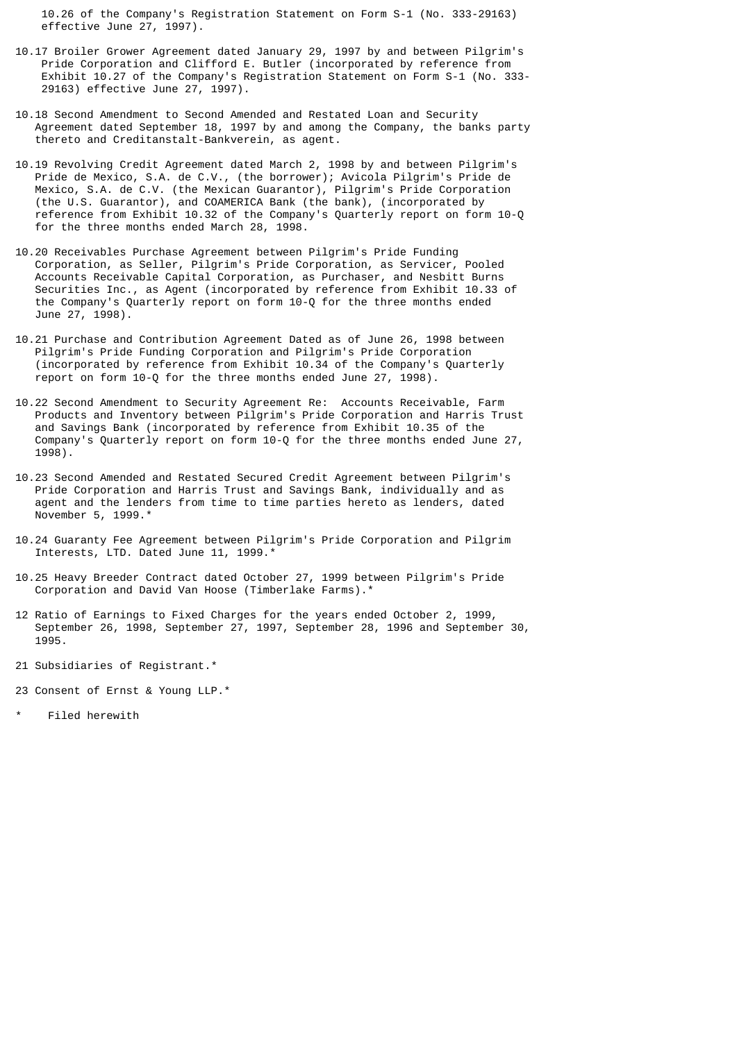10.26 of the Company's Registration Statement on Form S-1 (No. 333-29163) effective June 27, 1997).

- 10.17 Broiler Grower Agreement dated January 29, 1997 by and between Pilgrim's Pride Corporation and Clifford E. Butler (incorporated by reference from Exhibit 10.27 of the Company's Registration Statement on Form S-1 (No. 333- 29163) effective June 27, 1997).
- 10.18 Second Amendment to Second Amended and Restated Loan and Security Agreement dated September 18, 1997 by and among the Company, the banks party thereto and Creditanstalt-Bankverein, as agent.
- 10.19 Revolving Credit Agreement dated March 2, 1998 by and between Pilgrim's Pride de Mexico, S.A. de C.V., (the borrower); Avicola Pilgrim's Pride de Mexico, S.A. de C.V. (the Mexican Guarantor), Pilgrim's Pride Corporation (the U.S. Guarantor), and COAMERICA Bank (the bank), (incorporated by reference from Exhibit 10.32 of the Company's Quarterly report on form 10-Q for the three months ended March 28, 1998.
- 10.20 Receivables Purchase Agreement between Pilgrim's Pride Funding Corporation, as Seller, Pilgrim's Pride Corporation, as Servicer, Pooled Accounts Receivable Capital Corporation, as Purchaser, and Nesbitt Burns Securities Inc., as Agent (incorporated by reference from Exhibit 10.33 of the Company's Quarterly report on form 10-Q for the three months ended June 27, 1998).
- 10.21 Purchase and Contribution Agreement Dated as of June 26, 1998 between Pilgrim's Pride Funding Corporation and Pilgrim's Pride Corporation (incorporated by reference from Exhibit 10.34 of the Company's Quarterly report on form 10-Q for the three months ended June 27, 1998).
- 10.22 Second Amendment to Security Agreement Re: Accounts Receivable, Farm Products and Inventory between Pilgrim's Pride Corporation and Harris Trust and Savings Bank (incorporated by reference from Exhibit 10.35 of the Company's Quarterly report on form 10-Q for the three months ended June 27, 1998).
- 10.23 Second Amended and Restated Secured Credit Agreement between Pilgrim's Pride Corporation and Harris Trust and Savings Bank, individually and as agent and the lenders from time to time parties hereto as lenders, dated November 5, 1999.\*
- 10.24 Guaranty Fee Agreement between Pilgrim's Pride Corporation and Pilgrim Interests, LTD. Dated June 11, 1999.\*
- 10.25 Heavy Breeder Contract dated October 27, 1999 between Pilgrim's Pride Corporation and David Van Hoose (Timberlake Farms).\*
- 12 Ratio of Earnings to Fixed Charges for the years ended October 2, 1999, September 26, 1998, September 27, 1997, September 28, 1996 and September 30, 1995.
- 21 Subsidiaries of Registrant.\*
- 23 Consent of Ernst & Young LLP.\*
- Filed herewith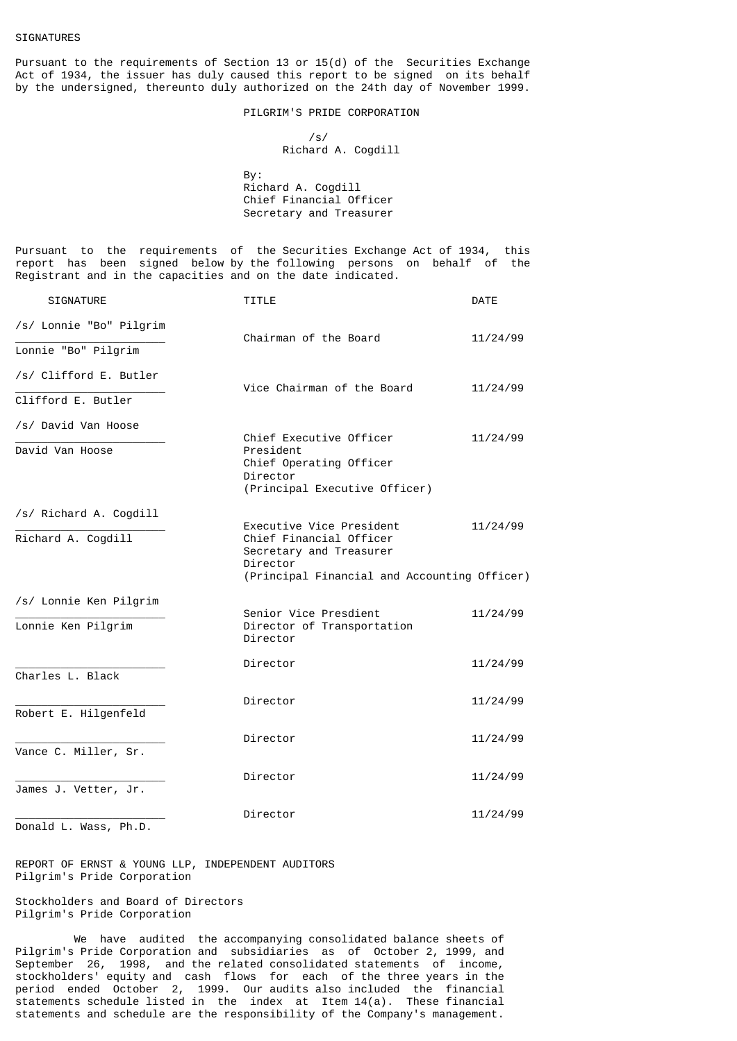Pursuant to the requirements of Section 13 or 15(d) of the Securities Exchange Act of 1934, the issuer has duly caused this report to be signed on its behalf by the undersigned, thereunto duly authorized on the 24th day of November 1999.

PILGRIM'S PRIDE CORPORATION

 /s/ Richard A. Cogdill

 By: Richard A. Cogdill Chief Financial Officer Secretary and Treasurer

Pursuant to the requirements of the Securities Exchange Act of 1934, this report has been signed below by the following persons on behalf of the Registrant and in the capacities and on the date indicated.

| <b>SIGNATURE</b>        | <b>TITLE</b>                                                                                                                               | <b>DATE</b> |
|-------------------------|--------------------------------------------------------------------------------------------------------------------------------------------|-------------|
| /s/ Lonnie "Bo" Pilgrim | Chairman of the Board                                                                                                                      | 11/24/99    |
| Lonnie "Bo" Pilgrim     |                                                                                                                                            |             |
| /s/ Clifford E. Butler  | Vice Chairman of the Board                                                                                                                 | 11/24/99    |
| Clifford E. Butler      |                                                                                                                                            |             |
| /s/ David Van Hoose     | Chief Executive Officer                                                                                                                    | 11/24/99    |
| David Van Hoose         | President<br>Chief Operating Officer<br>Director<br>(Principal Executive Officer)                                                          |             |
| /s/ Richard A. Cogdill  |                                                                                                                                            |             |
| Richard A. Cogdill      | Executive Vice President<br>Chief Financial Officer<br>Secretary and Treasurer<br>Director<br>(Principal Financial and Accounting Officer) | 11/24/99    |
| /s/ Lonnie Ken Pilgrim  |                                                                                                                                            |             |
| Lonnie Ken Pilgrim      | Senior Vice Presdient<br>Director of Transportation<br>Director                                                                            | 11/24/99    |
| Charles L. Black        | Director                                                                                                                                   | 11/24/99    |
| Robert E. Hilgenfeld    | Director                                                                                                                                   | 11/24/99    |
| Vance C. Miller, Sr.    | Director                                                                                                                                   | 11/24/99    |
| James J. Vetter, Jr.    | Director                                                                                                                                   | 11/24/99    |
|                         | Director                                                                                                                                   | 11/24/99    |

Donald L. Wass, Ph.D.

REPORT OF ERNST & YOUNG LLP, INDEPENDENT AUDITORS Pilgrim's Pride Corporation

Stockholders and Board of Directors Pilgrim's Pride Corporation

 We have audited the accompanying consolidated balance sheets of Pilgrim's Pride Corporation and subsidiaries as of October 2, 1999, and September 26, 1998, and the related consolidated statements of income, stockholders' equity and cash flows for each of the three years in the period ended October 2, 1999. Our audits also included the financial statements schedule listed in the index at Item 14(a). These financial statements and schedule are the responsibility of the Company's management.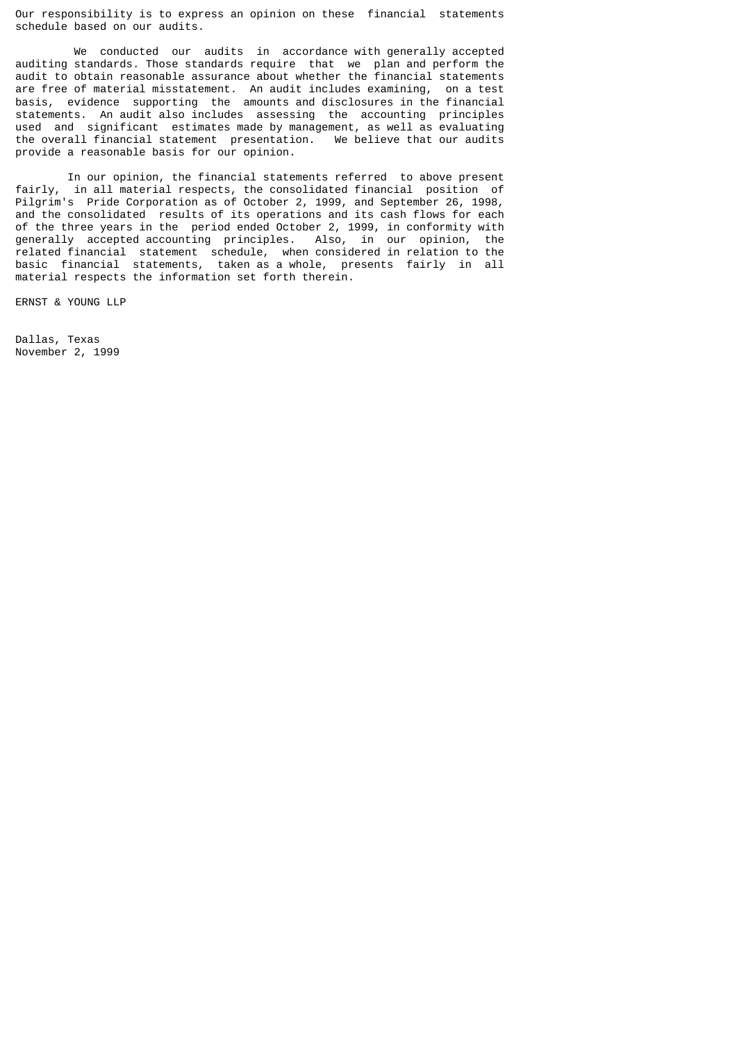Our responsibility is to express an opinion on these financial statements schedule based on our audits.

 We conducted our audits in accordance with generally accepted auditing standards. Those standards require that we plan and perform the audit to obtain reasonable assurance about whether the financial statements are free of material misstatement. An audit includes examining, on a test basis, evidence supporting the amounts and disclosures in the financial statements. An audit also includes assessing the accounting principles used and significant estimates made by management, as well as evaluating the overall financial statement presentation. We believe that our audits provide a reasonable basis for our opinion.

 In our opinion, the financial statements referred to above present fairly, in all material respects, the consolidated financial position of Pilgrim's Pride Corporation as of October 2, 1999, and September 26, 1998, and the consolidated results of its operations and its cash flows for each of the three years in the period ended October 2, 1999, in conformity with generally accepted accounting principles. Also, in our opinion, the related financial statement schedule, when considered in relation to the basic financial statements, taken as a whole, presents fairly in all material respects the information set forth therein.

ERNST & YOUNG LLP

Dallas, Texas November 2, 1999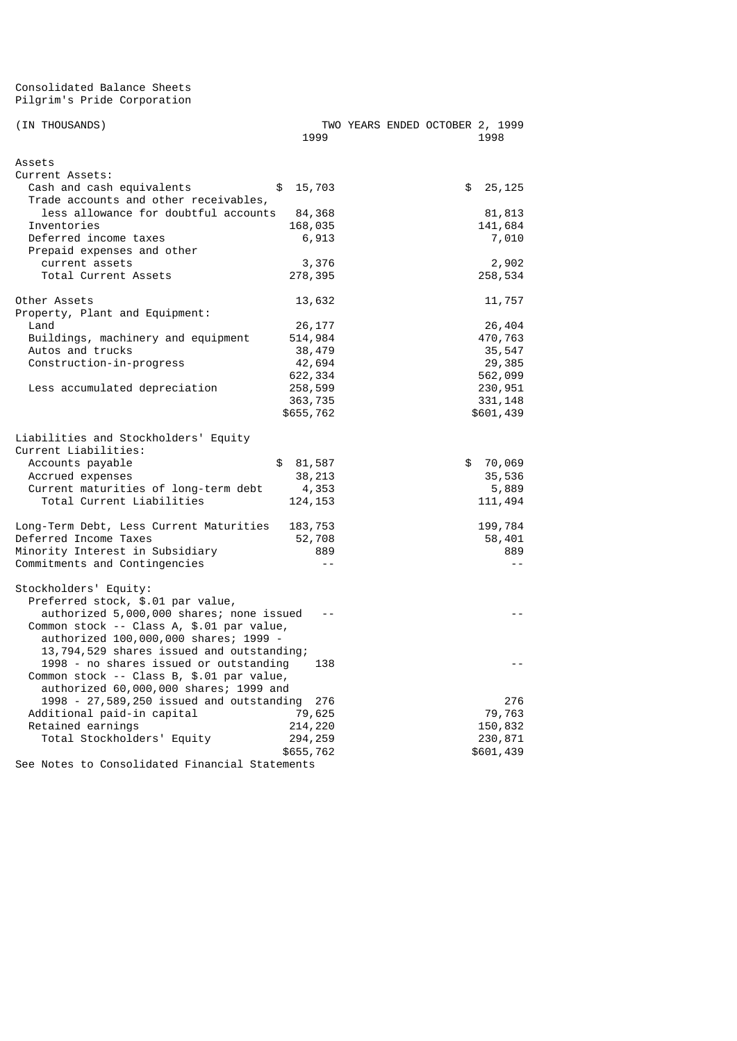#### Consolidated Balance Sheets Pilgrim's Pride Corporation

| (IN THOUSANDS)                                 | 1999         |  | TWO YEARS ENDED OCTOBER 2, 1999 | 1998      |
|------------------------------------------------|--------------|--|---------------------------------|-----------|
| Assets                                         |              |  |                                 |           |
| Current Assets:                                |              |  |                                 |           |
| Cash and cash equivalents                      | \$<br>15,703 |  | \$                              | 25, 125   |
| Trade accounts and other receivables,          |              |  |                                 |           |
| less allowance for doubtful accounts           | 84,368       |  |                                 | 81,813    |
| Inventories                                    | 168,035      |  |                                 | 141,684   |
| Deferred income taxes                          | 6,913        |  |                                 | 7,010     |
| Prepaid expenses and other                     |              |  |                                 |           |
| current assets                                 | 3,376        |  |                                 | 2,902     |
| Total Current Assets                           | 278,395      |  |                                 | 258,534   |
| Other Assets                                   | 13,632       |  |                                 | 11,757    |
| Property, Plant and Equipment:                 |              |  |                                 |           |
| Land                                           | 26, 177      |  |                                 | 26,404    |
| Buildings, machinery and equipment             | 514,984      |  |                                 | 470,763   |
| Autos and trucks                               | 38,479       |  |                                 | 35,547    |
| Construction-in-progress                       | 42,694       |  |                                 | 29,385    |
|                                                | 622, 334     |  |                                 | 562,099   |
| Less accumulated depreciation                  | 258,599      |  |                                 | 230,951   |
|                                                | 363,735      |  |                                 | 331, 148  |
|                                                | \$655,762    |  |                                 | \$601,439 |
| Liabilities and Stockholders' Equity           |              |  |                                 |           |
| Current Liabilities:                           |              |  |                                 |           |
| Accounts payable                               | \$<br>81,587 |  | \$                              | 70,069    |
| Accrued expenses                               | 38, 213      |  |                                 | 35,536    |
| Current maturities of long-term debt           | 4,353        |  |                                 | 5,889     |
| Total Current Liabilities                      | 124, 153     |  |                                 | 111,494   |
| Long-Term Debt, Less Current Maturities        | 183,753      |  |                                 | 199,784   |
| Deferred Income Taxes                          | 52,708       |  |                                 | 58,401    |
| Minority Interest in Subsidiary                | 889          |  |                                 | 889       |
| Commitments and Contingencies                  |              |  |                                 | $ -$      |
| Stockholders' Equity:                          |              |  |                                 |           |
| Preferred stock, \$.01 par value,              |              |  |                                 |           |
| authorized 5,000,000 shares; none issued       |              |  |                                 |           |
| Common stock -- Class A, \$.01 par value,      |              |  |                                 |           |
| authorized 100,000,000 shares; 1999 -          |              |  |                                 |           |
| 13,794,529 shares issued and outstanding;      |              |  |                                 |           |
| 1998 - no shares issued or outstanding         | 138          |  |                                 |           |
| Common stock -- Class B, \$.01 par value,      |              |  |                                 |           |
| authorized 60,000,000 shares; 1999 and         |              |  |                                 |           |
| 1998 - 27,589,250 issued and outstanding       | 276          |  |                                 | 276       |
| Additional paid-in capital                     | 79,625       |  |                                 | 79,763    |
| Retained earnings                              | 214,220      |  |                                 | 150,832   |
| Total Stockholders' Equity                     | 294, 259     |  |                                 | 230,871   |
|                                                | \$655,762    |  |                                 | \$601,439 |
| See Notes to Consolidated Financial Statements |              |  |                                 |           |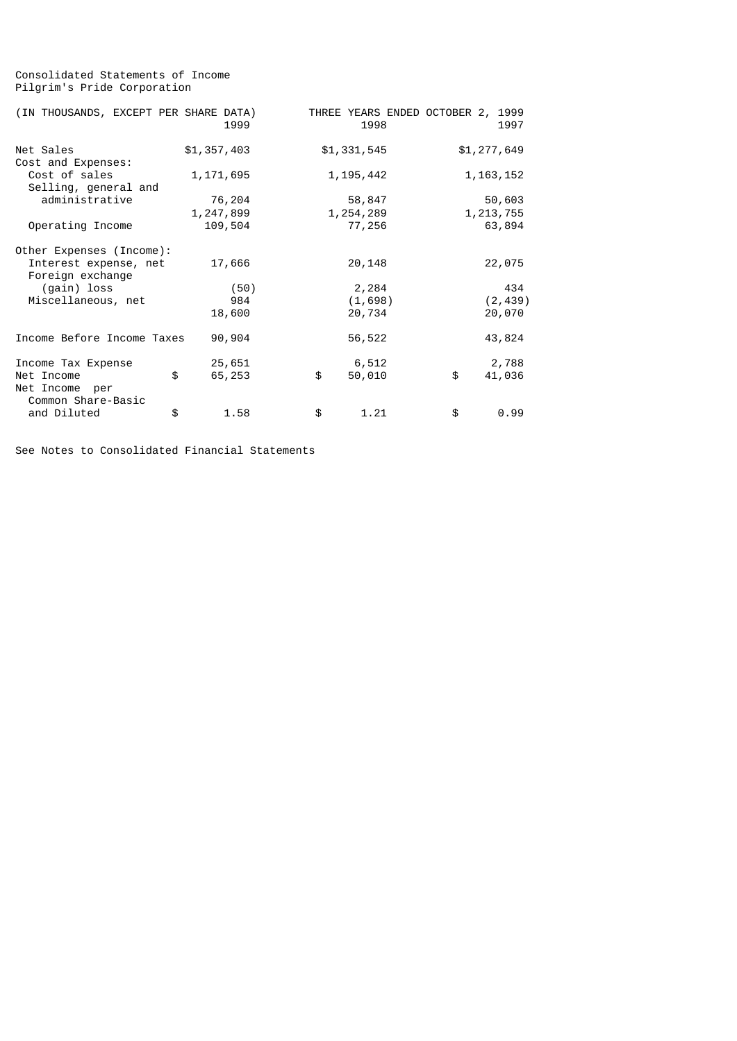# Consolidated Statements of Income Pilgrim's Pride Corporation

| (IN THOUSANDS, EXCEPT PER SHARE DATA) |             | 1999   | THREE YEARS ENDED OCTOBER 2,<br>1998 | 1999<br>1997 |
|---------------------------------------|-------------|--------|--------------------------------------|--------------|
| Net Sales                             | \$1,357,403 |        | \$1,331,545                          | \$1,277,649  |
| Cost and Expenses:                    |             |        |                                      |              |
| Cost of sales                         | 1, 171, 695 |        | 1, 195, 442                          | 1, 163, 152  |
| Selling, general and                  |             |        |                                      |              |
| administrative                        |             | 76,204 | 58,847                               | 50,603       |
|                                       | 1,247,899   |        | 1,254,289                            | 1, 213, 755  |
| Operating Income                      | 109,504     |        | 77,256                               | 63,894       |
| Other Expenses (Income):              |             |        |                                      |              |
| Interest expense, net                 |             | 17,666 | 20,148                               | 22,075       |
| Foreign exchange                      |             |        |                                      |              |
| (gain) loss                           |             | (50)   | 2,284                                | 434          |
| Miscellaneous, net                    |             | 984    | (1,698)                              | (2, 439)     |
|                                       |             | 18,600 | 20,734                               | 20,070       |
| Income Before Income Taxes            |             | 90,904 | 56,522                               | 43,824       |
| Income Tax Expense                    |             | 25,651 | 6,512                                | 2,788        |
| Net Income<br>Net Income per          | \$          | 65,253 | \$<br>50,010                         | \$<br>41,036 |
| Common Share-Basic                    |             |        |                                      |              |
| and Diluted                           | \$          | 1.58   | \$<br>1.21                           | \$<br>0.99   |

See Notes to Consolidated Financial Statements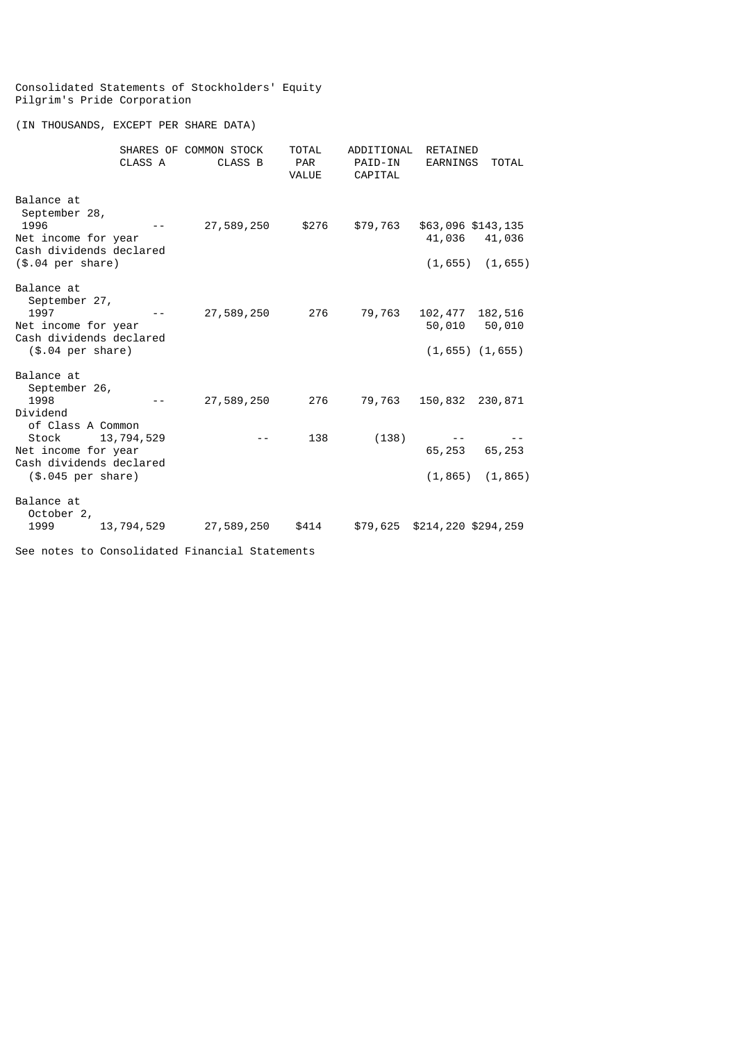### Consolidated Statements of Stockholders' Equity Pilgrim's Pride Corporation

(IN THOUSANDS, EXCEPT PER SHARE DATA)

|                                                                                                                                                       | CLASS A    | SHARES OF COMMON STOCK<br>CLASS B | <b>TOTAL</b><br><b>PAR</b><br><b>VALUE</b> | ADDITIONAL<br>PAID-IN<br>CAPITAL | RETAINED<br>EARNINGS                       | <b>TOTAL</b>                  |
|-------------------------------------------------------------------------------------------------------------------------------------------------------|------------|-----------------------------------|--------------------------------------------|----------------------------------|--------------------------------------------|-------------------------------|
| Balance at<br>September 28,<br>1996<br>Net income for year<br>Cash dividends declared<br>$($.04$ per share)                                           |            | 27,589,250                        | \$276                                      | \$79,763                         | \$63,096 \$143,135<br>41,036<br>(1, 655)   | 41,036<br>(1, 655)            |
| Balance at<br>September 27,<br>1997<br>Net income for year<br>Cash dividends declared<br>$($.04$ per share)                                           |            | 27,589,250                        | 276                                        | 79,763                           | 102,477<br>50,010<br>$(1, 655)$ $(1, 655)$ | 182,516<br>50,010             |
| Balance at<br>September 26,<br>1998<br>Dividend<br>of Class A Common<br>Stock<br>Net income for year<br>Cash dividends declared<br>(\$.045 per share) | 13,794,529 | 27,589,250                        | 276<br>138                                 | 79,763<br>(138)                  | 150,832<br>65,253<br>(1, 865)              | 230,871<br>65,253<br>(1, 865) |
| Balance at<br>October 2,<br>1999                                                                                                                      | 13,794,529 | 27,589,250                        | \$414                                      | \$79,625                         | \$214,220 \$294,259                        |                               |

See notes to Consolidated Financial Statements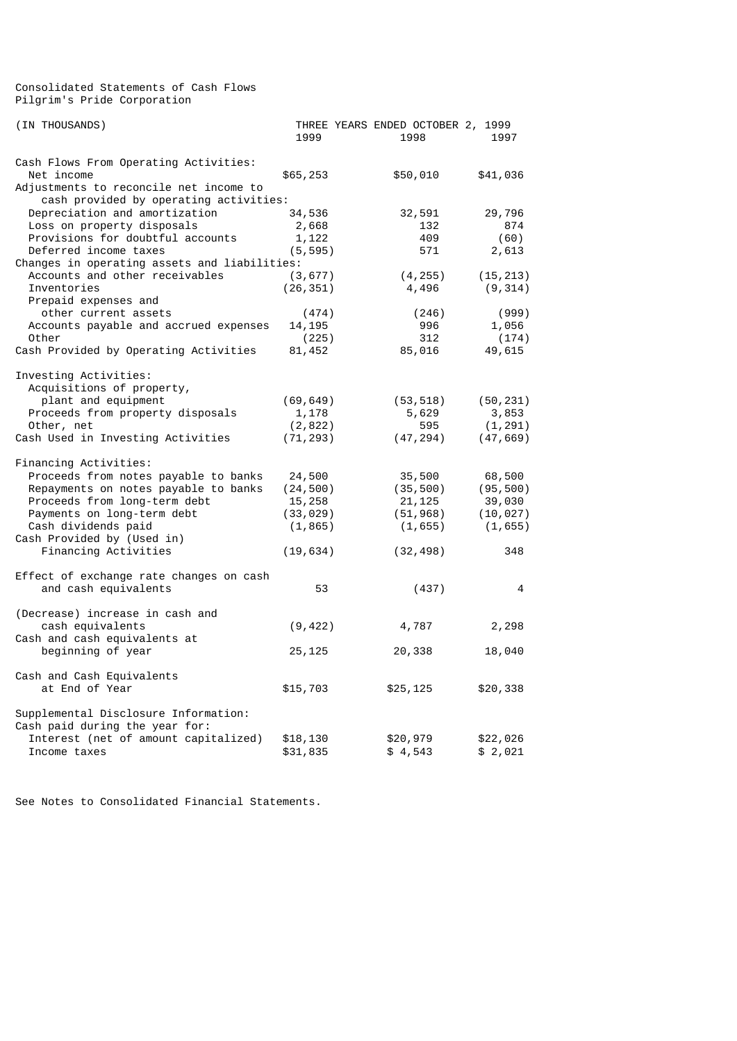Consolidated Statements of Cash Flows Pilgrim's Pride Corporation

| (IN THOUSANDS)                                                                   | 1999      | THREE YEARS ENDED OCTOBER 2, 1999<br>1998 | 1997      |
|----------------------------------------------------------------------------------|-----------|-------------------------------------------|-----------|
| Cash Flows From Operating Activities:<br>Net income                              | \$65,253  | \$50,010                                  | \$41,036  |
| Adjustments to reconcile net income to<br>cash provided by operating activities: |           |                                           |           |
| Depreciation and amortization                                                    | 34,536    | 32,591                                    | 29,796    |
| Loss on property disposals                                                       | 2,668     | 132                                       | 874       |
| Provisions for doubtful accounts                                                 | 1,122     | 409                                       | (60)      |
| Deferred income taxes                                                            | (5, 595)  | 571                                       | 2,613     |
| Changes in operating assets and liabilities:                                     |           |                                           |           |
| Accounts and other receivables                                                   | (3, 677)  | (4, 255)                                  | (15, 213) |
| Inventories                                                                      | (26, 351) | 4,496                                     | (9, 314)  |
| Prepaid expenses and                                                             |           |                                           |           |
| other current assets                                                             | (474)     | (246)                                     | (999)     |
| Accounts payable and accrued expenses                                            | 14,195    | 996                                       | 1,056     |
| Other                                                                            | (225)     | 312                                       | (174)     |
| Cash Provided by Operating Activities                                            | 81,452    | 85,016                                    | 49,615    |
| Investing Activities:                                                            |           |                                           |           |
| Acquisitions of property,                                                        |           |                                           |           |
| plant and equipment                                                              | (69,649)  | (53, 518)                                 | (50, 231) |
| Proceeds from property disposals                                                 | 1,178     | 5,629                                     | 3,853     |
| Other, net                                                                       | (2, 822)  | 595                                       | (1, 291)  |
| Cash Used in Investing Activities                                                | (71, 293) | (47, 294)                                 | (47, 669) |
| Financing Activities:                                                            |           |                                           |           |
| Proceeds from notes payable to banks                                             | 24,500    | 35,500                                    | 68,500    |
| Repayments on notes payable to banks                                             | (24, 500) | (35, 500)                                 | (95, 500) |
| Proceeds from long-term debt                                                     | 15,258    | 21, 125                                   | 39,030    |
| Payments on long-term debt                                                       | (33, 029) | (51, 968)                                 | (10, 027) |
| Cash dividends paid                                                              | (1, 865)  | (1, 655)                                  | (1, 655)  |
| Cash Provided by (Used in)                                                       |           |                                           |           |
| Financing Activities                                                             | (19, 634) | (32, 498)                                 | 348       |
| Effect of exchange rate changes on cash                                          |           |                                           |           |
| and cash equivalents                                                             | 53        | (437)                                     | 4         |
| (Decrease) increase in cash and                                                  |           |                                           |           |
| cash equivalents                                                                 | (9, 422)  | 4,787                                     | 2,298     |
| Cash and cash equivalents at                                                     |           |                                           |           |
| beginning of year                                                                | 25, 125   | 20,338                                    | 18,040    |
| Cash and Cash Equivalents                                                        |           |                                           |           |
| at End of Year                                                                   | \$15,703  | \$25,125                                  | \$20,338  |
| Supplemental Disclosure Information:                                             |           |                                           |           |
| Cash paid during the year for:                                                   |           |                                           |           |
| Interest (net of amount capitalized)                                             | \$18,130  | \$20,979                                  | \$22,026  |
| Income taxes                                                                     | \$31,835  | \$4,543                                   | \$2,021   |

See Notes to Consolidated Financial Statements.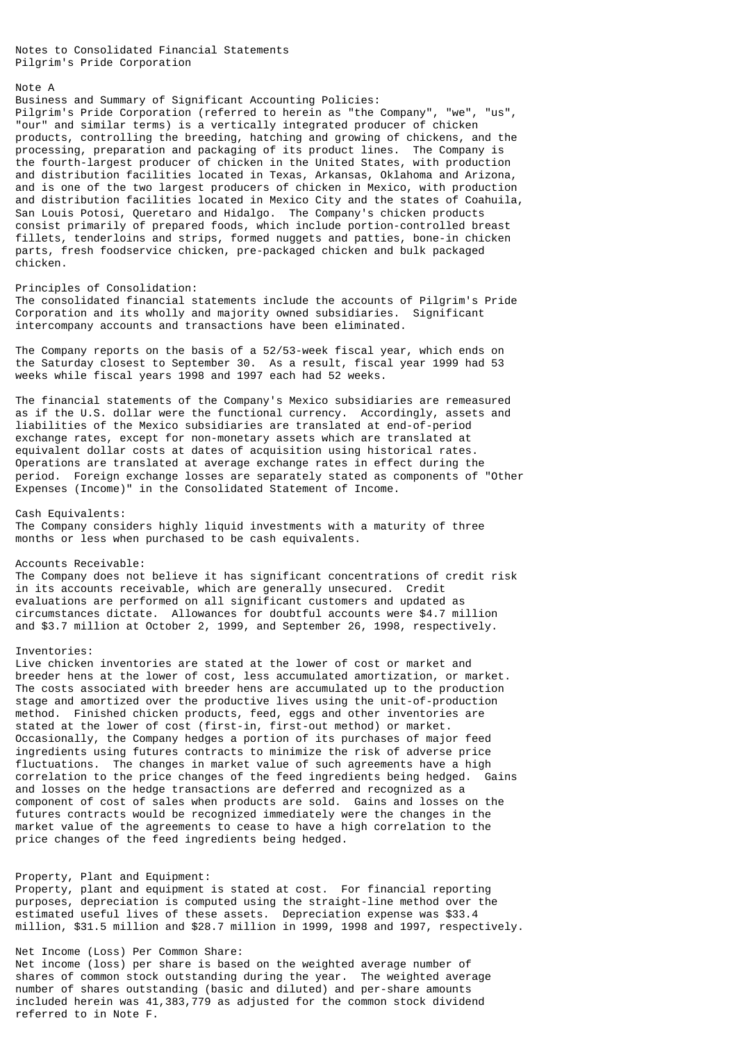Notes to Consolidated Financial Statements Pilgrim's Pride Corporation

#### Note A

### Business and Summary of Significant Accounting Policies:

Pilgrim's Pride Corporation (referred to herein as "the Company", "we", "us", "our" and similar terms) is a vertically integrated producer of chicken products, controlling the breeding, hatching and growing of chickens, and the processing, preparation and packaging of its product lines. The Company is the fourth-largest producer of chicken in the United States, with production and distribution facilities located in Texas, Arkansas, Oklahoma and Arizona, and is one of the two largest producers of chicken in Mexico, with production and distribution facilities located in Mexico City and the states of Coahuila, San Louis Potosi, Queretaro and Hidalgo. The Company's chicken products consist primarily of prepared foods, which include portion-controlled breast fillets, tenderloins and strips, formed nuggets and patties, bone-in chicken parts, fresh foodservice chicken, pre-packaged chicken and bulk packaged chicken.

### Principles of Consolidation:

The consolidated financial statements include the accounts of Pilgrim's Pride Corporation and its wholly and majority owned subsidiaries. Significant intercompany accounts and transactions have been eliminated.

The Company reports on the basis of a 52/53-week fiscal year, which ends on the Saturday closest to September 30. As a result, fiscal year 1999 had 53 weeks while fiscal years 1998 and 1997 each had 52 weeks.

The financial statements of the Company's Mexico subsidiaries are remeasured as if the U.S. dollar were the functional currency. Accordingly, assets and liabilities of the Mexico subsidiaries are translated at end-of-period exchange rates, except for non-monetary assets which are translated at equivalent dollar costs at dates of acquisition using historical rates. Operations are translated at average exchange rates in effect during the period. Foreign exchange losses are separately stated as components of "Other Expenses (Income)" in the Consolidated Statement of Income.

### Cash Equivalents:

The Company considers highly liquid investments with a maturity of three months or less when purchased to be cash equivalents.

### Accounts Receivable:

The Company does not believe it has significant concentrations of credit risk in its accounts receivable, which are generally unsecured. Credit evaluations are performed on all significant customers and updated as circumstances dictate. Allowances for doubtful accounts were \$4.7 million and \$3.7 million at October 2, 1999, and September 26, 1998, respectively.

#### Inventories:

Live chicken inventories are stated at the lower of cost or market and breeder hens at the lower of cost, less accumulated amortization, or market. The costs associated with breeder hens are accumulated up to the production stage and amortized over the productive lives using the unit-of-production method. Finished chicken products, feed, eggs and other inventories are stated at the lower of cost (first-in, first-out method) or market. Occasionally, the Company hedges a portion of its purchases of major feed ingredients using futures contracts to minimize the risk of adverse price fluctuations. The changes in market value of such agreements have a high correlation to the price changes of the feed ingredients being hedged. Gains and losses on the hedge transactions are deferred and recognized as a component of cost of sales when products are sold. Gains and losses on the futures contracts would be recognized immediately were the changes in the market value of the agreements to cease to have a high correlation to the price changes of the feed ingredients being hedged.

#### Property, Plant and Equipment:

Property, plant and equipment is stated at cost. For financial reporting purposes, depreciation is computed using the straight-line method over the estimated useful lives of these assets. Depreciation expense was \$33.4 million, \$31.5 million and \$28.7 million in 1999, 1998 and 1997, respectively.

## Net Income (Loss) Per Common Share:

Net income (loss) per share is based on the weighted average number of shares of common stock outstanding during the year. The weighted average number of shares outstanding (basic and diluted) and per-share amounts included herein was 41,383,779 as adjusted for the common stock dividend referred to in Note F.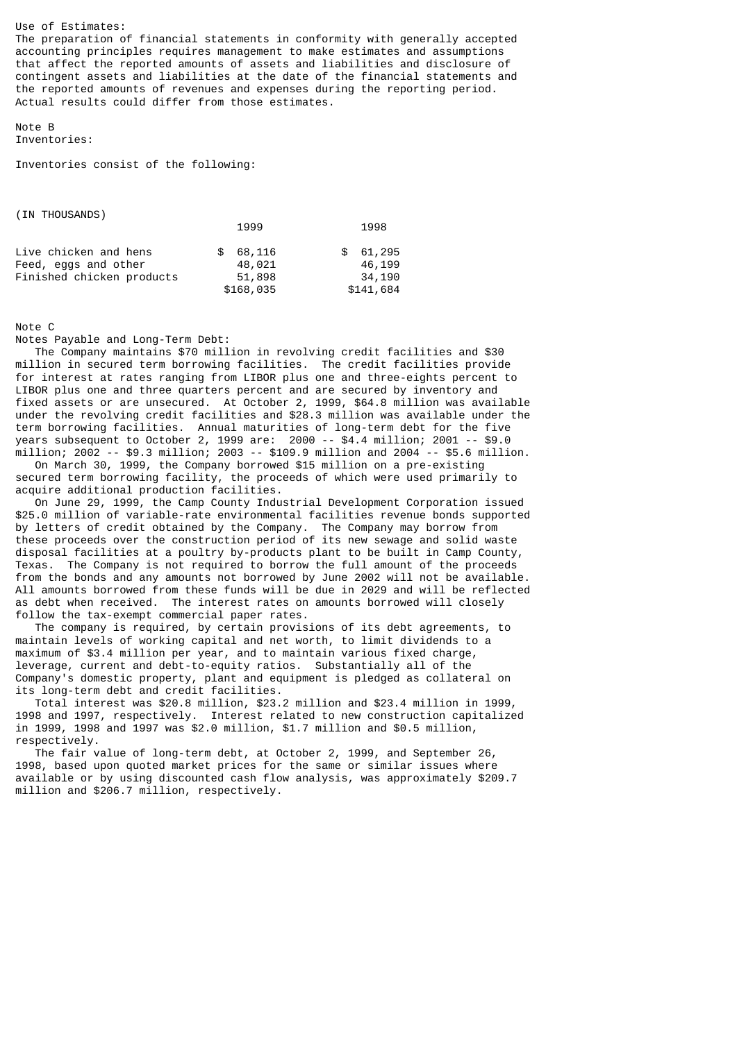Use of Estimates: The preparation of financial statements in conformity with generally accepted accounting principles requires management to make estimates and assumptions that affect the reported amounts of assets and liabilities and disclosure of contingent assets and liabilities at the date of the financial statements and the reported amounts of revenues and expenses during the reporting period. Actual results could differ from those estimates.

### Note B Inventories:

Inventories consist of the following:

| (IN THOUSANDS)            |             |           |
|---------------------------|-------------|-----------|
|                           | 1999        | 1998      |
| Live chicken and hens     | 68,116<br>£ | \$61,295  |
| Feed, eggs and other      | 48,021      | 46,199    |
| Finished chicken products | 51,898      | 34,190    |
|                           | \$168,035   | \$141,684 |

## Note C

Notes Payable and Long-Term Debt:

 The Company maintains \$70 million in revolving credit facilities and \$30 million in secured term borrowing facilities. The credit facilities provide for interest at rates ranging from LIBOR plus one and three-eights percent to LIBOR plus one and three quarters percent and are secured by inventory and fixed assets or are unsecured. At October 2, 1999, \$64.8 million was available under the revolving credit facilities and \$28.3 million was available under the term borrowing facilities. Annual maturities of long-term debt for the five years subsequent to October 2, 1999 are: 2000 -- \$4.4 million; 2001 -- \$9.0 million; 2002 -- \$9.3 million; 2003 -- \$109.9 million and 2004 -- \$5.6 million.

 On March 30, 1999, the Company borrowed \$15 million on a pre-existing secured term borrowing facility, the proceeds of which were used primarily to acquire additional production facilities.

 On June 29, 1999, the Camp County Industrial Development Corporation issued \$25.0 million of variable-rate environmental facilities revenue bonds supported by letters of credit obtained by the Company. The Company may borrow from these proceeds over the construction period of its new sewage and solid waste disposal facilities at a poultry by-products plant to be built in Camp County, Texas. The Company is not required to borrow the full amount of the proceeds from the bonds and any amounts not borrowed by June 2002 will not be available. All amounts borrowed from these funds will be due in 2029 and will be reflected as debt when received. The interest rates on amounts borrowed will closely follow the tax-exempt commercial paper rates.

 The company is required, by certain provisions of its debt agreements, to maintain levels of working capital and net worth, to limit dividends to a maximum of \$3.4 million per year, and to maintain various fixed charge, leverage, current and debt-to-equity ratios. Substantially all of the Company's domestic property, plant and equipment is pledged as collateral on its long-term debt and credit facilities.

 Total interest was \$20.8 million, \$23.2 million and \$23.4 million in 1999, 1998 and 1997, respectively. Interest related to new construction capitalized in 1999, 1998 and 1997 was \$2.0 million, \$1.7 million and \$0.5 million, respectively.

 The fair value of long-term debt, at October 2, 1999, and September 26, 1998, based upon quoted market prices for the same or similar issues where available or by using discounted cash flow analysis, was approximately \$209.7 million and \$206.7 million, respectively.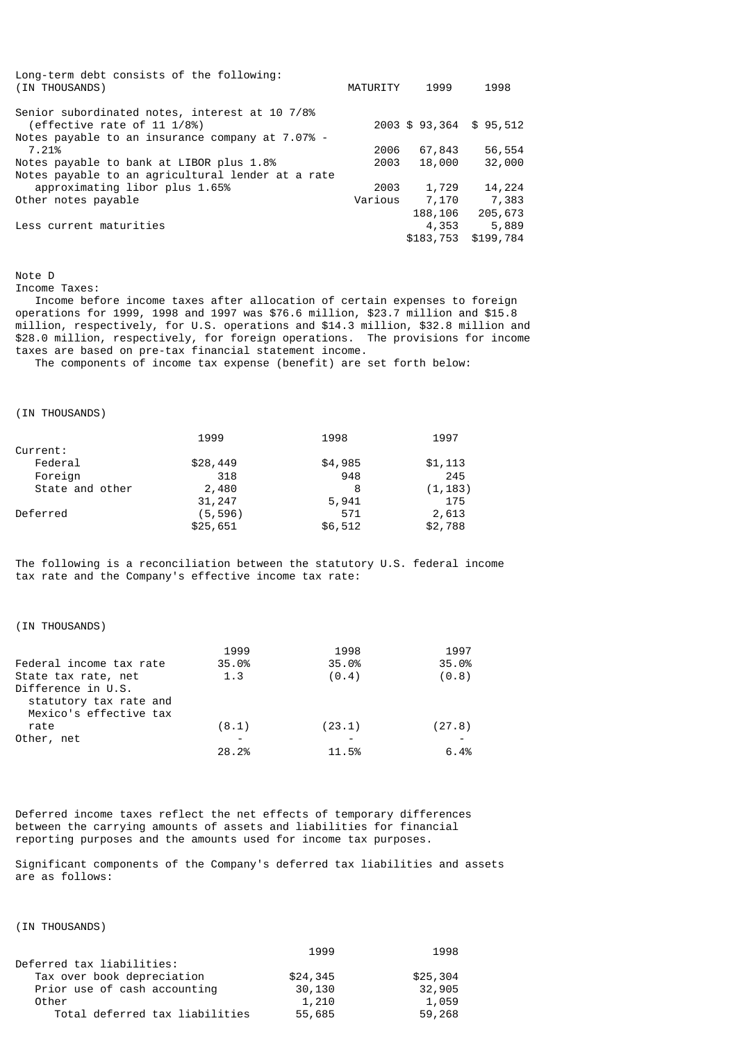| Long-term debt consists of the following:<br>(IN THOUSANDS)                                                                       | MATURITY | 1999      | 1998                   |
|-----------------------------------------------------------------------------------------------------------------------------------|----------|-----------|------------------------|
| Senior subordinated notes, interest at 10 7/8%<br>(effective rate of 11 1/8%)<br>Notes payable to an insurance company at 7.07% - |          |           | 2003 \$93,364 \$95,512 |
| 7.21%                                                                                                                             | 2006     | 67,843    | 56,554                 |
| Notes payable to bank at LIBOR plus 1.8%                                                                                          | 2003     | 18,000    | 32,000                 |
| Notes payable to an agricultural lender at a rate                                                                                 |          |           |                        |
| approximating libor plus 1.65%                                                                                                    | 2003     | 1,729     | 14,224                 |
| Other notes payable                                                                                                               | Various  | 7,170     | 7,383                  |
|                                                                                                                                   |          | 188,106   | 205,673                |
| Less current maturities                                                                                                           |          | 4,353     | 5,889                  |
|                                                                                                                                   |          | \$183,753 | \$199,784              |

Note D

Income Taxes:

 Income before income taxes after allocation of certain expenses to foreign operations for 1999, 1998 and 1997 was \$76.6 million, \$23.7 million and \$15.8 million, respectively, for U.S. operations and \$14.3 million, \$32.8 million and \$28.0 million, respectively, for foreign operations. The provisions for income taxes are based on pre-tax financial statement income.

The components of income tax expense (benefit) are set forth below:

(IN THOUSANDS)

|                 | 1999     | 1998    | 1997     |
|-----------------|----------|---------|----------|
|                 |          |         |          |
|                 | \$28,449 | \$4,985 | \$1,113  |
|                 | 318      | 948     | 245      |
| State and other | 2,480    | 8       | (1, 183) |
|                 | 31,247   | 5,941   | 175      |
|                 | (5, 596) | 571     | 2,613    |
|                 | \$25,651 | \$6,512 | \$2,788  |
|                 |          |         |          |

The following is a reconciliation between the statutory U.S. federal income tax rate and the Company's effective income tax rate:

## (IN THOUSANDS)

|                         | 1999  | 1998   | 1997   |
|-------------------------|-------|--------|--------|
| Federal income tax rate | 35.0% | 35.0%  | 35.0%  |
| State tax rate, net     | 1.3   | (0.4)  | (0.8)  |
| Difference in U.S.      |       |        |        |
| statutory tax rate and  |       |        |        |
| Mexico's effective tax  |       |        |        |
| rate                    | (8.1) | (23.1) | (27.8) |
| Other, net              |       |        |        |
|                         | 28.2% | 11.5%  | 6.4%   |

Deferred income taxes reflect the net effects of temporary differences between the carrying amounts of assets and liabilities for financial reporting purposes and the amounts used for income tax purposes.

Significant components of the Company's deferred tax liabilities and assets are as follows:

# (IN THOUSANDS)

|                                | 1999     | 1998     |
|--------------------------------|----------|----------|
| Deferred tax liabilities:      |          |          |
| Tax over book depreciation     | \$24,345 | \$25,304 |
| Prior use of cash accounting   | 30,130   | 32,905   |
| Other                          | 1,210    | 1,059    |
| Total deferred tax liabilities | 55,685   | 59,268   |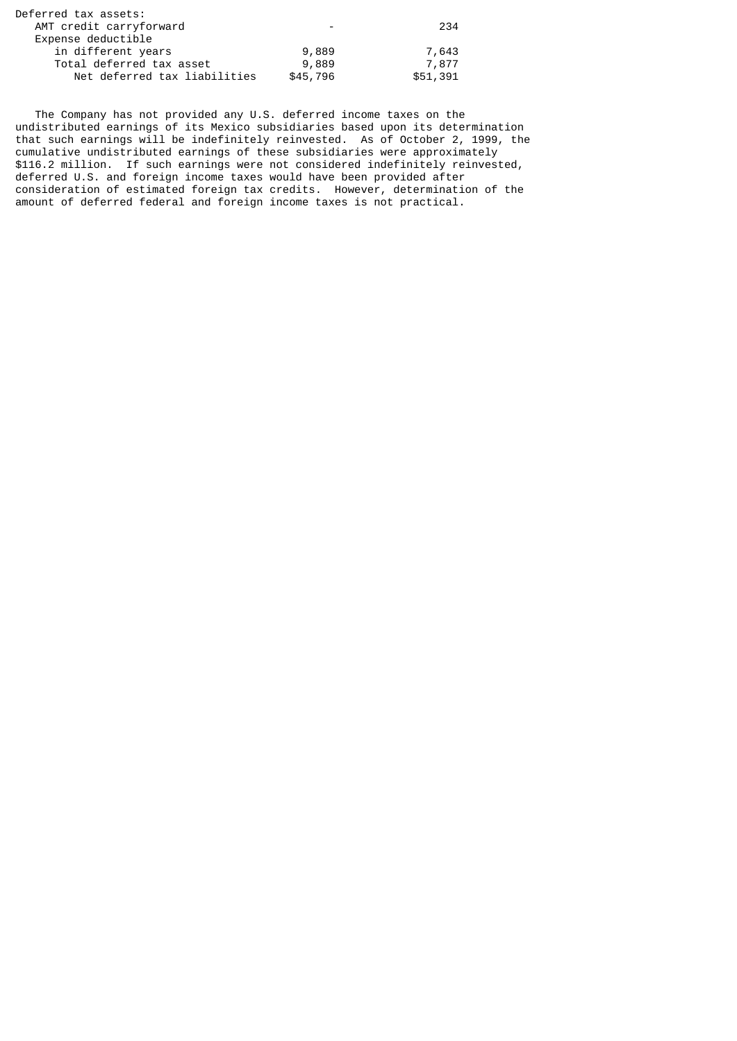| $\overline{\phantom{0}}$ | 234      |
|--------------------------|----------|
|                          |          |
| 9,889                    | 7,643    |
| 9,889                    | 7,877    |
| \$45,796                 |          |
|                          | \$51,391 |

 The Company has not provided any U.S. deferred income taxes on the undistributed earnings of its Mexico subsidiaries based upon its determination that such earnings will be indefinitely reinvested. As of October 2, 1999, the cumulative undistributed earnings of these subsidiaries were approximately \$116.2 million. If such earnings were not considered indefinitely reinvested, deferred U.S. and foreign income taxes would have been provided after consideration of estimated foreign tax credits. However, determination of the amount of deferred federal and foreign income taxes is not practical.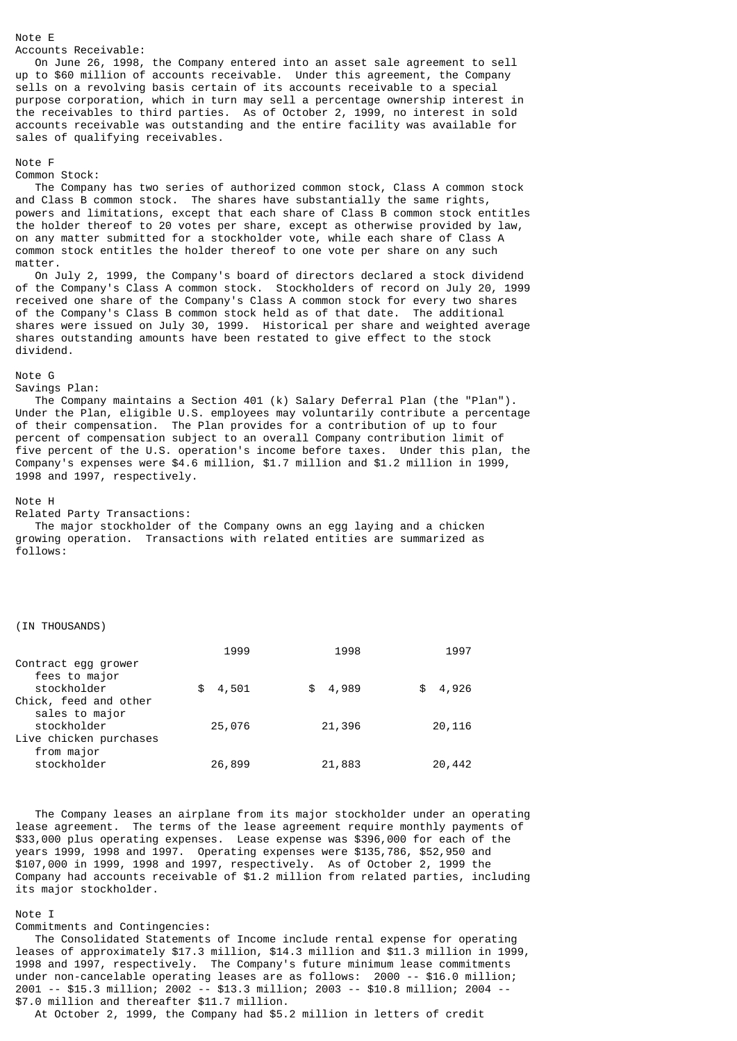Accounts Receivable:

 On June 26, 1998, the Company entered into an asset sale agreement to sell up to \$60 million of accounts receivable. Under this agreement, the Company sells on a revolving basis certain of its accounts receivable to a special purpose corporation, which in turn may sell a percentage ownership interest in the receivables to third parties. As of October 2, 1999, no interest in sold accounts receivable was outstanding and the entire facility was available for sales of qualifying receivables.

### Note F

Note E

#### Common Stock:

 The Company has two series of authorized common stock, Class A common stock and Class B common stock. The shares have substantially the same rights, powers and limitations, except that each share of Class B common stock entitles the holder thereof to 20 votes per share, except as otherwise provided by law, on any matter submitted for a stockholder vote, while each share of Class A common stock entitles the holder thereof to one vote per share on any such matter.

 On July 2, 1999, the Company's board of directors declared a stock dividend of the Company's Class A common stock. Stockholders of record on July 20, 1999 received one share of the Company's Class A common stock for every two shares of the Company's Class B common stock held as of that date. The additional shares were issued on July 30, 1999. Historical per share and weighted average shares outstanding amounts have been restated to give effect to the stock dividend.

# Note G

Savings Plan:

 The Company maintains a Section 401 (k) Salary Deferral Plan (the "Plan"). Under the Plan, eligible U.S. employees may voluntarily contribute a percentage of their compensation. The Plan provides for a contribution of up to four percent of compensation subject to an overall Company contribution limit of five percent of the U.S. operation's income before taxes. Under this plan, the Company's expenses were \$4.6 million, \$1.7 million and \$1.2 million in 1999, 1998 and 1997, respectively.

#### Note H

Related Party Transactions:

The major stockholder of the Company owns an egg laying and a chicken growing operation. Transactions with related entities are summarized as follows:

#### (IN THOUSANDS)

|                        | 1999         | 1998    | 1997        |
|------------------------|--------------|---------|-------------|
| Contract egg grower    |              |         |             |
| fees to major          |              |         |             |
| stockholder            | 4,501<br>\$. | \$4,989 | 4,926<br>\$ |
| Chick, feed and other  |              |         |             |
| sales to major         |              |         |             |
| stockholder            | 25,076       | 21,396  | 20,116      |
| Live chicken purchases |              |         |             |
| from major             |              |         |             |
| stockholder            | 26,899       | 21,883  | 20,442      |
|                        |              |         |             |

 The Company leases an airplane from its major stockholder under an operating lease agreement. The terms of the lease agreement require monthly payments of \$33,000 plus operating expenses. Lease expense was \$396,000 for each of the years 1999, 1998 and 1997. Operating expenses were \$135,786, \$52,950 and \$107,000 in 1999, 1998 and 1997, respectively. As of October 2, 1999 the Company had accounts receivable of \$1.2 million from related parties, including its major stockholder.

#### Note I

Commitments and Contingencies: The Consolidated Statements of Income include rental expense for operating leases of approximately \$17.3 million, \$14.3 million and \$11.3 million in 1999, 1998 and 1997, respectively. The Company's future minimum lease commitments under non-cancelable operating leases are as follows: 2000 -- \$16.0 million; 2001 -- \$15.3 million; 2002 -- \$13.3 million; 2003 -- \$10.8 million; 2004 -- \$7.0 million and thereafter \$11.7 million.

At October 2, 1999, the Company had \$5.2 million in letters of credit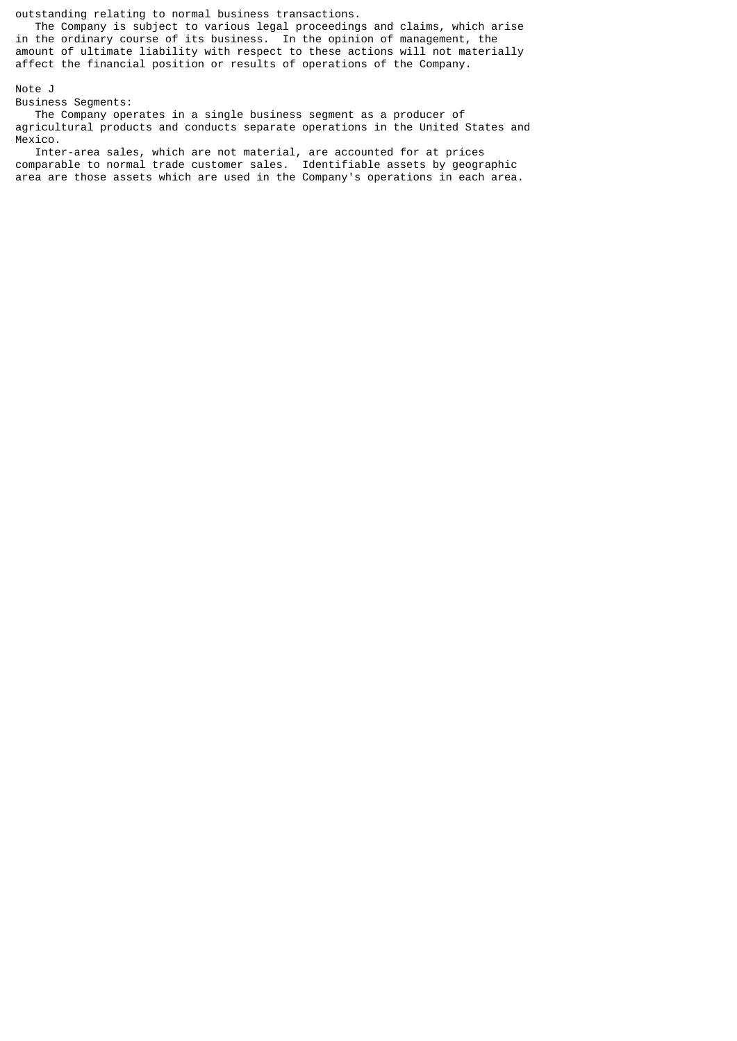outstanding relating to normal business transactions.

 The Company is subject to various legal proceedings and claims, which arise in the ordinary course of its business. In the opinion of management, the amount of ultimate liability with respect to these actions will not materially affect the financial position or results of operations of the Company.

# Note J

Business Segments:

 The Company operates in a single business segment as a producer of agricultural products and conducts separate operations in the United States and Mexico.

 Inter-area sales, which are not material, are accounted for at prices comparable to normal trade customer sales. Identifiable assets by geographic area are those assets which are used in the Company's operations in each area.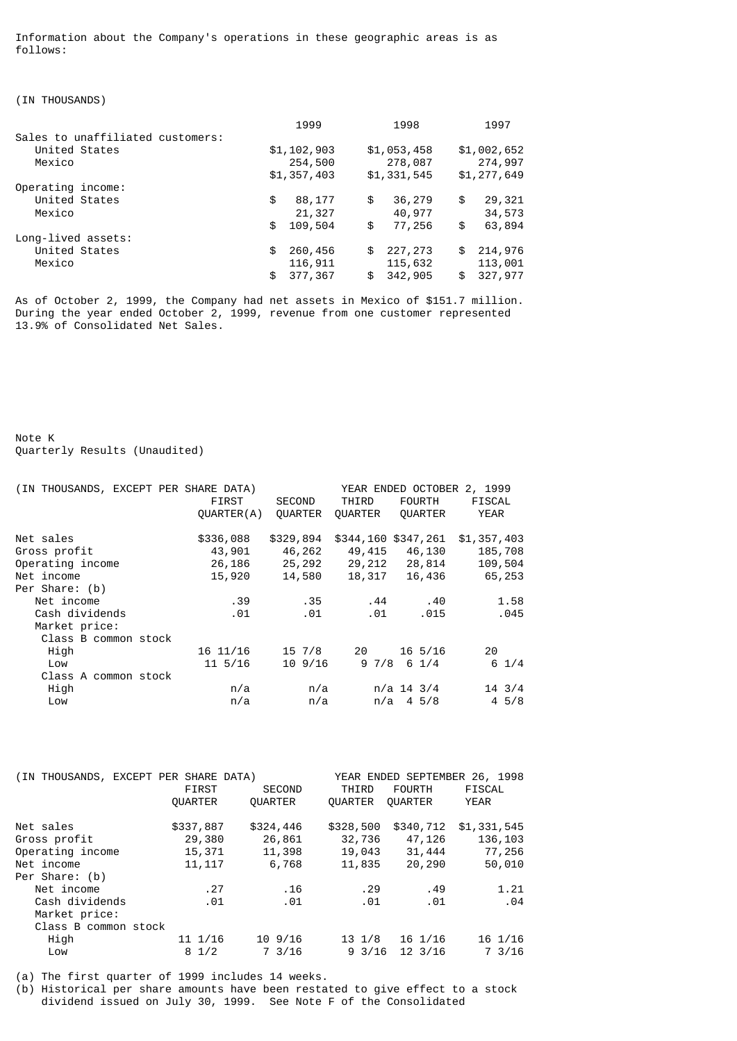Information about the Company's operations in these geographic areas is as follows:

(IN THOUSANDS)

|                                  | 1999          | 1998          | 1997          |
|----------------------------------|---------------|---------------|---------------|
| Sales to unaffiliated customers: |               |               |               |
| United States                    | \$1,102,903   | \$1,053,458   | \$1,002,652   |
| Mexico                           | 254,500       | 278,087       | 274,997       |
|                                  | \$1,357,403   | \$1,331,545   | \$1,277,649   |
| Operating income:                |               |               |               |
| United States                    | \$<br>88,177  | \$<br>36,279  | \$<br>29,321  |
| Mexico                           | 21,327        | 40,977        | 34,573        |
|                                  | \$<br>109,504 | \$<br>77,256  | \$<br>63,894  |
| Long-lived assets:               |               |               |               |
| United States                    | \$<br>260,456 | \$<br>227,273 | \$<br>214,976 |
| Mexico                           | 116,911       | 115,632       | 113,001       |
|                                  | \$<br>377,367 | \$<br>342,905 | \$<br>327,977 |

As of October 2, 1999, the Company had net assets in Mexico of \$151.7 million. During the year ended October 2, 1999, revenue from one customer represented 13.9% of Consolidated Net Sales.

Note K Quarterly Results (Unaudited)

| (IN THOUSANDS, EXCEPT PER SHARE DATA) | FIRST<br>QUARTER(A) | <b>SECOND</b><br><b>OUARTER</b> | THIRD<br><b>OUARTER</b> | <b>FOURTH</b><br><b>OUARTER</b> | YEAR ENDED OCTOBER 2, 1999<br>FISCAL<br><b>YEAR</b> |
|---------------------------------------|---------------------|---------------------------------|-------------------------|---------------------------------|-----------------------------------------------------|
| Net sales                             | \$336,088           | \$329,894                       | \$344,160 \$347,261     |                                 | \$1,357,403                                         |
| Gross profit                          | 43,901              | 46,262                          | 49,415                  | 46,130                          | 185,708                                             |
| Operating income                      | 26,186              | 25,292                          | 29,212                  | 28,814                          | 109,504                                             |
| Net income                            | 15,920              | 14,580                          | 18,317                  | 16,436                          | 65,253                                              |
| Per Share: (b)                        |                     |                                 |                         |                                 |                                                     |
| Net income                            | . 39                | . 35                            | . 44                    | .40                             | 1.58                                                |
| Cash dividends                        | .01                 | .01                             | .01                     | .015                            | .045                                                |
| Market price:                         |                     |                                 |                         |                                 |                                                     |
| Class B common stock                  |                     |                                 |                         |                                 |                                                     |
| High                                  | 16 11/16            | 15 7/8                          | 20                      | $16\,5/16$                      | 20                                                  |
| Low                                   | $11\,5/16$          | $10\,9/16$                      | 9 7/8                   | $6 \frac{1}{4}$                 | $6 \frac{1}{4}$                                     |
| Class A common stock                  |                     |                                 |                         |                                 |                                                     |
| High                                  | n/a                 | n/a                             |                         | $n/a$ 14 3/4                    | $14 \frac{3}{4}$                                    |
| Low                                   | n/a                 | n/a                             | n/a                     | $4\,5/8$                        | $4\,5/8$                                            |
|                                       |                     |                                 |                         |                                 |                                                     |

| <b>FIRST</b>         | <b>SECOND</b>    | THIRD                                 | <b>FOURTH</b>     | FISCAL                                                                                    |
|----------------------|------------------|---------------------------------------|-------------------|-------------------------------------------------------------------------------------------|
| <b>OUARTER</b>       | <b>QUARTER</b>   | <b>OUARTER</b>                        | <b>OUARTER</b>    | <b>YEAR</b>                                                                               |
| \$337,887            | \$324,446        | \$328,500                             | \$340,712         | \$1,331,545                                                                               |
| 29,380               | 26,861           | 32,736                                | 47,126            | 136,103                                                                                   |
| 15,371               | 11,398           |                                       |                   | 77,256                                                                                    |
| 11, 117              | 6,768            |                                       | 20,290            | 50,010                                                                                    |
|                      |                  |                                       |                   |                                                                                           |
| .27                  | .16              | . 29                                  | .49               | 1.21                                                                                      |
| .01                  | .01              | .01                                   | .01               | .04                                                                                       |
|                      |                  |                                       |                   |                                                                                           |
| Class B common stock |                  |                                       |                   |                                                                                           |
| 11 1/16              | $10\,9/16$       |                                       | $16 \frac{1}{16}$ | 16 1/16                                                                                   |
| $8 \frac{1}{2}$      | $7 \frac{3}{16}$ |                                       | $12 \frac{3}{16}$ | 7 3/16                                                                                    |
|                      |                  | (IN THOUSANDS, EXCEPT PER SHARE DATA) |                   | YEAR ENDED SEPTEMBER 26, 1998<br>19,043<br>31,444<br>11,835<br>13 1/8<br>$9 \frac{3}{16}$ |

(a) The first quarter of 1999 includes 14 weeks.

(b) Historical per share amounts have been restated to give effect to a stock dividend issued on July 30, 1999. See Note F of the Consolidated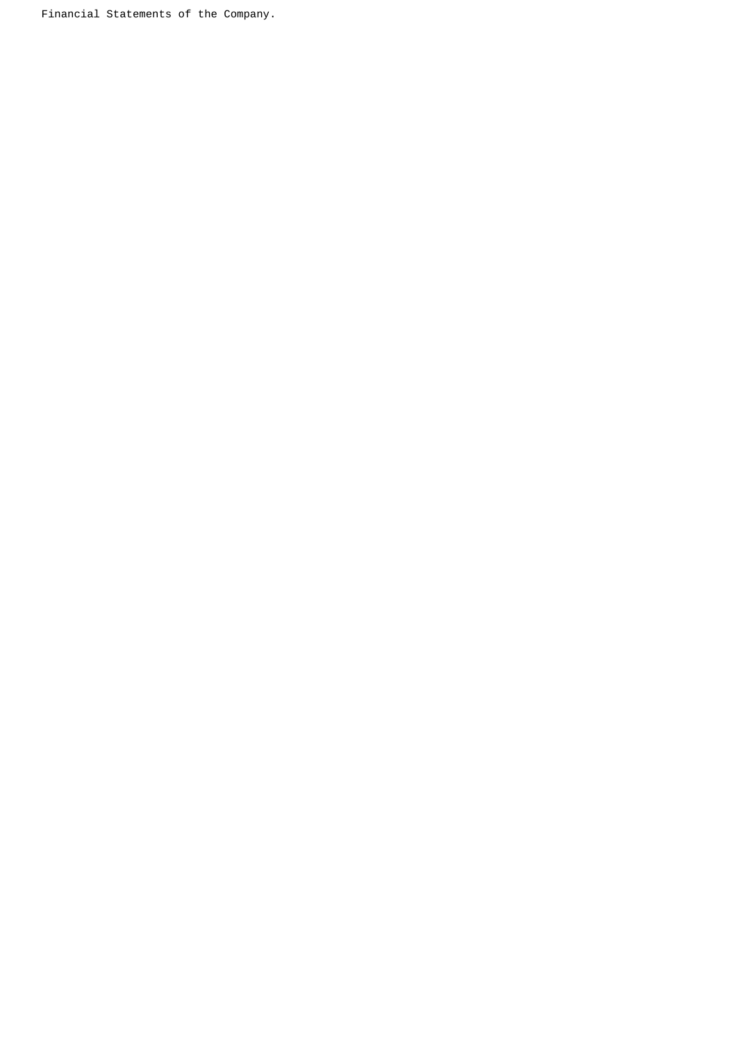Financial Statements of the Company.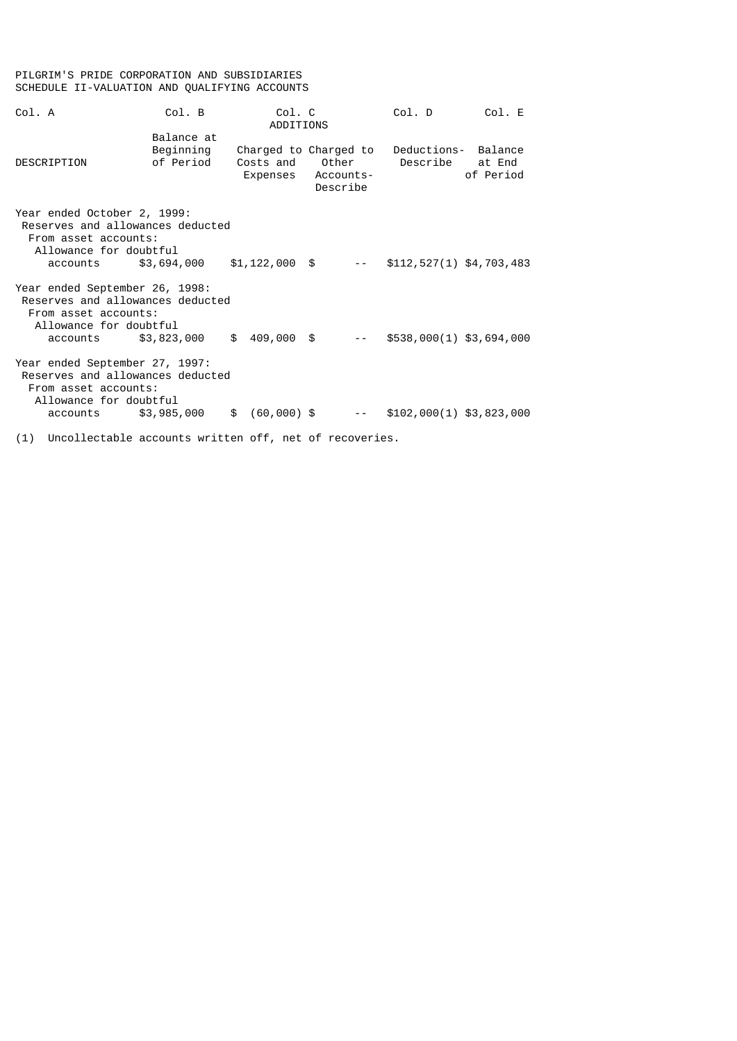# PILGRIM'S PRIDE CORPORATION AND SUBSIDIARIES SCHEDULE II-VALUATION AND QUALIFYING ACCOUNTS

| Col. A                                                                                                                                                                                                                                            | Col. B                               | Col. C<br>ADDITIONS |                                                         | Col. D                                                 | Col. E    |
|---------------------------------------------------------------------------------------------------------------------------------------------------------------------------------------------------------------------------------------------------|--------------------------------------|---------------------|---------------------------------------------------------|--------------------------------------------------------|-----------|
| DESCRIPTION                                                                                                                                                                                                                                       | Balance at<br>Beginning<br>of Period |                     | Charged to Charged to<br>Expenses Accounts-<br>Describe | Deductions- Balance<br>Costs and Other Describe at End | of Period |
| Year ended October 2, 1999:<br>Reserves and allowances deducted<br>From asset accounts:<br>Allowance for doubtful<br>accounts \$3,694,000 \$1,122,000 \$                                                                                          |                                      |                     |                                                         | \$112, 527(1) \$4, 703, 483                            |           |
| Year ended September 26, 1998:<br>Reserves and allowances deducted<br>From asset accounts:<br>Allowance for doubtful<br>accounts \$3,823,000                                                                                                      |                                      |                     | $$409,000$ \$                                           | $$538,000(1)$ \$3,694,000                              |           |
| Year ended September 27, 1997:<br>Reserves and allowances deducted<br>From asset accounts:<br>Allowance for doubtful<br>accounts \$3,985,000 \$ (60,000) \$                                                                                       |                                      |                     |                                                         | \$102,000(1) \$3,823,000                               |           |
| $\mathcal{L} \rightarrow \mathcal{L}$ , and the set of the set of the set of the set of the set of the set of the set of the set of the set of the set of the set of the set of the set of the set of the set of the set of the set of the set of |                                      |                     |                                                         |                                                        |           |

(1) Uncollectable accounts written off, net of recoveries.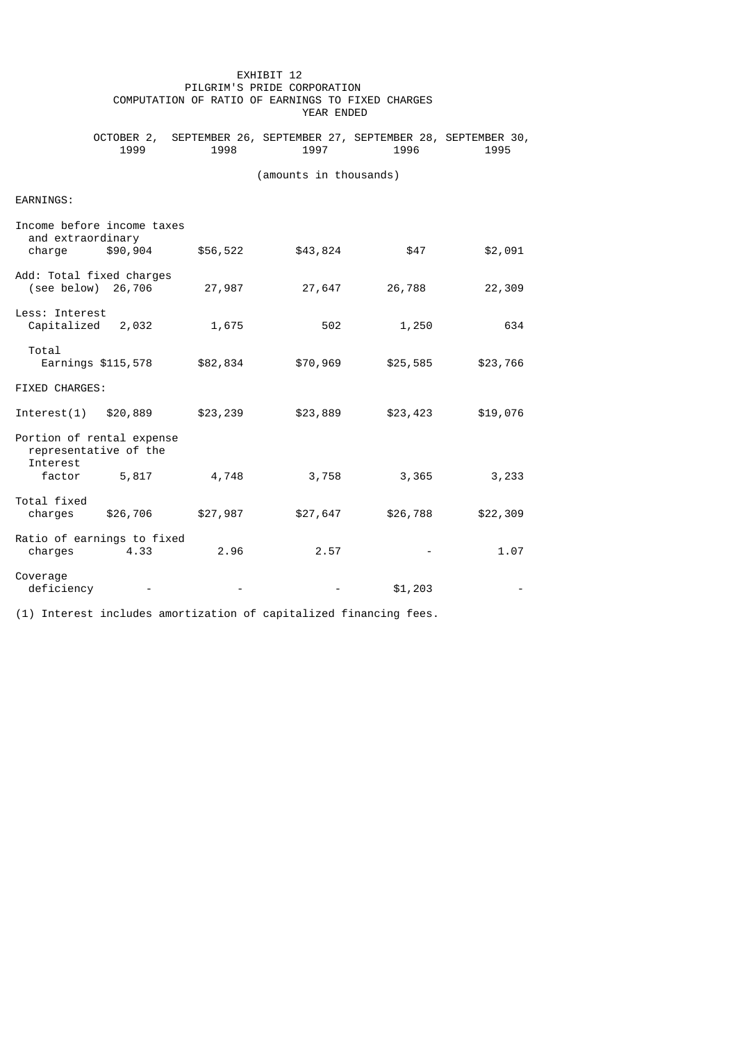|                                                                |          |          | PILGRIM'S PRIDE CORPORATION<br>COMPUTATION OF RATIO OF EARNINGS TO FIXED CHARGES<br>YEAR ENDED |          |          |
|----------------------------------------------------------------|----------|----------|------------------------------------------------------------------------------------------------|----------|----------|
|                                                                | 1999     | 1998     | OCTOBER 2, SEPTEMBER 26, SEPTEMBER 27, SEPTEMBER 28, SEPTEMBER 30,<br>1997                     | 1996     | 1995     |
|                                                                |          |          | (amounts in thousands)                                                                         |          |          |
| EARNINGS:                                                      |          |          |                                                                                                |          |          |
| Income before income taxes<br>and extraordinary<br>charge      | \$90,904 | \$56,522 | \$43,824                                                                                       | \$47     | \$2,091  |
| Add: Total fixed charges<br>(see below) 26,706                 |          | 27,987   | 27,647                                                                                         | 26,788   | 22,309   |
| Less: Interest<br>Capitalized 2,032                            |          | 1,675    | 502                                                                                            | 1,250    | 634      |
| Total<br>Earnings \$115,578                                    |          | \$82,834 | \$70,969                                                                                       | \$25,585 | \$23,766 |
| FIXED CHARGES:                                                 |          |          |                                                                                                |          |          |
| Interest(1) \$20,889                                           |          | \$23,239 | \$23,889                                                                                       | \$23,423 | \$19,076 |
| Portion of rental expense<br>representative of the<br>Interest |          |          |                                                                                                |          |          |
| factor 5,817                                                   |          | 4,748    | 3,758                                                                                          | 3,365    | 3,233    |
| Total fixed<br>charges                                         | \$26,706 | \$27,987 | \$27,647                                                                                       | \$26,788 | \$22,309 |
| Ratio of earnings to fixed<br>charges                          | 4.33     | 2.96     | 2.57                                                                                           |          | 1.07     |
| Coverage<br>deficiency                                         |          |          |                                                                                                | \$1,203  |          |

EXHIBIT 12

(1) Interest includes amortization of capitalized financing fees.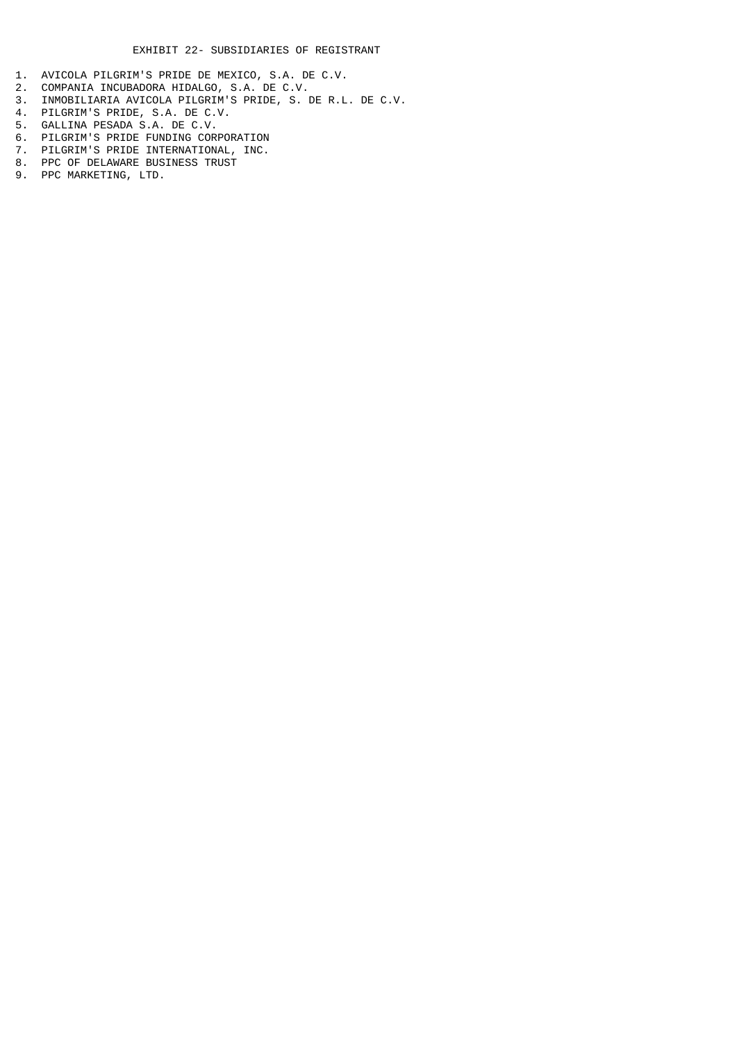- 1. AVICOLA PILGRIM'S PRIDE DE MEXICO, S.A. DE C.V.
- 2. COMPANIA INCUBADORA HIDALGO, S.A. DE C.V.
- 3. INMOBILIARIA AVICOLA PILGRIM'S PRIDE, S. DE R.L. DE C.V.
- 4. PILGRIM'S PRIDE, S.A. DE C.V.
- 5. GALLINA PESADA S.A. DE C.V.
- 6. PILGRIM'S PRIDE FUNDING CORPORATION
- 7. PILGRIM'S PRIDE INTERNATIONAL, INC.
- 8. PPC OF DELAWARE BUSINESS TRUST 9. PPC MARKETING, LTD.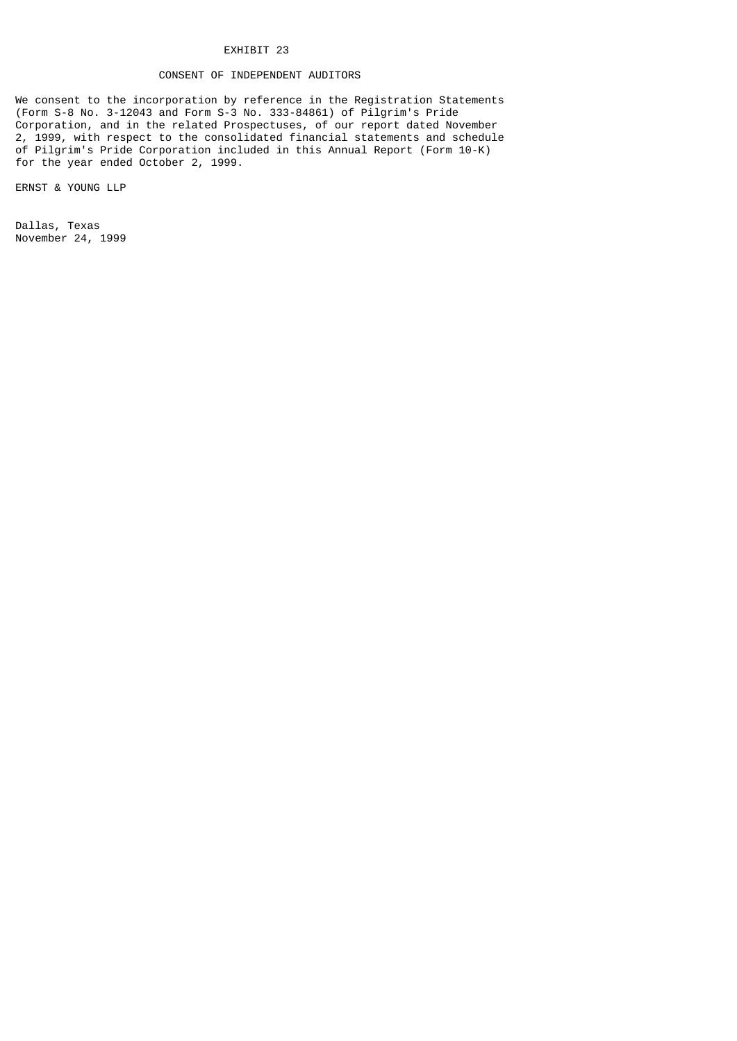# EXHIBIT 23

# CONSENT OF INDEPENDENT AUDITORS

We consent to the incorporation by reference in the Registration Statements (Form S-8 No. 3-12043 and Form S-3 No. 333-84861) of Pilgrim's Pride Corporation, and in the related Prospectuses, of our report dated November 2, 1999, with respect to the consolidated financial statements and schedule of Pilgrim's Pride Corporation included in this Annual Report (Form 10-K) for the year ended October 2, 1999.

ERNST & YOUNG LLP

Dallas, Texas November 24, 1999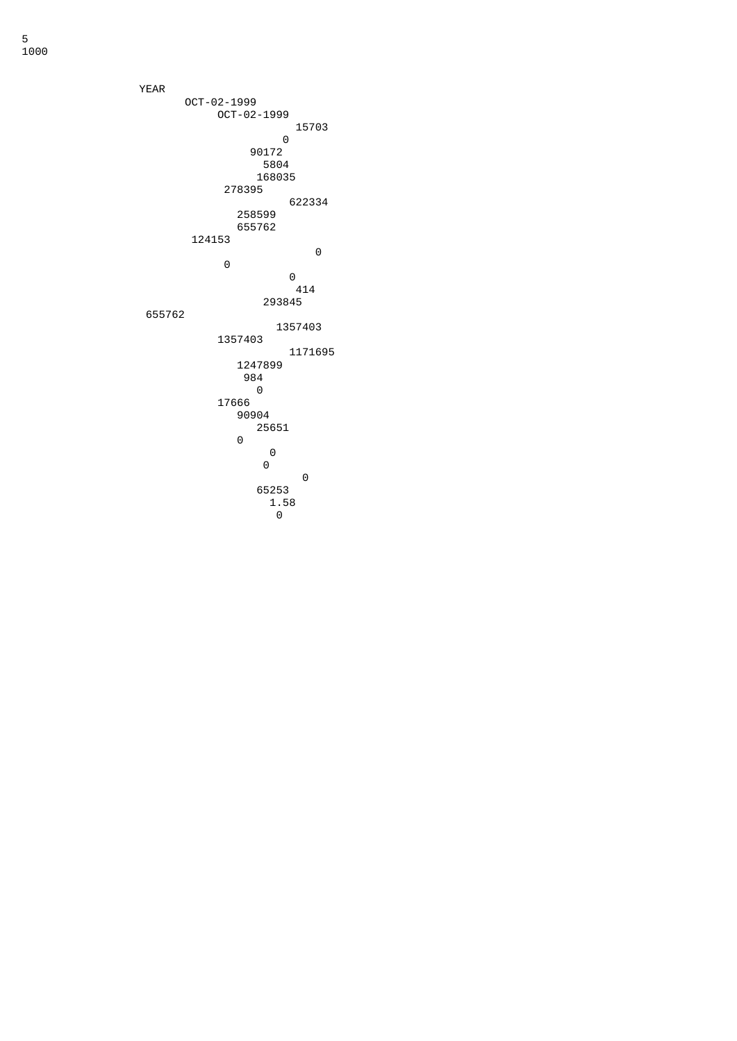YEAR OCT-02-1999 OCT-02-1999 <u>278395</u>  $\begin{matrix} 0 \\ 0 \end{matrix}$   $1.58$ о производите последница в област в селото на селото на селото на селото на селото на селото на селото на село<br>Останата на селото на селото на селото на селото на селото на селото на селото на селото на селото на селото н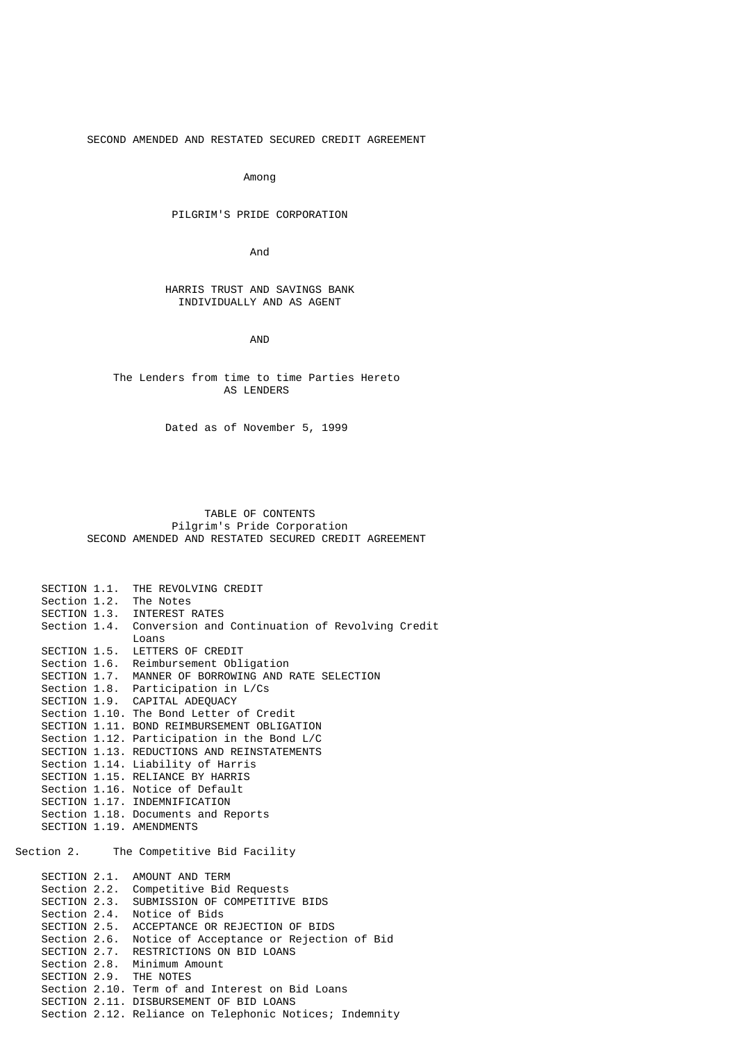SECOND AMENDED AND RESTATED SECURED CREDIT AGREEMENT

Among

# PILGRIM'S PRIDE CORPORATION

**And And And** 

## HARRIS TRUST AND SAVINGS BANK INDIVIDUALLY AND AS AGENT

AND

# The Lenders from time to time Parties Hereto AS LENDERS

Dated as of November 5, 1999

## TABLE OF CONTENTS Pilgrim's Pride Corporation SECOND AMENDED AND RESTATED SECURED CREDIT AGREEMENT

|              | SECTION 1.1. THE REVOLVING CREDIT                            |
|--------------|--------------------------------------------------------------|
|              | Section 1.2. The Notes                                       |
|              | SECTION 1.3. INTEREST RATES                                  |
|              | Section 1.4. Conversion and Continuation of Revolving Credit |
|              | Loans                                                        |
|              | SECTION 1.5. LETTERS OF CREDIT                               |
|              | Section 1.6. Reimbursement Obligation                        |
| SECTION 1.7. | MANNER OF BORROWING AND RATE SELECTION                       |
|              | Section 1.8. Participation in L/Cs                           |
|              | SECTION 1.9. CAPITAL ADEQUACY                                |
|              | Section 1.10. The Bond Letter of Credit                      |
|              | SECTION 1.11. BOND REIMBURSEMENT OBLIGATION                  |
|              | Section 1.12. Participation in the Bond L/C                  |
|              | SECTION 1.13. REDUCTIONS AND REINSTATEMENTS                  |
|              | Section 1.14. Liability of Harris                            |
|              | SECTION 1.15. RELIANCE BY HARRIS                             |
|              | Section 1.16. Notice of Default                              |
|              | SECTION 1.17. INDEMNIFICATION                                |
|              | Section 1.18. Documents and Reports                          |
|              | SECTION 1.19. AMENDMENTS                                     |
| Section 2.   | The Competitive Bid Facility                                 |
|              |                                                              |
|              | SECTION 2.1. AMOUNT AND TERM                                 |
|              | Section 2.2. Competitive Bid Requests                        |
|              | SECTION 2.3. SUBMISSION OF COMPETITIVE BIDS                  |
|              | Section 2.4. Notice of Bids                                  |
| SECTION 2.5. | ACCEPTANCE OR REJECTION OF BIDS                              |
| Section 2.6. | Notice of Acceptance or Rejection of Bid                     |
|              | SECTION 2.7. RESTRICTIONS ON BID LOANS                       |
|              | Section 2.8. Minimum Amount                                  |
|              | SECTION 2.9. THE NOTES                                       |
|              | Section 2.10. Term of and Interest on Bid Loans              |
|              | SECTION 2.11. DISBURSEMENT OF BID LOANS                      |

Section 2.12. Reliance on Telephonic Notices; Indemnity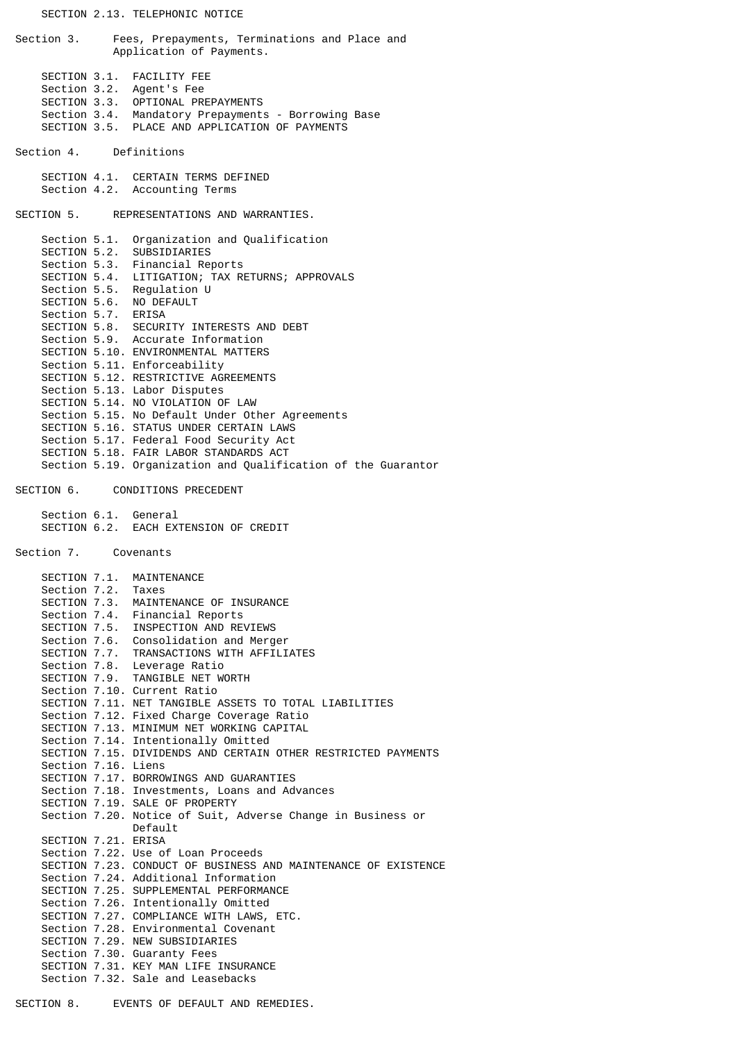Section 3. Fees, Prepayments, Terminations and Place and Application of Payments. SECTION 3.1. FACILITY FEE Section 3.2. Agent's Fee SECTION 3.3. OPTIONAL PREPAYMENTS Section 3.4. Mandatory Prepayments - Borrowing Base SECTION 3.5. PLACE AND APPLICATION OF PAYMENTS Section 4. Definitions SECTION 4.1. CERTAIN TERMS DEFINED Section 4.2. Accounting Terms SECTION 5. REPRESENTATIONS AND WARRANTIES. Section 5.1. Organization and Qualification SECTION 5.2. SUBSIDIARIES<br>Section 5.3. Financial Re Section 5.3. Financial Reports<br>SECTION 5.4. LITIGATION; TAX R LITIGATION; TAX RETURNS; APPROVALS Section 5.5. Regulation U SECTION 5.6. NO DEFAULT Section 5.7. ERISA SECTION 5.8. SECURITY INTERESTS AND DEBT Section 5.9. Accurate Information SECTION 5.10. ENVIRONMENTAL MATTERS Section 5.11. Enforceability SECTION 5.12. RESTRICTIVE AGREEMENTS Section 5.13. Labor Disputes SECTION 5.14. NO VIOLATION OF LAW Section 5.15. No Default Under Other Agreements SECTION 5.16. STATUS UNDER CERTAIN LAWS Section 5.17. Federal Food Security Act SECTION 5.18. FAIR LABOR STANDARDS ACT Section 5.19. Organization and Qualification of the Guarantor SECTION 6. CONDITIONS PRECEDENT Section 6.1. General SECTION 6.2. EACH EXTENSION OF CREDIT Section 7. Covenants SECTION 7.1. MAINTENANCE Section 7.2. Taxes SECTION 7.3. MAINTENANCE OF INSURANCE Section 7.4. Financial Reports SECTION 7.5. INSPECTION AND REVIEWS Section 7.6. Consolidation and Merger<br>SECTION 7.7. TRANSACTIONS WITH AFFILI SECTION 7.7. TRANSACTIONS WITH AFFILIATES<br>Section 7.8. Leverage Ratio Leverage Ratio SECTION 7.9. TANGIBLE NET WORTH Section 7.10. Current Ratio SECTION 7.11. NET TANGIBLE ASSETS TO TOTAL LIABILITIES Section 7.12. Fixed Charge Coverage Ratio SECTION 7.13. MINIMUM NET WORKING CAPITAL Section 7.14. Intentionally Omitted SECTION 7.15. DIVIDENDS AND CERTAIN OTHER RESTRICTED PAYMENTS Section 7.16. Liens SECTION 7.17. BORROWINGS AND GUARANTIES Section 7.18. Investments, Loans and Advances SECTION 7.19. SALE OF PROPERTY Section 7.20. Notice of Suit, Adverse Change in Business or Default SECTION 7.21. ERISA Section 7.22. Use of Loan Proceeds SECTION 7.23. CONDUCT OF BUSINESS AND MAINTENANCE OF EXISTENCE Section 7.24. Additional Information SECTION 7.25. SUPPLEMENTAL PERFORMANCE Section 7.26. Intentionally Omitted SECTION 7.27. COMPLIANCE WITH LAWS, ETC. Section 7.28. Environmental Covenant SECTION 7.29. NEW SUBSIDIARIES Section 7.30. Guaranty Fees SECTION 7.31. KEY MAN LIFE INSURANCE Section 7.32. Sale and Leasebacks SECTION 8. EVENTS OF DEFAULT AND REMEDIES.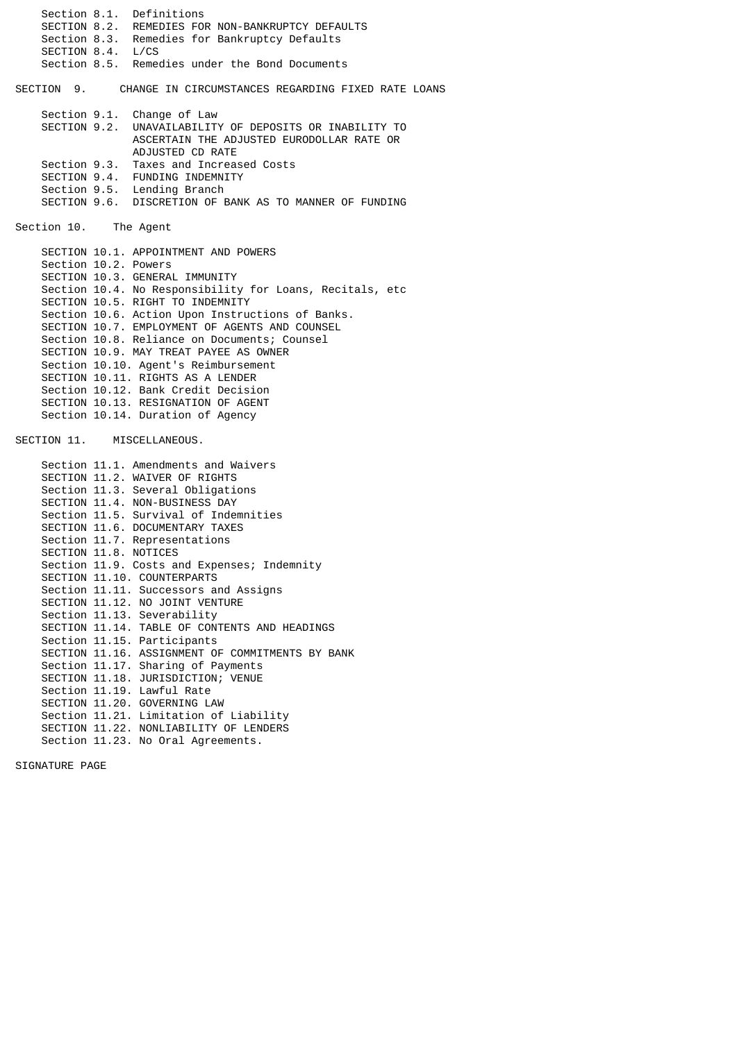Section 8.1. Definitions SECTION 8.2. REMEDIES FOR NON-BANKRUPTCY DEFAULTS Section 8.3. Remedies for Bankruptcy Defaults SECTION 8.4. L/CS Section 8.5. Remedies under the Bond Documents SECTION 9. CHANGE IN CIRCUMSTANCES REGARDING FIXED RATE LOANS Section 9.1. Change of Law SECTION 9.2. UNAVAILABILITY OF DEPOSITS OR INABILITY TO ASCERTAIN THE ADJUSTED EURODOLLAR RATE OR ADJUSTED CD RATE<br>Section 9.3. Taxes and Increas Taxes and Increased Costs SECTION 9.4. FUNDING INDEMNITY Section 9.5. Lending Branch SECTION 9.6. DISCRETION OF BANK AS TO MANNER OF FUNDING Section 10. The Agent SECTION 10.1. APPOINTMENT AND POWERS Section 10.2. Powers SECTION 10.3. GENERAL IMMUNITY Section 10.4. No Responsibility for Loans, Recitals, etc SECTION 10.5. RIGHT TO INDEMNITY Section 10.6. Action Upon Instructions of Banks. SECTION 10.7. EMPLOYMENT OF AGENTS AND COUNSEL Section 10.8. Reliance on Documents; Counsel SECTION 10.9. MAY TREAT PAYEE AS OWNER Section 10.10. Agent's Reimbursement SECTION 10.11. RIGHTS AS A LENDER Section 10.12. Bank Credit Decision SECTION 10.13. RESIGNATION OF AGENT Section 10.14. Duration of Agency SECTION 11. MISCELLANEOUS. Section 11.1. Amendments and Waivers SECTION 11.2. WAIVER OF RIGHTS Section 11.3. Several Obligations SECTION 11.4. NON-BUSINESS DAY Section 11.5. Survival of Indemnities SECTION 11.6. DOCUMENTARY TAXES Section 11.7. Representations SECTION 11.8. NOTICES Section 11.9. Costs and Expenses; Indemnity SECTION 11.10. COUNTERPARTS Section 11.11. Successors and Assigns SECTION 11.12. NO JOINT VENTURE Section 11.13. Severability SECTION 11.14. TABLE OF CONTENTS AND HEADINGS Section 11.15. Participants SECTION 11.16. ASSIGNMENT OF COMMITMENTS BY BANK Section 11.17. Sharing of Payments SECTION 11.18. JURISDICTION; VENUE Section 11.19. Lawful Rate SECTION 11.20. GOVERNING LAW Section 11.21. Limitation of Liability

 SECTION 11.22. NONLIABILITY OF LENDERS Section 11.23. No Oral Agreements.

SIGNATURE PAGE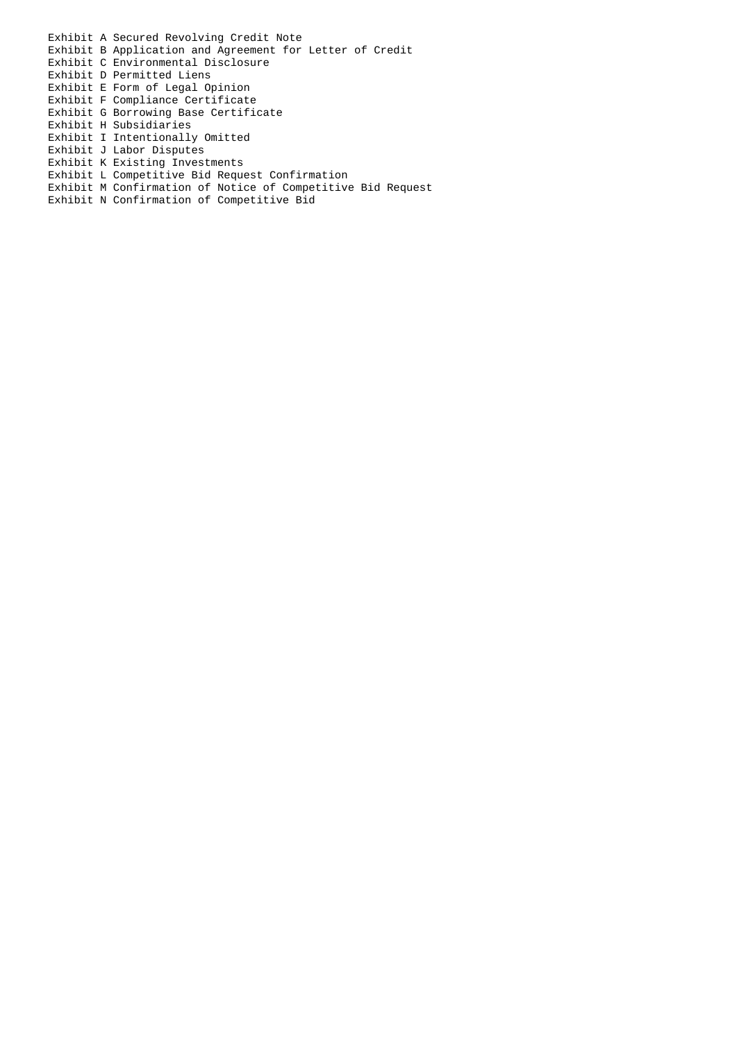- Exhibit A Secured Revolving Credit Note Exhibit B Application and Agreement for Letter of Credit Exhibit C Environmental Disclosure Exhibit D Permitted Liens Exhibit E Form of Legal Opinion Exhibit F Compliance Certificate
- Exhibit G Borrowing Base Certificate
- Exhibit H Subsidiaries
- Exhibit I Intentionally Omitted
- Exhibit J Labor Disputes
- Exhibit K Existing Investments
- Exhibit L Competitive Bid Request Confirmation
- Exhibit M Confirmation of Notice of Competitive Bid Request
- Exhibit N Confirmation of Competitive Bid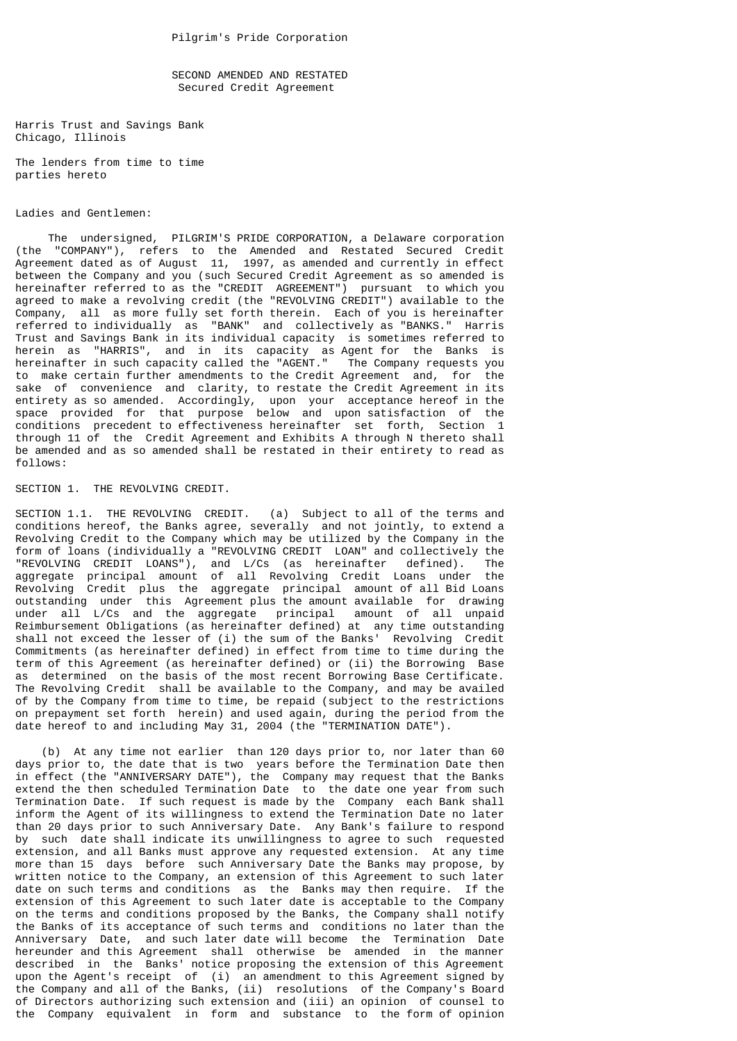SECOND AMENDED AND RESTATED Secured Credit Agreement

Harris Trust and Savings Bank Chicago, Illinois

The lenders from time to time parties hereto

## Ladies and Gentlemen:

 The undersigned, PILGRIM'S PRIDE CORPORATION, a Delaware corporation (the "COMPANY"), refers to the Amended and Restated Secured Credit Agreement dated as of August 11, 1997, as amended and currently in effect between the Company and you (such Secured Credit Agreement as so amended is hereinafter referred to as the "CREDIT AGREEMENT") pursuant to which you agreed to make a revolving credit (the "REVOLVING CREDIT") available to the Company, all as more fully set forth therein. Each of you is hereinafter referred to individually as "BANK" and collectively as "BANKS." Harris Trust and Savings Bank in its individual capacity is sometimes referred to herein as "HARRIS", and in its capacity as Agent for the Banks is hereinafter in such capacity called the "AGENT." The Company requests you to make certain further amendments to the Credit Agreement and, for the sake of convenience and clarity, to restate the Credit Agreement in its entirety as so amended. Accordingly, upon your acceptance hereof in the space provided for that purpose below and upon satisfaction of the conditions precedent to effectiveness hereinafter set forth, Section 1 through 11 of the Credit Agreement and Exhibits A through N thereto shall be amended and as so amended shall be restated in their entirety to read as follows:

SECTION 1. THE REVOLVING CREDIT.

SECTION 1.1. THE REVOLVING CREDIT. (a) Subject to all of the terms and conditions hereof, the Banks agree, severally and not jointly, to extend a Revolving Credit to the Company which may be utilized by the Company in the form of loans (individually a "REVOLVING CREDIT LOAN" and collectively the "REVOLVING CREDIT LOANS"), and L/Cs (as hereinafter defined). The aggregate principal amount of all Revolving Credit Loans under the Revolving Credit plus the aggregate principal amount of all Bid Loans outstanding under this Agreement plus the amount available for drawing under all L/Cs and the aggregate principal amount of all unpaid Reimbursement Obligations (as hereinafter defined) at any time outstanding shall not exceed the lesser of (i) the sum of the Banks' Revolving Credit Commitments (as hereinafter defined) in effect from time to time during the term of this Agreement (as hereinafter defined) or (ii) the Borrowing Base as determined on the basis of the most recent Borrowing Base Certificate. The Revolving Credit shall be available to the Company, and may be availed of by the Company from time to time, be repaid (subject to the restrictions on prepayment set forth herein) and used again, during the period from the date hereof to and including May 31, 2004 (the "TERMINATION DATE").

 (b) At any time not earlier than 120 days prior to, nor later than 60 days prior to, the date that is two years before the Termination Date then in effect (the "ANNIVERSARY DATE"), the Company may request that the Banks extend the then scheduled Termination Date to the date one year from such Termination Date. If such request is made by the Company each Bank shall inform the Agent of its willingness to extend the Termination Date no later than 20 days prior to such Anniversary Date. Any Bank's failure to respond by such date shall indicate its unwillingness to agree to such requested extension, and all Banks must approve any requested extension. At any time more than 15 days before such Anniversary Date the Banks may propose, by written notice to the Company, an extension of this Agreement to such later date on such terms and conditions as the Banks may then require. If the extension of this Agreement to such later date is acceptable to the Company on the terms and conditions proposed by the Banks, the Company shall notify the Banks of its acceptance of such terms and conditions no later than the Anniversary Date, and such later date will become the Termination Date hereunder and this Agreement shall otherwise be amended in the manner described in the Banks' notice proposing the extension of this Agreement upon the Agent's receipt of (i) an amendment to this Agreement signed by the Company and all of the Banks, (ii) resolutions of the Company's Board of Directors authorizing such extension and (iii) an opinion of counsel to the Company equivalent in form and substance to the form of opinion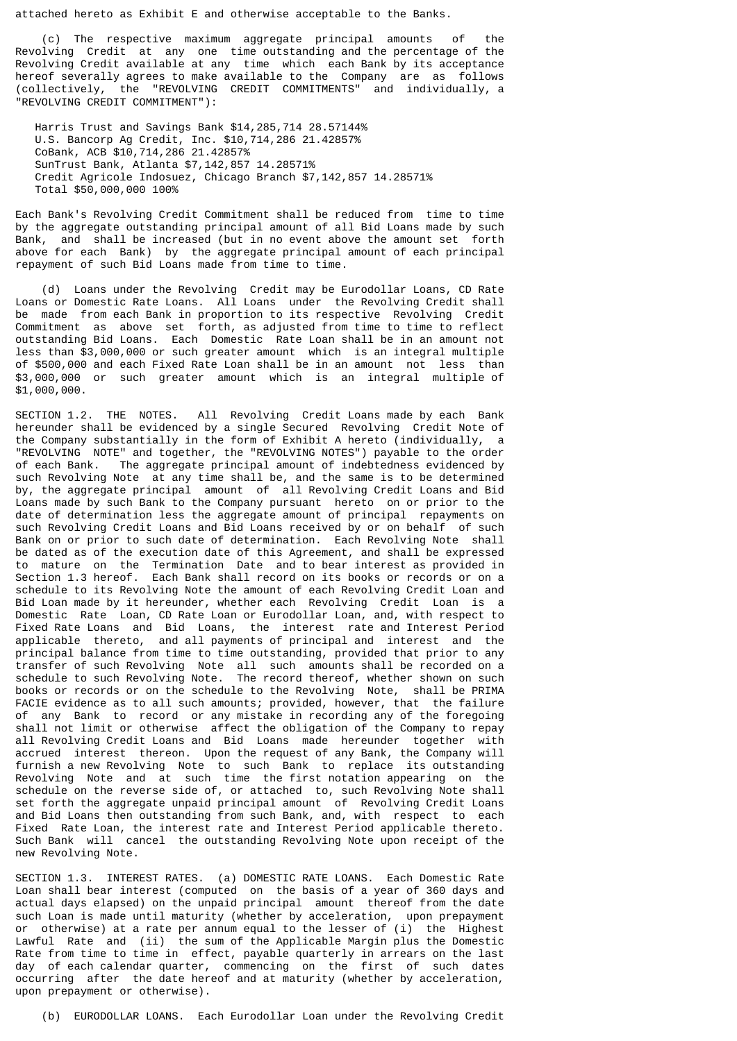attached hereto as Exhibit E and otherwise acceptable to the Banks.

 (c) The respective maximum aggregate principal amounts of the Revolving Credit at any one time outstanding and the percentage of the Revolving Credit available at any time which each Bank by its acceptance hereof severally agrees to make available to the Company are as follows (collectively, the "REVOLVING CREDIT COMMITMENTS" and individually, a "REVOLVING CREDIT COMMITMENT"):

 Harris Trust and Savings Bank \$14,285,714 28.57144% U.S. Bancorp Ag Credit, Inc. \$10,714,286 21.42857% CoBank, ACB \$10,714,286 21.42857% SunTrust Bank, Atlanta \$7,142,857 14.28571% Credit Agricole Indosuez, Chicago Branch \$7,142,857 14.28571% Total \$50,000,000 100%

Each Bank's Revolving Credit Commitment shall be reduced from time to time by the aggregate outstanding principal amount of all Bid Loans made by such Bank, and shall be increased (but in no event above the amount set forth above for each Bank) by the aggregate principal amount of each principal repayment of such Bid Loans made from time to time.

 (d) Loans under the Revolving Credit may be Eurodollar Loans, CD Rate Loans or Domestic Rate Loans. All Loans under the Revolving Credit shall be made from each Bank in proportion to its respective Revolving Credit Commitment as above set forth, as adjusted from time to time to reflect outstanding Bid Loans. Each Domestic Rate Loan shall be in an amount not less than \$3,000,000 or such greater amount which is an integral multiple of \$500,000 and each Fixed Rate Loan shall be in an amount not less than \$3,000,000 or such greater amount which is an integral multiple of \$1,000,000.

SECTION 1.2. THE NOTES. All Revolving Credit Loans made by each Bank hereunder shall be evidenced by a single Secured Revolving Credit Note of the Company substantially in the form of Exhibit A hereto (individually, a "REVOLVING NOTE" and together, the "REVOLVING NOTES") payable to the order<br>of each Bank. The aggregate principal amount of indebtedness evidenced by The aggregate principal amount of indebtedness evidenced by such Revolving Note at any time shall be, and the same is to be determined by, the aggregate principal amount of all Revolving Credit Loans and Bid Loans made by such Bank to the Company pursuant hereto on or prior to the date of determination less the aggregate amount of principal repayments on such Revolving Credit Loans and Bid Loans received by or on behalf of such Bank on or prior to such date of determination. Each Revolving Note shall be dated as of the execution date of this Agreement, and shall be expressed to mature on the Termination Date and to bear interest as provided in Section 1.3 hereof. Each Bank shall record on its books or records or on a schedule to its Revolving Note the amount of each Revolving Credit Loan and Bid Loan made by it hereunder, whether each Revolving Credit Loan is a Domestic Rate Loan, CD Rate Loan or Eurodollar Loan, and, with respect to Fixed Rate Loans and Bid Loans, the interest rate and Interest Period applicable thereto, and all payments of principal and interest and the principal balance from time to time outstanding, provided that prior to any transfer of such Revolving Note all such amounts shall be recorded on a schedule to such Revolving Note. The record thereof, whether shown on such books or records or on the schedule to the Revolving Note, shall be PRIMA FACIE evidence as to all such amounts; provided, however, that the failure of any Bank to record or any mistake in recording any of the foregoing shall not limit or otherwise affect the obligation of the Company to repay all Revolving Credit Loans and Bid Loans made hereunder together with accrued interest thereon. Upon the request of any Bank, the Company will furnish a new Revolving Note to such Bank to replace its outstanding Revolving Note and at such time the first notation appearing on the schedule on the reverse side of, or attached to, such Revolving Note shall set forth the aggregate unpaid principal amount of Revolving Credit Loans and Bid Loans then outstanding from such Bank, and, with respect to each Fixed Rate Loan, the interest rate and Interest Period applicable thereto. Such Bank will cancel the outstanding Revolving Note upon receipt of the new Revolving Note.

SECTION 1.3. INTEREST RATES. (a) DOMESTIC RATE LOANS. Each Domestic Rate Loan shall bear interest (computed on the basis of a year of 360 days and actual days elapsed) on the unpaid principal amount thereof from the date such Loan is made until maturity (whether by acceleration, upon prepayment or otherwise) at a rate per annum equal to the lesser of (i) the Highest Lawful Rate and (ii) the sum of the Applicable Margin plus the Domestic Rate from time to time in effect, payable quarterly in arrears on the last day of each calendar quarter, commencing on the first of such dates occurring after the date hereof and at maturity (whether by acceleration, upon prepayment or otherwise).

(b) EURODOLLAR LOANS. Each Eurodollar Loan under the Revolving Credit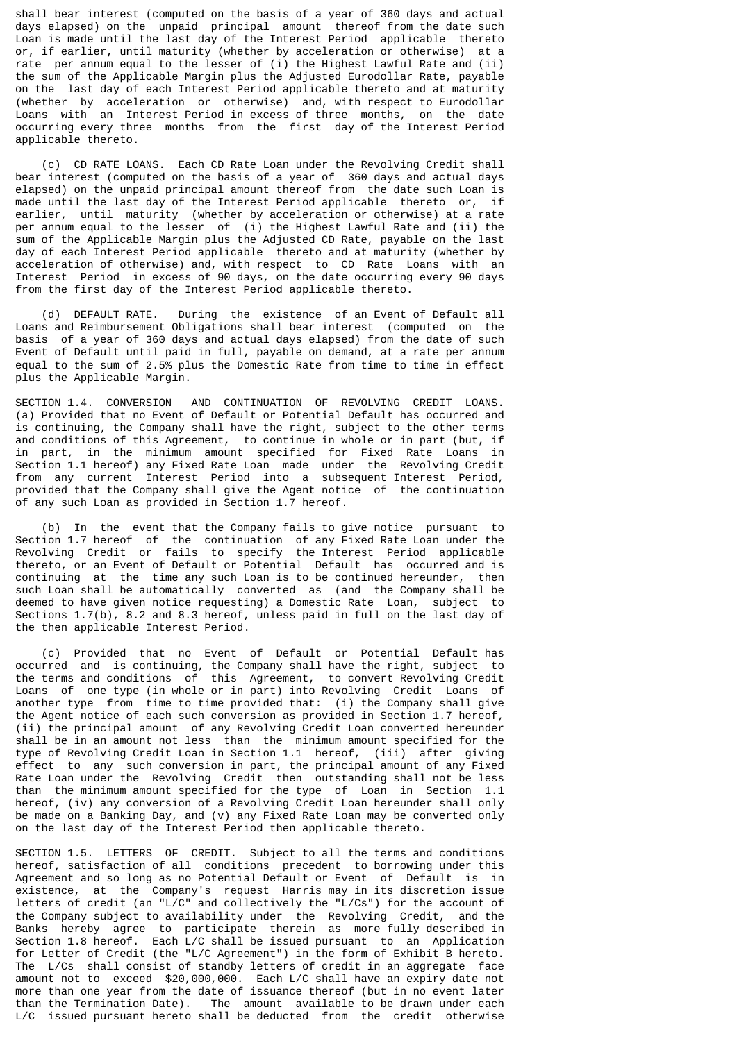shall bear interest (computed on the basis of a year of 360 days and actual days elapsed) on the unpaid principal amount thereof from the date such Loan is made until the last day of the Interest Period applicable thereto or, if earlier, until maturity (whether by acceleration or otherwise) at a rate per annum equal to the lesser of (i) the Highest Lawful Rate and (ii) the sum of the Applicable Margin plus the Adjusted Eurodollar Rate, payable on the last day of each Interest Period applicable thereto and at maturity (whether by acceleration or otherwise) and, with respect to Eurodollar Loans with an Interest Period in excess of three months, on the date occurring every three months from the first day of the Interest Period applicable thereto.

 (c) CD RATE LOANS. Each CD Rate Loan under the Revolving Credit shall bear interest (computed on the basis of a year of 360 days and actual days elapsed) on the unpaid principal amount thereof from the date such Loan is made until the last day of the Interest Period applicable thereto or, if earlier, until maturity (whether by acceleration or otherwise) at a rate per annum equal to the lesser of (i) the Highest Lawful Rate and (ii) the sum of the Applicable Margin plus the Adjusted CD Rate, payable on the last day of each Interest Period applicable thereto and at maturity (whether by acceleration of otherwise) and, with respect to CD Rate Loans with an Interest Period in excess of 90 days, on the date occurring every 90 days from the first day of the Interest Period applicable thereto.

 (d) DEFAULT RATE. During the existence of an Event of Default all Loans and Reimbursement Obligations shall bear interest (computed on the basis of a year of 360 days and actual days elapsed) from the date of such Event of Default until paid in full, payable on demand, at a rate per annum equal to the sum of 2.5% plus the Domestic Rate from time to time in effect plus the Applicable Margin.

SECTION 1.4. CONVERSION AND CONTINUATION OF REVOLVING CREDIT LOANS. (a) Provided that no Event of Default or Potential Default has occurred and is continuing, the Company shall have the right, subject to the other terms and conditions of this Agreement, to continue in whole or in part (but, if in part, in the minimum amount specified for Fixed Rate Loans in Section 1.1 hereof) any Fixed Rate Loan made under the Revolving Credit from any current Interest Period into a subsequent Interest Period, provided that the Company shall give the Agent notice of the continuation of any such Loan as provided in Section 1.7 hereof.

 (b) In the event that the Company fails to give notice pursuant to Section 1.7 hereof of the continuation of any Fixed Rate Loan under the Revolving Credit or fails to specify the Interest Period applicable thereto, or an Event of Default or Potential Default has occurred and is continuing at the time any such Loan is to be continued hereunder, then such Loan shall be automatically converted as (and the Company shall be deemed to have given notice requesting) a Domestic Rate Loan, subject to Sections 1.7(b), 8.2 and 8.3 hereof, unless paid in full on the last day of the then applicable Interest Period.

 (c) Provided that no Event of Default or Potential Default has occurred and is continuing, the Company shall have the right, subject to the terms and conditions of this Agreement, to convert Revolving Credit Loans of one type (in whole or in part) into Revolving Credit Loans of another type from time to time provided that: (i) the Company shall give the Agent notice of each such conversion as provided in Section 1.7 hereof, (ii) the principal amount of any Revolving Credit Loan converted hereunder shall be in an amount not less than the minimum amount specified for the type of Revolving Credit Loan in Section 1.1 hereof, (iii) after giving effect to any such conversion in part, the principal amount of any Fixed Rate Loan under the Revolving Credit then outstanding shall not be less than the minimum amount specified for the type of Loan in Section 1.1 hereof, (iv) any conversion of a Revolving Credit Loan hereunder shall only be made on a Banking Day, and (v) any Fixed Rate Loan may be converted only on the last day of the Interest Period then applicable thereto.

SECTION 1.5. LETTERS OF CREDIT. Subject to all the terms and conditions hereof, satisfaction of all conditions precedent to borrowing under this Agreement and so long as no Potential Default or Event of Default is in existence, at the Company's request Harris may in its discretion issue letters of credit (an "L/C" and collectively the "L/Cs") for the account of the Company subject to availability under the Revolving Credit, and the Banks hereby agree to participate therein as more fully described in Section 1.8 hereof. Each L/C shall be issued pursuant to an Application for Letter of Credit (the "L/C Agreement") in the form of Exhibit B hereto. The L/Cs shall consist of standby letters of credit in an aggregate face amount not to exceed \$20,000,000. Each L/C shall have an expiry date not more than one year from the date of issuance thereof (but in no event later than the Termination Date). The amount available to be drawn under each L/C issued pursuant hereto shall be deducted from the credit otherwise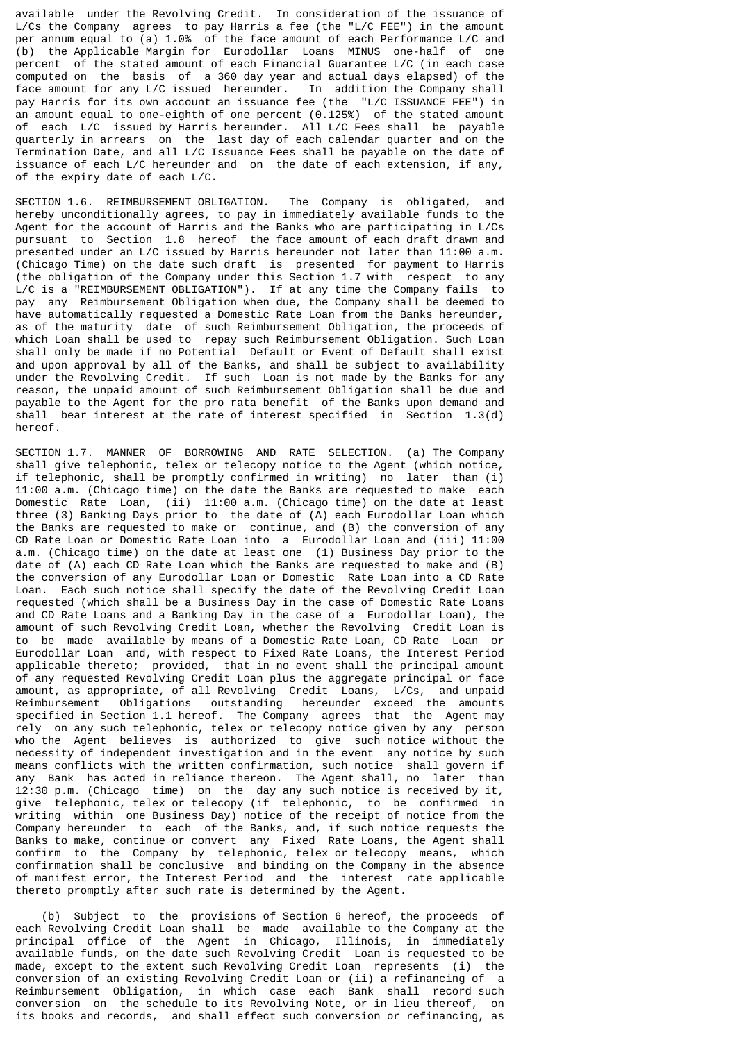available under the Revolving Credit. In consideration of the issuance of L/Cs the Company agrees to pay Harris a fee (the "L/C FEE") in the amount per annum equal to (a) 1.0% of the face amount of each Performance L/C and (b) the Applicable Margin for Eurodollar Loans MINUS one-half of one percent of the stated amount of each Financial Guarantee L/C (in each case computed on the basis of a 360 day year and actual days elapsed) of the face amount for any L/C issued hereunder. In addition the Company shall pay Harris for its own account an issuance fee (the "L/C ISSUANCE FEE") in an amount equal to one-eighth of one percent  $(0.125%)$  of the stated amount of each L/C issued by Harris hereunder. All L/C Fees shall be payable quarterly in arrears on the last day of each calendar quarter and on the Termination Date, and all L/C Issuance Fees shall be payable on the date of issuance of each L/C hereunder and on the date of each extension, if any, of the expiry date of each L/C.

SECTION 1.6. REIMBURSEMENT OBLIGATION. The Company is obligated, and hereby unconditionally agrees, to pay in immediately available funds to the Agent for the account of Harris and the Banks who are participating in L/Cs pursuant to Section 1.8 hereof the face amount of each draft drawn and presented under an L/C issued by Harris hereunder not later than 11:00 a.m. (Chicago Time) on the date such draft is presented for payment to Harris (the obligation of the Company under this Section 1.7 with respect to any L/C is a "REIMBURSEMENT OBLIGATION"). If at any time the Company fails to pay any Reimbursement Obligation when due, the Company shall be deemed to have automatically requested a Domestic Rate Loan from the Banks hereunder, as of the maturity date of such Reimbursement Obligation, the proceeds of which Loan shall be used to repay such Reimbursement Obligation. Such Loan shall only be made if no Potential Default or Event of Default shall exist and upon approval by all of the Banks, and shall be subject to availability under the Revolving Credit. If such Loan is not made by the Banks for any reason, the unpaid amount of such Reimbursement Obligation shall be due and payable to the Agent for the pro rata benefit of the Banks upon demand and shall bear interest at the rate of interest specified in Section 1.3(d) hereof.

SECTION 1.7. MANNER OF BORROWING AND RATE SELECTION. (a) The Company shall give telephonic, telex or telecopy notice to the Agent (which notice, if telephonic, shall be promptly confirmed in writing) no later than (i) 11:00 a.m. (Chicago time) on the date the Banks are requested to make each Domestic Rate Loan, (ii) 11:00 a.m. (Chicago time) on the date at least three (3) Banking Days prior to the date of (A) each Eurodollar Loan which the Banks are requested to make or continue, and (B) the conversion of any CD Rate Loan or Domestic Rate Loan into a Eurodollar Loan and (iii) 11:00 a.m. (Chicago time) on the date at least one (1) Business Day prior to the date of (A) each CD Rate Loan which the Banks are requested to make and (B) the conversion of any Eurodollar Loan or Domestic Rate Loan into a CD Rate Loan. Each such notice shall specify the date of the Revolving Credit Loan requested (which shall be a Business Day in the case of Domestic Rate Loans and CD Rate Loans and a Banking Day in the case of a Eurodollar Loan), the amount of such Revolving Credit Loan, whether the Revolving Credit Loan is to be made available by means of a Domestic Rate Loan, CD Rate Loan or Eurodollar Loan and, with respect to Fixed Rate Loans, the Interest Period applicable thereto; provided, that in no event shall the principal amount of any requested Revolving Credit Loan plus the aggregate principal or face amount, as appropriate, of all Revolving Credit Loans, L/Cs, and unpaid Reimbursement Obligations outstanding hereunder exceed the amounts specified in Section 1.1 hereof. The Company agrees that the Agent may rely on any such telephonic, telex or telecopy notice given by any person who the Agent believes is authorized to give such notice without the necessity of independent investigation and in the event any notice by such means conflicts with the written confirmation, such notice shall govern if any Bank has acted in reliance thereon. The Agent shall, no later than 12:30 p.m. (Chicago time) on the day any such notice is received by it, give telephonic, telex or telecopy (if telephonic, to be confirmed in writing within one Business Day) notice of the receipt of notice from the Company hereunder to each of the Banks, and, if such notice requests the Banks to make, continue or convert any Fixed Rate Loans, the Agent shall confirm to the Company by telephonic, telex or telecopy means, which confirmation shall be conclusive and binding on the Company in the absence of manifest error, the Interest Period and the interest rate applicable thereto promptly after such rate is determined by the Agent.

 (b) Subject to the provisions of Section 6 hereof, the proceeds of each Revolving Credit Loan shall be made available to the Company at the principal office of the Agent in Chicago, Illinois, in immediately available funds, on the date such Revolving Credit Loan is requested to be made, except to the extent such Revolving Credit Loan represents (i) the conversion of an existing Revolving Credit Loan or (ii) a refinancing of a Reimbursement Obligation, in which case each Bank shall record such conversion on the schedule to its Revolving Note, or in lieu thereof, on its books and records, and shall effect such conversion or refinancing, as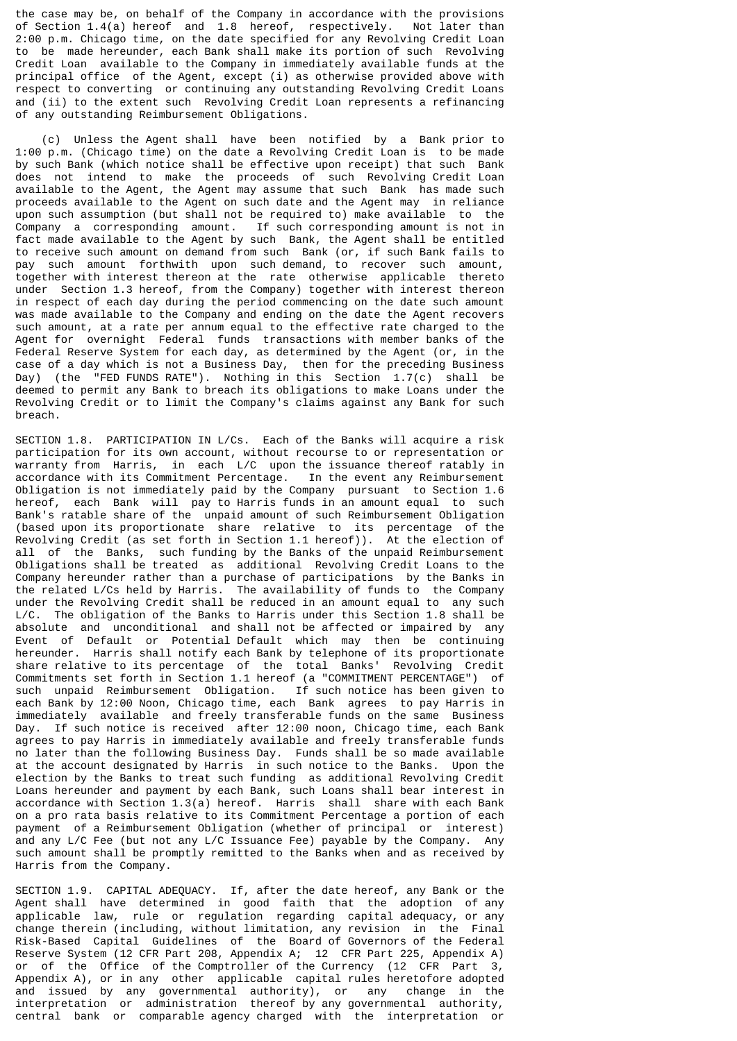the case may be, on behalf of the Company in accordance with the provisions of Section 1.4(a) hereof and 1.8 hereof, respectively. Not later than 2:00 p.m. Chicago time, on the date specified for any Revolving Credit Loan to be made hereunder, each Bank shall make its portion of such Revolving Credit Loan available to the Company in immediately available funds at the principal office of the Agent, except (i) as otherwise provided above with respect to converting or continuing any outstanding Revolving Credit Loans and (ii) to the extent such Revolving Credit Loan represents a refinancing of any outstanding Reimbursement Obligations.

 (c) Unless the Agent shall have been notified by a Bank prior to 1:00 p.m. (Chicago time) on the date a Revolving Credit Loan is to be made by such Bank (which notice shall be effective upon receipt) that such Bank does not intend to make the proceeds of such Revolving Credit Loan available to the Agent, the Agent may assume that such Bank has made such proceeds available to the Agent on such date and the Agent may in reliance upon such assumption (but shall not be required to) make available to the Company a corresponding amount. If such corresponding amount is not in fact made available to the Agent by such Bank, the Agent shall be entitled to receive such amount on demand from such Bank (or, if such Bank fails to pay such amount forthwith upon such demand, to recover such amount, together with interest thereon at the rate otherwise applicable thereto under Section 1.3 hereof, from the Company) together with interest thereon in respect of each day during the period commencing on the date such amount was made available to the Company and ending on the date the Agent recovers such amount, at a rate per annum equal to the effective rate charged to the Agent for overnight Federal funds transactions with member banks of the Federal Reserve System for each day, as determined by the Agent (or, in the case of a day which is not a Business Day, then for the preceding Business Day) (the "FED FUNDS RATE"). Nothing in this Section 1.7(c) shall be deemed to permit any Bank to breach its obligations to make Loans under the Revolving Credit or to limit the Company's claims against any Bank for such breach.

SECTION 1.8. PARTICIPATION IN L/Cs. Each of the Banks will acquire a risk participation for its own account, without recourse to or representation or warranty from Harris, in each L/C upon the issuance thereof ratably in accordance with its Commitment Percentage. In the event any Reimbursement Obligation is not immediately paid by the Company pursuant to Section 1.6 hereof, each Bank will pay to Harris funds in an amount equal to such Bank's ratable share of the unpaid amount of such Reimbursement Obligation (based upon its proportionate share relative to its percentage of the Revolving Credit (as set forth in Section 1.1 hereof)). At the election of all of the Banks, such funding by the Banks of the unpaid Reimbursement Obligations shall be treated as additional Revolving Credit Loans to the Company hereunder rather than a purchase of participations by the Banks in the related L/Cs held by Harris. The availability of funds to the Company under the Revolving Credit shall be reduced in an amount equal to any such L/C. The obligation of the Banks to Harris under this Section 1.8 shall be absolute and unconditional and shall not be affected or impaired by any Event of Default or Potential Default which may then be continuing hereunder. Harris shall notify each Bank by telephone of its proportionate share relative to its percentage of the total Banks' Revolving Credit Commitments set forth in Section 1.1 hereof (a "COMMITMENT PERCENTAGE") of such unpaid Reimbursement Obligation. If such notice has been given to each Bank by 12:00 Noon, Chicago time, each Bank agrees to pay Harris in immediately available and freely transferable funds on the same Business Day. If such notice is received after 12:00 noon, Chicago time, each Bank agrees to pay Harris in immediately available and freely transferable funds no later than the following Business Day. Funds shall be so made available at the account designated by Harris in such notice to the Banks. Upon the election by the Banks to treat such funding as additional Revolving Credit Loans hereunder and payment by each Bank, such Loans shall bear interest in accordance with Section 1.3(a) hereof. Harris shall share with each Bank on a pro rata basis relative to its Commitment Percentage a portion of each payment of a Reimbursement Obligation (whether of principal or interest) and any L/C Fee (but not any L/C Issuance Fee) payable by the Company. Any such amount shall be promptly remitted to the Banks when and as received by Harris from the Company.

SECTION 1.9. CAPITAL ADEQUACY. If, after the date hereof, any Bank or the Agent shall have determined in good faith that the adoption of any applicable law, rule or regulation regarding capital adequacy, or any change therein (including, without limitation, any revision in the Final Risk-Based Capital Guidelines of the Board of Governors of the Federal Reserve System (12 CFR Part 208, Appendix A; 12 CFR Part 225, Appendix A) or of the Office of the Comptroller of the Currency (12 CFR Part 3, Appendix A), or in any other applicable capital rules heretofore adopted and issued by any governmental authority), or any change in the interpretation or administration thereof by any governmental authority, central bank or comparable agency charged with the interpretation or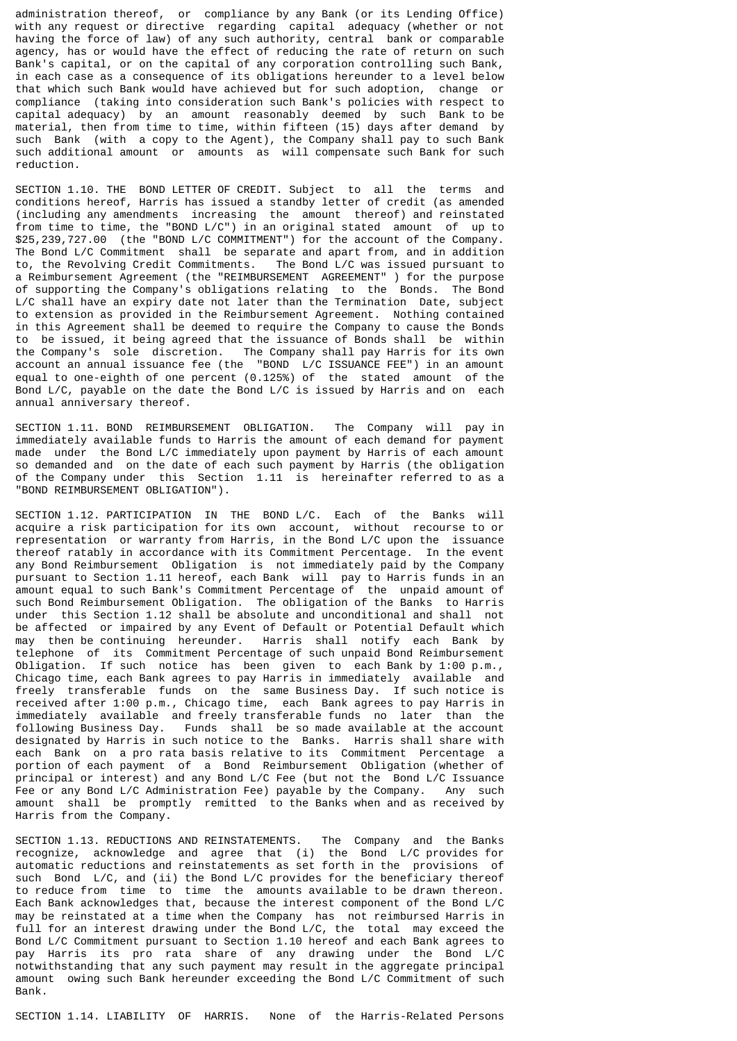administration thereof, or compliance by any Bank (or its Lending Office) with any request or directive regarding capital adequacy (whether or not having the force of law) of any such authority, central bank or comparable agency, has or would have the effect of reducing the rate of return on such Bank's capital, or on the capital of any corporation controlling such Bank, in each case as a consequence of its obligations hereunder to a level below that which such Bank would have achieved but for such adoption, change or compliance (taking into consideration such Bank's policies with respect to capital adequacy) by an amount reasonably deemed by such Bank to be material, then from time to time, within fifteen (15) days after demand by such Bank (with a copy to the Agent), the Company shall pay to such Bank such additional amount or amounts as will compensate such Bank for such reduction.

SECTION 1.10. THE BOND LETTER OF CREDIT. Subject to all the terms and conditions hereof, Harris has issued a standby letter of credit (as amended (including any amendments increasing the amount thereof) and reinstated from time to time, the "BOND L/C") in an original stated amount of up to \$25,239,727.00 (the "BOND L/C COMMITMENT") for the account of the Company. The Bond L/C Commitment shall be separate and apart from, and in addition to, the Revolving Credit Commitments. The Bond L/C was issued pursuant to a Reimbursement Agreement (the "REIMBURSEMENT AGREEMENT" ) for the purpose of supporting the Company's obligations relating to the Bonds. The Bond L/C shall have an expiry date not later than the Termination Date, subject to extension as provided in the Reimbursement Agreement. Nothing contained in this Agreement shall be deemed to require the Company to cause the Bonds to be issued, it being agreed that the issuance of Bonds shall be within the Company's sole discretion. The Company shall pay Harris for its own account an annual issuance fee (the "BOND L/C ISSUANCE FEE") in an amount equal to one-eighth of one percent (0.125%) of the stated amount of the Bond L/C, payable on the date the Bond L/C is issued by Harris and on each annual anniversary thereof.

SECTION 1.11. BOND REIMBURSEMENT OBLIGATION. The Company will pay in immediately available funds to Harris the amount of each demand for payment made under the Bond L/C immediately upon payment by Harris of each amount so demanded and on the date of each such payment by Harris (the obligation of the Company under this Section 1.11 is hereinafter referred to as a "BOND REIMBURSEMENT OBLIGATION").

SECTION 1.12. PARTICIPATION IN THE BOND L/C. Each of the Banks will acquire a risk participation for its own account, without recourse to or representation or warranty from Harris, in the Bond L/C upon the issuance thereof ratably in accordance with its Commitment Percentage. In the event any Bond Reimbursement Obligation is not immediately paid by the Company pursuant to Section 1.11 hereof, each Bank will pay to Harris funds in an amount equal to such Bank's Commitment Percentage of the unpaid amount of such Bond Reimbursement Obligation. The obligation of the Banks to Harris under this Section 1.12 shall be absolute and unconditional and shall not be affected or impaired by any Event of Default or Potential Default which may then be continuing hereunder. Harris shall notify each Bank by telephone of its Commitment Percentage of such unpaid Bond Reimbursement Obligation. If such notice has been given to each Bank by 1:00 p.m., Chicago time, each Bank agrees to pay Harris in immediately available and freely transferable funds on the same Business Day. If such notice is received after 1:00 p.m., Chicago time, each Bank agrees to pay Harris in immediately available and freely transferable funds no later than the following Business Day. Funds shall be so made available at the account designated by Harris in such notice to the Banks. Harris shall share with each Bank on a pro rata basis relative to its Commitment Percentage a portion of each payment of a Bond Reimbursement Obligation (whether of principal or interest) and any Bond L/C Fee (but not the Bond L/C Issuance Fee or any Bond L/C Administration Fee) payable by the Company. Any such amount shall be promptly remitted to the Banks when and as received by Harris from the Company.

SECTION 1.13. REDUCTIONS AND REINSTATEMENTS. The Company and the Banks recognize, acknowledge and agree that (i) the Bond L/C provides for automatic reductions and reinstatements as set forth in the provisions of such Bond L/C, and (ii) the Bond L/C provides for the beneficiary thereof to reduce from time to time the amounts available to be drawn thereon. Each Bank acknowledges that, because the interest component of the Bond L/C may be reinstated at a time when the Company has not reimbursed Harris in full for an interest drawing under the Bond L/C, the total may exceed the Bond L/C Commitment pursuant to Section 1.10 hereof and each Bank agrees to pay Harris its pro rata share of any drawing under the Bond L/C notwithstanding that any such payment may result in the aggregate principal amount owing such Bank hereunder exceeding the Bond L/C Commitment of such Bank.

SECTION 1.14. LIABILITY OF HARRIS. None of the Harris-Related Persons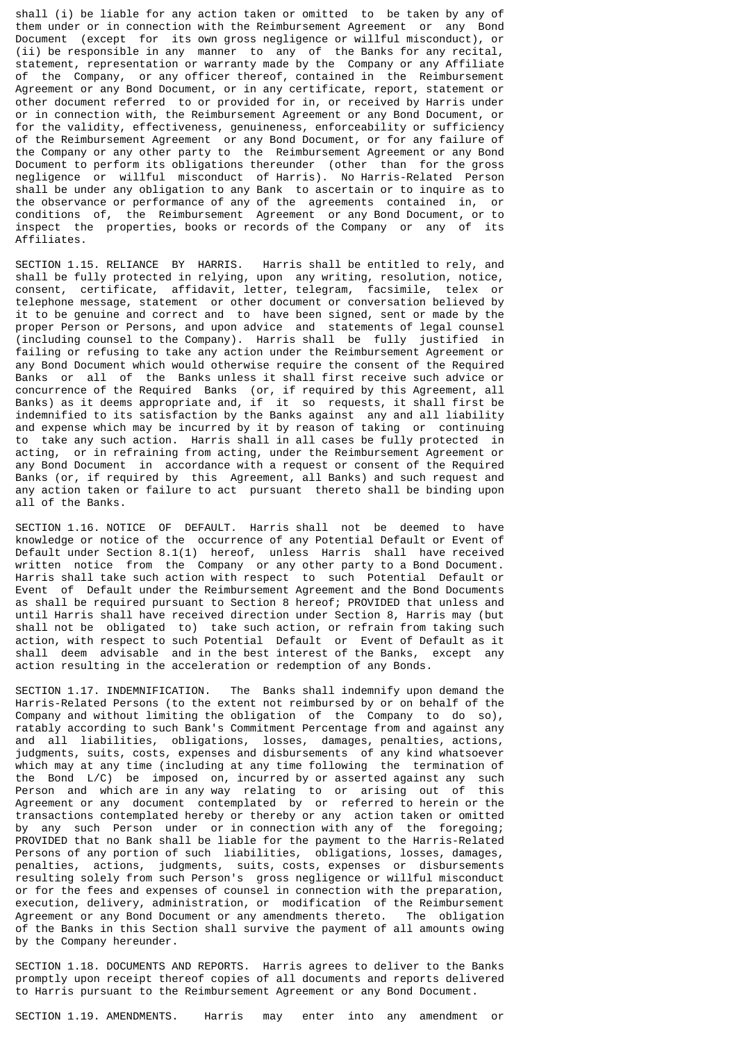shall (i) be liable for any action taken or omitted to be taken by any of them under or in connection with the Reimbursement Agreement or any Bond Document (except for its own gross negligence or willful misconduct), or (ii) be responsible in any manner to any of the Banks for any recital, statement, representation or warranty made by the Company or any Affiliate of the Company, or any officer thereof, contained in the Reimbursement Agreement or any Bond Document, or in any certificate, report, statement or other document referred to or provided for in, or received by Harris under or in connection with, the Reimbursement Agreement or any Bond Document, or for the validity, effectiveness, genuineness, enforceability or sufficiency of the Reimbursement Agreement or any Bond Document, or for any failure of the Company or any other party to the Reimbursement Agreement or any Bond Document to perform its obligations thereunder (other than for the gross negligence or willful misconduct of Harris). No Harris-Related Person shall be under any obligation to any Bank to ascertain or to inquire as to the observance or performance of any of the agreements contained in, or conditions of, the Reimbursement Agreement or any Bond Document, or to inspect the properties, books or records of the Company or any of its Affiliates.

SECTION 1.15. RELIANCE BY HARRIS. Harris shall be entitled to rely, and shall be fully protected in relying, upon any writing, resolution, notice, consent, certificate, affidavit, letter, telegram, facsimile, telex or telephone message, statement or other document or conversation believed by it to be genuine and correct and to have been signed, sent or made by the proper Person or Persons, and upon advice and statements of legal counsel (including counsel to the Company). Harris shall be fully justified in failing or refusing to take any action under the Reimbursement Agreement or any Bond Document which would otherwise require the consent of the Required Banks or all of the Banks unless it shall first receive such advice or concurrence of the Required Banks (or, if required by this Agreement, all Banks) as it deems appropriate and, if it so requests, it shall first be indemnified to its satisfaction by the Banks against any and all liability and expense which may be incurred by it by reason of taking or continuing to take any such action. Harris shall in all cases be fully protected in acting, or in refraining from acting, under the Reimbursement Agreement or any Bond Document in accordance with a request or consent of the Required Banks (or, if required by this Agreement, all Banks) and such request and any action taken or failure to act pursuant thereto shall be binding upon all of the Banks.

SECTION 1.16. NOTICE OF DEFAULT. Harris shall not be deemed to have knowledge or notice of the occurrence of any Potential Default or Event of Default under Section 8.1(1) hereof, unless Harris shall have received written notice from the Company or any other party to a Bond Document. Harris shall take such action with respect to such Potential Default or Event of Default under the Reimbursement Agreement and the Bond Documents as shall be required pursuant to Section 8 hereof; PROVIDED that unless and until Harris shall have received direction under Section 8, Harris may (but shall not be obligated to) take such action, or refrain from taking such action, with respect to such Potential Default or Event of Default as it shall deem advisable and in the best interest of the Banks, except any action resulting in the acceleration or redemption of any Bonds.

SECTION 1.17. INDEMNIFICATION. The Banks shall indemnify upon demand the Harris-Related Persons (to the extent not reimbursed by or on behalf of the Company and without limiting the obligation of the Company to do so), ratably according to such Bank's Commitment Percentage from and against any and all liabilities, obligations, losses, damages, penalties, actions, judgments, suits, costs, expenses and disbursements of any kind whatsoever which may at any time (including at any time following the termination of the Bond L/C) be imposed on, incurred by or asserted against any such Person and which are in any way relating to or arising out of this Agreement or any document contemplated by or referred to herein or the transactions contemplated hereby or thereby or any action taken or omitted by any such Person under or in connection with any of the foregoing; PROVIDED that no Bank shall be liable for the payment to the Harris-Related Persons of any portion of such liabilities, obligations, losses, damages, penalties, actions, judgments, suits, costs, expenses or disbursements resulting solely from such Person's gross negligence or willful misconduct or for the fees and expenses of counsel in connection with the preparation, execution, delivery, administration, or modification of the Reimbursement Agreement or any Bond Document or any amendments thereto. The obligation of the Banks in this Section shall survive the payment of all amounts owing by the Company hereunder.

SECTION 1.18. DOCUMENTS AND REPORTS. Harris agrees to deliver to the Banks promptly upon receipt thereof copies of all documents and reports delivered to Harris pursuant to the Reimbursement Agreement or any Bond Document.

SECTION 1.19. AMENDMENTS. Harris may enter into any amendment or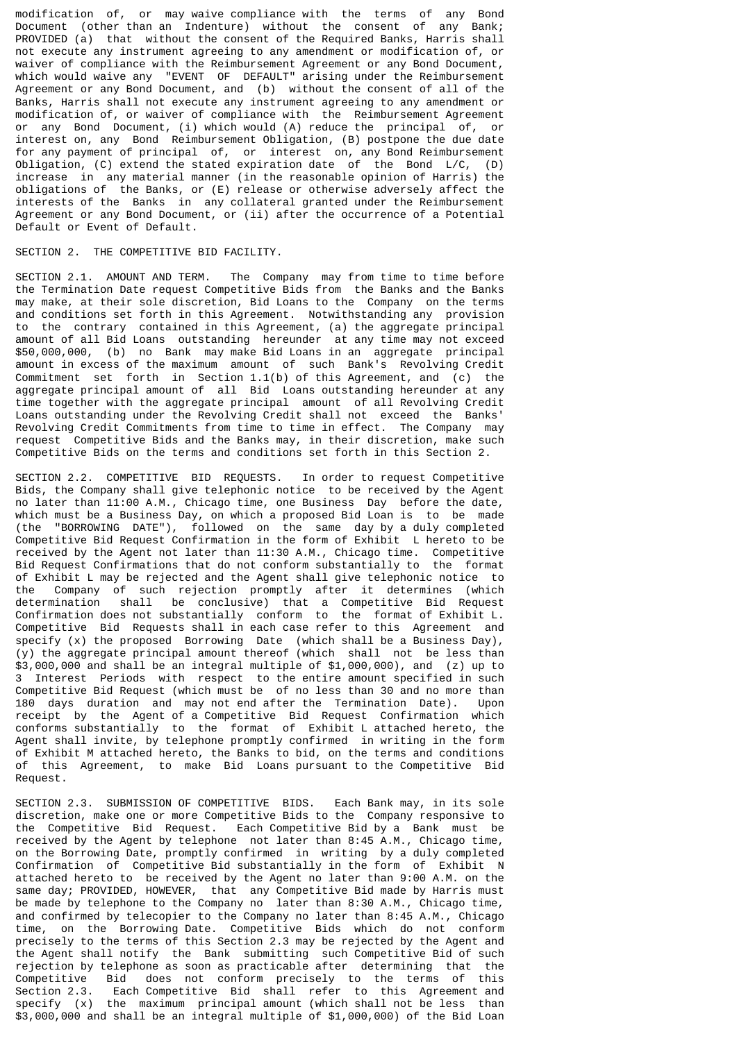modification of, or may waive compliance with the terms of any Bond Document (other than an Indenture) without the consent of any Bank; PROVIDED (a) that without the consent of the Required Banks, Harris shall not execute any instrument agreeing to any amendment or modification of, or waiver of compliance with the Reimbursement Agreement or any Bond Document, which would waive any "EVENT OF DEFAULT" arising under the Reimbursement Agreement or any Bond Document, and (b) without the consent of all of the Banks, Harris shall not execute any instrument agreeing to any amendment or modification of, or waiver of compliance with the Reimbursement Agreement or any Bond Document, (i) which would (A) reduce the principal of, or interest on, any Bond Reimbursement Obligation, (B) postpone the due date for any payment of principal of, or interest on, any Bond Reimbursement Obligation, (C) extend the stated expiration date of the Bond L/C, (D) increase in any material manner (in the reasonable opinion of Harris) the obligations of the Banks, or (E) release or otherwise adversely affect the interests of the Banks in any collateral granted under the Reimbursement Agreement or any Bond Document, or (ii) after the occurrence of a Potential Default or Event of Default.

#### SECTION 2. THE COMPETITIVE BID FACILITY.

SECTION 2.1. AMOUNT AND TERM. The Company may from time to time before the Termination Date request Competitive Bids from the Banks and the Banks may make, at their sole discretion, Bid Loans to the Company on the terms and conditions set forth in this Agreement. Notwithstanding any provision to the contrary contained in this Agreement, (a) the aggregate principal amount of all Bid Loans outstanding hereunder at any time may not exceed \$50,000,000, (b) no Bank may make Bid Loans in an aggregate principal amount in excess of the maximum amount of such Bank's Revolving Credit Commitment set forth in Section 1.1(b) of this Agreement, and (c) the aggregate principal amount of all Bid Loans outstanding hereunder at any time together with the aggregate principal amount of all Revolving Credit Loans outstanding under the Revolving Credit shall not exceed the Banks' Revolving Credit Commitments from time to time in effect. The Company may request Competitive Bids and the Banks may, in their discretion, make such Competitive Bids on the terms and conditions set forth in this Section 2.

SECTION 2.2. COMPETITIVE BID REQUESTS. In order to request Competitive Bids, the Company shall give telephonic notice to be received by the Agent no later than 11:00 A.M., Chicago time, one Business Day before the date, which must be a Business Day, on which a proposed Bid Loan is to be made (the "BORROWING DATE"), followed on the same day by a duly completed Competitive Bid Request Confirmation in the form of Exhibit L hereto to be received by the Agent not later than 11:30 A.M., Chicago time. Competitive Bid Request Confirmations that do not conform substantially to the format of Exhibit L may be rejected and the Agent shall give telephonic notice to the Company of such rejection promptly after it determines (which determination shall be conclusive) that a Competitive Bid Request Confirmation does not substantially conform to the format of Exhibit L. Competitive Bid Requests shall in each case refer to this Agreement and specify (x) the proposed Borrowing Date (which shall be a Business Day), (y) the aggregate principal amount thereof (which shall not be less than \$3,000,000 and shall be an integral multiple of \$1,000,000), and (z) up to 3 Interest Periods with respect to the entire amount specified in such Competitive Bid Request (which must be of no less than 30 and no more than 180 days duration and may not end after the Termination Date). Upon receipt by the Agent of a Competitive Bid Request Confirmation which conforms substantially to the format of Exhibit L attached hereto, the Agent shall invite, by telephone promptly confirmed in writing in the form of Exhibit M attached hereto, the Banks to bid, on the terms and conditions of this Agreement, to make Bid Loans pursuant to the Competitive Bid Request.

SECTION 2.3. SUBMISSION OF COMPETITIVE BIDS. Each Bank may, in its sole discretion, make one or more Competitive Bids to the Company responsive to the Competitive Bid Request. Each Competitive Bid by a Bank must be received by the Agent by telephone not later than 8:45 A.M., Chicago time, on the Borrowing Date, promptly confirmed in writing by a duly completed Confirmation of Competitive Bid substantially in the form of Exhibit N attached hereto to be received by the Agent no later than 9:00 A.M. on the same day; PROVIDED, HOWEVER, that any Competitive Bid made by Harris must be made by telephone to the Company no later than 8:30 A.M., Chicago time, and confirmed by telecopier to the Company no later than 8:45 A.M., Chicago time, on the Borrowing Date. Competitive Bids which do not conform precisely to the terms of this Section 2.3 may be rejected by the Agent and the Agent shall notify the Bank submitting such Competitive Bid of such rejection by telephone as soon as practicable after determining that the Competitive Bid does not conform precisely to the terms of this Competitive Bid does not conform precisely to the terms of this Section 2.3. Each Competitive Bid shall refer to this Agreement and specify (x) the maximum principal amount (which shall not be less than \$3,000,000 and shall be an integral multiple of \$1,000,000) of the Bid Loan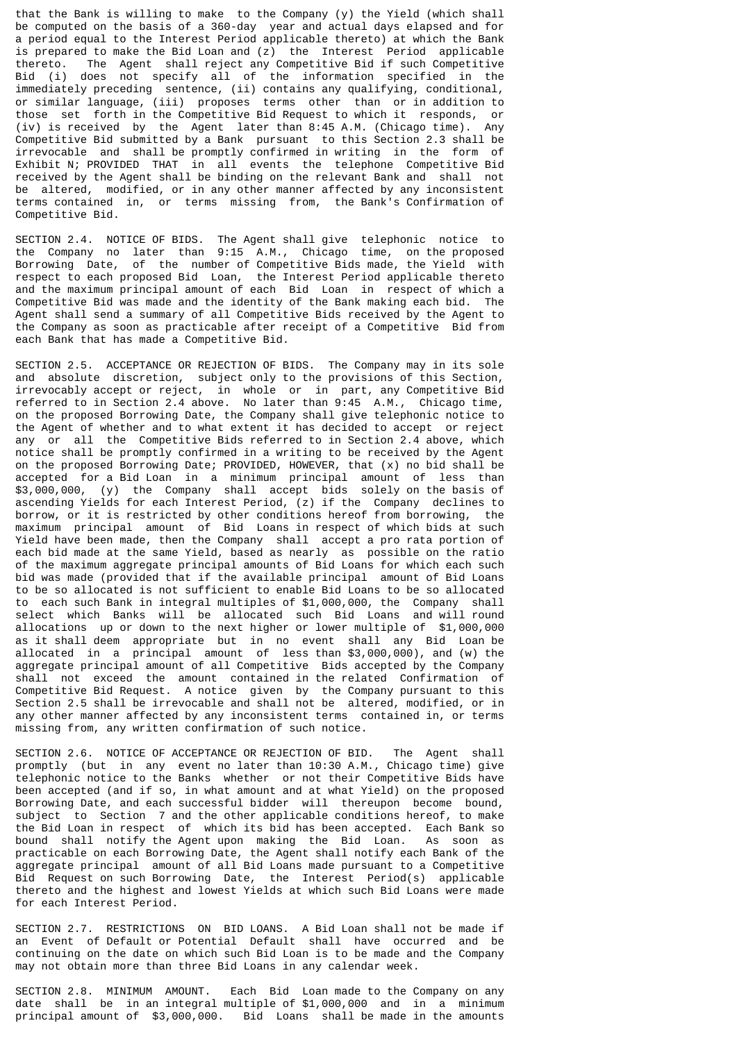that the Bank is willing to make to the Company (y) the Yield (which shall be computed on the basis of a 360-day year and actual days elapsed and for a period equal to the Interest Period applicable thereto) at which the Bank is prepared to make the Bid Loan and (z) the Interest Period applicable thereto. The Agent shall reject any Competitive Bid if such Competitive Bid (i) does not specify all of the information specified in the immediately preceding sentence, (ii) contains any qualifying, conditional, or similar language, (iii) proposes terms other than or in addition to those set forth in the Competitive Bid Request to which it responds, or (iv) is received by the Agent later than 8:45 A.M. (Chicago time). Any Competitive Bid submitted by a Bank pursuant to this Section 2.3 shall be irrevocable and shall be promptly confirmed in writing in the form of Exhibit N; PROVIDED THAT in all events the telephone Competitive Bid received by the Agent shall be binding on the relevant Bank and shall not be altered, modified, or in any other manner affected by any inconsistent terms contained in, or terms missing from, the Bank's Confirmation of Competitive Bid.

SECTION 2.4. NOTICE OF BIDS. The Agent shall give telephonic notice to the Company no later than 9:15 A.M., Chicago time, on the proposed Borrowing Date, of the number of Competitive Bids made, the Yield with respect to each proposed Bid Loan, the Interest Period applicable thereto and the maximum principal amount of each Bid Loan in respect of which a Competitive Bid was made and the identity of the Bank making each bid. The Agent shall send a summary of all Competitive Bids received by the Agent to the Company as soon as practicable after receipt of a Competitive Bid from each Bank that has made a Competitive Bid.

SECTION 2.5. ACCEPTANCE OR REJECTION OF BIDS. The Company may in its sole and absolute discretion, subject only to the provisions of this Section, irrevocably accept or reject, in whole or in part, any Competitive Bid referred to in Section 2.4 above. No later than 9:45 A.M., Chicago time, on the proposed Borrowing Date, the Company shall give telephonic notice to the Agent of whether and to what extent it has decided to accept or reject any or all the Competitive Bids referred to in Section 2.4 above, which notice shall be promptly confirmed in a writing to be received by the Agent on the proposed Borrowing Date; PROVIDED, HOWEVER, that (x) no bid shall be accepted for a Bid Loan in a minimum principal amount of less than \$3,000,000, (y) the Company shall accept bids solely on the basis of ascending Yields for each Interest Period, (z) if the Company declines to borrow, or it is restricted by other conditions hereof from borrowing, the maximum principal amount of Bid Loans in respect of which bids at such Yield have been made, then the Company shall accept a pro rata portion of each bid made at the same Yield, based as nearly as possible on the ratio of the maximum aggregate principal amounts of Bid Loans for which each such bid was made (provided that if the available principal amount of Bid Loans to be so allocated is not sufficient to enable Bid Loans to be so allocated to each such Bank in integral multiples of \$1,000,000, the Company shall select which Banks will be allocated such Bid Loans and will round allocations up or down to the next higher or lower multiple of \$1,000,000 as it shall deem appropriate but in no event shall any Bid Loan be allocated in a principal amount of less than \$3,000,000), and (w) the aggregate principal amount of all Competitive Bids accepted by the Company shall not exceed the amount contained in the related Confirmation of Competitive Bid Request. A notice given by the Company pursuant to this Section 2.5 shall be irrevocable and shall not be altered, modified, or in any other manner affected by any inconsistent terms contained in, or terms missing from, any written confirmation of such notice.

SECTION 2.6. NOTICE OF ACCEPTANCE OR REJECTION OF BID. The Agent shall promptly (but in any event no later than 10:30 A.M., Chicago time) give telephonic notice to the Banks whether or not their Competitive Bids have been accepted (and if so, in what amount and at what Yield) on the proposed Borrowing Date, and each successful bidder will thereupon become bound, subject to Section 7 and the other applicable conditions hereof, to make the Bid Loan in respect of which its bid has been accepted. Each Bank so bound shall notify the Agent upon making the Bid Loan. As soon as practicable on each Borrowing Date, the Agent shall notify each Bank of the aggregate principal amount of all Bid Loans made pursuant to a Competitive Bid Request on such Borrowing Date, the Interest Period(s) applicable thereto and the highest and lowest Yields at which such Bid Loans were made for each Interest Period.

SECTION 2.7. RESTRICTIONS ON BID LOANS. A Bid Loan shall not be made if an Event of Default or Potential Default shall have occurred and be continuing on the date on which such Bid Loan is to be made and the Company may not obtain more than three Bid Loans in any calendar week.

SECTION 2.8. MINIMUM AMOUNT. Each Bid Loan made to the Company on any date shall be in an integral multiple of \$1,000,000 and in a minimum principal amount of \$3,000,000. Bid Loans shall be made in the amounts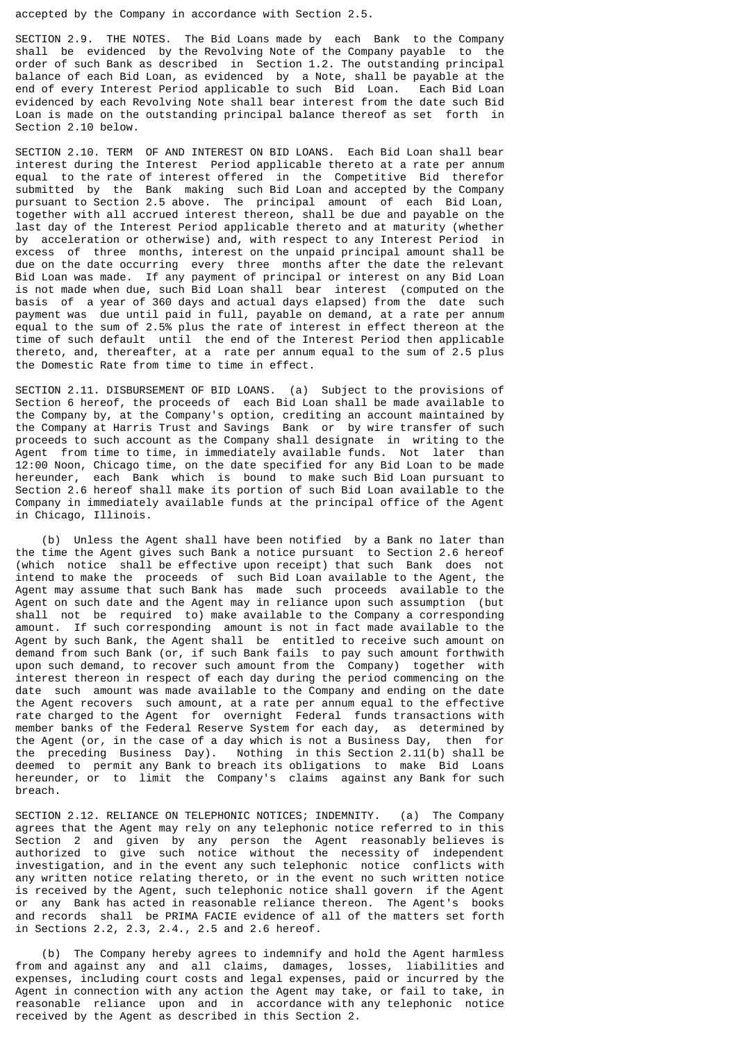accepted by the Company in accordance with Section 2.5.

SECTION 2.9. THE NOTES. The Bid Loans made by each Bank to the Company shall be evidenced by the Revolving Note of the Company payable to the order of such Bank as described in Section 1.2. The outstanding principal balance of each Bid Loan, as evidenced by a Note, shall be payable at the end of every Interest Period applicable to such Bid Loan. Each Bid Loan end of every Interest Period applicable to such Bid Loan. evidenced by each Revolving Note shall bear interest from the date such Bid Loan is made on the outstanding principal balance thereof as set forth in Section 2.10 below.

SECTION 2.10. TERM OF AND INTEREST ON BID LOANS. Each Bid Loan shall bear interest during the Interest Period applicable thereto at a rate per annum equal to the rate of interest offered in the Competitive Bid therefor submitted by the Bank making such Bid Loan and accepted by the Company pursuant to Section 2.5 above. The principal amount of each Bid Loan, together with all accrued interest thereon, shall be due and payable on the last day of the Interest Period applicable thereto and at maturity (whether by acceleration or otherwise) and, with respect to any Interest Period in excess of three months, interest on the unpaid principal amount shall be due on the date occurring every three months after the date the relevant Bid Loan was made. If any payment of principal or interest on any Bid Loan is not made when due, such Bid Loan shall bear interest (computed on the basis of a year of 360 days and actual days elapsed) from the date such payment was due until paid in full, payable on demand, at a rate per annum equal to the sum of 2.5% plus the rate of interest in effect thereon at the time of such default until the end of the Interest Period then applicable thereto, and, thereafter, at a rate per annum equal to the sum of 2.5 plus the Domestic Rate from time to time in effect.

SECTION 2.11. DISBURSEMENT OF BID LOANS. (a) Subject to the provisions of Section 6 hereof, the proceeds of each Bid Loan shall be made available to the Company by, at the Company's option, crediting an account maintained by the Company at Harris Trust and Savings Bank or by wire transfer of such proceeds to such account as the Company shall designate in writing to the Agent from time to time, in immediately available funds. Not later than 12:00 Noon, Chicago time, on the date specified for any Bid Loan to be made hereunder, each Bank which is bound to make such Bid Loan pursuant to Section 2.6 hereof shall make its portion of such Bid Loan available to the Company in immediately available funds at the principal office of the Agent in Chicago, Illinois.

 (b) Unless the Agent shall have been notified by a Bank no later than the time the Agent gives such Bank a notice pursuant to Section 2.6 hereof (which notice shall be effective upon receipt) that such Bank does not intend to make the proceeds of such Bid Loan available to the Agent, the Agent may assume that such Bank has made such proceeds available to the Agent on such date and the Agent may in reliance upon such assumption (but shall not be required to) make available to the Company a corresponding amount. If such corresponding amount is not in fact made available to the Agent by such Bank, the Agent shall be entitled to receive such amount on demand from such Bank (or, if such Bank fails to pay such amount forthwith upon such demand, to recover such amount from the Company) together with interest thereon in respect of each day during the period commencing on the date such amount was made available to the Company and ending on the date the Agent recovers such amount, at a rate per annum equal to the effective rate charged to the Agent for overnight Federal funds transactions with member banks of the Federal Reserve System for each day, as determined by the Agent (or, in the case of a day which is not a Business Day, then for the preceding Business Day). Nothing in this Section 2.11(b) shall be deemed to permit any Bank to breach its obligations to make Bid Loans hereunder, or to limit the Company's claims against any Bank for such breach.

SECTION 2.12. RELIANCE ON TELEPHONIC NOTICES; INDEMNITY. (a) The Company agrees that the Agent may rely on any telephonic notice referred to in this Section 2 and given by any person the Agent reasonably believes is authorized to give such notice without the necessity of independent investigation, and in the event any such telephonic notice conflicts with any written notice relating thereto, or in the event no such written notice is received by the Agent, such telephonic notice shall govern if the Agent or any Bank has acted in reasonable reliance thereon. The Agent's books and records shall be PRIMA FACIE evidence of all of the matters set forth in Sections 2.2, 2.3, 2.4., 2.5 and 2.6 hereof.

 (b) The Company hereby agrees to indemnify and hold the Agent harmless from and against any and all claims, damages, losses, liabilities and expenses, including court costs and legal expenses, paid or incurred by the Agent in connection with any action the Agent may take, or fail to take, in reasonable reliance upon and in accordance with any telephonic notice received by the Agent as described in this Section 2.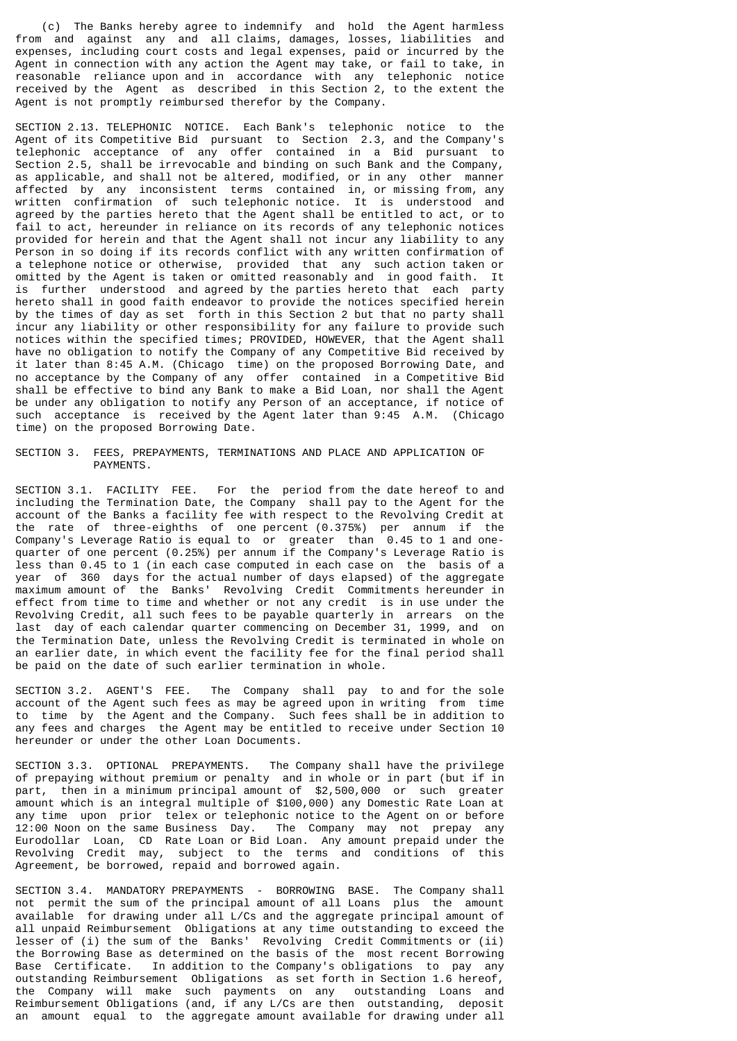(c) The Banks hereby agree to indemnify and hold the Agent harmless from and against any and all claims, damages, losses, liabilities and expenses, including court costs and legal expenses, paid or incurred by the Agent in connection with any action the Agent may take, or fail to take, in reasonable reliance upon and in accordance with any telephonic notice received by the Agent as described in this Section 2, to the extent the Agent is not promptly reimbursed therefor by the Company.

SECTION 2.13. TELEPHONIC NOTICE. Each Bank's telephonic notice to the Agent of its Competitive Bid pursuant to Section 2.3, and the Company's telephonic acceptance of any offer contained in a Bid pursuant to Section 2.5, shall be irrevocable and binding on such Bank and the Company, as applicable, and shall not be altered, modified, or in any other manner affected by any inconsistent terms contained in, or missing from, any written confirmation of such telephonic notice. It is understood and agreed by the parties hereto that the Agent shall be entitled to act, or to fail to act, hereunder in reliance on its records of any telephonic notices provided for herein and that the Agent shall not incur any liability to any Person in so doing if its records conflict with any written confirmation of a telephone notice or otherwise, provided that any such action taken or omitted by the Agent is taken or omitted reasonably and in good faith. It is further understood and agreed by the parties hereto that each party hereto shall in good faith endeavor to provide the notices specified herein by the times of day as set forth in this Section 2 but that no party shall incur any liability or other responsibility for any failure to provide such notices within the specified times; PROVIDED, HOWEVER, that the Agent shall have no obligation to notify the Company of any Competitive Bid received by it later than 8:45 A.M. (Chicago time) on the proposed Borrowing Date, and no acceptance by the Company of any offer contained in a Competitive Bid shall be effective to bind any Bank to make a Bid Loan, nor shall the Agent be under any obligation to notify any Person of an acceptance, if notice of such acceptance is received by the Agent later than 9:45 A.M. (Chicago time) on the proposed Borrowing Date.

SECTION 3. FEES, PREPAYMENTS, TERMINATIONS AND PLACE AND APPLICATION OF PAYMENTS.

SECTION 3.1. FACILITY FEE. For the period from the date hereof to and including the Termination Date, the Company shall pay to the Agent for the account of the Banks a facility fee with respect to the Revolving Credit at the rate of three-eighths of one percent (0.375%) per annum if the Company's Leverage Ratio is equal to or greater than 0.45 to 1 and onequarter of one percent (0.25%) per annum if the Company's Leverage Ratio is less than 0.45 to 1 (in each case computed in each case on the basis of a year of 360 days for the actual number of days elapsed) of the aggregate maximum amount of the Banks' Revolving Credit Commitments hereunder in effect from time to time and whether or not any credit is in use under the Revolving Credit, all such fees to be payable quarterly in arrears on the last day of each calendar quarter commencing on December 31, 1999, and on the Termination Date, unless the Revolving Credit is terminated in whole on an earlier date, in which event the facility fee for the final period shall be paid on the date of such earlier termination in whole.

SECTION 3.2. AGENT'S FEE. The Company shall pay to and for the sole account of the Agent such fees as may be agreed upon in writing from time to time by the Agent and the Company. Such fees shall be in addition to any fees and charges the Agent may be entitled to receive under Section 10 hereunder or under the other Loan Documents.

SECTION 3.3. OPTIONAL PREPAYMENTS. The Company shall have the privilege of prepaying without premium or penalty and in whole or in part (but if in part, then in a minimum principal amount of \$2,500,000 or such greater amount which is an integral multiple of \$100,000) any Domestic Rate Loan at any time upon prior telex or telephonic notice to the Agent on or before 12:00 Noon on the same Business Day. The Company may not prepay any Eurodollar Loan, CD Rate Loan or Bid Loan. Any amount prepaid under the Revolving Credit may, subject to the terms and conditions of this Agreement, be borrowed, repaid and borrowed again.

SECTION 3.4. MANDATORY PREPAYMENTS - BORROWING BASE. The Company shall not permit the sum of the principal amount of all Loans plus the amount available for drawing under all L/Cs and the aggregate principal amount of all unpaid Reimbursement Obligations at any time outstanding to exceed the lesser of (i) the sum of the Banks' Revolving Credit Commitments or (ii) the Borrowing Base as determined on the basis of the most recent Borrowing Base Certificate. In addition to the Company's obligations to pay any outstanding Reimbursement Obligations as set forth in Section 1.6 hereof, the Company will make such payments on any outstanding Loans and Reimbursement Obligations (and, if any L/Cs are then outstanding, deposit an amount equal to the aggregate amount available for drawing under all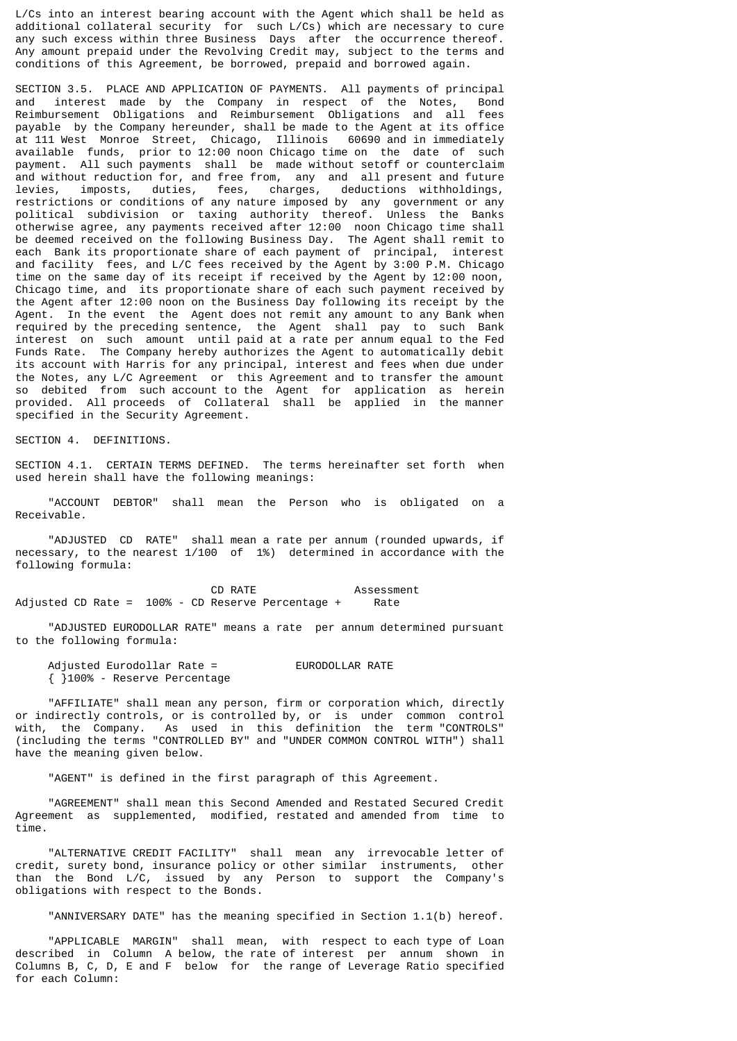L/Cs into an interest bearing account with the Agent which shall be held as additional collateral security for such L/Cs) which are necessary to cure any such excess within three Business Days after the occurrence thereof. Any amount prepaid under the Revolving Credit may, subject to the terms and conditions of this Agreement, be borrowed, prepaid and borrowed again.

SECTION 3.5. PLACE AND APPLICATION OF PAYMENTS. All payments of principal and interest made by the Company in respect of the Notes, Bond Reimbursement Obligations and Reimbursement Obligations and all fees payable by the Company hereunder, shall be made to the Agent at its office at 111 West Monroe Street, Chicago, Illinois 60690 and in immediately available funds, prior to 12:00 noon Chicago time on the date of such payment. All such payments shall be made without setoff or counterclaim and without reduction for, and free from, any and all present and future levies, imposts, duties, fees, charges, deductions withholdings, restrictions or conditions of any nature imposed by any government or any political subdivision or taxing authority thereof. Unless the Banks otherwise agree, any payments received after 12:00 noon Chicago time shall be deemed received on the following Business Day. The Agent shall remit to each Bank its proportionate share of each payment of principal, interest and facility fees, and L/C fees received by the Agent by 3:00 P.M. Chicago time on the same day of its receipt if received by the Agent by 12:00 noon, Chicago time, and its proportionate share of each such payment received by the Agent after 12:00 noon on the Business Day following its receipt by the Agent. In the event the Agent does not remit any amount to any Bank when required by the preceding sentence, the Agent shall pay to such Bank interest on such amount until paid at a rate per annum equal to the Fed Funds Rate. The Company hereby authorizes the Agent to automatically debit its account with Harris for any principal, interest and fees when due under the Notes, any L/C Agreement or this Agreement and to transfer the amount so debited from such account to the Agent for application as herein provided. All proceeds of Collateral shall be applied in the manner specified in the Security Agreement.

SECTION 4. DEFINITIONS.

SECTION 4.1. CERTAIN TERMS DEFINED. The terms hereinafter set forth when used herein shall have the following meanings:

 "ACCOUNT DEBTOR" shall mean the Person who is obligated on a Receivable.

 "ADJUSTED CD RATE" shall mean a rate per annum (rounded upwards, if necessary, to the nearest 1/100 of 1%) determined in accordance with the following formula:

CD RATE Assessment Adjusted CD Rate = 100% - CD Reserve Percentage + Rate

 "ADJUSTED EURODOLLAR RATE" means a rate per annum determined pursuant to the following formula:

Adjusted Eurodollar Rate = EURODOLLAR RATE { }100% - Reserve Percentage

 "AFFILIATE" shall mean any person, firm or corporation which, directly or indirectly controls, or is controlled by, or is under common control with, the Company. As used in this definition the term "CONTROLS" (including the terms "CONTROLLED BY" and "UNDER COMMON CONTROL WITH") shall have the meaning given below.

"AGENT" is defined in the first paragraph of this Agreement.

 "AGREEMENT" shall mean this Second Amended and Restated Secured Credit Agreement as supplemented, modified, restated and amended from time to time.

 "ALTERNATIVE CREDIT FACILITY" shall mean any irrevocable letter of credit, surety bond, insurance policy or other similar instruments, other than the Bond L/C, issued by any Person to support the Company's obligations with respect to the Bonds.

"ANNIVERSARY DATE" has the meaning specified in Section 1.1(b) hereof.

 "APPLICABLE MARGIN" shall mean, with respect to each type of Loan described in Column A below, the rate of interest per annum shown in Columns B, C, D, E and F below for the range of Leverage Ratio specified for each Column: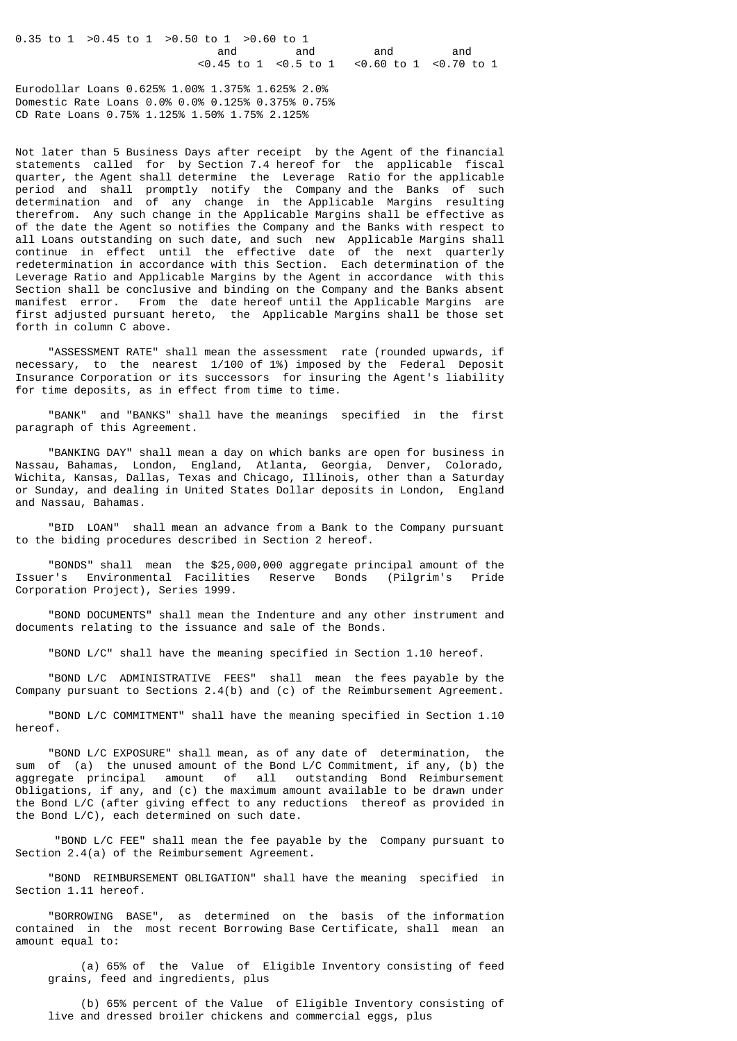0.35 to 1 >0.45 to 1 >0.50 to 1 >0.60 to 1 and and and and <0.45 to 1 <0.5 to 1 <0.60 to 1 <0.70 to 1

Eurodollar Loans 0.625% 1.00% 1.375% 1.625% 2.0% Domestic Rate Loans 0.0% 0.0% 0.125% 0.375% 0.75% CD Rate Loans 0.75% 1.125% 1.50% 1.75% 2.125%

Not later than 5 Business Days after receipt by the Agent of the financial statements called for by Section 7.4 hereof for the applicable fiscal quarter, the Agent shall determine the Leverage Ratio for the applicable period and shall promptly notify the Company and the Banks of such determination and of any change in the Applicable Margins resulting therefrom. Any such change in the Applicable Margins shall be effective as of the date the Agent so notifies the Company and the Banks with respect to all Loans outstanding on such date, and such new Applicable Margins shall continue in effect until the effective date of the next quarterly redetermination in accordance with this Section. Each determination of the Leverage Ratio and Applicable Margins by the Agent in accordance with this Section shall be conclusive and binding on the Company and the Banks absent manifest error. From the date hereof until the Applicable Margins are first adjusted pursuant hereto, the Applicable Margins shall be those set forth in column C above.

 "ASSESSMENT RATE" shall mean the assessment rate (rounded upwards, if necessary, to the nearest 1/100 of 1%) imposed by the Federal Deposit Insurance Corporation or its successors for insuring the Agent's liability for time deposits, as in effect from time to time.

 "BANK" and "BANKS" shall have the meanings specified in the first paragraph of this Agreement.

 "BANKING DAY" shall mean a day on which banks are open for business in Nassau, Bahamas, London, England, Atlanta, Georgia, Denver, Colorado, Wichita, Kansas, Dallas, Texas and Chicago, Illinois, other than a Saturday or Sunday, and dealing in United States Dollar deposits in London, England and Nassau, Bahamas.

 "BID LOAN" shall mean an advance from a Bank to the Company pursuant to the biding procedures described in Section 2 hereof.

 "BONDS" shall mean the \$25,000,000 aggregate principal amount of the Issuer's Environmental Facilities Reserve Bonds (Pilgrim's Pride Corporation Project), Series 1999.

 "BOND DOCUMENTS" shall mean the Indenture and any other instrument and documents relating to the issuance and sale of the Bonds.

"BOND L/C" shall have the meaning specified in Section 1.10 hereof.

 "BOND L/C ADMINISTRATIVE FEES" shall mean the fees payable by the Company pursuant to Sections 2.4(b) and (c) of the Reimbursement Agreement.

 "BOND L/C COMMITMENT" shall have the meaning specified in Section 1.10 hereof.

 "BOND L/C EXPOSURE" shall mean, as of any date of determination, the sum of (a) the unused amount of the Bond L/C Commitment, if any, (b) the aggregate principal amount of all outstanding Bond Reimbursement Obligations, if any, and (c) the maximum amount available to be drawn under the Bond L/C (after giving effect to any reductions thereof as provided in the Bond L/C), each determined on such date.

 "BOND L/C FEE" shall mean the fee payable by the Company pursuant to Section 2.4(a) of the Reimbursement Agreement.

 "BOND REIMBURSEMENT OBLIGATION" shall have the meaning specified in Section 1.11 hereof.

 "BORROWING BASE", as determined on the basis of the information contained in the most recent Borrowing Base Certificate, shall mean an amount equal to:

 (a) 65% of the Value of Eligible Inventory consisting of feed grains, feed and ingredients, plus

 (b) 65% percent of the Value of Eligible Inventory consisting of live and dressed broiler chickens and commercial eggs, plus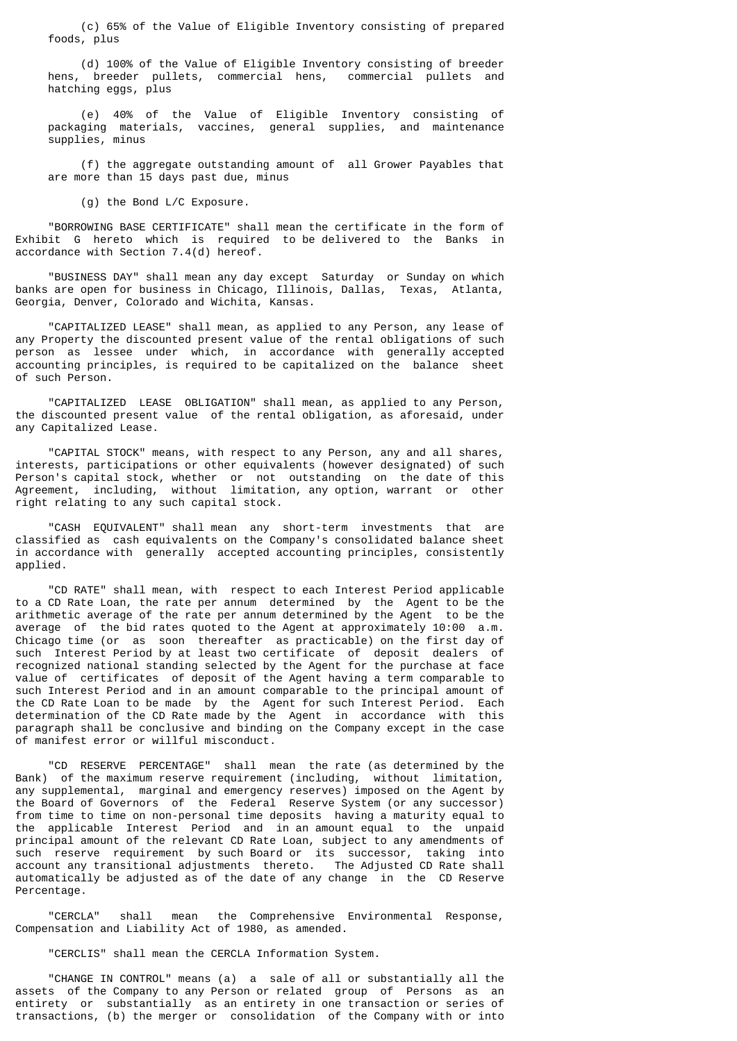(c) 65% of the Value of Eligible Inventory consisting of prepared foods, plus

 (d) 100% of the Value of Eligible Inventory consisting of breeder hens, breeder pullets, commercial hens, commercial pullets and hatching eggs, plus

 (e) 40% of the Value of Eligible Inventory consisting of packaging materials, vaccines, general supplies, and maintenance supplies, minus

 (f) the aggregate outstanding amount of all Grower Payables that are more than 15 days past due, minus

(g) the Bond L/C Exposure.

 "BORROWING BASE CERTIFICATE" shall mean the certificate in the form of Exhibit G hereto which is required to be delivered to the Banks in accordance with Section 7.4(d) hereof.

 "BUSINESS DAY" shall mean any day except Saturday or Sunday on which banks are open for business in Chicago, Illinois, Dallas, Texas, Atlanta, Georgia, Denver, Colorado and Wichita, Kansas.

 "CAPITALIZED LEASE" shall mean, as applied to any Person, any lease of any Property the discounted present value of the rental obligations of such person as lessee under which, in accordance with generally accepted accounting principles, is required to be capitalized on the balance sheet of such Person.

 "CAPITALIZED LEASE OBLIGATION" shall mean, as applied to any Person, the discounted present value of the rental obligation, as aforesaid, under any Capitalized Lease.

 "CAPITAL STOCK" means, with respect to any Person, any and all shares, interests, participations or other equivalents (however designated) of such Person's capital stock, whether or not outstanding on the date of this Agreement, including, without limitation, any option, warrant or other right relating to any such capital stock.

 "CASH EQUIVALENT" shall mean any short-term investments that are classified as cash equivalents on the Company's consolidated balance sheet in accordance with generally accepted accounting principles, consistently applied.

 "CD RATE" shall mean, with respect to each Interest Period applicable to a CD Rate Loan, the rate per annum determined by the Agent to be the arithmetic average of the rate per annum determined by the Agent to be the average of the bid rates quoted to the Agent at approximately 10:00 a.m. Chicago time (or as soon thereafter as practicable) on the first day of such Interest Period by at least two certificate of deposit dealers of recognized national standing selected by the Agent for the purchase at face value of certificates of deposit of the Agent having a term comparable to such Interest Period and in an amount comparable to the principal amount of the CD Rate Loan to be made by the Agent for such Interest Period. Each determination of the CD Rate made by the Agent in accordance with this paragraph shall be conclusive and binding on the Company except in the case of manifest error or willful misconduct.

 "CD RESERVE PERCENTAGE" shall mean the rate (as determined by the Bank) of the maximum reserve requirement (including, without limitation, any supplemental, marginal and emergency reserves) imposed on the Agent by the Board of Governors of the Federal Reserve System (or any successor) from time to time on non-personal time deposits having a maturity equal to the applicable Interest Period and in an amount equal to the unpaid principal amount of the relevant CD Rate Loan, subject to any amendments of such reserve requirement by such Board or its successor, taking into account any transitional adjustments thereto. The Adjusted CD Rate shall automatically be adjusted as of the date of any change in the CD Reserve Percentage.

 "CERCLA" shall mean the Comprehensive Environmental Response, Compensation and Liability Act of 1980, as amended.

"CERCLIS" shall mean the CERCLA Information System.

 "CHANGE IN CONTROL" means (a) a sale of all or substantially all the assets of the Company to any Person or related group of Persons as an entirety or substantially as an entirety in one transaction or series of transactions, (b) the merger or consolidation of the Company with or into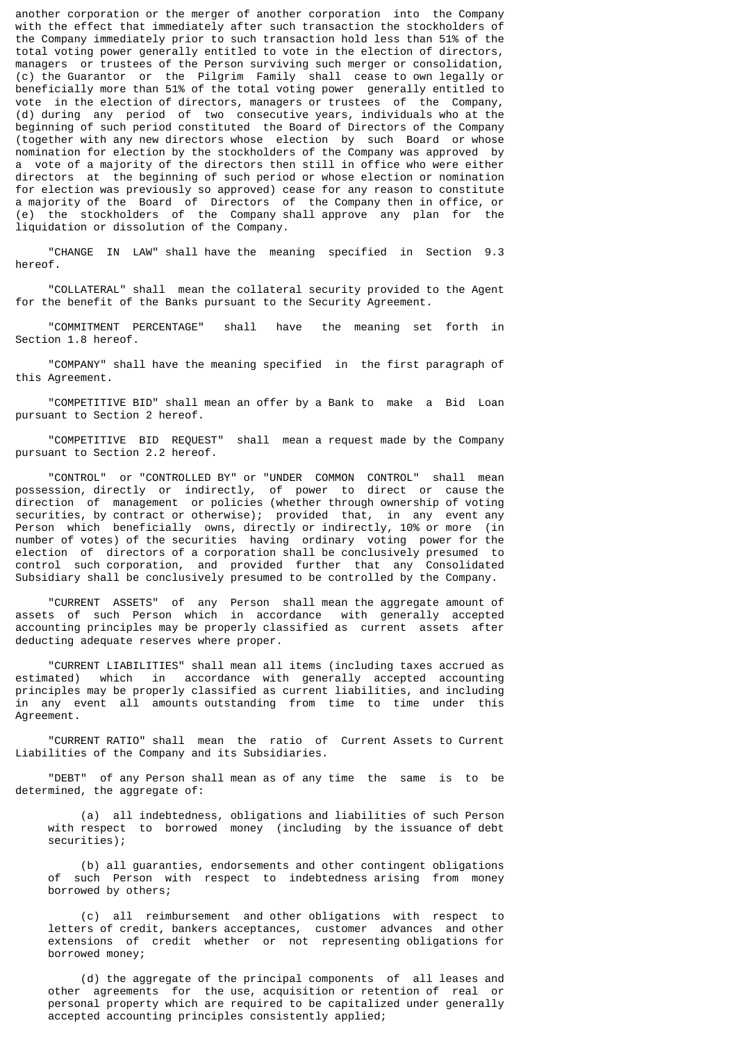another corporation or the merger of another corporation into the Company with the effect that immediately after such transaction the stockholders of the Company immediately prior to such transaction hold less than 51% of the total voting power generally entitled to vote in the election of directors, managers or trustees of the Person surviving such merger or consolidation, (c) the Guarantor or the Pilgrim Family shall cease to own legally or beneficially more than 51% of the total voting power generally entitled to vote in the election of directors, managers or trustees of the Company, (d) during any period of two consecutive years, individuals who at the beginning of such period constituted the Board of Directors of the Company (together with any new directors whose election by such Board or whose nomination for election by the stockholders of the Company was approved by a vote of a majority of the directors then still in office who were either directors at the beginning of such period or whose election or nomination for election was previously so approved) cease for any reason to constitute a majority of the Board of Directors of the Company then in office, or (e) the stockholders of the Company shall approve any plan for the liquidation or dissolution of the Company.

 "CHANGE IN LAW" shall have the meaning specified in Section 9.3 hereof.

 "COLLATERAL" shall mean the collateral security provided to the Agent for the benefit of the Banks pursuant to the Security Agreement.

 "COMMITMENT PERCENTAGE" shall have the meaning set forth in Section 1.8 hereof.

 "COMPANY" shall have the meaning specified in the first paragraph of this Agreement.

 "COMPETITIVE BID" shall mean an offer by a Bank to make a Bid Loan pursuant to Section 2 hereof.

 "COMPETITIVE BID REQUEST" shall mean a request made by the Company pursuant to Section 2.2 hereof.

 "CONTROL" or "CONTROLLED BY" or "UNDER COMMON CONTROL" shall mean possession, directly or indirectly, of power to direct or cause the direction of management or policies (whether through ownership of voting securities, by contract or otherwise); provided that, in any event any Person which beneficially owns, directly or indirectly, 10% or more (in number of votes) of the securities having ordinary voting power for the election of directors of a corporation shall be conclusively presumed to control such corporation, and provided further that any Consolidated Subsidiary shall be conclusively presumed to be controlled by the Company.

 "CURRENT ASSETS" of any Person shall mean the aggregate amount of assets of such Person which in accordance with generally accepted accounting principles may be properly classified as current assets after deducting adequate reserves where proper.

 "CURRENT LIABILITIES" shall mean all items (including taxes accrued as estimated) which in accordance with generally accepted accounting principles may be properly classified as current liabilities, and including in any event all amounts outstanding from time to time under this Agreement.

 "CURRENT RATIO" shall mean the ratio of Current Assets to Current Liabilities of the Company and its Subsidiaries.

 "DEBT" of any Person shall mean as of any time the same is to be determined, the aggregate of:

 (a) all indebtedness, obligations and liabilities of such Person with respect to borrowed money (including by the issuance of debt securities);

 (b) all guaranties, endorsements and other contingent obligations of such Person with respect to indebtedness arising from money borrowed by others;

 (c) all reimbursement and other obligations with respect to letters of credit, bankers acceptances, customer advances and other extensions of credit whether or not representing obligations for borrowed money;

 (d) the aggregate of the principal components of all leases and other agreements for the use, acquisition or retention of real or personal property which are required to be capitalized under generally accepted accounting principles consistently applied;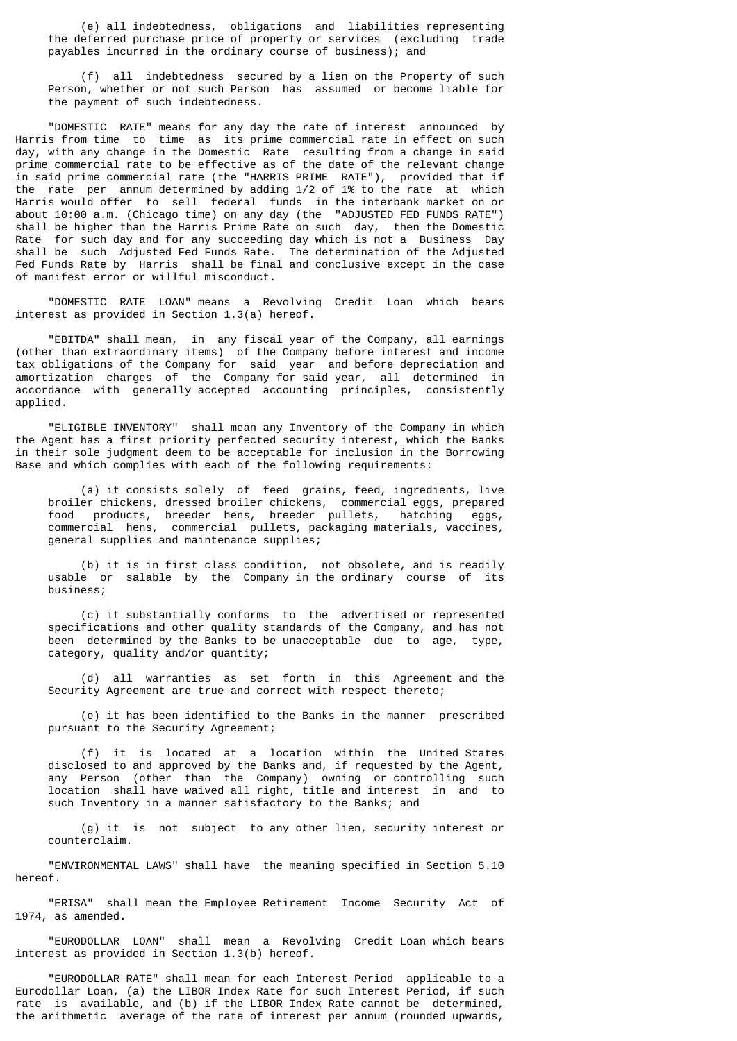(e) all indebtedness, obligations and liabilities representing the deferred purchase price of property or services (excluding trade payables incurred in the ordinary course of business); and

 (f) all indebtedness secured by a lien on the Property of such Person, whether or not such Person has assumed or become liable for the payment of such indebtedness.

 "DOMESTIC RATE" means for any day the rate of interest announced by Harris from time to time as its prime commercial rate in effect on such day, with any change in the Domestic Rate resulting from a change in said prime commercial rate to be effective as of the date of the relevant change in said prime commercial rate (the "HARRIS PRIME RATE"), provided that if the rate per annum determined by adding 1/2 of 1% to the rate at which Harris would offer to sell federal funds in the interbank market on or about 10:00 a.m. (Chicago time) on any day (the "ADJUSTED FED FUNDS RATE") shall be higher than the Harris Prime Rate on such day, then the Domestic Rate for such day and for any succeeding day which is not a Business Day shall be such Adjusted Fed Funds Rate. The determination of the Adjusted Fed Funds Rate by Harris shall be final and conclusive except in the case of manifest error or willful misconduct.

 "DOMESTIC RATE LOAN" means a Revolving Credit Loan which bears interest as provided in Section 1.3(a) hereof.

 "EBITDA" shall mean, in any fiscal year of the Company, all earnings (other than extraordinary items) of the Company before interest and income tax obligations of the Company for said year and before depreciation and amortization charges of the Company for said year, all determined in accordance with generally accepted accounting principles, consistently applied.

 "ELIGIBLE INVENTORY" shall mean any Inventory of the Company in which the Agent has a first priority perfected security interest, which the Banks in their sole judgment deem to be acceptable for inclusion in the Borrowing Base and which complies with each of the following requirements:

 (a) it consists solely of feed grains, feed, ingredients, live broiler chickens, dressed broiler chickens, commercial eggs, prepared<br>food products, breeder hens, breeder pullets, hatching eggs, food products, breeder hens, breeder pullets, hatching eggs, commercial hens, commercial pullets, packaging materials, vaccines, general supplies and maintenance supplies;

 (b) it is in first class condition, not obsolete, and is readily usable or salable by the Company in the ordinary course of its business;

 (c) it substantially conforms to the advertised or represented specifications and other quality standards of the Company, and has not been determined by the Banks to be unacceptable due to age, type, category, quality and/or quantity;

 (d) all warranties as set forth in this Agreement and the Security Agreement are true and correct with respect thereto;

 (e) it has been identified to the Banks in the manner prescribed pursuant to the Security Agreement;

 (f) it is located at a location within the United States disclosed to and approved by the Banks and, if requested by the Agent, any Person (other than the Company) owning or controlling such location shall have waived all right, title and interest in and to such Inventory in a manner satisfactory to the Banks; and

 (g) it is not subject to any other lien, security interest or counterclaim.

 "ENVIRONMENTAL LAWS" shall have the meaning specified in Section 5.10 hereof.

 "ERISA" shall mean the Employee Retirement Income Security Act of 1974, as amended.

 "EURODOLLAR LOAN" shall mean a Revolving Credit Loan which bears interest as provided in Section 1.3(b) hereof.

 "EURODOLLAR RATE" shall mean for each Interest Period applicable to a Eurodollar Loan, (a) the LIBOR Index Rate for such Interest Period, if such rate is available, and (b) if the LIBOR Index Rate cannot be determined, the arithmetic average of the rate of interest per annum (rounded upwards,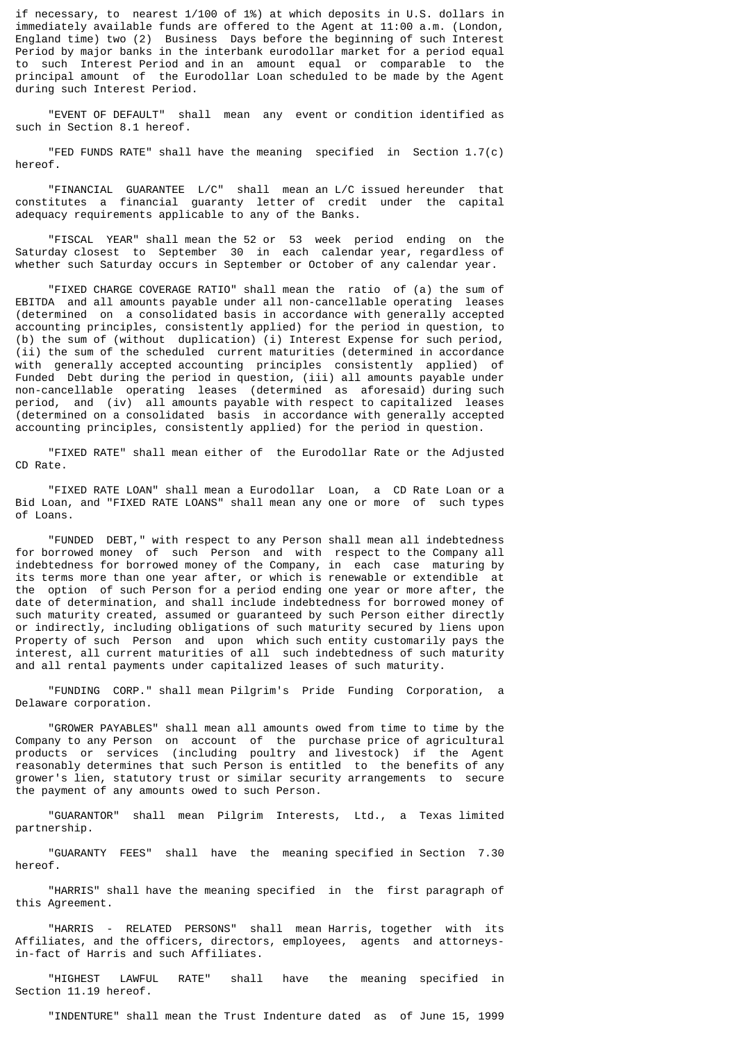if necessary, to nearest 1/100 of 1%) at which deposits in U.S. dollars in immediately available funds are offered to the Agent at 11:00 a.m. (London, England time) two (2) Business Days before the beginning of such Interest Period by major banks in the interbank eurodollar market for a period equal to such Interest Period and in an amount equal or comparable to the principal amount of the Eurodollar Loan scheduled to be made by the Agent during such Interest Period.

 "EVENT OF DEFAULT" shall mean any event or condition identified as such in Section 8.1 hereof.

 "FED FUNDS RATE" shall have the meaning specified in Section 1.7(c) hereof.

 "FINANCIAL GUARANTEE L/C" shall mean an L/C issued hereunder that constitutes a financial guaranty letter of credit under the capital adequacy requirements applicable to any of the Banks.

 "FISCAL YEAR" shall mean the 52 or 53 week period ending on the Saturday closest to September 30 in each calendar year, regardless of whether such Saturday occurs in September or October of any calendar year.

 "FIXED CHARGE COVERAGE RATIO" shall mean the ratio of (a) the sum of EBITDA and all amounts payable under all non-cancellable operating leases (determined on a consolidated basis in accordance with generally accepted accounting principles, consistently applied) for the period in question, to (b) the sum of (without duplication) (i) Interest Expense for such period, (ii) the sum of the scheduled current maturities (determined in accordance with generally accepted accounting principles consistently applied) of Funded Debt during the period in question, (iii) all amounts payable under non-cancellable operating leases (determined as aforesaid) during such period, and (iv) all amounts payable with respect to capitalized leases (determined on a consolidated basis in accordance with generally accepted accounting principles, consistently applied) for the period in question.

 "FIXED RATE" shall mean either of the Eurodollar Rate or the Adjusted CD Rate.

 "FIXED RATE LOAN" shall mean a Eurodollar Loan, a CD Rate Loan or a Bid Loan, and "FIXED RATE LOANS" shall mean any one or more of such types of Loans.

 "FUNDED DEBT," with respect to any Person shall mean all indebtedness for borrowed money of such Person and with respect to the Company all indebtedness for borrowed money of the Company, in each case maturing by its terms more than one year after, or which is renewable or extendible at the option of such Person for a period ending one year or more after, the date of determination, and shall include indebtedness for borrowed money of such maturity created, assumed or guaranteed by such Person either directly or indirectly, including obligations of such maturity secured by liens upon Property of such Person and upon which such entity customarily pays the interest, all current maturities of all such indebtedness of such maturity and all rental payments under capitalized leases of such maturity.

 "FUNDING CORP." shall mean Pilgrim's Pride Funding Corporation, a Delaware corporation.

 "GROWER PAYABLES" shall mean all amounts owed from time to time by the Company to any Person on account of the purchase price of agricultural products or services (including poultry and livestock) if the Agent reasonably determines that such Person is entitled to the benefits of any grower's lien, statutory trust or similar security arrangements to secure the payment of any amounts owed to such Person.

 "GUARANTOR" shall mean Pilgrim Interests, Ltd., a Texas limited partnership.

 "GUARANTY FEES" shall have the meaning specified in Section 7.30 hereof.

 "HARRIS" shall have the meaning specified in the first paragraph of this Agreement.

 "HARRIS - RELATED PERSONS" shall mean Harris, together with its Affiliates, and the officers, directors, employees, agents and attorneysin-fact of Harris and such Affiliates.

 "HIGHEST LAWFUL RATE" shall have the meaning specified in Section 11.19 hereof.

"INDENTURE" shall mean the Trust Indenture dated as of June 15, 1999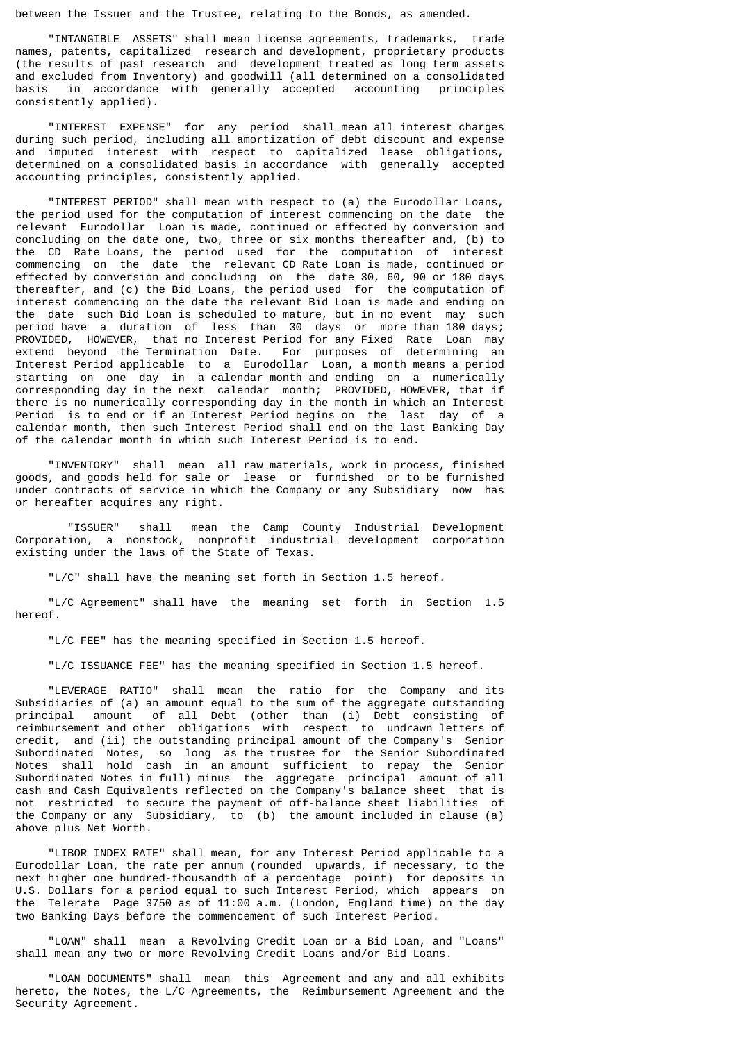between the Issuer and the Trustee, relating to the Bonds, as amended.

 "INTANGIBLE ASSETS" shall mean license agreements, trademarks, trade names, patents, capitalized research and development, proprietary products (the results of past research and development treated as long term assets and excluded from Inventory) and goodwill (all determined on a consolidated<br>basis in accordance with generally accepted accounting principles in accordance with generally accepted consistently applied).

 "INTEREST EXPENSE" for any period shall mean all interest charges during such period, including all amortization of debt discount and expense and imputed interest with respect to capitalized lease obligations, determined on a consolidated basis in accordance with generally accepted accounting principles, consistently applied.

 "INTEREST PERIOD" shall mean with respect to (a) the Eurodollar Loans, the period used for the computation of interest commencing on the date the relevant Eurodollar Loan is made, continued or effected by conversion and concluding on the date one, two, three or six months thereafter and, (b) to the CD Rate Loans, the period used for the computation of interest commencing on the date the relevant CD Rate Loan is made, continued or effected by conversion and concluding on the date 30, 60, 90 or 180 days thereafter, and (c) the Bid Loans, the period used for the computation of interest commencing on the date the relevant Bid Loan is made and ending on the date such Bid Loan is scheduled to mature, but in no event may such period have a duration of less than 30 days or more than 180 days; PROVIDED, HOWEVER, that no Interest Period for any Fixed Rate Loan may extend beyond the Termination Date. For purposes of determining an Interest Period applicable to a Eurodollar Loan, a month means a period starting on one day in a calendar month and ending on a numerically corresponding day in the next calendar month; PROVIDED, HOWEVER, that if there is no numerically corresponding day in the month in which an Interest Period is to end or if an Interest Period begins on the last day of a calendar month, then such Interest Period shall end on the last Banking Day of the calendar month in which such Interest Period is to end.

 "INVENTORY" shall mean all raw materials, work in process, finished goods, and goods held for sale or lease or furnished or to be furnished under contracts of service in which the Company or any Subsidiary now has or hereafter acquires any right.

 "ISSUER" shall mean the Camp County Industrial Development Corporation, a nonstock, nonprofit industrial development corporation existing under the laws of the State of Texas.

"L/C" shall have the meaning set forth in Section 1.5 hereof.

 "L/C Agreement" shall have the meaning set forth in Section 1.5 hereof.

"L/C FEE" has the meaning specified in Section 1.5 hereof.

"L/C ISSUANCE FEE" has the meaning specified in Section 1.5 hereof.

 "LEVERAGE RATIO" shall mean the ratio for the Company and its Subsidiaries of (a) an amount equal to the sum of the aggregate outstanding principal amount of all Debt (other than (i) Debt consisting of reimbursement and other obligations with respect to undrawn letters of credit, and (ii) the outstanding principal amount of the Company's Senior Subordinated Notes, so long as the trustee for the Senior Subordinated Notes shall hold cash in an amount sufficient to repay the Senior Subordinated Notes in full) minus the aggregate principal amount of all cash and Cash Equivalents reflected on the Company's balance sheet that is not restricted to secure the payment of off-balance sheet liabilities of the Company or any Subsidiary, to (b) the amount included in clause (a) above plus Net Worth.

 "LIBOR INDEX RATE" shall mean, for any Interest Period applicable to a Eurodollar Loan, the rate per annum (rounded upwards, if necessary, to the next higher one hundred-thousandth of a percentage point) for deposits in U.S. Dollars for a period equal to such Interest Period, which appears on the Telerate Page 3750 as of 11:00 a.m. (London, England time) on the day two Banking Days before the commencement of such Interest Period.

 "LOAN" shall mean a Revolving Credit Loan or a Bid Loan, and "Loans" shall mean any two or more Revolving Credit Loans and/or Bid Loans.

 "LOAN DOCUMENTS" shall mean this Agreement and any and all exhibits hereto, the Notes, the L/C Agreements, the Reimbursement Agreement and the Security Agreement.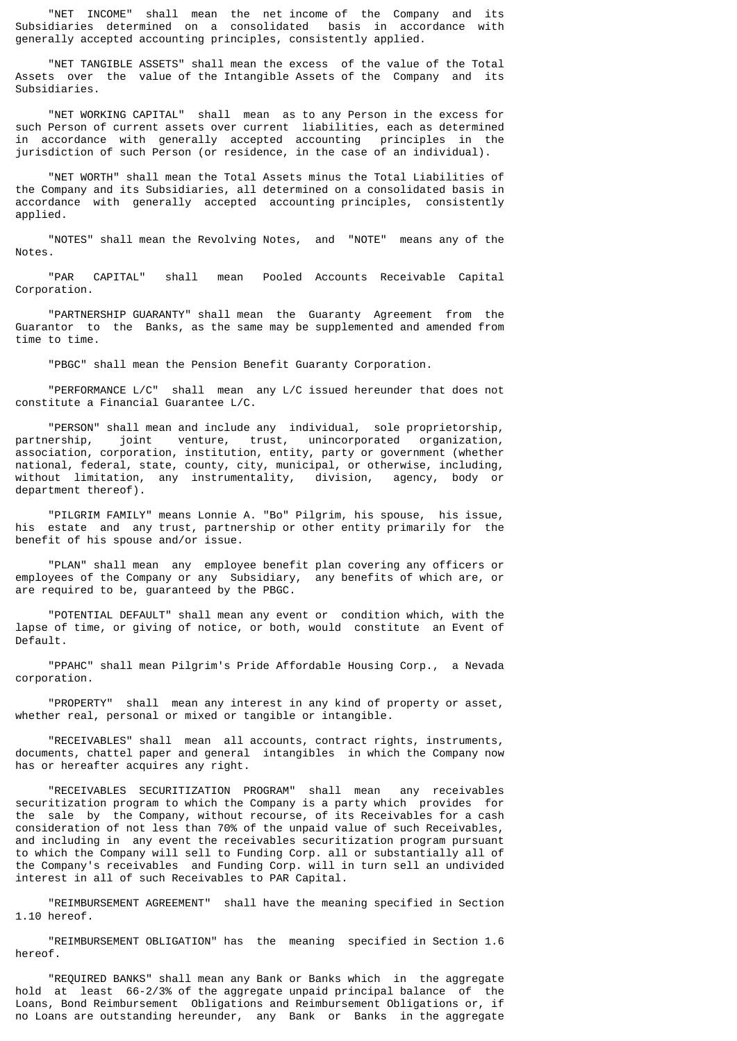"NET INCOME" shall mean the net income of the Company and its Subsidiaries determined on a consolidated basis in accordance with generally accepted accounting principles, consistently applied.

 "NET TANGIBLE ASSETS" shall mean the excess of the value of the Total Assets over the value of the Intangible Assets of the Company and its Subsidiaries.

 "NET WORKING CAPITAL" shall mean as to any Person in the excess for such Person of current assets over current liabilities, each as determined in accordance with generally accepted accounting principles in the jurisdiction of such Person (or residence, in the case of an individual).

 "NET WORTH" shall mean the Total Assets minus the Total Liabilities of the Company and its Subsidiaries, all determined on a consolidated basis in accordance with generally accepted accounting principles, consistently applied.

 "NOTES" shall mean the Revolving Notes, and "NOTE" means any of the Notes.

 "PAR CAPITAL" shall mean Pooled Accounts Receivable Capital Corporation.

 "PARTNERSHIP GUARANTY" shall mean the Guaranty Agreement from the Guarantor to the Banks, as the same may be supplemented and amended from time to time.

"PBGC" shall mean the Pension Benefit Guaranty Corporation.

 "PERFORMANCE L/C" shall mean any L/C issued hereunder that does not constitute a Financial Guarantee L/C.

 "PERSON" shall mean and include any individual, sole proprietorship, joint venture, trust, unincorporated organization, association, corporation, institution, entity, party or government (whether national, federal, state, county, city, municipal, or otherwise, including, without limitation, any instrumentality, division, agency, body or department thereof).

 "PILGRIM FAMILY" means Lonnie A. "Bo" Pilgrim, his spouse, his issue, his estate and any trust, partnership or other entity primarily for the benefit of his spouse and/or issue.

 "PLAN" shall mean any employee benefit plan covering any officers or employees of the Company or any Subsidiary, any benefits of which are, or are required to be, guaranteed by the PBGC.

 "POTENTIAL DEFAULT" shall mean any event or condition which, with the lapse of time, or giving of notice, or both, would constitute an Event of Default.

 "PPAHC" shall mean Pilgrim's Pride Affordable Housing Corp., a Nevada corporation.

 "PROPERTY" shall mean any interest in any kind of property or asset, whether real, personal or mixed or tangible or intangible.

 "RECEIVABLES" shall mean all accounts, contract rights, instruments, documents, chattel paper and general intangibles in which the Company now has or hereafter acquires any right.

 "RECEIVABLES SECURITIZATION PROGRAM" shall mean any receivables securitization program to which the Company is a party which provides for the sale by the Company, without recourse, of its Receivables for a cash consideration of not less than 70% of the unpaid value of such Receivables, and including in any event the receivables securitization program pursuant to which the Company will sell to Funding Corp. all or substantially all of the Company's receivables and Funding Corp. will in turn sell an undivided interest in all of such Receivables to PAR Capital.

 "REIMBURSEMENT AGREEMENT" shall have the meaning specified in Section 1.10 hereof.

 "REIMBURSEMENT OBLIGATION" has the meaning specified in Section 1.6 hereof.

 "REQUIRED BANKS" shall mean any Bank or Banks which in the aggregate hold at least 66-2/3% of the aggregate unpaid principal balance of the Loans, Bond Reimbursement Obligations and Reimbursement Obligations or, if no Loans are outstanding hereunder, any Bank or Banks in the aggregate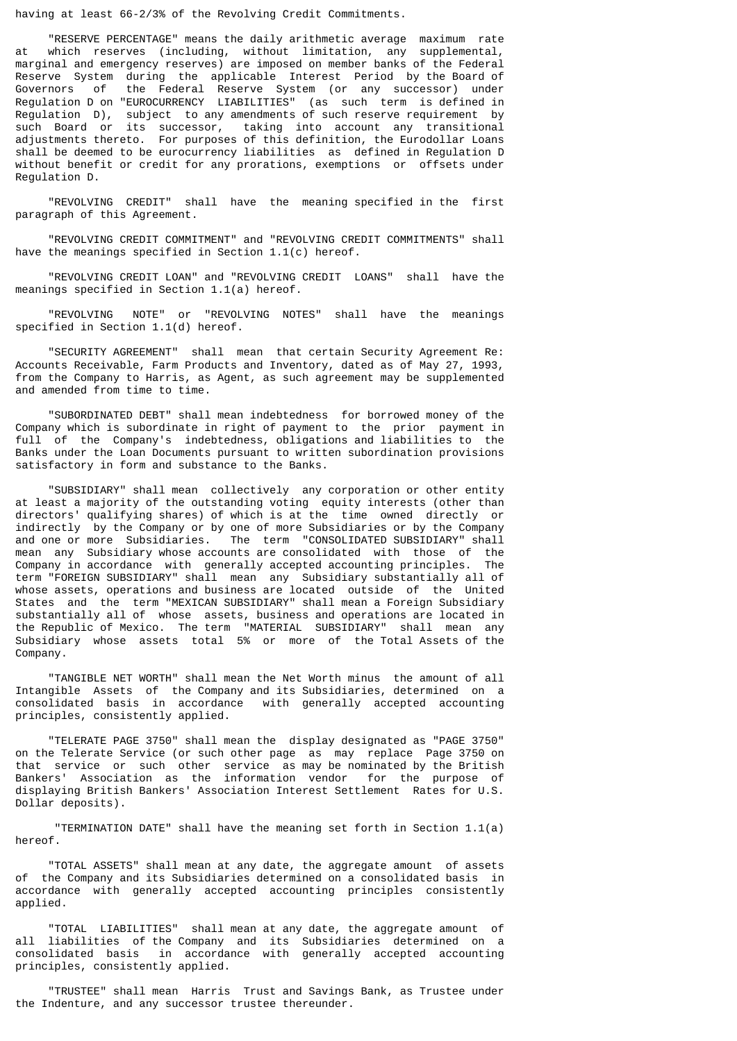having at least 66-2/3% of the Revolving Credit Commitments.

 "RESERVE PERCENTAGE" means the daily arithmetic average maximum rate at which reserves (including, without limitation, any supplemental, marginal and emergency reserves) are imposed on member banks of the Federal Reserve System during the applicable Interest Period by the Board of Governors of the Federal Reserve System (or any successor) under Regulation D on "EUROCURRENCY LIABILITIES" (as such term is defined in Regulation D), subject to any amendments of such reserve requirement by such Board or its successor, taking into account any transitional adjustments thereto. For purposes of this definition, the Eurodollar Loans shall be deemed to be eurocurrency liabilities as defined in Regulation D without benefit or credit for any prorations, exemptions or offsets under Regulation D.

 "REVOLVING CREDIT" shall have the meaning specified in the first paragraph of this Agreement.

 "REVOLVING CREDIT COMMITMENT" and "REVOLVING CREDIT COMMITMENTS" shall have the meanings specified in Section 1.1(c) hereof.

 "REVOLVING CREDIT LOAN" and "REVOLVING CREDIT LOANS" shall have the meanings specified in Section 1.1(a) hereof.

 "REVOLVING NOTE" or "REVOLVING NOTES" shall have the meanings specified in Section 1.1(d) hereof.

 "SECURITY AGREEMENT" shall mean that certain Security Agreement Re: Accounts Receivable, Farm Products and Inventory, dated as of May 27, 1993, from the Company to Harris, as Agent, as such agreement may be supplemented and amended from time to time.

 "SUBORDINATED DEBT" shall mean indebtedness for borrowed money of the Company which is subordinate in right of payment to the prior payment in full of the Company's indebtedness, obligations and liabilities to the Banks under the Loan Documents pursuant to written subordination provisions satisfactory in form and substance to the Banks.

 "SUBSIDIARY" shall mean collectively any corporation or other entity at least a majority of the outstanding voting equity interests (other than directors' qualifying shares) of which is at the time owned directly or indirectly by the Company or by one of more Subsidiaries or by the Company and one or more Subsidiaries. The term "CONSOLIDATED SUBSIDIARY" shall mean any Subsidiary whose accounts are consolidated with those of the Company in accordance with generally accepted accounting principles. The term "FOREIGN SUBSIDIARY" shall mean any Subsidiary substantially all of whose assets, operations and business are located outside of the United States and the term "MEXICAN SUBSIDIARY" shall mean a Foreign Subsidiary substantially all of whose assets, business and operations are located in the Republic of Mexico. The term "MATERIAL SUBSIDIARY" shall mean any Subsidiary whose assets total 5% or more of the Total Assets of the Company.

 "TANGIBLE NET WORTH" shall mean the Net Worth minus the amount of all Intangible Assets of the Company and its Subsidiaries, determined on a consolidated basis in accordance with generally accepted accounting principles, consistently applied.

 "TELERATE PAGE 3750" shall mean the display designated as "PAGE 3750" on the Telerate Service (or such other page as may replace Page 3750 on that service or such other service as may be nominated by the British Bankers' Association as the information vendor for the purpose of displaying British Bankers' Association Interest Settlement Rates for U.S. Dollar deposits).

 "TERMINATION DATE" shall have the meaning set forth in Section 1.1(a) hereof.

 "TOTAL ASSETS" shall mean at any date, the aggregate amount of assets of the Company and its Subsidiaries determined on a consolidated basis in accordance with generally accepted accounting principles consistently applied.

 "TOTAL LIABILITIES" shall mean at any date, the aggregate amount of all liabilities of the Company and its Subsidiaries determined on a consolidated basis in accordance with generally accepted accounting principles, consistently applied.

 "TRUSTEE" shall mean Harris Trust and Savings Bank, as Trustee under the Indenture, and any successor trustee thereunder.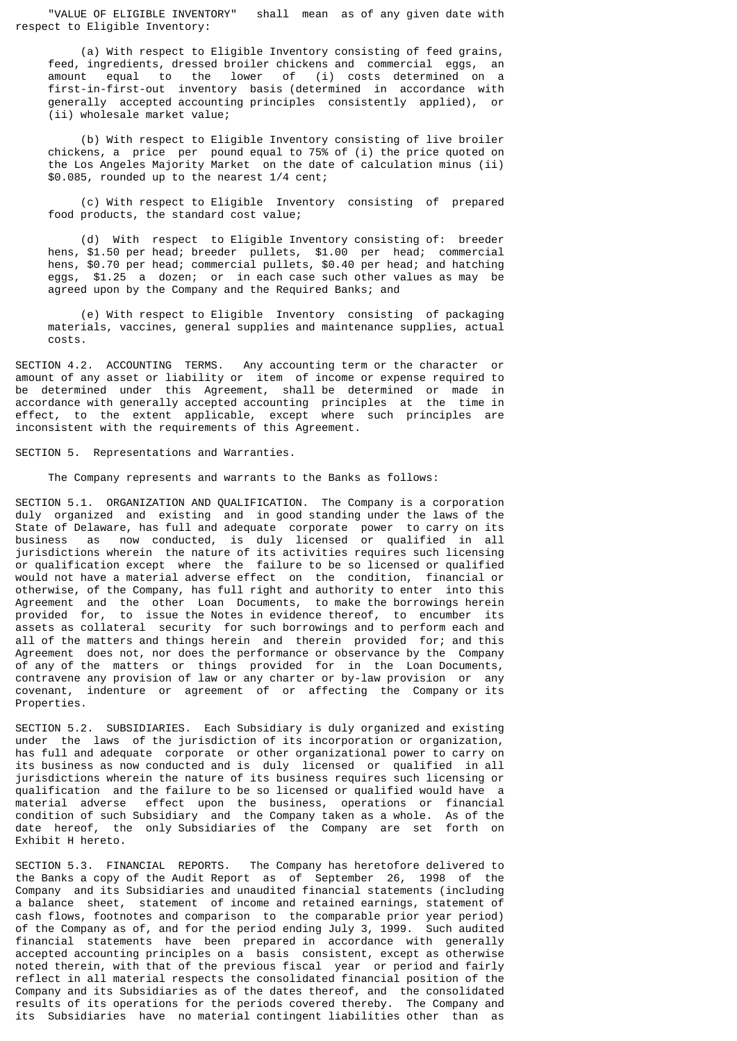"VALUE OF ELIGIBLE INVENTORY" shall mean as of any given date with respect to Eligible Inventory:

 (a) With respect to Eligible Inventory consisting of feed grains, feed, ingredients, dressed broiler chickens and commercial eggs, an amount equal to the lower of (i) costs determined on a first-in-first-out inventory basis (determined in accordance with generally accepted accounting principles consistently applied), or (ii) wholesale market value;

 (b) With respect to Eligible Inventory consisting of live broiler chickens, a price per pound equal to 75% of (i) the price quoted on the Los Angeles Majority Market on the date of calculation minus (ii) \$0.085, rounded up to the nearest 1/4 cent;

 (c) With respect to Eligible Inventory consisting of prepared food products, the standard cost value;

 (d) With respect to Eligible Inventory consisting of: breeder hens, \$1.50 per head; breeder pullets, \$1.00 per head; commercial hens, \$0.70 per head; commercial pullets, \$0.40 per head; and hatching eggs, \$1.25 a dozen; or in each case such other values as may be agreed upon by the Company and the Required Banks; and

 (e) With respect to Eligible Inventory consisting of packaging materials, vaccines, general supplies and maintenance supplies, actual costs.

SECTION 4.2. ACCOUNTING TERMS. Any accounting term or the character or amount of any asset or liability or item of income or expense required to be determined under this Agreement, shall be determined or made in accordance with generally accepted accounting principles at the time in effect, to the extent applicable, except where such principles are inconsistent with the requirements of this Agreement.

SECTION 5. Representations and Warranties.

The Company represents and warrants to the Banks as follows:

SECTION 5.1. ORGANIZATION AND QUALIFICATION. The Company is a corporation duly organized and existing and in good standing under the laws of the State of Delaware, has full and adequate corporate power to carry on its business as now conducted, is duly licensed or qualified in all jurisdictions wherein the nature of its activities requires such licensing or qualification except where the failure to be so licensed or qualified would not have a material adverse effect on the condition, financial or otherwise, of the Company, has full right and authority to enter into this Agreement and the other Loan Documents, to make the borrowings herein provided for, to issue the Notes in evidence thereof, to encumber its assets as collateral security for such borrowings and to perform each and all of the matters and things herein and therein provided for; and this Agreement does not, nor does the performance or observance by the Company of any of the matters or things provided for in the Loan Documents, contravene any provision of law or any charter or by-law provision or any covenant, indenture or agreement of or affecting the Company or its Properties.

SECTION 5.2. SUBSIDIARIES. Each Subsidiary is duly organized and existing under the laws of the jurisdiction of its incorporation or organization, has full and adequate corporate or other organizational power to carry on its business as now conducted and is duly licensed or qualified in all jurisdictions wherein the nature of its business requires such licensing or qualification and the failure to be so licensed or qualified would have a material adverse effect upon the business, operations or financial condition of such Subsidiary and the Company taken as a whole. As of the date hereof, the only Subsidiaries of the Company are set forth on Exhibit H hereto.

SECTION 5.3. FINANCIAL REPORTS. The Company has heretofore delivered to the Banks a copy of the Audit Report as of September 26, 1998 of the Company and its Subsidiaries and unaudited financial statements (including a balance sheet, statement of income and retained earnings, statement of cash flows, footnotes and comparison to the comparable prior year period) of the Company as of, and for the period ending July 3, 1999. Such audited financial statements have been prepared in accordance with generally accepted accounting principles on a basis consistent, except as otherwise noted therein, with that of the previous fiscal year or period and fairly reflect in all material respects the consolidated financial position of the Company and its Subsidiaries as of the dates thereof, and the consolidated results of its operations for the periods covered thereby. The Company and its Subsidiaries have no material contingent liabilities other than as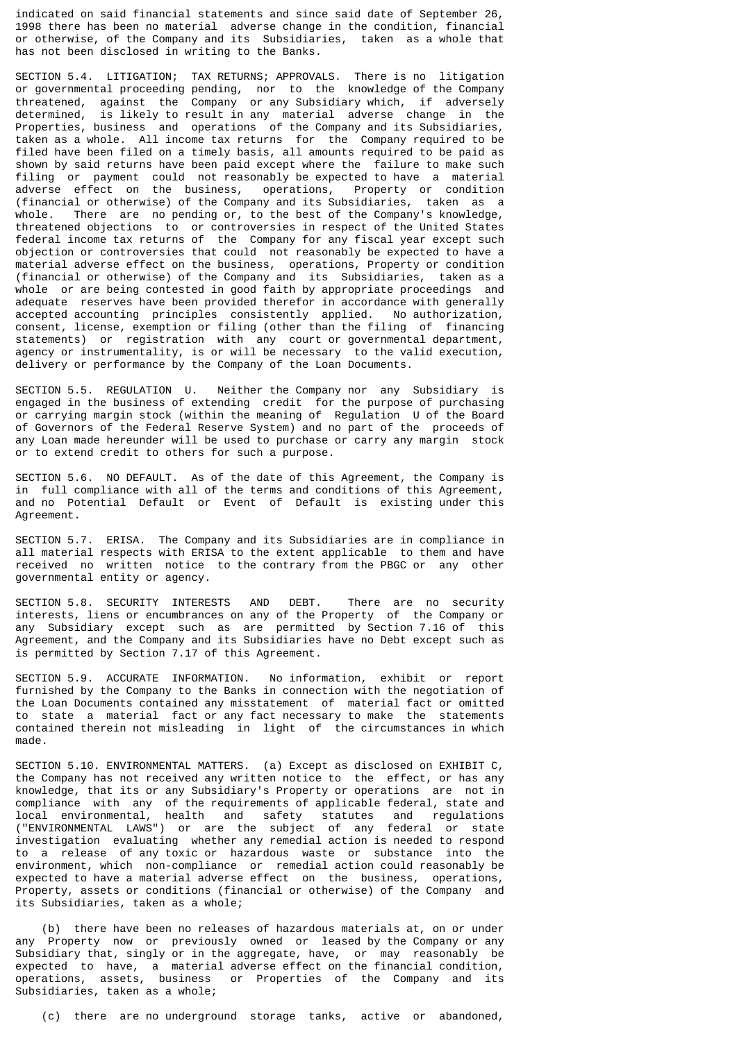indicated on said financial statements and since said date of September 26, 1998 there has been no material adverse change in the condition, financial or otherwise, of the Company and its Subsidiaries, taken as a whole that has not been disclosed in writing to the Banks.

SECTION 5.4. LITIGATION; TAX RETURNS; APPROVALS. There is no litigation or governmental proceeding pending, nor to the knowledge of the Company threatened, against the Company or any Subsidiary which, if adversely determined, is likely to result in any material adverse change in the Properties, business and operations of the Company and its Subsidiaries, taken as a whole. All income tax returns for the Company required to be filed have been filed on a timely basis, all amounts required to be paid as shown by said returns have been paid except where the failure to make such filing or payment could not reasonably be expected to have a material adverse effect on the business, operations, Property or condition adverse effect on the business, operations, Property or condition (financial or otherwise) of the Company and its Subsidiaries, taken as a whole. There are no pending or, to the best of the Company's knowledge, threatened objections to or controversies in respect of the United States federal income tax returns of the Company for any fiscal year except such objection or controversies that could not reasonably be expected to have a material adverse effect on the business, operations, Property or condition (financial or otherwise) of the Company and its Subsidiaries, taken as a whole or are being contested in good faith by appropriate proceedings and adequate reserves have been provided therefor in accordance with generally accepted accounting principles consistently applied. No authorization, consent, license, exemption or filing (other than the filing of financing statements) or registration with any court or governmental department, agency or instrumentality, is or will be necessary to the valid execution, delivery or performance by the Company of the Loan Documents.

SECTION 5.5. REGULATION U. Neither the Company nor any Subsidiary is engaged in the business of extending credit for the purpose of purchasing or carrying margin stock (within the meaning of Regulation U of the Board of Governors of the Federal Reserve System) and no part of the proceeds of any Loan made hereunder will be used to purchase or carry any margin stock or to extend credit to others for such a purpose.

SECTION 5.6. NO DEFAULT. As of the date of this Agreement, the Company is in full compliance with all of the terms and conditions of this Agreement, and no Potential Default or Event of Default is existing under this Agreement.

SECTION 5.7. ERISA. The Company and its Subsidiaries are in compliance in all material respects with ERISA to the extent applicable to them and have received no written notice to the contrary from the PBGC or any other governmental entity or agency.

SECTION 5.8. SECURITY INTERESTS AND DEBT. There are no security interests, liens or encumbrances on any of the Property of the Company or any Subsidiary except such as are permitted by Section 7.16 of this Agreement, and the Company and its Subsidiaries have no Debt except such as is permitted by Section 7.17 of this Agreement.

SECTION 5.9. ACCURATE INFORMATION. No information, exhibit or report furnished by the Company to the Banks in connection with the negotiation of the Loan Documents contained any misstatement of material fact or omitted to state a material fact or any fact necessary to make the statements contained therein not misleading in light of the circumstances in which made.

SECTION 5.10. ENVIRONMENTAL MATTERS. (a) Except as disclosed on EXHIBIT C, the Company has not received any written notice to the effect, or has any knowledge, that its or any Subsidiary's Property or operations are not in compliance with any of the requirements of applicable federal, state and local environmental, health and safety statutes and requlations local environmental, health and safety statutes and regulations ("ENVIRONMENTAL LAWS") or are the subject of any federal or state investigation evaluating whether any remedial action is needed to respond to a release of any toxic or hazardous waste or substance into the environment, which non-compliance or remedial action could reasonably be expected to have a material adverse effect on the business, operations, Property, assets or conditions (financial or otherwise) of the Company and its Subsidiaries, taken as a whole;

 (b) there have been no releases of hazardous materials at, on or under any Property now or previously owned or leased by the Company or any Subsidiary that, singly or in the aggregate, have, or may reasonably be expected to have, a material adverse effect on the financial condition, operations, assets, business or Properties of the Company and its Subsidiaries, taken as a whole;

(c) there are no underground storage tanks, active or abandoned,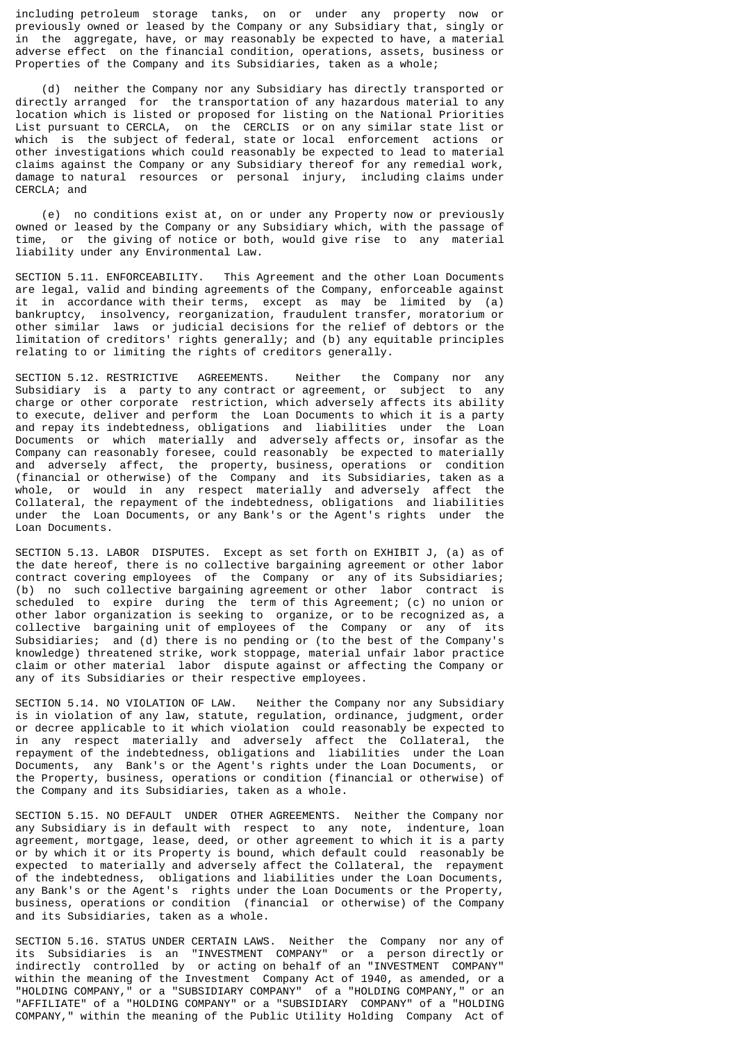including petroleum storage tanks, on or under any property now or previously owned or leased by the Company or any Subsidiary that, singly or in the aggregate, have, or may reasonably be expected to have, a material adverse effect on the financial condition, operations, assets, business or Properties of the Company and its Subsidiaries, taken as a whole;

 (d) neither the Company nor any Subsidiary has directly transported or directly arranged for the transportation of any hazardous material to any location which is listed or proposed for listing on the National Priorities List pursuant to CERCLA, on the CERCLIS or on any similar state list or which is the subject of federal, state or local enforcement actions or other investigations which could reasonably be expected to lead to material claims against the Company or any Subsidiary thereof for any remedial work, damage to natural resources or personal injury, including claims under CERCLA; and

 (e) no conditions exist at, on or under any Property now or previously owned or leased by the Company or any Subsidiary which, with the passage of time, or the giving of notice or both, would give rise to any material liability under any Environmental Law.

SECTION 5.11. ENFORCEABILITY. This Agreement and the other Loan Documents are legal, valid and binding agreements of the Company, enforceable against it in accordance with their terms, except as may be limited by (a) bankruptcy, insolvency, reorganization, fraudulent transfer, moratorium or other similar laws or judicial decisions for the relief of debtors or the limitation of creditors' rights generally; and (b) any equitable principles relating to or limiting the rights of creditors generally.

SECTION 5.12. RESTRICTIVE AGREEMENTS. Neither the Company nor any Subsidiary is a party to any contract or agreement, or subject to any charge or other corporate restriction, which adversely affects its ability to execute, deliver and perform the Loan Documents to which it is a party and repay its indebtedness, obligations and liabilities under the Loan Documents or which materially and adversely affects or, insofar as the Company can reasonably foresee, could reasonably be expected to materially and adversely affect, the property, business, operations or condition (financial or otherwise) of the Company and its Subsidiaries, taken as a whole, or would in any respect materially and adversely affect the Collateral, the repayment of the indebtedness, obligations and liabilities under the Loan Documents, or any Bank's or the Agent's rights under the Loan Documents.

SECTION 5.13. LABOR DISPUTES. Except as set forth on EXHIBIT J, (a) as of the date hereof, there is no collective bargaining agreement or other labor contract covering employees of the Company or any of its Subsidiaries; (b) no such collective bargaining agreement or other labor contract is scheduled to expire during the term of this Agreement; (c) no union or other labor organization is seeking to organize, or to be recognized as, a collective bargaining unit of employees of the Company or any of its Subsidiaries; and (d) there is no pending or (to the best of the Company's knowledge) threatened strike, work stoppage, material unfair labor practice claim or other material labor dispute against or affecting the Company or any of its Subsidiaries or their respective employees.

SECTION 5.14. NO VIOLATION OF LAW. Neither the Company nor any Subsidiary is in violation of any law, statute, regulation, ordinance, judgment, order or decree applicable to it which violation could reasonably be expected to in any respect materially and adversely affect the Collateral, the repayment of the indebtedness, obligations and liabilities under the Loan Documents, any Bank's or the Agent's rights under the Loan Documents, or the Property, business, operations or condition (financial or otherwise) of the Company and its Subsidiaries, taken as a whole.

SECTION 5.15. NO DEFAULT UNDER OTHER AGREEMENTS. Neither the Company nor any Subsidiary is in default with respect to any note, indenture, loan agreement, mortgage, lease, deed, or other agreement to which it is a party or by which it or its Property is bound, which default could reasonably be expected to materially and adversely affect the Collateral, the repayment of the indebtedness, obligations and liabilities under the Loan Documents, any Bank's or the Agent's rights under the Loan Documents or the Property, business, operations or condition (financial or otherwise) of the Company and its Subsidiaries, taken as a whole.

SECTION 5.16. STATUS UNDER CERTAIN LAWS. Neither the Company nor any of its Subsidiaries is an "INVESTMENT COMPANY" or a person directly or indirectly controlled by or acting on behalf of an "INVESTMENT COMPANY" within the meaning of the Investment Company Act of 1940, as amended, or a "HOLDING COMPANY," or a "SUBSIDIARY COMPANY" of a "HOLDING COMPANY," or an "AFFILIATE" of a "HOLDING COMPANY" or a "SUBSIDIARY COMPANY" of a "HOLDING COMPANY," within the meaning of the Public Utility Holding Company Act of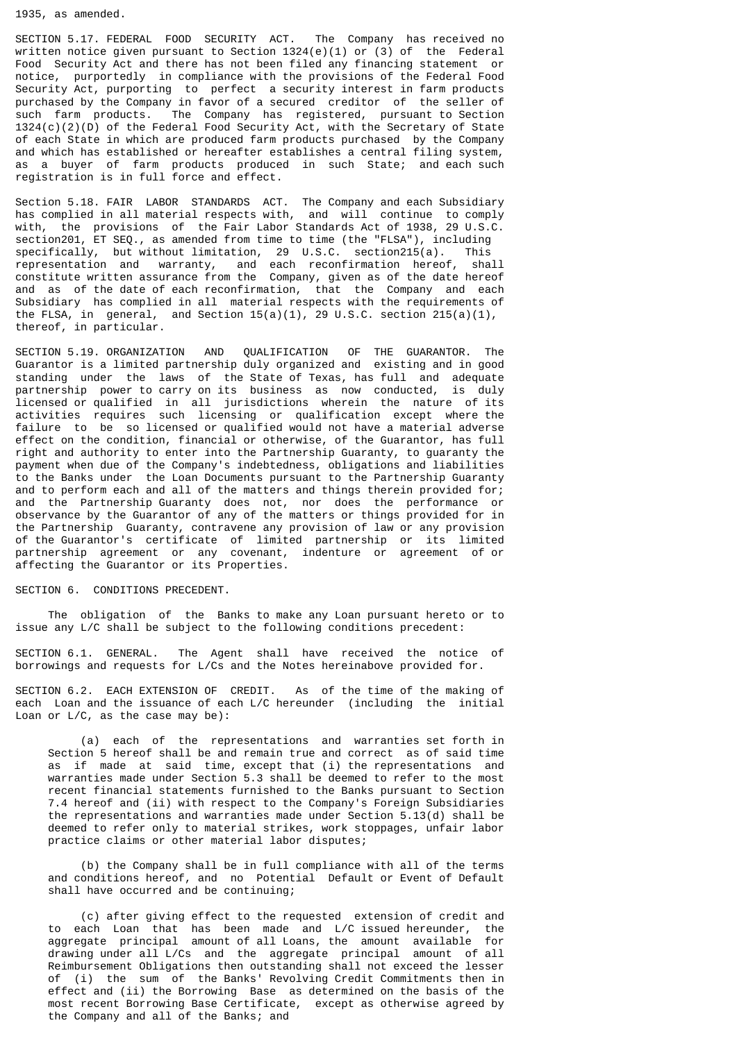1935, as amended.

SECTION 5.17. FEDERAL FOOD SECURITY ACT. The Company has received no written notice given pursuant to Section  $1324(e)(1)$  or (3) of the Federal Food Security Act and there has not been filed any financing statement or notice, purportedly in compliance with the provisions of the Federal Food Security Act, purporting to perfect a security interest in farm products purchased by the Company in favor of a secured creditor of the seller of such farm products. The Company has registered, pursuant to Section 1324(c)(2)(D) of the Federal Food Security Act, with the Secretary of State of each State in which are produced farm products purchased by the Company and which has established or hereafter establishes a central filing system, as a buyer of farm products produced in such State; and each such registration is in full force and effect.

Section 5.18. FAIR LABOR STANDARDS ACT. The Company and each Subsidiary has complied in all material respects with, and will continue to comply with, the provisions of the Fair Labor Standards Act of 1938, 29 U.S.C. section201, ET SEQ., as amended from time to time (the "FLSA"), including specifically, but without limitation, 29 U.S.C. section215(a). This representation and warranty, and each reconfirmation hereof, shall constitute written assurance from the Company, given as of the date hereof and as of the date of each reconfirmation, that the Company and each Subsidiary has complied in all material respects with the requirements of the FLSA, in general, and Section 15(a)(1), 29 U.S.C. section 215(a)(1), thereof, in particular.

SECTION 5.19. ORGANIZATION AND QUALIFICATION OF THE GUARANTOR. The Guarantor is a limited partnership duly organized and existing and in good standing under the laws of the State of Texas, has full and adequate partnership power to carry on its business as now conducted, is duly licensed or qualified in all jurisdictions wherein the nature of its activities requires such licensing or qualification except where the failure to be so licensed or qualified would not have a material adverse effect on the condition, financial or otherwise, of the Guarantor, has full right and authority to enter into the Partnership Guaranty, to guaranty the payment when due of the Company's indebtedness, obligations and liabilities to the Banks under the Loan Documents pursuant to the Partnership Guaranty and to perform each and all of the matters and things therein provided for; and the Partnership Guaranty does not, nor does the performance or observance by the Guarantor of any of the matters or things provided for in the Partnership Guaranty, contravene any provision of law or any provision of the Guarantor's certificate of limited partnership or its limited partnership agreement or any covenant, indenture or agreement of or affecting the Guarantor or its Properties.

SECTION 6. CONDITIONS PRECEDENT.

 The obligation of the Banks to make any Loan pursuant hereto or to issue any L/C shall be subject to the following conditions precedent:

SECTION 6.1. GENERAL. The Agent shall have received the notice of borrowings and requests for L/Cs and the Notes hereinabove provided for.

SECTION 6.2. EACH EXTENSION OF CREDIT. As of the time of the making of each Loan and the issuance of each L/C hereunder (including the initial Loan or L/C, as the case may be):

 (a) each of the representations and warranties set forth in Section 5 hereof shall be and remain true and correct as of said time as if made at said time, except that (i) the representations and warranties made under Section 5.3 shall be deemed to refer to the most recent financial statements furnished to the Banks pursuant to Section 7.4 hereof and (ii) with respect to the Company's Foreign Subsidiaries the representations and warranties made under Section 5.13(d) shall be deemed to refer only to material strikes, work stoppages, unfair labor practice claims or other material labor disputes;

 (b) the Company shall be in full compliance with all of the terms and conditions hereof, and no Potential Default or Event of Default shall have occurred and be continuing;

 (c) after giving effect to the requested extension of credit and to each Loan that has been made and L/C issued hereunder, the aggregate principal amount of all Loans, the amount available for drawing under all L/Cs and the aggregate principal amount of all Reimbursement Obligations then outstanding shall not exceed the lesser of (i) the sum of the Banks' Revolving Credit Commitments then in effect and (ii) the Borrowing Base as determined on the basis of the most recent Borrowing Base Certificate, except as otherwise agreed by the Company and all of the Banks; and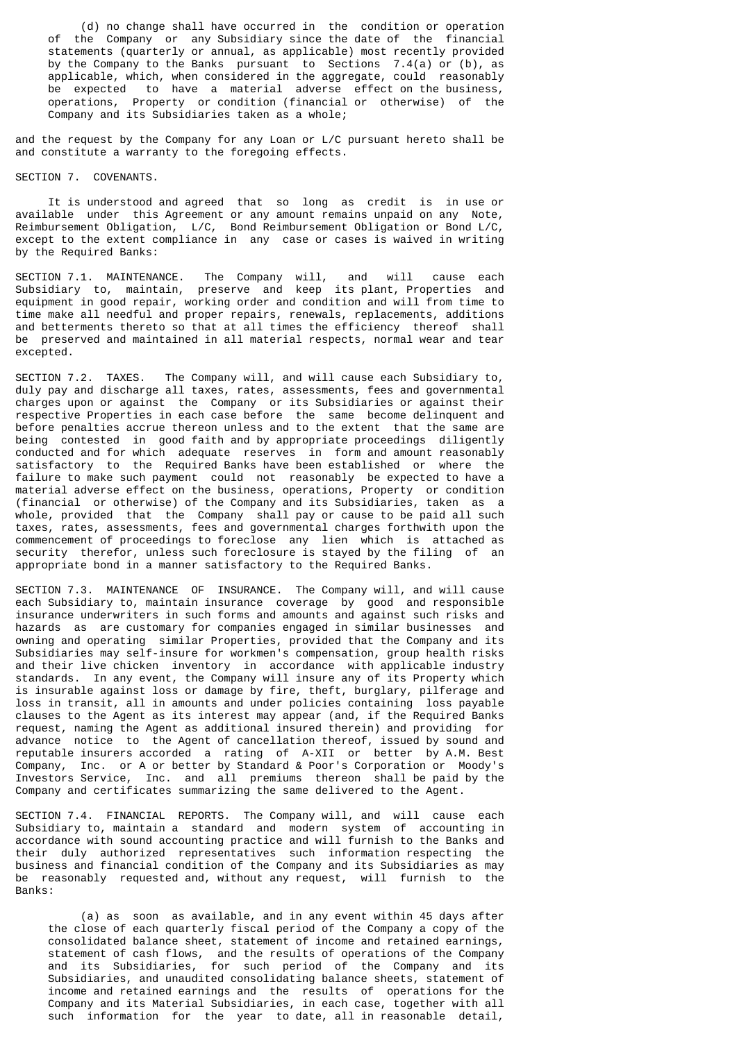(d) no change shall have occurred in the condition or operation of the Company or any Subsidiary since the date of the financial statements (quarterly or annual, as applicable) most recently provided by the Company to the Banks pursuant to Sections 7.4(a) or (b), as applicable, which, when considered in the aggregate, could reasonably be expected to have a material adverse effect on the business, operations, Property or condition (financial or otherwise) of the Company and its Subsidiaries taken as a whole;

and the request by the Company for any Loan or L/C pursuant hereto shall be and constitute a warranty to the foregoing effects.

## SECTION 7. COVENANTS.

 It is understood and agreed that so long as credit is in use or available under this Agreement or any amount remains unpaid on any Note, Reimbursement Obligation, L/C, Bond Reimbursement Obligation or Bond L/C, except to the extent compliance in any case or cases is waived in writing by the Required Banks:

SECTION 7.1. MAINTENANCE. The Company will, and will cause each Subsidiary to, maintain, preserve and keep its plant, Properties and equipment in good repair, working order and condition and will from time to time make all needful and proper repairs, renewals, replacements, additions and betterments thereto so that at all times the efficiency thereof shall be preserved and maintained in all material respects, normal wear and tear excepted.

SECTION 7.2. TAXES. The Company will, and will cause each Subsidiary to, duly pay and discharge all taxes, rates, assessments, fees and governmental charges upon or against the Company or its Subsidiaries or against their respective Properties in each case before the same become delinquent and before penalties accrue thereon unless and to the extent that the same are being contested in good faith and by appropriate proceedings diligently conducted and for which adequate reserves in form and amount reasonably satisfactory to the Required Banks have been established or where the failure to make such payment could not reasonably be expected to have a material adverse effect on the business, operations, Property or condition (financial or otherwise) of the Company and its Subsidiaries, taken as a whole, provided that the Company shall pay or cause to be paid all such taxes, rates, assessments, fees and governmental charges forthwith upon the commencement of proceedings to foreclose any lien which is attached as security therefor, unless such foreclosure is stayed by the filing of an appropriate bond in a manner satisfactory to the Required Banks.

SECTION 7.3. MAINTENANCE OF INSURANCE. The Company will, and will cause each Subsidiary to, maintain insurance coverage by good and responsible insurance underwriters in such forms and amounts and against such risks and hazards as are customary for companies engaged in similar businesses and owning and operating similar Properties, provided that the Company and its Subsidiaries may self-insure for workmen's compensation, group health risks and their live chicken inventory in accordance with applicable industry standards. In any event, the Company will insure any of its Property which is insurable against loss or damage by fire, theft, burglary, pilferage and loss in transit, all in amounts and under policies containing loss payable clauses to the Agent as its interest may appear (and, if the Required Banks request, naming the Agent as additional insured therein) and providing for advance notice to the Agent of cancellation thereof, issued by sound and reputable insurers accorded a rating of A-XII or better by A.M. Best Company, Inc. or A or better by Standard & Poor's Corporation or Moody's Investors Service, Inc. and all premiums thereon shall be paid by the Company and certificates summarizing the same delivered to the Agent.

SECTION 7.4. FINANCIAL REPORTS. The Company will, and will cause each Subsidiary to, maintain a standard and modern system of accounting in accordance with sound accounting practice and will furnish to the Banks and their duly authorized representatives such information respecting the business and financial condition of the Company and its Subsidiaries as may be reasonably requested and, without any request, will furnish to the Banks:

 (a) as soon as available, and in any event within 45 days after the close of each quarterly fiscal period of the Company a copy of the consolidated balance sheet, statement of income and retained earnings, statement of cash flows, and the results of operations of the Company and its Subsidiaries, for such period of the Company and its Subsidiaries, and unaudited consolidating balance sheets, statement of income and retained earnings and the results of operations for the Company and its Material Subsidiaries, in each case, together with all such information for the year to date, all in reasonable detail,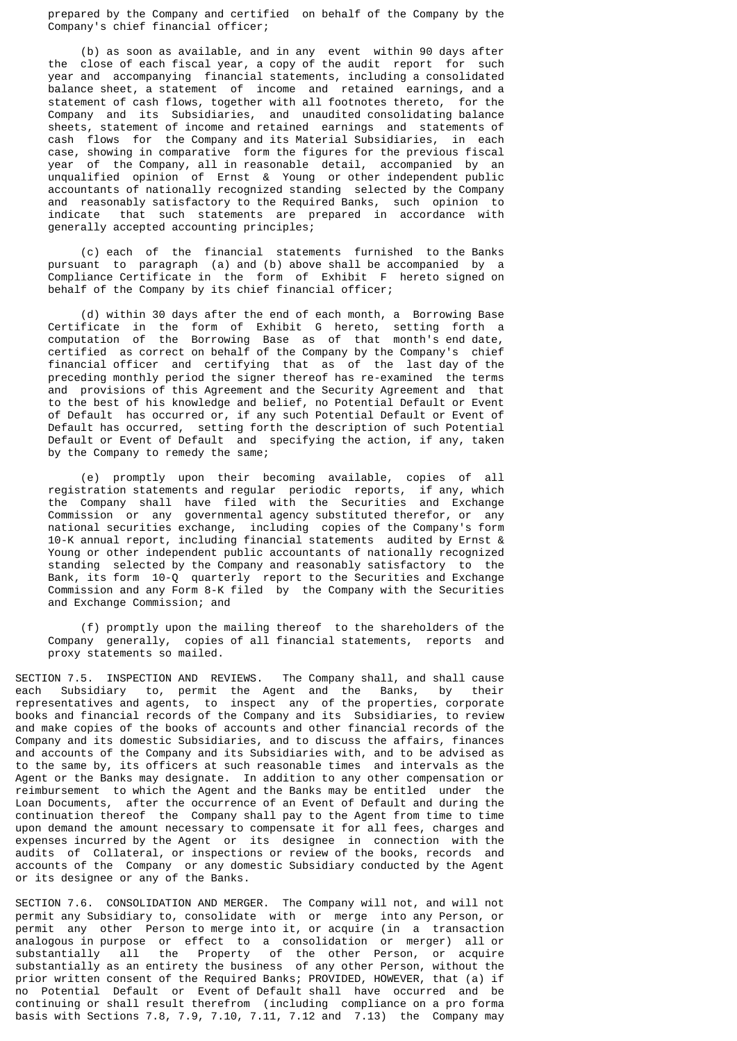prepared by the Company and certified on behalf of the Company by the Company's chief financial officer;

 (b) as soon as available, and in any event within 90 days after the close of each fiscal year, a copy of the audit report for such year and accompanying financial statements, including a consolidated balance sheet, a statement of income and retained earnings, and a statement of cash flows, together with all footnotes thereto, for the Company and its Subsidiaries, and unaudited consolidating balance sheets, statement of income and retained earnings and statements of cash flows for the Company and its Material Subsidiaries, in each case, showing in comparative form the figures for the previous fiscal year of the Company, all in reasonable detail, accompanied by an unqualified opinion of Ernst & Young or other independent public accountants of nationally recognized standing selected by the Company and reasonably satisfactory to the Required Banks, such opinion to that such statements are prepared in accordance with generally accepted accounting principles;

 (c) each of the financial statements furnished to the Banks pursuant to paragraph (a) and (b) above shall be accompanied by a Compliance Certificate in the form of Exhibit F hereto signed on behalf of the Company by its chief financial officer;

 (d) within 30 days after the end of each month, a Borrowing Base Certificate in the form of Exhibit G hereto, setting forth a computation of the Borrowing Base as of that month's end date, certified as correct on behalf of the Company by the Company's chief financial officer and certifying that as of the last day of the preceding monthly period the signer thereof has re-examined the terms and provisions of this Agreement and the Security Agreement and that to the best of his knowledge and belief, no Potential Default or Event of Default has occurred or, if any such Potential Default or Event of Default has occurred, setting forth the description of such Potential Default or Event of Default and specifying the action, if any, taken by the Company to remedy the same;

 (e) promptly upon their becoming available, copies of all registration statements and regular periodic reports, if any, which the Company shall have filed with the Securities and Exchange Commission or any governmental agency substituted therefor, or any national securities exchange, including copies of the Company's form 10-K annual report, including financial statements audited by Ernst & Young or other independent public accountants of nationally recognized standing selected by the Company and reasonably satisfactory to the Bank, its form 10-Q quarterly report to the Securities and Exchange Commission and any Form 8-K filed by the Company with the Securities and Exchange Commission; and

 (f) promptly upon the mailing thereof to the shareholders of the Company generally, copies of all financial statements, reports and proxy statements so mailed.

SECTION 7.5. INSPECTION AND REVIEWS. The Company shall, and shall cause each Subsidiary to, permit the Agent and the Banks, by their representatives and agents, to inspect any of the properties, corporate books and financial records of the Company and its Subsidiaries, to review and make copies of the books of accounts and other financial records of the Company and its domestic Subsidiaries, and to discuss the affairs, finances and accounts of the Company and its Subsidiaries with, and to be advised as to the same by, its officers at such reasonable times and intervals as the Agent or the Banks may designate. In addition to any other compensation or reimbursement to which the Agent and the Banks may be entitled under the Loan Documents, after the occurrence of an Event of Default and during the continuation thereof the Company shall pay to the Agent from time to time upon demand the amount necessary to compensate it for all fees, charges and expenses incurred by the Agent or its designee in connection with the audits of Collateral, or inspections or review of the books, records and accounts of the Company or any domestic Subsidiary conducted by the Agent or its designee or any of the Banks.

SECTION 7.6. CONSOLIDATION AND MERGER. The Company will not, and will not permit any Subsidiary to, consolidate with or merge into any Person, or permit any other Person to merge into it, or acquire (in a transaction analogous in purpose or effect to a consolidation or merger) all or substantially all the Property of the other Person, or acquire substantially as an entirety the business of any other Person, without the prior written consent of the Required Banks; PROVIDED, HOWEVER, that (a) if no Potential Default or Event of Default shall have occurred and be continuing or shall result therefrom (including compliance on a pro forma basis with Sections 7.8, 7.9, 7.10, 7.11, 7.12 and 7.13) the Company may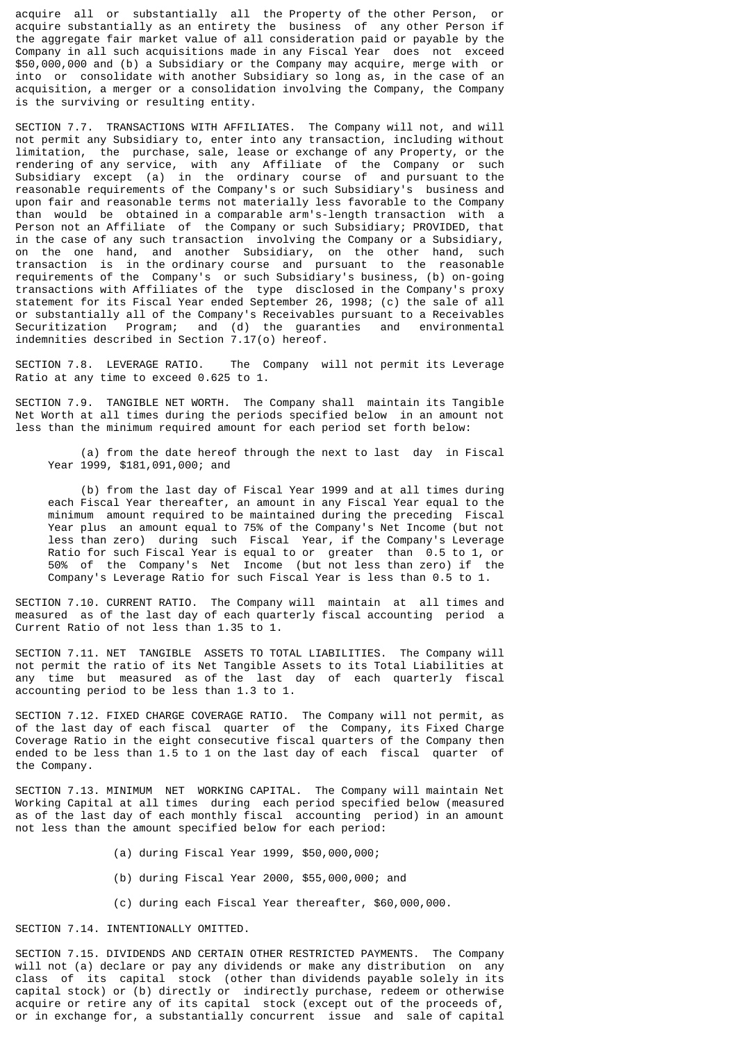acquire all or substantially all the Property of the other Person, or acquire substantially as an entirety the business of any other Person if the aggregate fair market value of all consideration paid or payable by the Company in all such acquisitions made in any Fiscal Year does not exceed \$50,000,000 and (b) a Subsidiary or the Company may acquire, merge with or into or consolidate with another Subsidiary so long as, in the case of an acquisition, a merger or a consolidation involving the Company, the Company is the surviving or resulting entity.

SECTION 7.7. TRANSACTIONS WITH AFFILIATES. The Company will not, and will not permit any Subsidiary to, enter into any transaction, including without limitation, the purchase, sale, lease or exchange of any Property, or the rendering of any service, with any Affiliate of the Company or such Subsidiary except (a) in the ordinary course of and pursuant to the reasonable requirements of the Company's or such Subsidiary's business and upon fair and reasonable terms not materially less favorable to the Company than would be obtained in a comparable arm's-length transaction with a Person not an Affiliate of the Company or such Subsidiary; PROVIDED, that in the case of any such transaction involving the Company or a Subsidiary, on the one hand, and another Subsidiary, on the other hand, such transaction is in the ordinary course and pursuant to the reasonable requirements of the Company's or such Subsidiary's business, (b) on-going transactions with Affiliates of the type disclosed in the Company's proxy statement for its Fiscal Year ended September 26, 1998; (c) the sale of all or substantially all of the Company's Receivables pursuant to a Receivables Securitization Program; and (d) the guaranties and environmental indemnities described in Section 7.17(o) hereof.

SECTION 7.8. LEVERAGE RATIO. The Company will not permit its Leverage Ratio at any time to exceed 0.625 to 1.

SECTION 7.9. TANGIBLE NET WORTH. The Company shall maintain its Tangible Net Worth at all times during the periods specified below in an amount not less than the minimum required amount for each period set forth below:

 (a) from the date hereof through the next to last day in Fiscal Year 1999, \$181,091,000; and

 (b) from the last day of Fiscal Year 1999 and at all times during each Fiscal Year thereafter, an amount in any Fiscal Year equal to the minimum amount required to be maintained during the preceding Fiscal Year plus an amount equal to 75% of the Company's Net Income (but not less than zero) during such Fiscal Year, if the Company's Leverage Ratio for such Fiscal Year is equal to or greater than 0.5 to 1, or 50% of the Company's Net Income (but not less than zero) if the Company's Leverage Ratio for such Fiscal Year is less than 0.5 to 1.

SECTION 7.10. CURRENT RATIO. The Company will maintain at all times and measured as of the last day of each quarterly fiscal accounting period a Current Ratio of not less than 1.35 to 1.

SECTION 7.11. NET TANGIBLE ASSETS TO TOTAL LIABILITIES. The Company will not permit the ratio of its Net Tangible Assets to its Total Liabilities at any time but measured as of the last day of each quarterly fiscal accounting period to be less than 1.3 to 1.

SECTION 7.12. FIXED CHARGE COVERAGE RATIO. The Company will not permit, as of the last day of each fiscal quarter of the Company, its Fixed Charge Coverage Ratio in the eight consecutive fiscal quarters of the Company then ended to be less than 1.5 to 1 on the last day of each fiscal quarter of the Company.

SECTION 7.13. MINIMUM NET WORKING CAPITAL. The Company will maintain Net Working Capital at all times during each period specified below (measured as of the last day of each monthly fiscal accounting period) in an amount not less than the amount specified below for each period:

- (a) during Fiscal Year 1999, \$50,000,000;
- (b) during Fiscal Year 2000, \$55,000,000; and
- (c) during each Fiscal Year thereafter, \$60,000,000.

### SECTION 7.14. INTENTIONALLY OMITTED.

SECTION 7.15. DIVIDENDS AND CERTAIN OTHER RESTRICTED PAYMENTS. The Company will not (a) declare or pay any dividends or make any distribution on any class of its capital stock (other than dividends payable solely in its capital stock) or (b) directly or indirectly purchase, redeem or otherwise acquire or retire any of its capital stock (except out of the proceeds of, or in exchange for, a substantially concurrent issue and sale of capital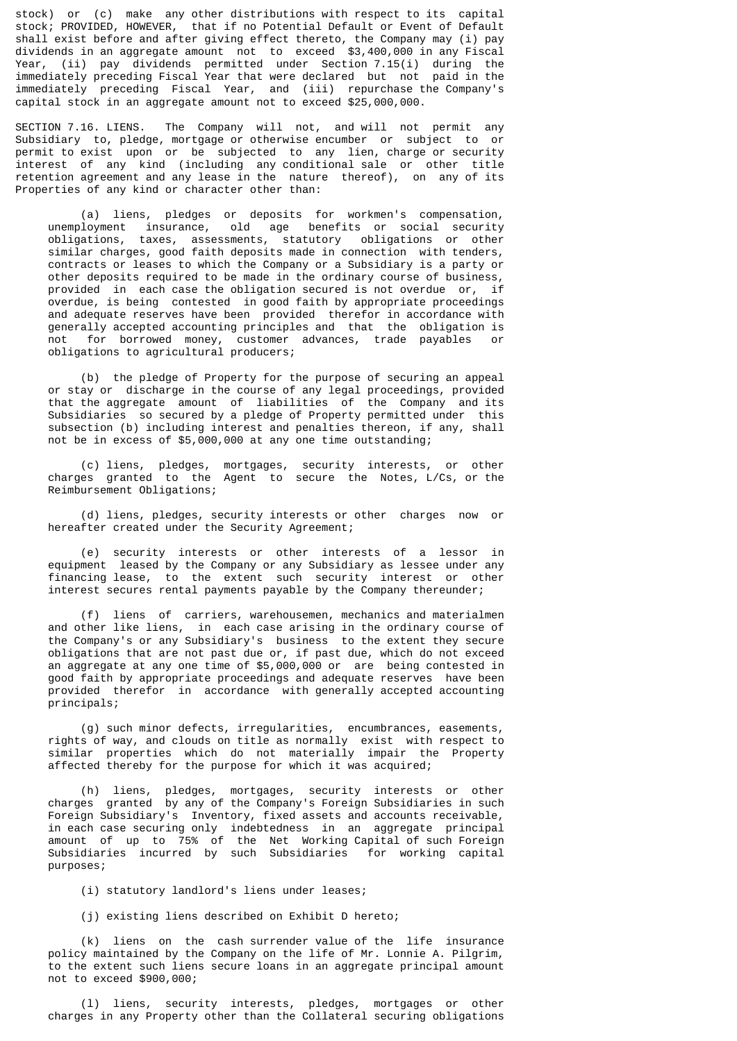stock) or (c) make any other distributions with respect to its capital stock; PROVIDED, HOWEVER, that if no Potential Default or Event of Default shall exist before and after giving effect thereto, the Company may (i) pay dividends in an aggregate amount not to exceed \$3,400,000 in any Fiscal Year, (ii) pay dividends permitted under Section 7.15(i) during the immediately preceding Fiscal Year that were declared but not paid in the immediately preceding Fiscal Year, and (iii) repurchase the Company's capital stock in an aggregate amount not to exceed \$25,000,000.

SECTION 7.16. LIENS. The Company will not, and will not permit any Subsidiary to, pledge, mortgage or otherwise encumber or subject to or permit to exist upon or be subjected to any lien, charge or security interest of any kind (including any conditional sale or other title retention agreement and any lease in the nature thereof), on any of its Properties of any kind or character other than:

 (a) liens, pledges or deposits for workmen's compensation, unemployment insurance, old age benefits or social security obligations, taxes, assessments, statutory obligations or other similar charges, good faith deposits made in connection with tenders, contracts or leases to which the Company or a Subsidiary is a party or other deposits required to be made in the ordinary course of business, provided in each case the obligation secured is not overdue or, if overdue, is being contested in good faith by appropriate proceedings and adequate reserves have been provided therefor in accordance with generally accepted accounting principles and that the obligation is not for borrowed money, customer advances, trade payables or obligations to agricultural producers;

 (b) the pledge of Property for the purpose of securing an appeal or stay or discharge in the course of any legal proceedings, provided that the aggregate amount of liabilities of the Company and its Subsidiaries so secured by a pledge of Property permitted under this subsection (b) including interest and penalties thereon, if any, shall not be in excess of \$5,000,000 at any one time outstanding;

 (c) liens, pledges, mortgages, security interests, or other charges granted to the Agent to secure the Notes, L/Cs, or the Reimbursement Obligations;

 (d) liens, pledges, security interests or other charges now or hereafter created under the Security Agreement;

 (e) security interests or other interests of a lessor in equipment leased by the Company or any Subsidiary as lessee under any financing lease, to the extent such security interest or other interest secures rental payments payable by the Company thereunder;

 (f) liens of carriers, warehousemen, mechanics and materialmen and other like liens, in each case arising in the ordinary course of the Company's or any Subsidiary's business to the extent they secure obligations that are not past due or, if past due, which do not exceed an aggregate at any one time of \$5,000,000 or are being contested in good faith by appropriate proceedings and adequate reserves have been provided therefor in accordance with generally accepted accounting principals;

 (g) such minor defects, irregularities, encumbrances, easements, rights of way, and clouds on title as normally exist with respect to similar properties which do not materially impair the Property affected thereby for the purpose for which it was acquired;

 (h) liens, pledges, mortgages, security interests or other charges granted by any of the Company's Foreign Subsidiaries in such Foreign Subsidiary's Inventory, fixed assets and accounts receivable, in each case securing only indebtedness in an aggregate principal amount of up to 75% of the Net Working Capital of such Foreign Subsidiaries incurred by such Subsidiaries for working capital purposes;

(i) statutory landlord's liens under leases;

(j) existing liens described on Exhibit D hereto;

 (k) liens on the cash surrender value of the life insurance policy maintained by the Company on the life of Mr. Lonnie A. Pilgrim, to the extent such liens secure loans in an aggregate principal amount not to exceed \$900,000;

 (l) liens, security interests, pledges, mortgages or other charges in any Property other than the Collateral securing obligations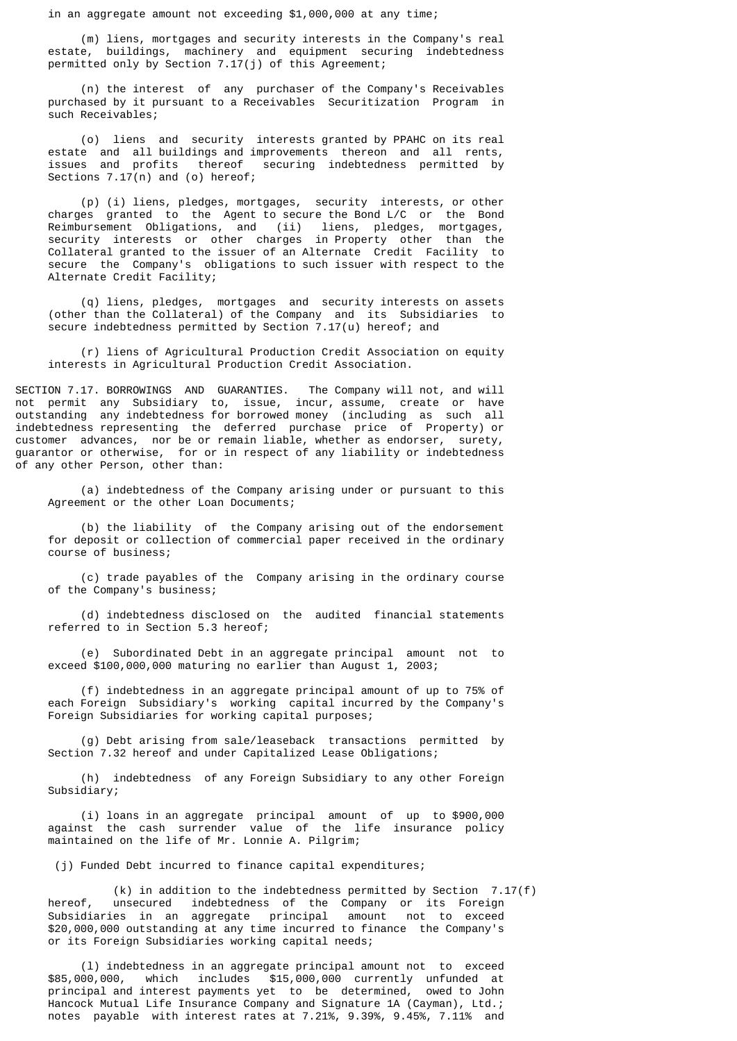in an aggregate amount not exceeding \$1,000,000 at any time;

 (m) liens, mortgages and security interests in the Company's real estate, buildings, machinery and equipment securing indebtedness permitted only by Section  $7.17(j)$  of this Agreement;

 (n) the interest of any purchaser of the Company's Receivables purchased by it pursuant to a Receivables Securitization Program in such Receivables;

 (o) liens and security interests granted by PPAHC on its real estate and all buildings and improvements thereon and all rents, issues and profits thereof securing indebtedness permitted by Sections  $7.17(n)$  and (o) hereof;

 (p) (i) liens, pledges, mortgages, security interests, or other charges granted to the Agent to secure the Bond L/C or the Bond Reimbursement Obligations, and (ii) liens, pledges, mortgages, security interests or other charges in Property other than the Collateral granted to the issuer of an Alternate Credit Facility to secure the Company's obligations to such issuer with respect to the Alternate Credit Facility;

 (q) liens, pledges, mortgages and security interests on assets (other than the Collateral) of the Company and its Subsidiaries to secure indebtedness permitted by Section 7.17(u) hereof; and

 (r) liens of Agricultural Production Credit Association on equity interests in Agricultural Production Credit Association.

SECTION 7.17. BORROWINGS AND GUARANTIES. The Company will not, and will not permit any Subsidiary to, issue, incur, assume, create or have outstanding any indebtedness for borrowed money (including as such all indebtedness representing the deferred purchase price of Property) or customer advances, nor be or remain liable, whether as endorser, surety, guarantor or otherwise, for or in respect of any liability or indebtedness of any other Person, other than:

 (a) indebtedness of the Company arising under or pursuant to this Agreement or the other Loan Documents;

 (b) the liability of the Company arising out of the endorsement for deposit or collection of commercial paper received in the ordinary course of business;

 (c) trade payables of the Company arising in the ordinary course of the Company's business;

 (d) indebtedness disclosed on the audited financial statements referred to in Section 5.3 hereof;

 (e) Subordinated Debt in an aggregate principal amount not to exceed \$100,000,000 maturing no earlier than August 1, 2003;

 (f) indebtedness in an aggregate principal amount of up to 75% of each Foreign Subsidiary's working capital incurred by the Company's Foreign Subsidiaries for working capital purposes;

 (g) Debt arising from sale/leaseback transactions permitted by Section 7.32 hereof and under Capitalized Lease Obligations;

 (h) indebtedness of any Foreign Subsidiary to any other Foreign Subsidiary;

 (i) loans in an aggregate principal amount of up to \$900,000 against the cash surrender value of the life insurance policy maintained on the life of Mr. Lonnie A. Pilgrim;

(j) Funded Debt incurred to finance capital expenditures;

(k) in addition to the indebtedness permitted by Section  $7.17(f)$ <br>hereof unsecured indebtedness of the Company or its Eoreign hereof, unsecured indebtedness of the Company or its Foreign Subsidiaries in an aggregate principal amount not to exceed \$20,000,000 outstanding at any time incurred to finance the Company's or its Foreign Subsidiaries working capital needs;

 (l) indebtedness in an aggregate principal amount not to exceed \$85,000,000, which includes \$15,000,000 currently unfunded at principal and interest payments yet to be determined, owed to John Hancock Mutual Life Insurance Company and Signature 1A (Cayman), Ltd.; notes payable with interest rates at 7.21%, 9.39%, 9.45%, 7.11% and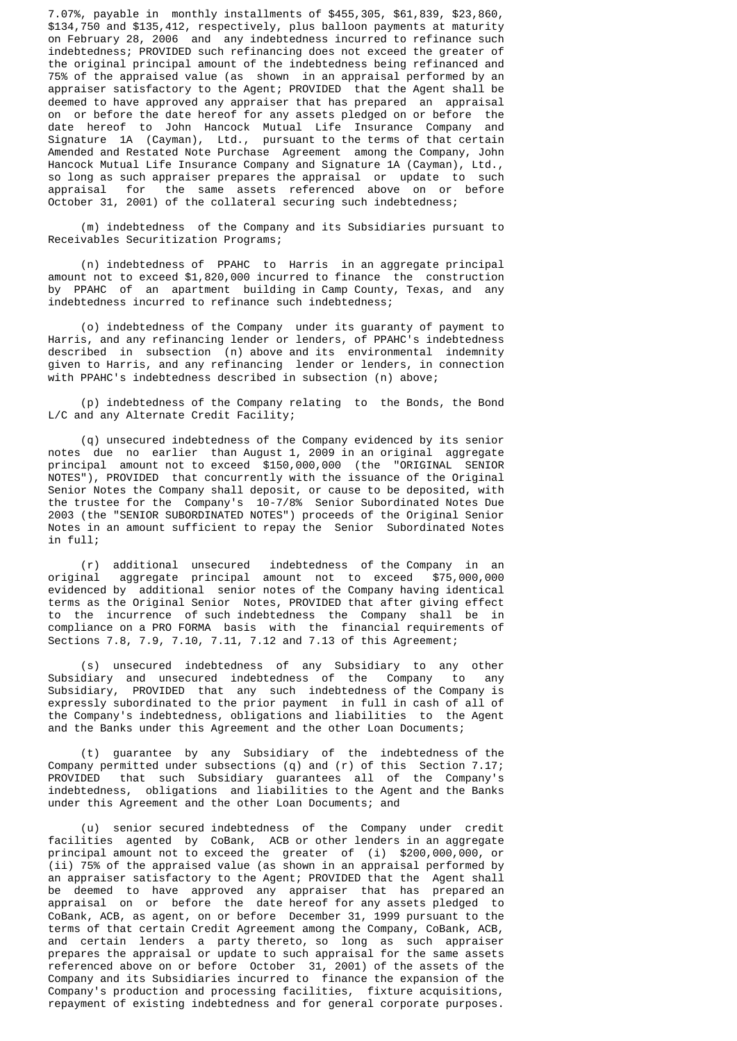7.07%, payable in monthly installments of \$455,305, \$61,839, \$23,860, \$134,750 and \$135,412, respectively, plus balloon payments at maturity on February 28, 2006 and any indebtedness incurred to refinance such indebtedness; PROVIDED such refinancing does not exceed the greater of the original principal amount of the indebtedness being refinanced and 75% of the appraised value (as shown in an appraisal performed by an appraiser satisfactory to the Agent; PROVIDED that the Agent shall be deemed to have approved any appraiser that has prepared an appraisal on or before the date hereof for any assets pledged on or before the date hereof to John Hancock Mutual Life Insurance Company and Signature 1A (Cayman), Ltd., pursuant to the terms of that certain Amended and Restated Note Purchase Agreement among the Company, John Hancock Mutual Life Insurance Company and Signature 1A (Cayman), Ltd., so long as such appraiser prepares the appraisal or update to such appraisal for the same assets referenced above on or before October 31, 2001) of the collateral securing such indebtedness;

 (m) indebtedness of the Company and its Subsidiaries pursuant to Receivables Securitization Programs;

 (n) indebtedness of PPAHC to Harris in an aggregate principal amount not to exceed \$1,820,000 incurred to finance the construction by PPAHC of an apartment building in Camp County, Texas, and any indebtedness incurred to refinance such indebtedness;

 (o) indebtedness of the Company under its guaranty of payment to Harris, and any refinancing lender or lenders, of PPAHC's indebtedness described in subsection (n) above and its environmental indemnity given to Harris, and any refinancing lender or lenders, in connection with PPAHC's indebtedness described in subsection (n) above;

 (p) indebtedness of the Company relating to the Bonds, the Bond L/C and any Alternate Credit Facility;

 (q) unsecured indebtedness of the Company evidenced by its senior notes due no earlier than August 1, 2009 in an original aggregate principal amount not to exceed \$150,000,000 (the "ORIGINAL SENIOR NOTES"), PROVIDED that concurrently with the issuance of the Original Senior Notes the Company shall deposit, or cause to be deposited, with the trustee for the Company's 10-7/8% Senior Subordinated Notes Due 2003 (the "SENIOR SUBORDINATED NOTES") proceeds of the Original Senior Notes in an amount sufficient to repay the Senior Subordinated Notes in full;

 (r) additional unsecured indebtedness of the Company in an original aggregate principal amount not to exceed \$75,000,000 evidenced by additional senior notes of the Company having identical terms as the Original Senior Notes, PROVIDED that after giving effect to the incurrence of such indebtedness the Company shall be in compliance on a PRO FORMA basis with the financial requirements of Sections 7.8, 7.9, 7.10, 7.11, 7.12 and 7.13 of this Agreement;

 (s) unsecured indebtedness of any Subsidiary to any other Subsidiary and unsecured indebtedness of the Company to any Subsidiary, PROVIDED that any such indebtedness of the Company is expressly subordinated to the prior payment in full in cash of all of the Company's indebtedness, obligations and liabilities to the Agent and the Banks under this Agreement and the other Loan Documents;

 (t) guarantee by any Subsidiary of the indebtedness of the Company permitted under subsections (q) and (r) of this Section 7.17; PROVIDED that such Subsidiary guarantees all of the Company's indebtedness, obligations and liabilities to the Agent and the Banks under this Agreement and the other Loan Documents; and

 (u) senior secured indebtedness of the Company under credit facilities agented by CoBank, ACB or other lenders in an aggregate principal amount not to exceed the greater of (i) \$200,000,000, or (ii) 75% of the appraised value (as shown in an appraisal performed by an appraiser satisfactory to the Agent; PROVIDED that the Agent shall be deemed to have approved any appraiser that has prepared an appraisal on or before the date hereof for any assets pledged to CoBank, ACB, as agent, on or before December 31, 1999 pursuant to the terms of that certain Credit Agreement among the Company, CoBank, ACB, and certain lenders a party thereto, so long as such appraiser prepares the appraisal or update to such appraisal for the same assets referenced above on or before October 31, 2001) of the assets of the Company and its Subsidiaries incurred to finance the expansion of the Company's production and processing facilities, fixture acquisitions, repayment of existing indebtedness and for general corporate purposes.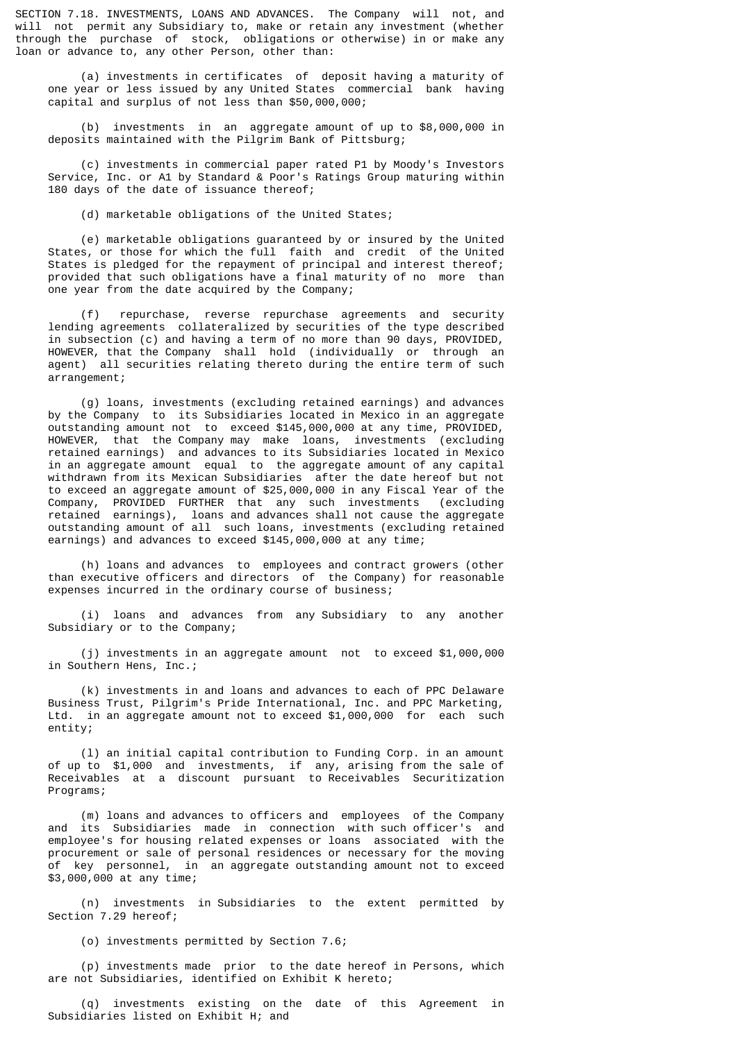SECTION 7.18. INVESTMENTS, LOANS AND ADVANCES. The Company will not, and will not permit any Subsidiary to, make or retain any investment (whether through the purchase of stock, obligations or otherwise) in or make any loan or advance to, any other Person, other than:

 (a) investments in certificates of deposit having a maturity of one year or less issued by any United States commercial bank having capital and surplus of not less than \$50,000,000;

 (b) investments in an aggregate amount of up to \$8,000,000 in deposits maintained with the Pilgrim Bank of Pittsburg;

 (c) investments in commercial paper rated P1 by Moody's Investors Service, Inc. or A1 by Standard & Poor's Ratings Group maturing within 180 days of the date of issuance thereof;

(d) marketable obligations of the United States;

 (e) marketable obligations guaranteed by or insured by the United States, or those for which the full faith and credit of the United States is pledged for the repayment of principal and interest thereof; provided that such obligations have a final maturity of no more than one year from the date acquired by the Company;

 (f) repurchase, reverse repurchase agreements and security lending agreements collateralized by securities of the type described in subsection (c) and having a term of no more than 90 days, PROVIDED, HOWEVER, that the Company shall hold (individually or through an agent) all securities relating thereto during the entire term of such arrangement;

 (g) loans, investments (excluding retained earnings) and advances by the Company to its Subsidiaries located in Mexico in an aggregate outstanding amount not to exceed \$145,000,000 at any time, PROVIDED, HOWEVER, that the Company may make loans, investments (excluding retained earnings) and advances to its Subsidiaries located in Mexico in an aggregate amount equal to the aggregate amount of any capital withdrawn from its Mexican Subsidiaries after the date hereof but not to exceed an aggregate amount of \$25,000,000 in any Fiscal Year of the Company, PROVIDED FURTHER that any such investments (excluding retained earnings), loans and advances shall not cause the aggregate outstanding amount of all such loans, investments (excluding retained earnings) and advances to exceed \$145,000,000 at any time;

 (h) loans and advances to employees and contract growers (other than executive officers and directors of the Company) for reasonable expenses incurred in the ordinary course of business;

 (i) loans and advances from any Subsidiary to any another Subsidiary or to the Company;

 (j) investments in an aggregate amount not to exceed \$1,000,000 in Southern Hens, Inc.;

 (k) investments in and loans and advances to each of PPC Delaware Business Trust, Pilgrim's Pride International, Inc. and PPC Marketing, Ltd. in an aggregate amount not to exceed \$1,000,000 for each such entity;

 (l) an initial capital contribution to Funding Corp. in an amount of up to \$1,000 and investments, if any, arising from the sale of Receivables at a discount pursuant to Receivables Securitization Programs;

 (m) loans and advances to officers and employees of the Company and its Subsidiaries made in connection with such officer's and employee's for housing related expenses or loans associated with the procurement or sale of personal residences or necessary for the moving of key personnel, in an aggregate outstanding amount not to exceed \$3,000,000 at any time;

 (n) investments in Subsidiaries to the extent permitted by Section 7.29 hereof;

(o) investments permitted by Section 7.6;

 (p) investments made prior to the date hereof in Persons, which are not Subsidiaries, identified on Exhibit K hereto;

 (q) investments existing on the date of this Agreement in Subsidiaries listed on Exhibit H; and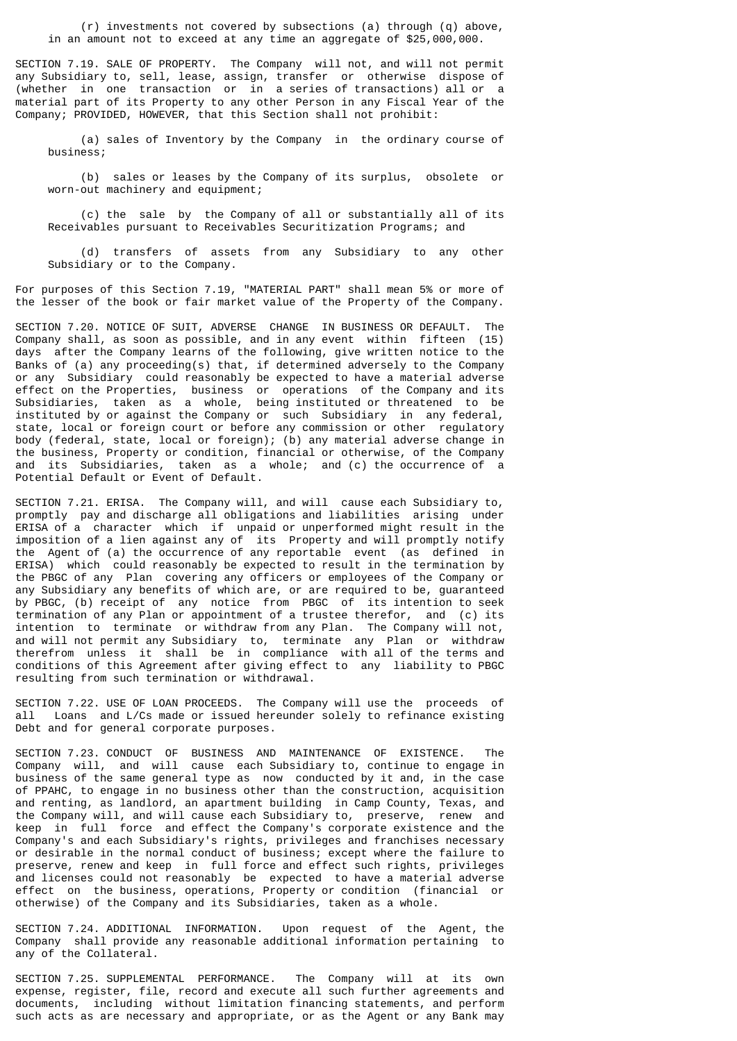(r) investments not covered by subsections (a) through (q) above, in an amount not to exceed at any time an aggregate of \$25,000,000.

SECTION 7.19. SALE OF PROPERTY. The Company will not, and will not permit any Subsidiary to, sell, lease, assign, transfer or otherwise dispose of (whether in one transaction or in a series of transactions) all or a material part of its Property to any other Person in any Fiscal Year of the Company; PROVIDED, HOWEVER, that this Section shall not prohibit:

 (a) sales of Inventory by the Company in the ordinary course of business;

 (b) sales or leases by the Company of its surplus, obsolete or worn-out machinery and equipment;

 (c) the sale by the Company of all or substantially all of its Receivables pursuant to Receivables Securitization Programs; and

 (d) transfers of assets from any Subsidiary to any other Subsidiary or to the Company.

For purposes of this Section 7.19, "MATERIAL PART" shall mean 5% or more of the lesser of the book or fair market value of the Property of the Company.

SECTION 7.20. NOTICE OF SUIT, ADVERSE CHANGE IN BUSINESS OR DEFAULT. The Company shall, as soon as possible, and in any event within fifteen (15) days after the Company learns of the following, give written notice to the Banks of (a) any proceeding(s) that, if determined adversely to the Company or any Subsidiary could reasonably be expected to have a material adverse effect on the Properties, business or operations of the Company and its Subsidiaries, taken as a whole, being instituted or threatened to be instituted by or against the Company or such Subsidiary in any federal, state, local or foreign court or before any commission or other regulatory body (federal, state, local or foreign); (b) any material adverse change in the business, Property or condition, financial or otherwise, of the Company and its Subsidiaries, taken as a whole; and (c) the occurrence of a Potential Default or Event of Default.

SECTION 7.21. ERISA. The Company will, and will cause each Subsidiary to, promptly pay and discharge all obligations and liabilities arising under ERISA of a character which if unpaid or unperformed might result in the imposition of a lien against any of its Property and will promptly notify the Agent of (a) the occurrence of any reportable event (as defined in ERISA) which could reasonably be expected to result in the termination by the PBGC of any Plan covering any officers or employees of the Company or any Subsidiary any benefits of which are, or are required to be, guaranteed by PBGC, (b) receipt of any notice from PBGC of its intention to seek termination of any Plan or appointment of a trustee therefor, and (c) its intention to terminate or withdraw from any Plan. The Company will not, and will not permit any Subsidiary to, terminate any Plan or withdraw therefrom unless it shall be in compliance with all of the terms and conditions of this Agreement after giving effect to any liability to PBGC resulting from such termination or withdrawal.

SECTION 7.22. USE OF LOAN PROCEEDS. The Company will use the proceeds of all Loans and L/Cs made or issued hereunder solely to refinance existing Debt and for general corporate purposes.

SECTION 7.23. CONDUCT OF BUSINESS AND MAINTENANCE OF EXISTENCE. The Company will, and will cause each Subsidiary to, continue to engage in business of the same general type as now conducted by it and, in the case of PPAHC, to engage in no business other than the construction, acquisition and renting, as landlord, an apartment building in Camp County, Texas, and the Company will, and will cause each Subsidiary to, preserve, renew and keep in full force and effect the Company's corporate existence and the Company's and each Subsidiary's rights, privileges and franchises necessary or desirable in the normal conduct of business; except where the failure to preserve, renew and keep in full force and effect such rights, privileges and licenses could not reasonably be expected to have a material adverse effect on the business, operations, Property or condition (financial or otherwise) of the Company and its Subsidiaries, taken as a whole.

SECTION 7.24. ADDITIONAL INFORMATION. Upon request of the Agent, the Company shall provide any reasonable additional information pertaining to any of the Collateral.

SECTION 7.25. SUPPLEMENTAL PERFORMANCE. The Company will at its own expense, register, file, record and execute all such further agreements and documents, including without limitation financing statements, and perform such acts as are necessary and appropriate, or as the Agent or any Bank may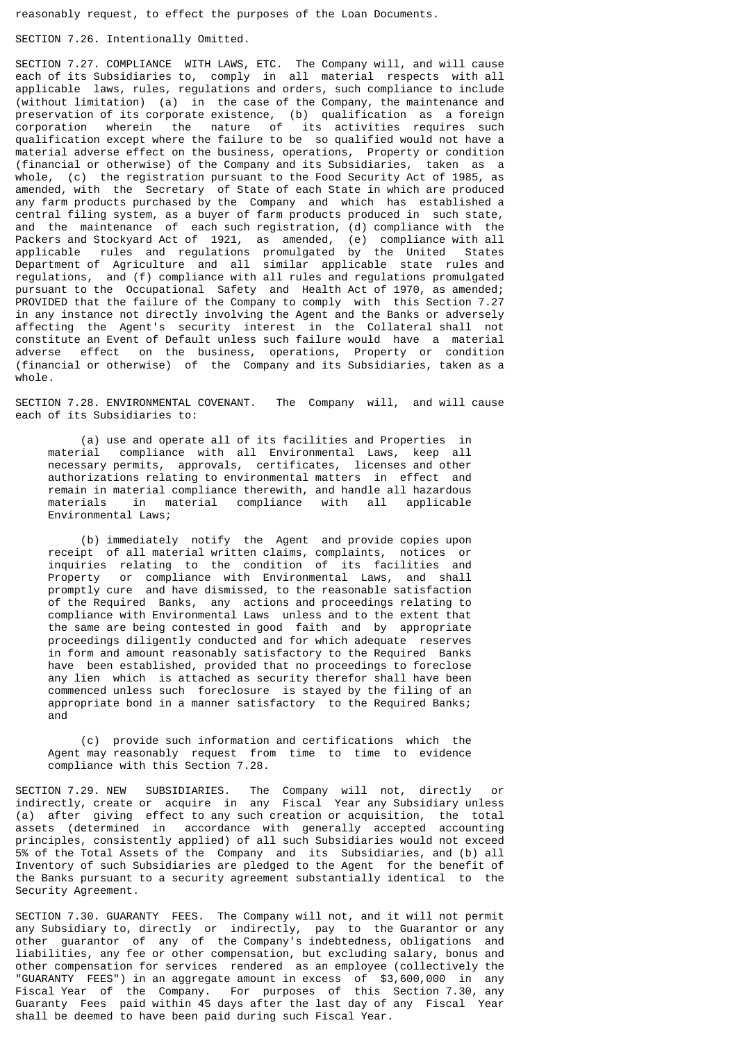reasonably request, to effect the purposes of the Loan Documents.

### SECTION 7.26. Intentionally Omitted.

SECTION 7.27. COMPLIANCE WITH LAWS, ETC. The Company will, and will cause each of its Subsidiaries to, comply in all material respects with all applicable laws, rules, regulations and orders, such compliance to include (without limitation) (a) in the case of the Company, the maintenance and preservation of its corporate existence, (b) qualification as a foreign corporation wherein the nature of its activities requires such qualification except where the failure to be so qualified would not have a material adverse effect on the business, operations, Property or condition (financial or otherwise) of the Company and its Subsidiaries, taken as a whole, (c) the registration pursuant to the Food Security Act of 1985, as amended, with the Secretary of State of each State in which are produced any farm products purchased by the Company and which has established a central filing system, as a buyer of farm products produced in such state, and the maintenance of each such registration, (d) compliance with the Packers and Stockyard Act of 1921, as amended, (e) compliance with all applicable rules and regulations promulgated by the United States Department of Agriculture and all similar applicable state rules and regulations, and (f) compliance with all rules and regulations promulgated pursuant to the Occupational Safety and Health Act of 1970, as amended; PROVIDED that the failure of the Company to comply with this Section 7.27 in any instance not directly involving the Agent and the Banks or adversely affecting the Agent's security interest in the Collateral shall not constitute an Event of Default unless such failure would have a material adverse effect on the business, operations, Property or condition (financial or otherwise) of the Company and its Subsidiaries, taken as a whole.

SECTION 7.28. ENVIRONMENTAL COVENANT. The Company will, and will cause each of its Subsidiaries to:

 (a) use and operate all of its facilities and Properties in material compliance with all Environmental Laws, keep all necessary permits, approvals, certificates, licenses and other authorizations relating to environmental matters in effect and remain in material compliance therewith, and handle all hazardous materials in material compliance with all applicable Environmental Laws;

 (b) immediately notify the Agent and provide copies upon receipt of all material written claims, complaints, notices or inquiries relating to the condition of its facilities and Property or compliance with Environmental Laws, and shall promptly cure and have dismissed, to the reasonable satisfaction of the Required Banks, any actions and proceedings relating to compliance with Environmental Laws unless and to the extent that the same are being contested in good faith and by appropriate proceedings diligently conducted and for which adequate reserves in form and amount reasonably satisfactory to the Required Banks have been established, provided that no proceedings to foreclose any lien which is attached as security therefor shall have been commenced unless such foreclosure is stayed by the filing of an appropriate bond in a manner satisfactory to the Required Banks; and

 (c) provide such information and certifications which the Agent may reasonably request from time to time to evidence compliance with this Section 7.28.

SECTION 7.29. NEW SUBSIDIARIES. The Company will not, directly or indirectly, create or acquire in any Fiscal Year any Subsidiary unless (a) after giving effect to any such creation or acquisition, the total assets (determined in accordance with generally accepted accounting principles, consistently applied) of all such Subsidiaries would not exceed 5% of the Total Assets of the Company and its Subsidiaries, and (b) all Inventory of such Subsidiaries are pledged to the Agent for the benefit of the Banks pursuant to a security agreement substantially identical to the Security Agreement.

SECTION 7.30. GUARANTY FEES. The Company will not, and it will not permit any Subsidiary to, directly or indirectly, pay to the Guarantor or any other guarantor of any of the Company's indebtedness, obligations and liabilities, any fee or other compensation, but excluding salary, bonus and other compensation for services rendered as an employee (collectively the "GUARANTY FEES") in an aggregate amount in excess of \$3,600,000 in any Fiscal Year of the Company. For purposes of this Section 7.30, any Guaranty Fees paid within 45 days after the last day of any Fiscal Year shall be deemed to have been paid during such Fiscal Year.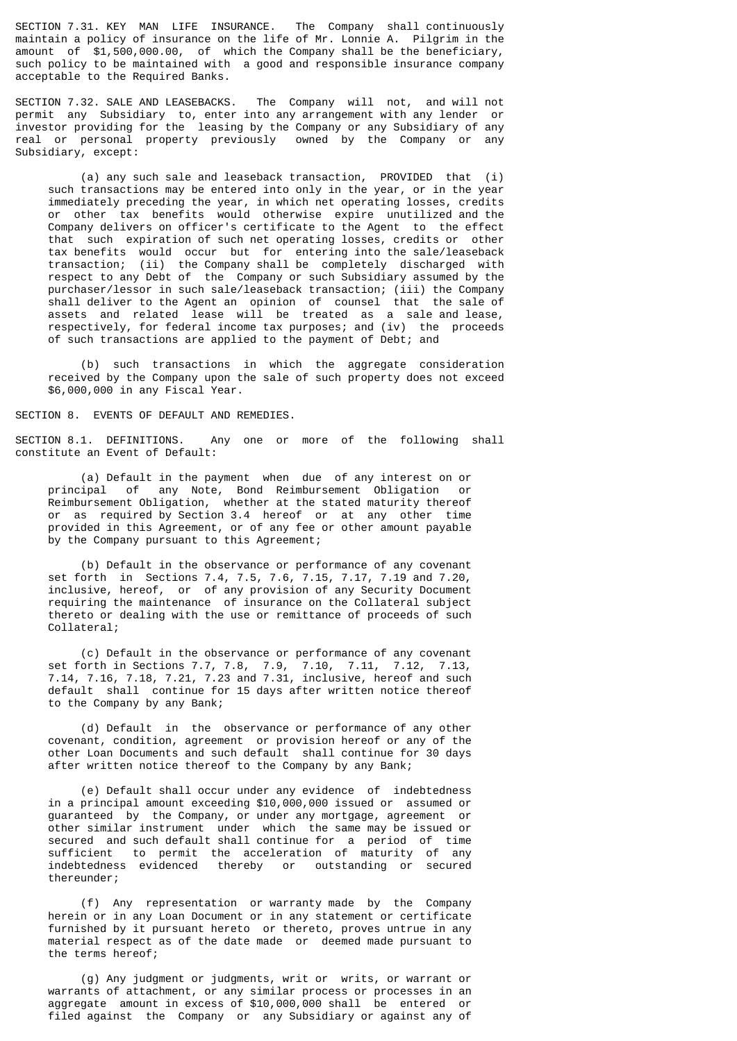SECTION 7.31. KEY MAN LIFE INSURANCE. The Company shall continuously maintain a policy of insurance on the life of Mr. Lonnie A. Pilgrim in the amount of \$1,500,000.00, of which the Company shall be the beneficiary, such policy to be maintained with a good and responsible insurance company acceptable to the Required Banks.

SECTION 7.32. SALE AND LEASEBACKS. The Company will not, and will not permit any Subsidiary to, enter into any arrangement with any lender or investor providing for the leasing by the Company or any Subsidiary of any real or personal property previously owned by the Company or any Subsidiary, except:

 (a) any such sale and leaseback transaction, PROVIDED that (i) such transactions may be entered into only in the year, or in the year immediately preceding the year, in which net operating losses, credits or other tax benefits would otherwise expire unutilized and the Company delivers on officer's certificate to the Agent to the effect that such expiration of such net operating losses, credits or other tax benefits would occur but for entering into the sale/leaseback transaction; (ii) the Company shall be completely discharged with respect to any Debt of the Company or such Subsidiary assumed by the purchaser/lessor in such sale/leaseback transaction; (iii) the Company shall deliver to the Agent an opinion of counsel that the sale of assets and related lease will be treated as a sale and lease, respectively, for federal income tax purposes; and (iv) the proceeds of such transactions are applied to the payment of Debt; and

 (b) such transactions in which the aggregate consideration received by the Company upon the sale of such property does not exceed \$6,000,000 in any Fiscal Year.

SECTION 8. EVENTS OF DEFAULT AND REMEDIES.

SECTION 8.1. DEFINITIONS. Any one or more of the following shall constitute an Event of Default:

 (a) Default in the payment when due of any interest on or principal of any Note, Bond Reimbursement Obligation or Reimbursement Obligation, whether at the stated maturity thereof or as required by Section 3.4 hereof or at any other time provided in this Agreement, or of any fee or other amount payable by the Company pursuant to this Agreement;

 (b) Default in the observance or performance of any covenant set forth in Sections 7.4, 7.5, 7.6, 7.15, 7.17, 7.19 and 7.20, inclusive, hereof, or of any provision of any Security Document requiring the maintenance of insurance on the Collateral subject thereto or dealing with the use or remittance of proceeds of such Collateral;

 (c) Default in the observance or performance of any covenant set forth in Sections 7.7, 7.8, 7.9, 7.10, 7.11, 7.12, 7.13, 7.14, 7.16, 7.18, 7.21, 7.23 and 7.31, inclusive, hereof and such default shall continue for 15 days after written notice thereof to the Company by any Bank;

 (d) Default in the observance or performance of any other covenant, condition, agreement or provision hereof or any of the other Loan Documents and such default shall continue for 30 days after written notice thereof to the Company by any Bank;

 (e) Default shall occur under any evidence of indebtedness in a principal amount exceeding \$10,000,000 issued or assumed or guaranteed by the Company, or under any mortgage, agreement or other similar instrument under which the same may be issued or secured and such default shall continue for a period of time sufficient to permit the acceleration of maturity of any indebtedness evidenced thereby or outstanding or secured thereunder;

 (f) Any representation or warranty made by the Company herein or in any Loan Document or in any statement or certificate furnished by it pursuant hereto or thereto, proves untrue in any material respect as of the date made or deemed made pursuant to the terms hereof;

 (g) Any judgment or judgments, writ or writs, or warrant or warrants of attachment, or any similar process or processes in an aggregate amount in excess of \$10,000,000 shall be entered or filed against the Company or any Subsidiary or against any of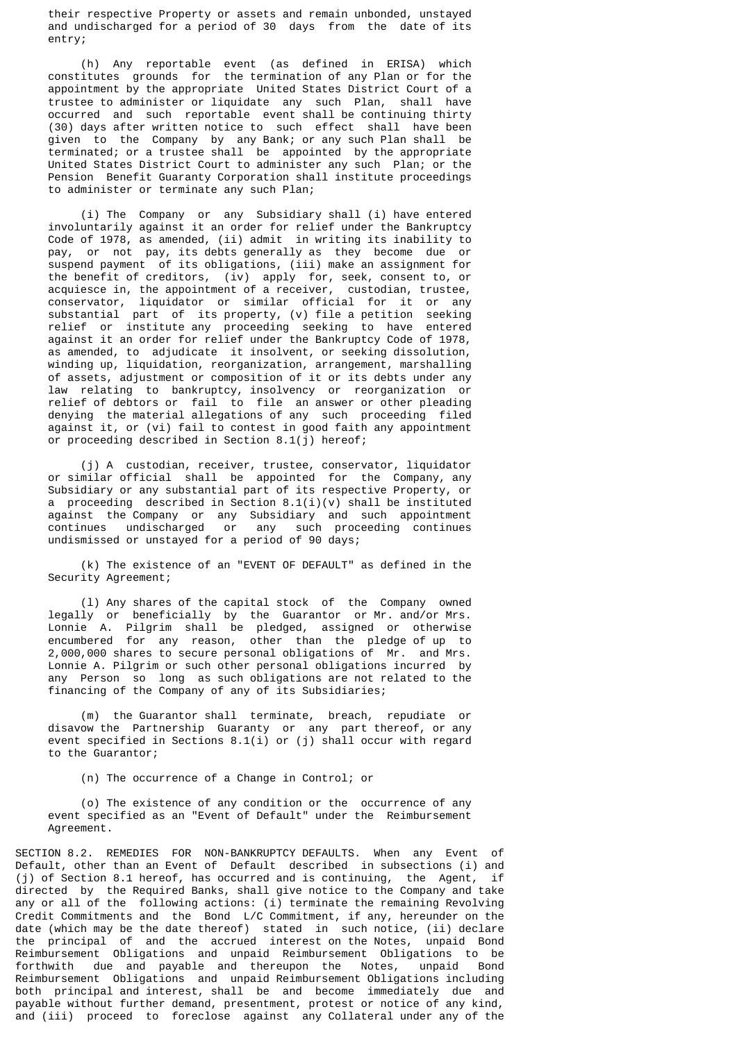their respective Property or assets and remain unbonded, unstayed and undischarged for a period of 30 days from the date of its entry;

 (h) Any reportable event (as defined in ERISA) which constitutes grounds for the termination of any Plan or for the appointment by the appropriate United States District Court of a trustee to administer or liquidate any such Plan, shall have occurred and such reportable event shall be continuing thirty (30) days after written notice to such effect shall have been given to the Company by any Bank; or any such Plan shall be terminated; or a trustee shall be appointed by the appropriate United States District Court to administer any such Plan; or the Pension Benefit Guaranty Corporation shall institute proceedings to administer or terminate any such Plan;

 (i) The Company or any Subsidiary shall (i) have entered involuntarily against it an order for relief under the Bankruptcy Code of 1978, as amended, (ii) admit in writing its inability to pay, or not pay, its debts generally as they become due or suspend payment of its obligations, (iii) make an assignment for the benefit of creditors, (iv) apply for, seek, consent to, or acquiesce in, the appointment of a receiver, custodian, trustee, conservator, liquidator or similar official for it or any substantial part of its property, (v) file a petition seeking relief or institute any proceeding seeking to have entered against it an order for relief under the Bankruptcy Code of 1978, as amended, to adjudicate it insolvent, or seeking dissolution, winding up, liquidation, reorganization, arrangement, marshalling of assets, adjustment or composition of it or its debts under any law relating to bankruptcy, insolvency or reorganization or relief of debtors or fail to file an answer or other pleading denying the material allegations of any such proceeding filed against it, or (vi) fail to contest in good faith any appointment or proceeding described in Section 8.1(j) hereof;

 (j) A custodian, receiver, trustee, conservator, liquidator or similar official shall be appointed for the Company, any Subsidiary or any substantial part of its respective Property, or a proceeding described in Section  $8.1(i)(v)$  shall be instituted against the Company or any Subsidiary and such appointment continues undischarged or any such proceeding continues undismissed or unstayed for a period of 90 days;

 (k) The existence of an "EVENT OF DEFAULT" as defined in the Security Agreement;

 (l) Any shares of the capital stock of the Company owned legally or beneficially by the Guarantor or Mr. and/or Mrs. Lonnie A. Pilgrim shall be pledged, assigned or otherwise encumbered for any reason, other than the pledge of up to 2,000,000 shares to secure personal obligations of Mr. and Mrs. Lonnie A. Pilgrim or such other personal obligations incurred by any Person so long as such obligations are not related to the financing of the Company of any of its Subsidiaries;

 (m) the Guarantor shall terminate, breach, repudiate or disavow the Partnership Guaranty or any part thereof, or any event specified in Sections 8.1(i) or (j) shall occur with regard to the Guarantor;

(n) The occurrence of a Change in Control; or

 (o) The existence of any condition or the occurrence of any event specified as an "Event of Default" under the Reimbursement Agreement.

SECTION 8.2. REMEDIES FOR NON-BANKRUPTCY DEFAULTS. When any Event of Default, other than an Event of Default described in subsections (i) and (j) of Section 8.1 hereof, has occurred and is continuing, the Agent, if directed by the Required Banks, shall give notice to the Company and take any or all of the following actions:  $(i)$  terminate the remaining Revolving Credit Commitments and the Bond L/C Commitment, if any, hereunder on the date (which may be the date thereof) stated in such notice, (ii) declare the principal of and the accrued interest on the Notes, unpaid Bond Reimbursement Obligations and unpaid Reimbursement Obligations to be forthwith due and payable and thereupon the Notes, unpaid Bond Reimbursement Obligations and unpaid Reimbursement Obligations including both principal and interest, shall be and become immediately due and payable without further demand, presentment, protest or notice of any kind, and (iii) proceed to foreclose against any Collateral under any of the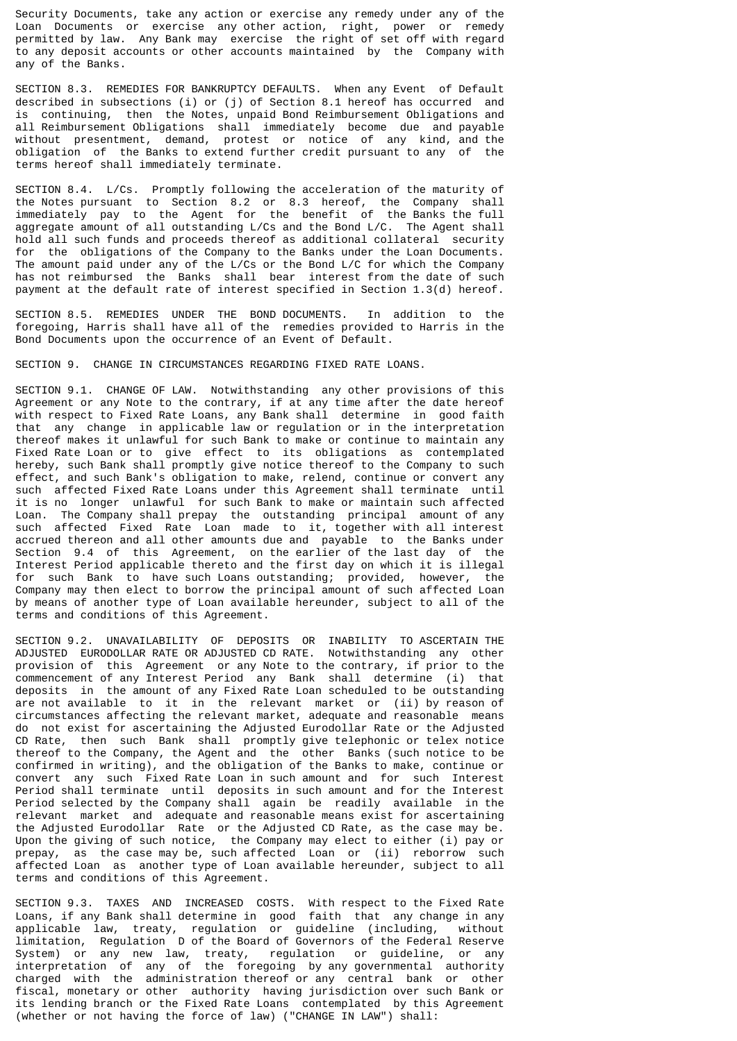Security Documents, take any action or exercise any remedy under any of the Loan Documents or exercise any other action, right, power or remedy permitted by law. Any Bank may exercise the right of set off with regard to any deposit accounts or other accounts maintained by the Company with any of the Banks.

SECTION 8.3. REMEDIES FOR BANKRUPTCY DEFAULTS. When any Event of Default described in subsections (i) or (j) of Section 8.1 hereof has occurred and is continuing, then the Notes, unpaid Bond Reimbursement Obligations and all Reimbursement Obligations shall immediately become due and payable without presentment, demand, protest or notice of any kind, and the obligation of the Banks to extend further credit pursuant to any of the terms hereof shall immediately terminate.

SECTION 8.4. L/Cs. Promptly following the acceleration of the maturity of the Notes pursuant to Section 8.2 or 8.3 hereof, the Company shall immediately pay to the Agent for the benefit of the Banks the full aggregate amount of all outstanding L/Cs and the Bond L/C. The Agent shall hold all such funds and proceeds thereof as additional collateral security for the obligations of the Company to the Banks under the Loan Documents. The amount paid under any of the L/Cs or the Bond L/C for which the Company has not reimbursed the Banks shall bear interest from the date of such payment at the default rate of interest specified in Section 1.3(d) hereof.

SECTION 8.5. REMEDIES UNDER THE BOND DOCUMENTS. In addition to the foregoing, Harris shall have all of the remedies provided to Harris in the Bond Documents upon the occurrence of an Event of Default.

## SECTION 9. CHANGE IN CIRCUMSTANCES REGARDING FIXED RATE LOANS.

SECTION 9.1. CHANGE OF LAW. Notwithstanding any other provisions of this Agreement or any Note to the contrary, if at any time after the date hereof with respect to Fixed Rate Loans, any Bank shall determine in good faith that any change in applicable law or regulation or in the interpretation thereof makes it unlawful for such Bank to make or continue to maintain any Fixed Rate Loan or to give effect to its obligations as contemplated hereby, such Bank shall promptly give notice thereof to the Company to such effect, and such Bank's obligation to make, relend, continue or convert any such affected Fixed Rate Loans under this Agreement shall terminate until it is no longer unlawful for such Bank to make or maintain such affected Loan. The Company shall prepay the outstanding principal amount of any such affected Fixed Rate Loan made to it, together with all interest accrued thereon and all other amounts due and payable to the Banks under Section 9.4 of this Agreement, on the earlier of the last day of the Interest Period applicable thereto and the first day on which it is illegal for such Bank to have such Loans outstanding; provided, however, the Company may then elect to borrow the principal amount of such affected Loan by means of another type of Loan available hereunder, subject to all of the terms and conditions of this Agreement.

SECTION 9.2. UNAVAILABILITY OF DEPOSITS OR INABILITY TO ASCERTAIN THE ADJUSTED EURODOLLAR RATE OR ADJUSTED CD RATE. Notwithstanding any other provision of this Agreement or any Note to the contrary, if prior to the commencement of any Interest Period any Bank shall determine (i) that deposits in the amount of any Fixed Rate Loan scheduled to be outstanding are not available to it in the relevant market or (ii) by reason of circumstances affecting the relevant market, adequate and reasonable means do not exist for ascertaining the Adjusted Eurodollar Rate or the Adjusted CD Rate, then such Bank shall promptly give telephonic or telex notice thereof to the Company, the Agent and the other Banks (such notice to be confirmed in writing), and the obligation of the Banks to make, continue or convert any such Fixed Rate Loan in such amount and for such Interest Period shall terminate until deposits in such amount and for the Interest Period selected by the Company shall again be readily available in the relevant market and adequate and reasonable means exist for ascertaining the Adjusted Eurodollar Rate or the Adjusted CD Rate, as the case may be. Upon the giving of such notice, the Company may elect to either (i) pay or prepay, as the case may be, such affected Loan or (ii) reborrow such affected Loan as another type of Loan available hereunder, subject to all terms and conditions of this Agreement.

SECTION 9.3. TAXES AND INCREASED COSTS. With respect to the Fixed Rate Loans, if any Bank shall determine in good faith that any change in any applicable law, treaty, regulation or guideline (including, without limitation, Regulation D of the Board of Governors of the Federal Reserve System) or any new law, treaty, regulation or guideline, or any interpretation of any of the foregoing by any governmental authority charged with the administration thereof or any central bank or other fiscal, monetary or other authority having jurisdiction over such Bank or its lending branch or the Fixed Rate Loans contemplated by this Agreement (whether or not having the force of law) ("CHANGE IN LAW") shall: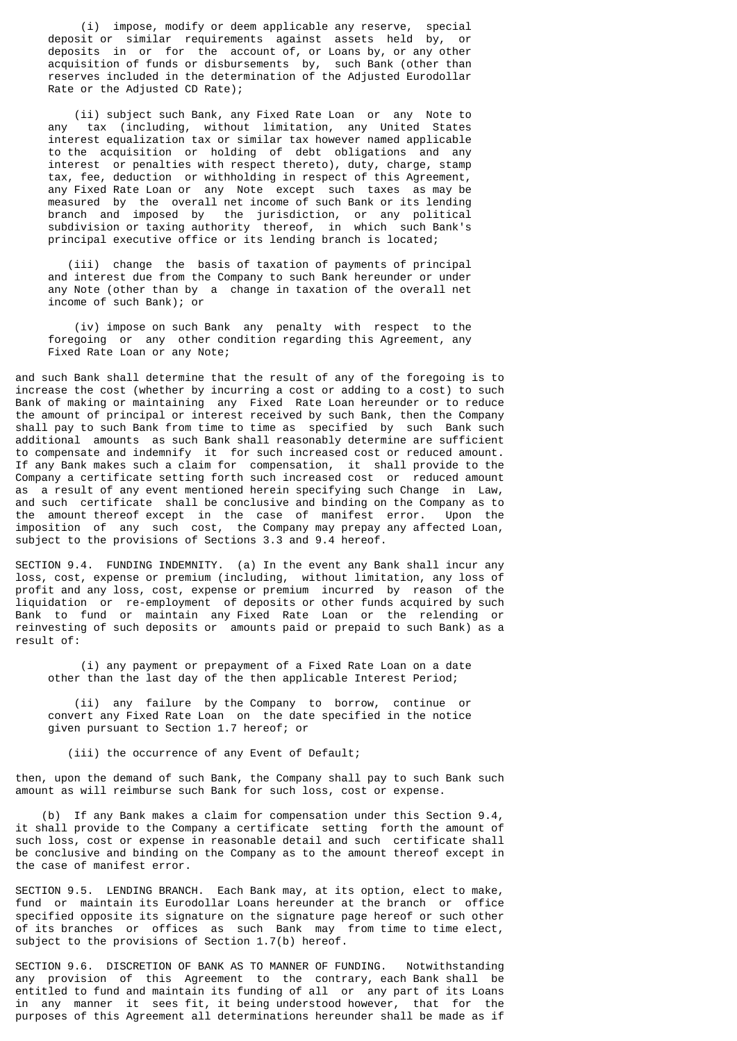(i) impose, modify or deem applicable any reserve, special deposit or similar requirements against assets held by, or deposits in or for the account of, or Loans by, or any other acquisition of funds or disbursements by, such Bank (other than reserves included in the determination of the Adjusted Eurodollar Rate or the Adjusted CD Rate);

 (ii) subject such Bank, any Fixed Rate Loan or any Note to any tax (including, without limitation, any United States interest equalization tax or similar tax however named applicable to the acquisition or holding of debt obligations and any interest or penalties with respect thereto), duty, charge, stamp tax, fee, deduction or withholding in respect of this Agreement, any Fixed Rate Loan or any Note except such taxes as may be measured by the overall net income of such Bank or its lending branch and imposed by the jurisdiction, or any political subdivision or taxing authority thereof, in which such Bank's principal executive office or its lending branch is located;

 (iii) change the basis of taxation of payments of principal and interest due from the Company to such Bank hereunder or under any Note (other than by a change in taxation of the overall net income of such Bank); or

 (iv) impose on such Bank any penalty with respect to the foregoing or any other condition regarding this Agreement, any Fixed Rate Loan or any Note;

and such Bank shall determine that the result of any of the foregoing is to increase the cost (whether by incurring a cost or adding to a cost) to such Bank of making or maintaining any Fixed Rate Loan hereunder or to reduce the amount of principal or interest received by such Bank, then the Company shall pay to such Bank from time to time as specified by such Bank such additional amounts as such Bank shall reasonably determine are sufficient to compensate and indemnify it for such increased cost or reduced amount. If any Bank makes such a claim for compensation, it shall provide to the Company a certificate setting forth such increased cost or reduced amount as a result of any event mentioned herein specifying such Change in Law, and such certificate shall be conclusive and binding on the Company as to the amount thereof except in the case of manifest error. Upon the imposition of any such cost, the Company may prepay any affected Loan, subject to the provisions of Sections 3.3 and 9.4 hereof.

SECTION 9.4. FUNDING INDEMNITY. (a) In the event any Bank shall incur any loss, cost, expense or premium (including, without limitation, any loss of profit and any loss, cost, expense or premium incurred by reason of the liquidation or re-employment of deposits or other funds acquired by such Bank to fund or maintain any Fixed Rate Loan or the relending or reinvesting of such deposits or amounts paid or prepaid to such Bank) as a result of:

 (i) any payment or prepayment of a Fixed Rate Loan on a date other than the last day of the then applicable Interest Period;

 (ii) any failure by the Company to borrow, continue or convert any Fixed Rate Loan on the date specified in the notice given pursuant to Section 1.7 hereof; or

(iii) the occurrence of any Event of Default;

then, upon the demand of such Bank, the Company shall pay to such Bank such amount as will reimburse such Bank for such loss, cost or expense.

 (b) If any Bank makes a claim for compensation under this Section 9.4, it shall provide to the Company a certificate setting forth the amount of such loss, cost or expense in reasonable detail and such certificate shall be conclusive and binding on the Company as to the amount thereof except in the case of manifest error.

SECTION 9.5. LENDING BRANCH. Each Bank may, at its option, elect to make, fund or maintain its Eurodollar Loans hereunder at the branch or office specified opposite its signature on the signature page hereof or such other of its branches or offices as such Bank may from time to time elect, subject to the provisions of Section 1.7(b) hereof.

SECTION 9.6. DISCRETION OF BANK AS TO MANNER OF FUNDING. Notwithstanding any provision of this Agreement to the contrary, each Bank shall be entitled to fund and maintain its funding of all or any part of its Loans in any manner it sees fit, it being understood however, that for the purposes of this Agreement all determinations hereunder shall be made as if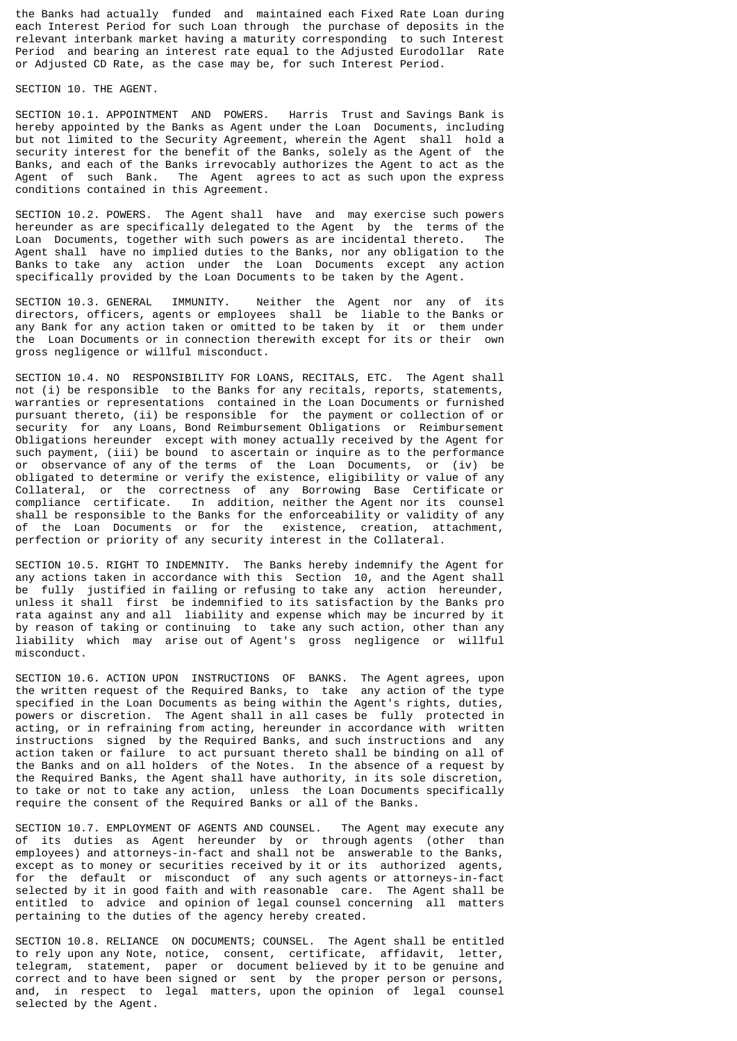the Banks had actually funded and maintained each Fixed Rate Loan during each Interest Period for such Loan through the purchase of deposits in the relevant interbank market having a maturity corresponding to such Interest Period and bearing an interest rate equal to the Adjusted Eurodollar Rate or Adjusted CD Rate, as the case may be, for such Interest Period.

SECTION 10. THE AGENT.

SECTION 10.1. APPOINTMENT AND POWERS. Harris Trust and Savings Bank is hereby appointed by the Banks as Agent under the Loan Documents, including but not limited to the Security Agreement, wherein the Agent shall hold a security interest for the benefit of the Banks, solely as the Agent of the Banks, and each of the Banks irrevocably authorizes the Agent to act as the Agent of such Bank. The Agent agrees to act as such upon the express conditions contained in this Agreement.

SECTION 10.2. POWERS. The Agent shall have and may exercise such powers hereunder as are specifically delegated to the Agent by the terms of the Loan Documents, together with such powers as are incidental thereto. The Loan Documents, together with such powers as are incidental thereto. Agent shall have no implied duties to the Banks, nor any obligation to the Banks to take any action under the Loan Documents except any action specifically provided by the Loan Documents to be taken by the Agent.

SECTION 10.3. GENERAL IMMUNITY. Neither the Agent nor any of its directors, officers, agents or employees shall be liable to the Banks or any Bank for any action taken or omitted to be taken by it or them under the Loan Documents or in connection therewith except for its or their own gross negligence or willful misconduct.

SECTION 10.4. NO RESPONSIBILITY FOR LOANS, RECITALS, ETC. The Agent shall not (i) be responsible to the Banks for any recitals, reports, statements, warranties or representations contained in the Loan Documents or furnished pursuant thereto, (ii) be responsible for the payment or collection of or security for any Loans, Bond Reimbursement Obligations or Reimbursement Obligations hereunder except with money actually received by the Agent for such payment, (iii) be bound to ascertain or inquire as to the performance or observance of any of the terms of the Loan Documents, or (iv) be obligated to determine or verify the existence, eligibility or value of any Collateral, or the correctness of any Borrowing Base Certificate or compliance certificate. In addition, neither the Agent nor its counsel shall be responsible to the Banks for the enforceability or validity of any of the Loan Documents or for the existence, creation, attachment, perfection or priority of any security interest in the Collateral.

SECTION 10.5. RIGHT TO INDEMNITY. The Banks hereby indemnify the Agent for any actions taken in accordance with this Section 10, and the Agent shall be fully justified in failing or refusing to take any action hereunder, unless it shall first be indemnified to its satisfaction by the Banks pro rata against any and all liability and expense which may be incurred by it by reason of taking or continuing to take any such action, other than any liability which may arise out of Agent's gross negligence or willful misconduct.

SECTION 10.6. ACTION UPON INSTRUCTIONS OF BANKS. The Agent agrees, upon the written request of the Required Banks, to take any action of the type specified in the Loan Documents as being within the Agent's rights, duties, powers or discretion. The Agent shall in all cases be fully protected in acting, or in refraining from acting, hereunder in accordance with written instructions signed by the Required Banks, and such instructions and any action taken or failure to act pursuant thereto shall be binding on all of the Banks and on all holders of the Notes. In the absence of a request by the Required Banks, the Agent shall have authority, in its sole discretion, to take or not to take any action, unless the Loan Documents specifically require the consent of the Required Banks or all of the Banks.

SECTION 10.7. EMPLOYMENT OF AGENTS AND COUNSEL. The Agent may execute any of its duties as Agent hereunder by or through agents (other than employees) and attorneys-in-fact and shall not be answerable to the Banks, except as to money or securities received by it or its authorized agents, for the default or misconduct of any such agents or attorneys-in-fact selected by it in good faith and with reasonable care. The Agent shall be entitled to advice and opinion of legal counsel concerning all matters pertaining to the duties of the agency hereby created.

SECTION 10.8. RELIANCE ON DOCUMENTS; COUNSEL. The Agent shall be entitled to rely upon any Note, notice, consent, certificate, affidavit, letter, telegram, statement, paper or document believed by it to be genuine and correct and to have been signed or sent by the proper person or persons, and, in respect to legal matters, upon the opinion of legal counsel selected by the Agent.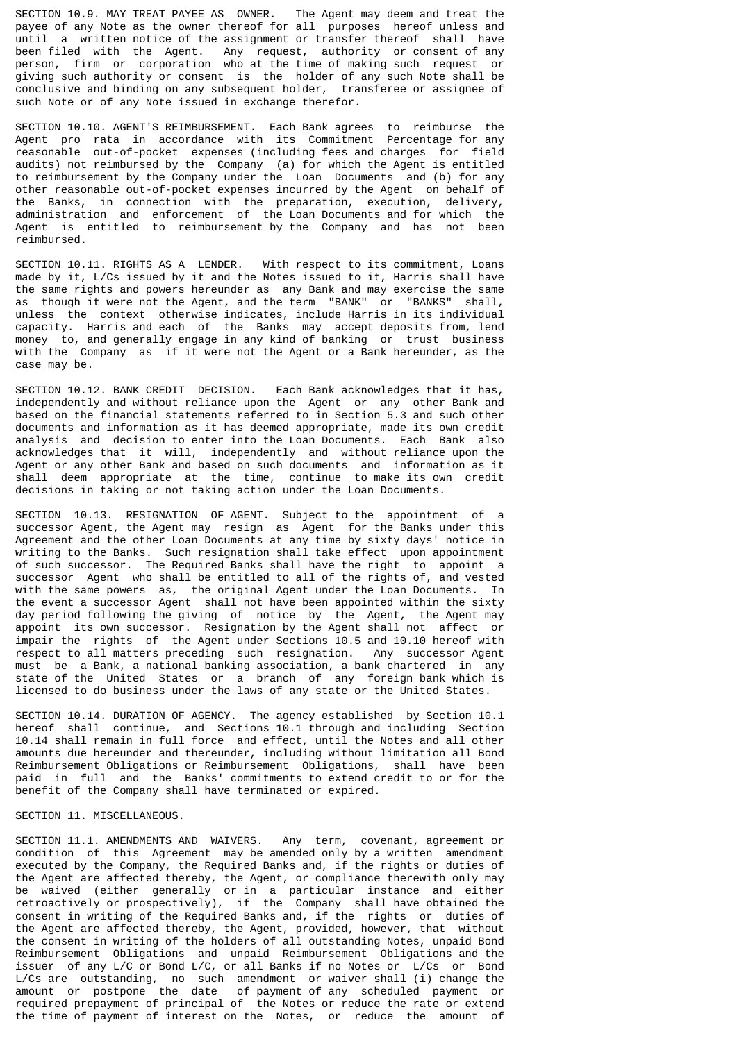SECTION 10.9. MAY TREAT PAYEE AS OWNER. The Agent may deem and treat the payee of any Note as the owner thereof for all purposes hereof unless and until a written notice of the assignment or transfer thereof shall have been filed with the Agent. Any request, authority or consent of any person, firm or corporation who at the time of making such request or giving such authority or consent is the holder of any such Note shall be conclusive and binding on any subsequent holder, transferee or assignee of such Note or of any Note issued in exchange therefor.

SECTION 10.10. AGENT'S REIMBURSEMENT. Each Bank agrees to reimburse the Agent pro rata in accordance with its Commitment Percentage for any reasonable out-of-pocket expenses (including fees and charges for field audits) not reimbursed by the Company (a) for which the Agent is entitled to reimbursement by the Company under the Loan Documents and (b) for any other reasonable out-of-pocket expenses incurred by the Agent on behalf of the Banks, in connection with the preparation, execution, delivery, administration and enforcement of the Loan Documents and for which the Agent is entitled to reimbursement by the Company and has not been reimbursed.

SECTION 10.11. RIGHTS AS A LENDER. With respect to its commitment, Loans made by it, L/Cs issued by it and the Notes issued to it, Harris shall have the same rights and powers hereunder as any Bank and may exercise the same as though it were not the Agent, and the term "BANK" or "BANKS" shall, unless the context otherwise indicates, include Harris in its individual capacity. Harris and each of the Banks may accept deposits from, lend money to, and generally engage in any kind of banking or trust business with the Company as if it were not the Agent or a Bank hereunder, as the case may be.

SECTION 10.12. BANK CREDIT DECISION. Each Bank acknowledges that it has, independently and without reliance upon the Agent or any other Bank and based on the financial statements referred to in Section 5.3 and such other documents and information as it has deemed appropriate, made its own credit analysis and decision to enter into the Loan Documents. Each Bank also acknowledges that it will, independently and without reliance upon the Agent or any other Bank and based on such documents and information as it shall deem appropriate at the time, continue to make its own credit decisions in taking or not taking action under the Loan Documents.

SECTION 10.13. RESIGNATION OF AGENT. Subject to the appointment of a successor Agent, the Agent may resign as Agent for the Banks under this Agreement and the other Loan Documents at any time by sixty days' notice in writing to the Banks. Such resignation shall take effect upon appointment of such successor. The Required Banks shall have the right to appoint a successor Agent who shall be entitled to all of the rights of, and vested with the same powers as, the original Agent under the Loan Documents. In the event a successor Agent shall not have been appointed within the sixty day period following the giving of notice by the Agent, the Agent may appoint its own successor. Resignation by the Agent shall not affect or impair the rights of the Agent under Sections 10.5 and 10.10 hereof with respect to all matters preceding such resignation. Any successor Agent must be a Bank, a national banking association, a bank chartered in any state of the United States or a branch of any foreign bank which is licensed to do business under the laws of any state or the United States.

SECTION 10.14. DURATION OF AGENCY. The agency established by Section 10.1 hereof shall continue, and Sections 10.1 through and including Section 10.14 shall remain in full force and effect, until the Notes and all other amounts due hereunder and thereunder, including without limitation all Bond Reimbursement Obligations or Reimbursement Obligations, shall have been paid in full and the Banks' commitments to extend credit to or for the benefit of the Company shall have terminated or expired.

## SECTION 11. MISCELLANEOUS.

SECTION 11.1. AMENDMENTS AND WAIVERS. Any term, covenant, agreement or condition of this Agreement may be amended only by a written amendment executed by the Company, the Required Banks and, if the rights or duties of the Agent are affected thereby, the Agent, or compliance therewith only may be waived (either generally or in a particular instance and either retroactively or prospectively), if the Company shall have obtained the consent in writing of the Required Banks and, if the rights or duties of the Agent are affected thereby, the Agent, provided, however, that without the consent in writing of the holders of all outstanding Notes, unpaid Bond Reimbursement Obligations and unpaid Reimbursement Obligations and the issuer of any L/C or Bond L/C, or all Banks if no Notes or L/Cs or Bond L/Cs are outstanding, no such amendment or waiver shall (i) change the amount or postpone the date of payment of any scheduled payment or required prepayment of principal of the Notes or reduce the rate or extend the time of payment of interest on the Notes, or reduce the amount of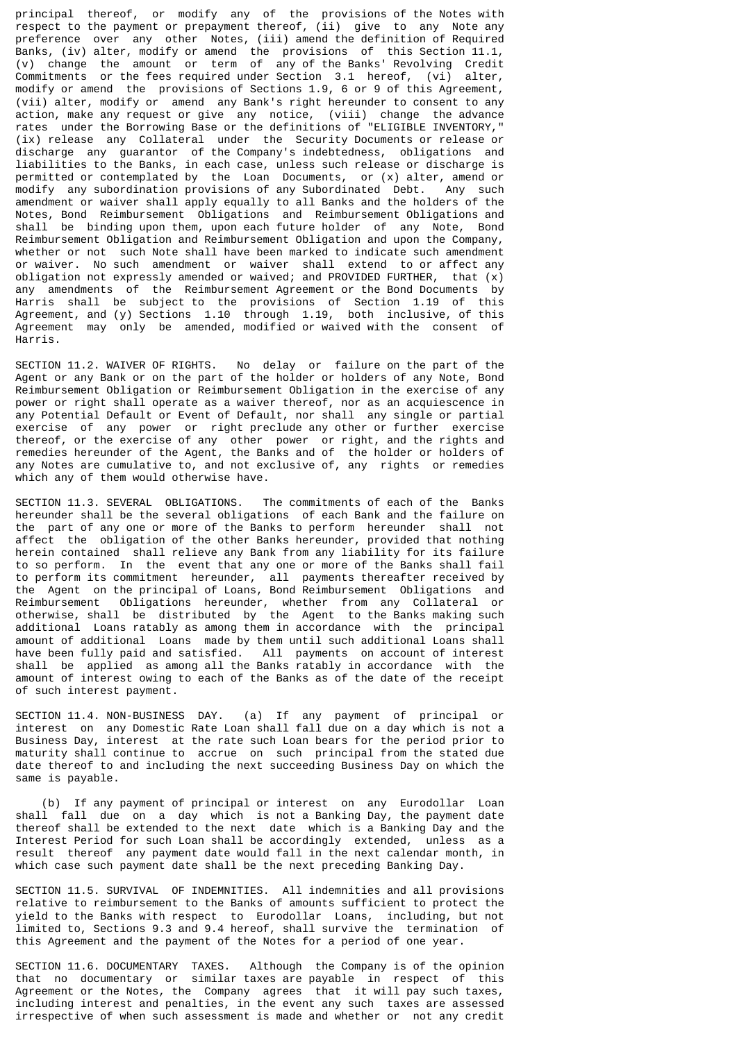principal thereof, or modify any of the provisions of the Notes with respect to the payment or prepayment thereof, (ii) give to any Note any preference over any other Notes, (iii) amend the definition of Required Banks, (iv) alter, modify or amend the provisions of this Section 11.1, (v) change the amount or term of any of the Banks' Revolving Credit Commitments or the fees required under Section 3.1 hereof, (vi) alter, modify or amend the provisions of Sections 1.9, 6 or 9 of this Agreement, (vii) alter, modify or amend any Bank's right hereunder to consent to any action, make any request or give any notice, (viii) change the advance rates under the Borrowing Base or the definitions of "ELIGIBLE INVENTORY," (ix) release any Collateral under the Security Documents or release or discharge any guarantor of the Company's indebtedness, obligations and liabilities to the Banks, in each case, unless such release or discharge is permitted or contemplated by the Loan Documents, or (x) alter, amend or modify any subordination provisions of any Subordinated Debt. Any such amendment or waiver shall apply equally to all Banks and the holders of the Notes, Bond Reimbursement Obligations and Reimbursement Obligations and shall be binding upon them, upon each future holder of any Note, Bond Reimbursement Obligation and Reimbursement Obligation and upon the Company, whether or not such Note shall have been marked to indicate such amendment or waiver. No such amendment or waiver shall extend to or affect any obligation not expressly amended or waived; and PROVIDED FURTHER, that (x) any amendments of the Reimbursement Agreement or the Bond Documents by Harris shall be subject to the provisions of Section 1.19 of this Agreement, and (y) Sections 1.10 through 1.19, both inclusive, of this Agreement may only be amended, modified or waived with the consent of Harris.

SECTION 11.2. WAIVER OF RIGHTS. No delay or failure on the part of the Agent or any Bank or on the part of the holder or holders of any Note, Bond Reimbursement Obligation or Reimbursement Obligation in the exercise of any power or right shall operate as a waiver thereof, nor as an acquiescence in any Potential Default or Event of Default, nor shall any single or partial exercise of any power or right preclude any other or further exercise thereof, or the exercise of any other power or right, and the rights and remedies hereunder of the Agent, the Banks and of the holder or holders of any Notes are cumulative to, and not exclusive of, any rights or remedies which any of them would otherwise have.

SECTION 11.3. SEVERAL OBLIGATIONS. The commitments of each of the Banks hereunder shall be the several obligations of each Bank and the failure on the part of any one or more of the Banks to perform hereunder shall not affect the obligation of the other Banks hereunder, provided that nothing herein contained shall relieve any Bank from any liability for its failure to so perform. In the event that any one or more of the Banks shall fail to perform its commitment hereunder, all payments thereafter received by the Agent on the principal of Loans, Bond Reimbursement Obligations and Reimbursement Obligations hereunder, whether from any Collateral or otherwise, shall be distributed by the Agent to the Banks making such additional Loans ratably as among them in accordance with the principal amount of additional Loans made by them until such additional Loans shall have been fully paid and satisfied. All payments on account of interest shall be applied as among all the Banks ratably in accordance with the amount of interest owing to each of the Banks as of the date of the receipt of such interest payment.

SECTION 11.4. NON-BUSINESS DAY. (a) If any payment of principal or interest on any Domestic Rate Loan shall fall due on a day which is not a Business Day, interest at the rate such Loan bears for the period prior to maturity shall continue to accrue on such principal from the stated due date thereof to and including the next succeeding Business Day on which the same is payable.

 (b) If any payment of principal or interest on any Eurodollar Loan shall fall due on a day which is not a Banking Day, the payment date thereof shall be extended to the next date which is a Banking Day and the Interest Period for such Loan shall be accordingly extended, unless as a result thereof any payment date would fall in the next calendar month, in which case such payment date shall be the next preceding Banking Day.

SECTION 11.5. SURVIVAL OF INDEMNITIES. All indemnities and all provisions relative to reimbursement to the Banks of amounts sufficient to protect the yield to the Banks with respect to Eurodollar Loans, including, but not limited to, Sections 9.3 and 9.4 hereof, shall survive the termination of this Agreement and the payment of the Notes for a period of one year.

SECTION 11.6. DOCUMENTARY TAXES. Although the Company is of the opinion that no documentary or similar taxes are payable in respect of this Agreement or the Notes, the Company agrees that it will pay such taxes, including interest and penalties, in the event any such taxes are assessed irrespective of when such assessment is made and whether or not any credit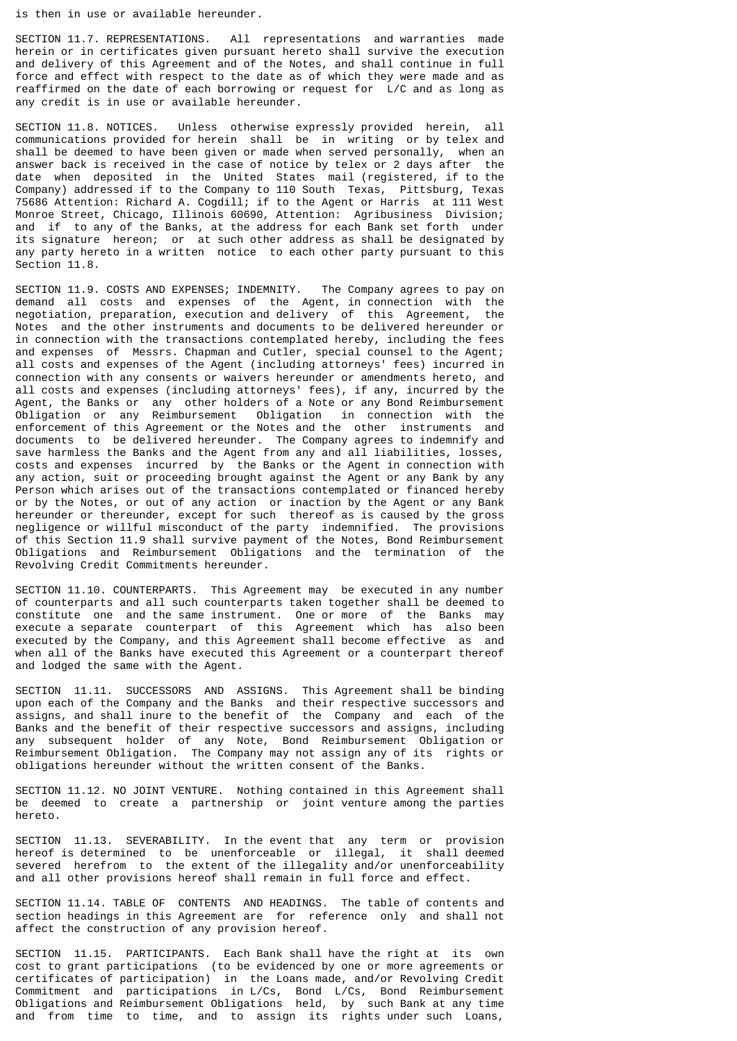is then in use or available hereunder.

SECTION 11.7. REPRESENTATIONS. All representations and warranties made herein or in certificates given pursuant hereto shall survive the execution and delivery of this Agreement and of the Notes, and shall continue in full force and effect with respect to the date as of which they were made and as reaffirmed on the date of each borrowing or request for L/C and as long as any credit is in use or available hereunder.

SECTION 11.8. NOTICES. Unless otherwise expressly provided herein, all communications provided for herein shall be in writing or by telex and shall be deemed to have been given or made when served personally, when an answer back is received in the case of notice by telex or 2 days after the date when deposited in the United States mail (registered, if to the Company) addressed if to the Company to 110 South Texas, Pittsburg, Texas 75686 Attention: Richard A. Cogdill; if to the Agent or Harris at 111 West Monroe Street, Chicago, Illinois 60690, Attention: Agribusiness Division; and if to any of the Banks, at the address for each Bank set forth under its signature hereon; or at such other address as shall be designated by any party hereto in a written notice to each other party pursuant to this Section 11.8.

SECTION 11.9. COSTS AND EXPENSES; INDEMNITY. The Company agrees to pay on demand all costs and expenses of the Agent, in connection with the negotiation, preparation, execution and delivery of this Agreement, the Notes and the other instruments and documents to be delivered hereunder or in connection with the transactions contemplated hereby, including the fees and expenses of Messrs. Chapman and Cutler, special counsel to the Agent; all costs and expenses of the Agent (including attorneys' fees) incurred in connection with any consents or waivers hereunder or amendments hereto, and all costs and expenses (including attorneys' fees), if any, incurred by the Agent, the Banks or any other holders of a Note or any Bond Reimbursement Obligation or any Reimbursement Obligation in connection with the enforcement of this Agreement or the Notes and the other instruments and documents to be delivered hereunder. The Company agrees to indemnify and save harmless the Banks and the Agent from any and all liabilities, losses, costs and expenses incurred by the Banks or the Agent in connection with any action, suit or proceeding brought against the Agent or any Bank by any Person which arises out of the transactions contemplated or financed hereby or by the Notes, or out of any action or inaction by the Agent or any Bank hereunder or thereunder, except for such thereof as is caused by the gross negligence or willful misconduct of the party indemnified. The provisions of this Section 11.9 shall survive payment of the Notes, Bond Reimbursement Obligations and Reimbursement Obligations and the termination of the Revolving Credit Commitments hereunder.

SECTION 11.10. COUNTERPARTS. This Agreement may be executed in any number of counterparts and all such counterparts taken together shall be deemed to constitute one and the same instrument. One or more of the Banks may execute a separate counterpart of this Agreement which has also been executed by the Company, and this Agreement shall become effective as and when all of the Banks have executed this Agreement or a counterpart thereof and lodged the same with the Agent.

SECTION 11.11. SUCCESSORS AND ASSIGNS. This Agreement shall be binding upon each of the Company and the Banks and their respective successors and assigns, and shall inure to the benefit of the Company and each of the Banks and the benefit of their respective successors and assigns, including any subsequent holder of any Note, Bond Reimbursement Obligation or Reimbursement Obligation. The Company may not assign any of its rights or obligations hereunder without the written consent of the Banks.

SECTION 11.12. NO JOINT VENTURE. Nothing contained in this Agreement shall be deemed to create a partnership or joint venture among the parties hereto.

SECTION 11.13. SEVERABILITY. In the event that any term or provision hereof is determined to be unenforceable or illegal, it shall deemed severed herefrom to the extent of the illegality and/or unenforceability and all other provisions hereof shall remain in full force and effect.

SECTION 11.14. TABLE OF CONTENTS AND HEADINGS. The table of contents and section headings in this Agreement are for reference only and shall not affect the construction of any provision hereof.

SECTION 11.15. PARTICIPANTS. Each Bank shall have the right at its own cost to grant participations (to be evidenced by one or more agreements or certificates of participation) in the Loans made, and/or Revolving Credit Commitment and participations in L/Cs, Bond L/Cs, Bond Reimbursement Obligations and Reimbursement Obligations held, by such Bank at any time and from time to time, and to assign its rights under such Loans,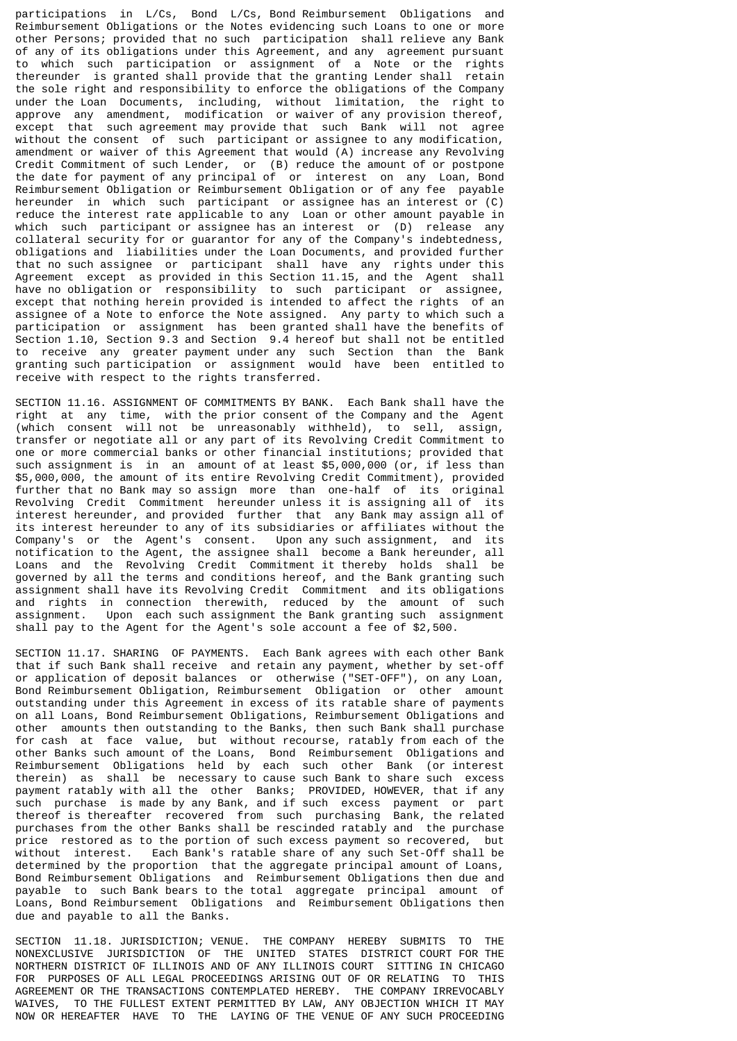participations in L/Cs, Bond L/Cs, Bond Reimbursement Obligations and Reimbursement Obligations or the Notes evidencing such Loans to one or more other Persons; provided that no such participation shall relieve any Bank of any of its obligations under this Agreement, and any agreement pursuant to which such participation or assignment of a Note or the rights thereunder is granted shall provide that the granting Lender shall retain the sole right and responsibility to enforce the obligations of the Company under the Loan Documents, including, without limitation, the right to approve any amendment, modification or waiver of any provision thereof, except that such agreement may provide that such Bank will not agree without the consent of such participant or assignee to any modification, amendment or waiver of this Agreement that would (A) increase any Revolving Credit Commitment of such Lender, or (B) reduce the amount of or postpone the date for payment of any principal of or interest on any Loan, Bond Reimbursement Obligation or Reimbursement Obligation or of any fee payable hereunder in which such participant or assignee has an interest or (C) reduce the interest rate applicable to any Loan or other amount payable in which such participant or assignee has an interest or (D) release any collateral security for or guarantor for any of the Company's indebtedness, obligations and liabilities under the Loan Documents, and provided further that no such assignee or participant shall have any rights under this Agreement except as provided in this Section 11.15, and the Agent shall have no obligation or responsibility to such participant or assignee, except that nothing herein provided is intended to affect the rights of an assignee of a Note to enforce the Note assigned. Any party to which such a participation or assignment has been granted shall have the benefits of Section 1.10, Section 9.3 and Section 9.4 hereof but shall not be entitled to receive any greater payment under any such Section than the Bank granting such participation or assignment would have been entitled to receive with respect to the rights transferred.

SECTION 11.16. ASSIGNMENT OF COMMITMENTS BY BANK. Each Bank shall have the right at any time, with the prior consent of the Company and the Agent (which consent will not be unreasonably withheld), to sell, assign, transfer or negotiate all or any part of its Revolving Credit Commitment to one or more commercial banks or other financial institutions; provided that such assignment is in an amount of at least \$5,000,000 (or, if less than \$5,000,000, the amount of its entire Revolving Credit Commitment), provided further that no Bank may so assign more than one-half of its original Revolving Credit Commitment hereunder unless it is assigning all of its interest hereunder, and provided further that any Bank may assign all of its interest hereunder to any of its subsidiaries or affiliates without the Company's or the Agent's consent. Upon any such assignment, and its notification to the Agent, the assignee shall become a Bank hereunder, all Loans and the Revolving Credit Commitment it thereby holds shall be governed by all the terms and conditions hereof, and the Bank granting such assignment shall have its Revolving Credit Commitment and its obligations and rights in connection therewith, reduced by the amount of such assignment. Upon each such assignment the Bank granting such assignment shall pay to the Agent for the Agent's sole account a fee of \$2,500.

SECTION 11.17. SHARING OF PAYMENTS. Each Bank agrees with each other Bank that if such Bank shall receive and retain any payment, whether by set-off or application of deposit balances or otherwise ("SET-OFF"), on any Loan, Bond Reimbursement Obligation, Reimbursement Obligation or other amount outstanding under this Agreement in excess of its ratable share of payments on all Loans, Bond Reimbursement Obligations, Reimbursement Obligations and other amounts then outstanding to the Banks, then such Bank shall purchase for cash at face value, but without recourse, ratably from each of the other Banks such amount of the Loans, Bond Reimbursement Obligations and Reimbursement Obligations held by each such other Bank (or interest therein) as shall be necessary to cause such Bank to share such excess payment ratably with all the other Banks; PROVIDED, HOWEVER, that if any such purchase is made by any Bank, and if such excess payment or part thereof is thereafter recovered from such purchasing Bank, the related purchases from the other Banks shall be rescinded ratably and the purchase price restored as to the portion of such excess payment so recovered, but without interest. Each Bank's ratable share of any such Set-Off shall be determined by the proportion that the aggregate principal amount of Loans, Bond Reimbursement Obligations and Reimbursement Obligations then due and payable to such Bank bears to the total aggregate principal amount of Loans, Bond Reimbursement Obligations and Reimbursement Obligations then due and payable to all the Banks.

SECTION 11.18. JURISDICTION; VENUE. THE COMPANY HEREBY SUBMITS TO THE NONEXCLUSIVE JURISDICTION OF THE UNITED STATES DISTRICT COURT FOR THE NORTHERN DISTRICT OF ILLINOIS AND OF ANY ILLINOIS COURT SITTING IN CHICAGO FOR PURPOSES OF ALL LEGAL PROCEEDINGS ARISING OUT OF OR RELATING TO THIS AGREEMENT OR THE TRANSACTIONS CONTEMPLATED HEREBY. THE COMPANY IRREVOCABLY WAIVES, TO THE FULLEST EXTENT PERMITTED BY LAW, ANY OBJECTION WHICH IT MAY NOW OR HEREAFTER HAVE TO THE LAYING OF THE VENUE OF ANY SUCH PROCEEDING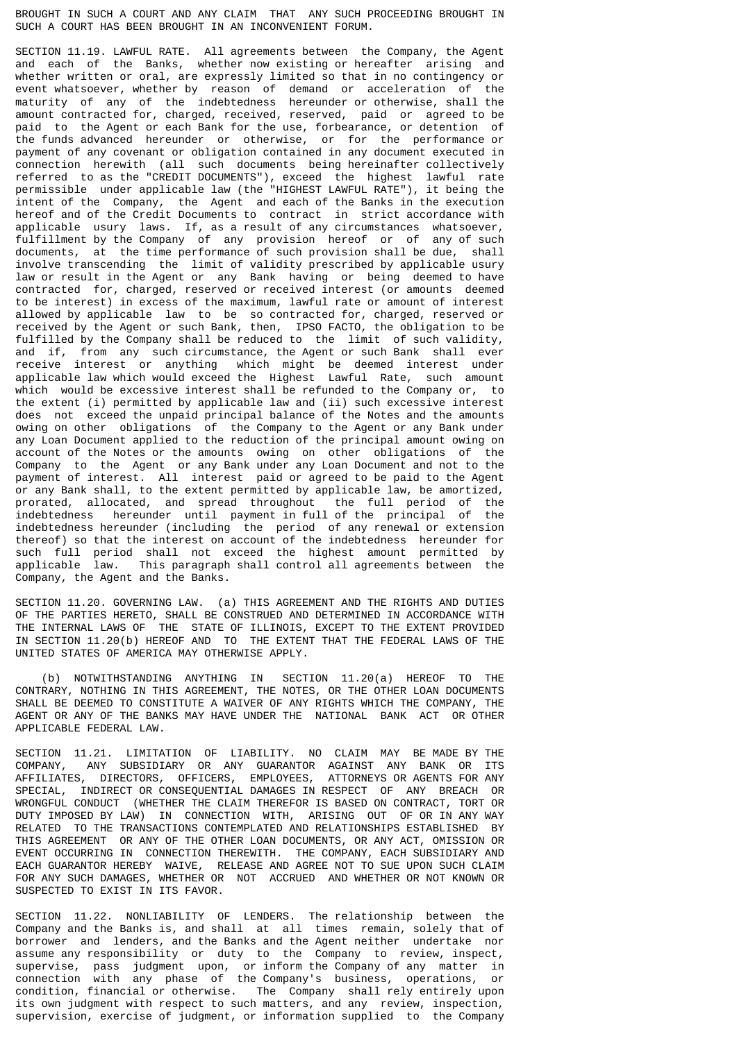BROUGHT IN SUCH A COURT AND ANY CLAIM THAT ANY SUCH PROCEEDING BROUGHT IN SUCH A COURT HAS BEEN BROUGHT IN AN INCONVENIENT FORUM.

SECTION 11.19. LAWFUL RATE. All agreements between the Company, the Agent and each of the Banks, whether now existing or hereafter arising and whether written or oral, are expressly limited so that in no contingency or event whatsoever, whether by reason of demand or acceleration of the maturity of any of the indebtedness hereunder or otherwise, shall the amount contracted for, charged, received, reserved, paid or agreed to be paid to the Agent or each Bank for the use, forbearance, or detention of the funds advanced hereunder or otherwise, or for the performance or payment of any covenant or obligation contained in any document executed in connection herewith (all such documents being hereinafter collectively referred to as the "CREDIT DOCUMENTS"), exceed the highest lawful rate permissible under applicable law (the "HIGHEST LAWFUL RATE"), it being the intent of the Company, the Agent and each of the Banks in the execution hereof and of the Credit Documents to contract in strict accordance with applicable usury laws. If, as a result of any circumstances whatsoever, fulfillment by the Company of any provision hereof or of any of such documents, at the time performance of such provision shall be due, shall involve transcending the limit of validity prescribed by applicable usury law or result in the Agent or any Bank having or being deemed to have contracted for, charged, reserved or received interest (or amounts deemed to be interest) in excess of the maximum, lawful rate or amount of interest allowed by applicable law to be so contracted for, charged, reserved or received by the Agent or such Bank, then, IPSO FACTO, the obligation to be fulfilled by the Company shall be reduced to the limit of such validity, and if, from any such circumstance, the Agent or such Bank shall ever receive interest or anything which might be deemed interest under applicable law which would exceed the Highest Lawful Rate, such amount which would be excessive interest shall be refunded to the Company or, to the extent (i) permitted by applicable law and (ii) such excessive interest does not exceed the unpaid principal balance of the Notes and the amounts owing on other obligations of the Company to the Agent or any Bank under any Loan Document applied to the reduction of the principal amount owing on account of the Notes or the amounts owing on other obligations of the Company to the Agent or any Bank under any Loan Document and not to the payment of interest. All interest paid or agreed to be paid to the Agent or any Bank shall, to the extent permitted by applicable law, be amortized, prorated, allocated, and spread throughout the full period of the indebtedness hereunder until payment in full of the principal of the indebtedness hereunder (including the period of any renewal or extension thereof) so that the interest on account of the indebtedness hereunder for such full period shall not exceed the highest amount permitted by applicable law. This paragraph shall control all agreements between the Company, the Agent and the Banks.

SECTION 11.20. GOVERNING LAW. (a) THIS AGREEMENT AND THE RIGHTS AND DUTIES OF THE PARTIES HERETO, SHALL BE CONSTRUED AND DETERMINED IN ACCORDANCE WITH THE INTERNAL LAWS OF THE STATE OF ILLINOIS, EXCEPT TO THE EXTENT PROVIDED IN SECTION 11.20(b) HEREOF AND TO THE EXTENT THAT THE FEDERAL LAWS OF THE UNITED STATES OF AMERICA MAY OTHERWISE APPLY.

 (b) NOTWITHSTANDING ANYTHING IN SECTION 11.20(a) HEREOF TO THE CONTRARY, NOTHING IN THIS AGREEMENT, THE NOTES, OR THE OTHER LOAN DOCUMENTS SHALL BE DEEMED TO CONSTITUTE A WAIVER OF ANY RIGHTS WHICH THE COMPANY, THE AGENT OR ANY OF THE BANKS MAY HAVE UNDER THE NATIONAL BANK ACT OR OTHER APPLICABLE FEDERAL LAW.

SECTION 11.21. LIMITATION OF LIABILITY. NO CLAIM MAY BE MADE BY THE COMPANY, ANY SUBSIDIARY OR ANY GUARANTOR AGAINST ANY BANK OR ITS AFFILIATES, DIRECTORS, OFFICERS, EMPLOYEES, ATTORNEYS OR AGENTS FOR ANY SPECIAL, INDIRECT OR CONSEQUENTIAL DAMAGES IN RESPECT OF ANY BREACH OR WRONGFUL CONDUCT (WHETHER THE CLAIM THEREFOR IS BASED ON CONTRACT, TORT OR DUTY IMPOSED BY LAW) IN CONNECTION WITH, ARISING OUT OF OR IN ANY WAY RELATED TO THE TRANSACTIONS CONTEMPLATED AND RELATIONSHIPS ESTABLISHED BY THIS AGREEMENT OR ANY OF THE OTHER LOAN DOCUMENTS, OR ANY ACT, OMISSION OR EVENT OCCURRING IN CONNECTION THEREWITH. THE COMPANY, EACH SUBSIDIARY AND EACH GUARANTOR HEREBY WAIVE, RELEASE AND AGREE NOT TO SUE UPON SUCH CLAIM FOR ANY SUCH DAMAGES, WHETHER OR NOT ACCRUED AND WHETHER OR NOT KNOWN OR SUSPECTED TO EXIST IN ITS FAVOR.

SECTION 11.22. NONLIABILITY OF LENDERS. The relationship between the Company and the Banks is, and shall at all times remain, solely that of borrower and lenders, and the Banks and the Agent neither undertake nor assume any responsibility or duty to the Company to review, inspect, supervise, pass judgment upon, or inform the Company of any matter in connection with any phase of the Company's business, operations, or condition, financial or otherwise. The Company shall rely entirely upon its own judgment with respect to such matters, and any review, inspection, supervision, exercise of judgment, or information supplied to the Company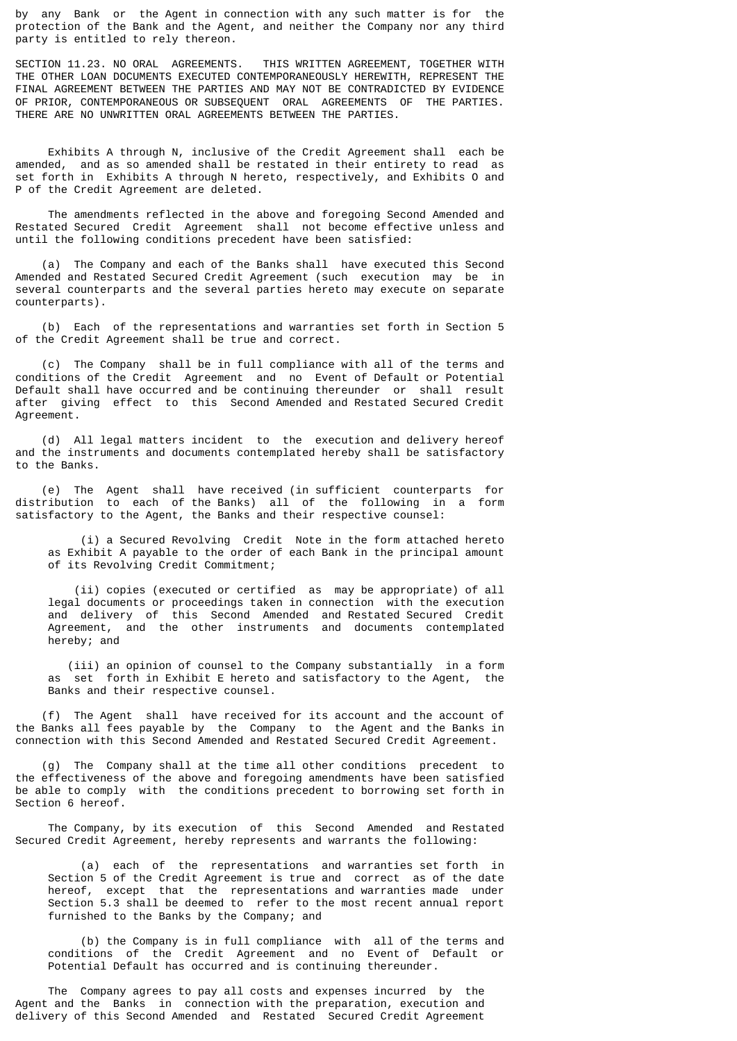by any Bank or the Agent in connection with any such matter is for the protection of the Bank and the Agent, and neither the Company nor any third party is entitled to rely thereon.

SECTION 11.23. NO ORAL AGREEMENTS. THIS WRITTEN AGREEMENT, TOGETHER WITH THE OTHER LOAN DOCUMENTS EXECUTED CONTEMPORANEOUSLY HEREWITH, REPRESENT THE FINAL AGREEMENT BETWEEN THE PARTIES AND MAY NOT BE CONTRADICTED BY EVIDENCE OF PRIOR, CONTEMPORANEOUS OR SUBSEQUENT ORAL AGREEMENTS OF THE PARTIES. THERE ARE NO UNWRITTEN ORAL AGREEMENTS BETWEEN THE PARTIES.

 Exhibits A through N, inclusive of the Credit Agreement shall each be amended, and as so amended shall be restated in their entirety to read as set forth in Exhibits A through N hereto, respectively, and Exhibits O and P of the Credit Agreement are deleted.

 The amendments reflected in the above and foregoing Second Amended and Restated Secured Credit Agreement shall not become effective unless and until the following conditions precedent have been satisfied:

 (a) The Company and each of the Banks shall have executed this Second Amended and Restated Secured Credit Agreement (such execution may be in several counterparts and the several parties hereto may execute on separate counterparts).

 (b) Each of the representations and warranties set forth in Section 5 of the Credit Agreement shall be true and correct.

 (c) The Company shall be in full compliance with all of the terms and conditions of the Credit Agreement and no Event of Default or Potential Default shall have occurred and be continuing thereunder or shall result after giving effect to this Second Amended and Restated Secured Credit Agreement.

 (d) All legal matters incident to the execution and delivery hereof and the instruments and documents contemplated hereby shall be satisfactory to the Banks.

 (e) The Agent shall have received (in sufficient counterparts for distribution to each of the Banks) all of the following in a form satisfactory to the Agent, the Banks and their respective counsel:

 (i) a Secured Revolving Credit Note in the form attached hereto as Exhibit A payable to the order of each Bank in the principal amount of its Revolving Credit Commitment;

 (ii) copies (executed or certified as may be appropriate) of all legal documents or proceedings taken in connection with the execution and delivery of this Second Amended and Restated Secured Credit Agreement, and the other instruments and documents contemplated hereby; and

 (iii) an opinion of counsel to the Company substantially in a form as set forth in Exhibit E hereto and satisfactory to the Agent, the Banks and their respective counsel.

 (f) The Agent shall have received for its account and the account of the Banks all fees payable by the Company to the Agent and the Banks in connection with this Second Amended and Restated Secured Credit Agreement.

 (g) The Company shall at the time all other conditions precedent to the effectiveness of the above and foregoing amendments have been satisfied be able to comply with the conditions precedent to borrowing set forth in Section 6 hereof.

 The Company, by its execution of this Second Amended and Restated Secured Credit Agreement, hereby represents and warrants the following:

 (a) each of the representations and warranties set forth in Section 5 of the Credit Agreement is true and correct as of the date hereof, except that the representations and warranties made under Section 5.3 shall be deemed to refer to the most recent annual report furnished to the Banks by the Company; and

 (b) the Company is in full compliance with all of the terms and conditions of the Credit Agreement and no Event of Default or Potential Default has occurred and is continuing thereunder.

 The Company agrees to pay all costs and expenses incurred by the Agent and the Banks in connection with the preparation, execution and delivery of this Second Amended and Restated Secured Credit Agreement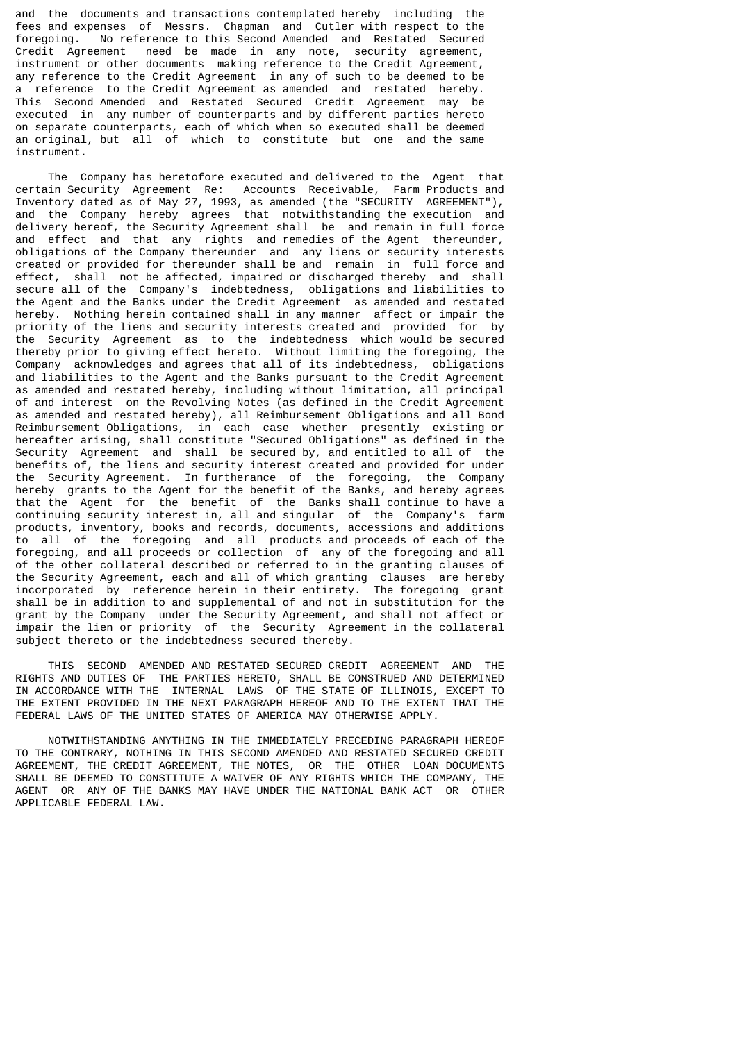and the documents and transactions contemplated hereby including the fees and expenses of Messrs. Chapman and Cutler with respect to the foregoing. No reference to this Second Amended and Restated Secured Credit Agreement need be made in any note, security agreement, instrument or other documents making reference to the Credit Agreement, any reference to the Credit Agreement in any of such to be deemed to be a reference to the Credit Agreement as amended and restated hereby. This Second Amended and Restated Secured Credit Agreement may be executed in any number of counterparts and by different parties hereto on separate counterparts, each of which when so executed shall be deemed an original, but all of which to constitute but one and the same instrument.

 The Company has heretofore executed and delivered to the Agent that certain Security Agreement Re: Accounts Receivable, Farm Products and Inventory dated as of May 27, 1993, as amended (the "SECURITY AGREEMENT"), and the Company hereby agrees that notwithstanding the execution and delivery hereof, the Security Agreement shall be and remain in full force and effect and that any rights and remedies of the Agent thereunder, obligations of the Company thereunder and any liens or security interests created or provided for thereunder shall be and remain in full force and effect, shall not be affected, impaired or discharged thereby and shall secure all of the Company's indebtedness, obligations and liabilities to the Agent and the Banks under the Credit Agreement as amended and restated hereby. Nothing herein contained shall in any manner affect or impair the priority of the liens and security interests created and provided for by the Security Agreement as to the indebtedness which would be secured thereby prior to giving effect hereto. Without limiting the foregoing, the Company acknowledges and agrees that all of its indebtedness, obligations and liabilities to the Agent and the Banks pursuant to the Credit Agreement as amended and restated hereby, including without limitation, all principal of and interest on the Revolving Notes (as defined in the Credit Agreement as amended and restated hereby), all Reimbursement Obligations and all Bond Reimbursement Obligations,  $in$  each case whether presently existing or hereafter arising, shall constitute "Secured Obligations" as defined in the Security Agreement and shall be secured by, and entitled to all of the benefits of, the liens and security interest created and provided for under the Security Agreement. In furtherance of the foregoing, the Company hereby grants to the Agent for the benefit of the Banks, and hereby agrees that the Agent for the benefit of the Banks shall continue to have a continuing security interest in, all and singular of the Company's farm products, inventory, books and records, documents, accessions and additions to all of the foregoing and all products and proceeds of each of the foregoing, and all proceeds or collection of any of the foregoing and all of the other collateral described or referred to in the granting clauses of the Security Agreement, each and all of which granting clauses are hereby incorporated by reference herein in their entirety. The foregoing grant shall be in addition to and supplemental of and not in substitution for the grant by the Company under the Security Agreement, and shall not affect or impair the lien or priority of the Security Agreement in the collateral subject thereto or the indebtedness secured thereby.

 THIS SECOND AMENDED AND RESTATED SECURED CREDIT AGREEMENT AND THE RIGHTS AND DUTIES OF THE PARTIES HERETO, SHALL BE CONSTRUED AND DETERMINED IN ACCORDANCE WITH THE INTERNAL LAWS OF THE STATE OF ILLINOIS, EXCEPT TO THE EXTENT PROVIDED IN THE NEXT PARAGRAPH HEREOF AND TO THE EXTENT THAT THE FEDERAL LAWS OF THE UNITED STATES OF AMERICA MAY OTHERWISE APPLY.

 NOTWITHSTANDING ANYTHING IN THE IMMEDIATELY PRECEDING PARAGRAPH HEREOF TO THE CONTRARY, NOTHING IN THIS SECOND AMENDED AND RESTATED SECURED CREDIT AGREEMENT, THE CREDIT AGREEMENT, THE NOTES, OR THE OTHER LOAN DOCUMENTS SHALL BE DEEMED TO CONSTITUTE A WAIVER OF ANY RIGHTS WHICH THE COMPANY, THE AGENT OR ANY OF THE BANKS MAY HAVE UNDER THE NATIONAL BANK ACT OR OTHER APPLICABLE FEDERAL LAW.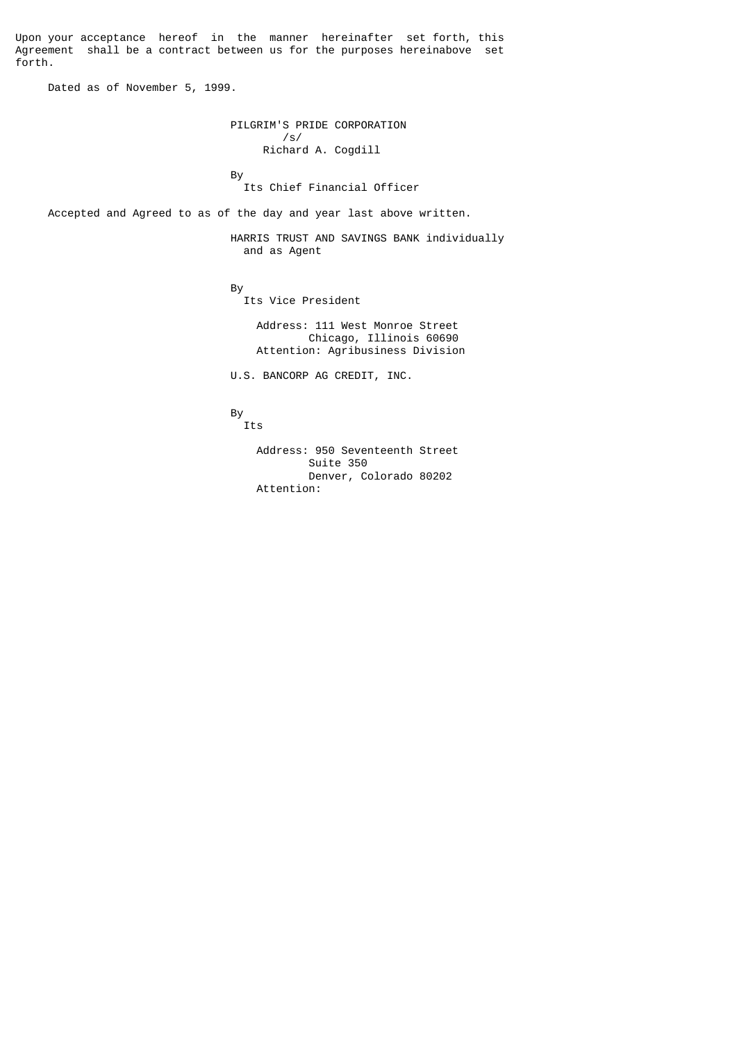Upon your acceptance hereof in the manner hereinafter set forth, this Agreement shall be a contract between us for the purposes hereinabove set forth.

Dated as of November 5, 1999.

 PILGRIM'S PRIDE CORPORATION /s/ Richard A. Cogdill and the state of the Bystem of the Bystem of the Bystem of the Bystem of the Bystem of the Bystem of the Bystem of the Bystem of the Bystem of the Bystem of the Bystem of the Bystem of the Bystem of the Bystem of the Byste

Its Chief Financial Officer

Accepted and Agreed to as of the day and year last above written.

 HARRIS TRUST AND SAVINGS BANK individually and as Agent

and the state of the Bystem of the Bystem of the Bystem of the Bystem of the Bystem of the Bystem of the Bystem of the Bystem of the Bystem of the Bystem of the Bystem of the Bystem of the Bystem of the Bystem of the Byste

Its Vice President

 Address: 111 West Monroe Street Chicago, Illinois 60690 Attention: Agribusiness Division

U.S. BANCORP AG CREDIT, INC.

and the state of the Bystem of the Bystem of the Bystem of the Bystem of the Bystem of the Bystem of the Bystem of the Bystem of the Bystem of the Bystem of the Bystem of the Bystem of the Bystem of the Bystem of the Byste By<br>Its

 Address: 950 Seventeenth Street Suite 350 Denver, Colorado 80202 Attention: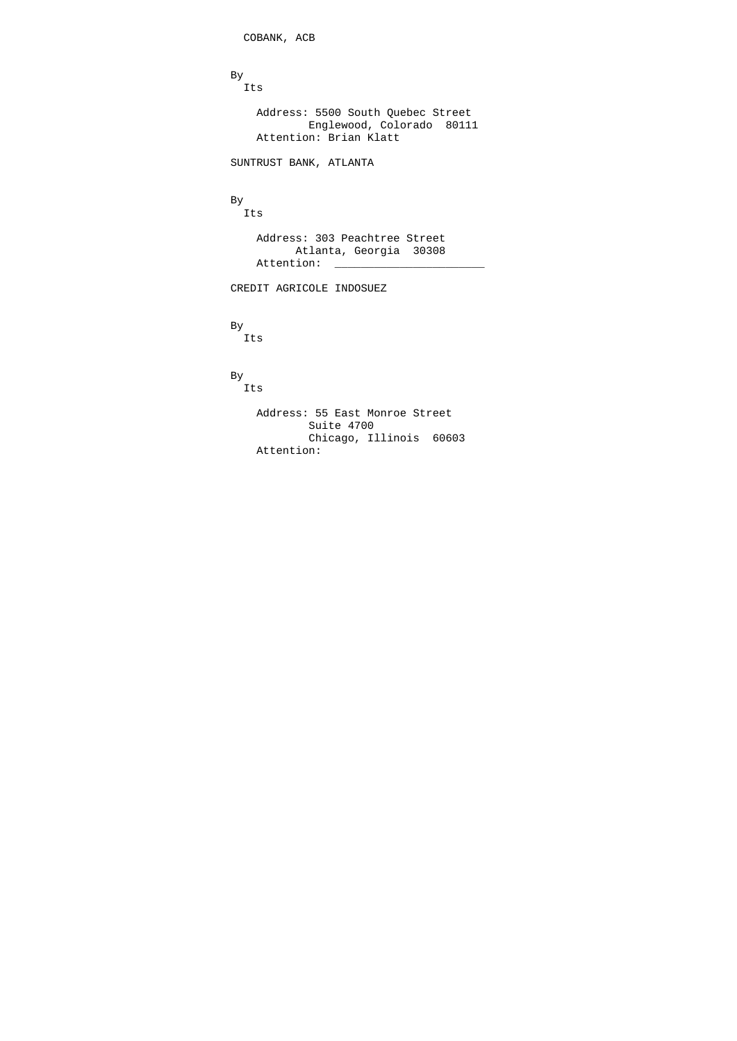```
 COBANK, ACB
and the state of the Bystem of the Bystem of the Bystem of the Bystem of the Bystem of the Bystem of the Bystem of the Bystem of the Bystem of the Bystem of the Bystem of the Bystem of the Bystem of the Bystem of the Byste
 Its
 Address: 5500 South Quebec Street
 Englewood, Colorado 80111
 Attention: Brian Klatt
                                                                   SUNTRUST BANK, ATLANTA
and the state of the Bystem of the Bystem of the Bystem of the Bystem of the Bystem of the Bystem of the Bystem of the Bystem of the Bystem of the Bystem of the Bystem of the Bystem of the Bystem of the Bystem of the Byste
                                                                By<br>Its
                                                                          Address: 303 Peachtree Street
                                                                                      Atlanta, Georgia 30308
                                                                         Attention:
                                                                  CREDIT AGRICOLE INDOSUEZ
and the state of the Bystem of the Bystem of the Bystem of the Bystem of the Bystem of the Bystem of the Bystem of the Bystem of the Bystem of the Bystem of the Bystem of the Bystem of the Bystem of the Bystem of the Byste
                                                                 By<br>Its
and the state of the Bystem of the Bystem of the Bystem of the Bystem of the Bystem of the Bystem of the Bystem of the Bystem of the Bystem of the Bystem of the Bystem of the Bystem of the Bystem of the Bystem of the Byste
                                                                By<br>Its
                                                                          Address: 55 East Monroe Street
                                                                                           Suite 4700
                                                                                           Chicago, Illinois 60603
                                                                          Attention:
```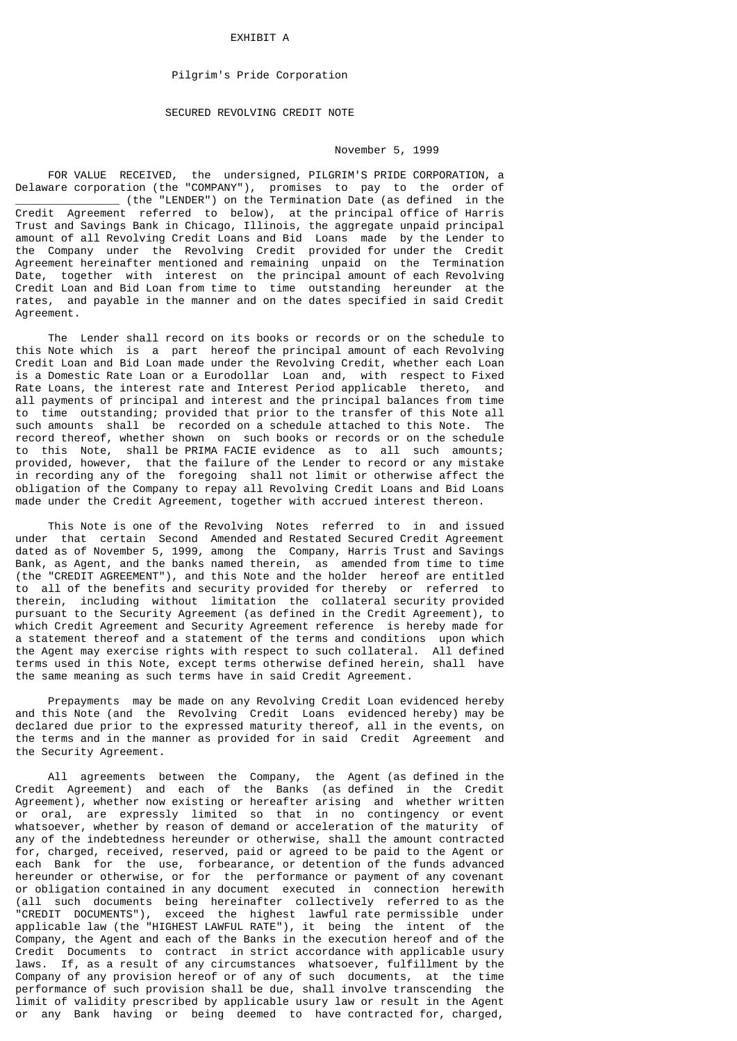#### **FXHTRTT A**

## Pilgrim's Pride Corporation

## SECURED REVOLVING CREDIT NOTE

## November 5, 1999

 FOR VALUE RECEIVED, the undersigned, PILGRIM'S PRIDE CORPORATION, a Delaware corporation (the "COMPANY"), promises to pay to the order of \_\_\_\_\_\_\_\_\_\_\_\_\_\_\_\_ (the "LENDER") on the Termination Date (as defined in the Credit Agreement referred to below), at the principal office of Harris Trust and Savings Bank in Chicago, Illinois, the aggregate unpaid principal amount of all Revolving Credit Loans and Bid Loans made by the Lender to the Company under the Revolving Credit provided for under the Credit Agreement hereinafter mentioned and remaining unpaid on the Termination Date, together with interest on the principal amount of each Revolving Credit Loan and Bid Loan from time to time outstanding hereunder at the rates, and payable in the manner and on the dates specified in said Credit Agreement.

 The Lender shall record on its books or records or on the schedule to this Note which is a part hereof the principal amount of each Revolving Credit Loan and Bid Loan made under the Revolving Credit, whether each Loan is a Domestic Rate Loan or a Eurodollar Loan and, with respect to Fixed Rate Loans, the interest rate and Interest Period applicable thereto, and all payments of principal and interest and the principal balances from time to time outstanding; provided that prior to the transfer of this Note all such amounts shall be recorded on a schedule attached to this Note. The record thereof, whether shown on such books or records or on the schedule to this Note, shall be PRIMA FACIE evidence as to all such amounts; provided, however, that the failure of the Lender to record or any mistake in recording any of the foregoing shall not limit or otherwise affect the obligation of the Company to repay all Revolving Credit Loans and Bid Loans made under the Credit Agreement, together with accrued interest thereon.

 This Note is one of the Revolving Notes referred to in and issued under that certain Second Amended and Restated Secured Credit Agreement dated as of November 5, 1999, among the Company, Harris Trust and Savings Bank, as Agent, and the banks named therein, as amended from time to time (the "CREDIT AGREEMENT"), and this Note and the holder hereof are entitled to all of the benefits and security provided for thereby or referred to therein, including without limitation the collateral security provided pursuant to the Security Agreement (as defined in the Credit Agreement), to which Credit Agreement and Security Agreement reference is hereby made for a statement thereof and a statement of the terms and conditions upon which the Agent may exercise rights with respect to such collateral. All defined terms used in this Note, except terms otherwise defined herein, shall have the same meaning as such terms have in said Credit Agreement.

 Prepayments may be made on any Revolving Credit Loan evidenced hereby and this Note (and the Revolving Credit Loans evidenced hereby) may be declared due prior to the expressed maturity thereof, all in the events, on the terms and in the manner as provided for in said Credit Agreement and the Security Agreement.

 All agreements between the Company, the Agent (as defined in the Credit Agreement) and each of the Banks (as defined in the Credit Agreement), whether now existing or hereafter arising and whether written or oral, are expressly limited so that in no contingency or event whatsoever, whether by reason of demand or acceleration of the maturity of any of the indebtedness hereunder or otherwise, shall the amount contracted for, charged, received, reserved, paid or agreed to be paid to the Agent or each Bank for the use, forbearance, or detention of the funds advanced hereunder or otherwise, or for the performance or payment of any covenant or obligation contained in any document executed in connection herewith (all such documents being hereinafter collectively referred to as the "CREDIT DOCUMENTS"), exceed the highest lawful rate permissible under applicable law (the "HIGHEST LAWFUL RATE"), it being the intent of the Company, the Agent and each of the Banks in the execution hereof and of the Credit Documents to contract in strict accordance with applicable usury laws. If, as a result of any circumstances whatsoever, fulfillment by the Company of any provision hereof or of any of such documents, at the time performance of such provision shall be due, shall involve transcending the limit of validity prescribed by applicable usury law or result in the Agent or any Bank having or being deemed to have contracted for, charged,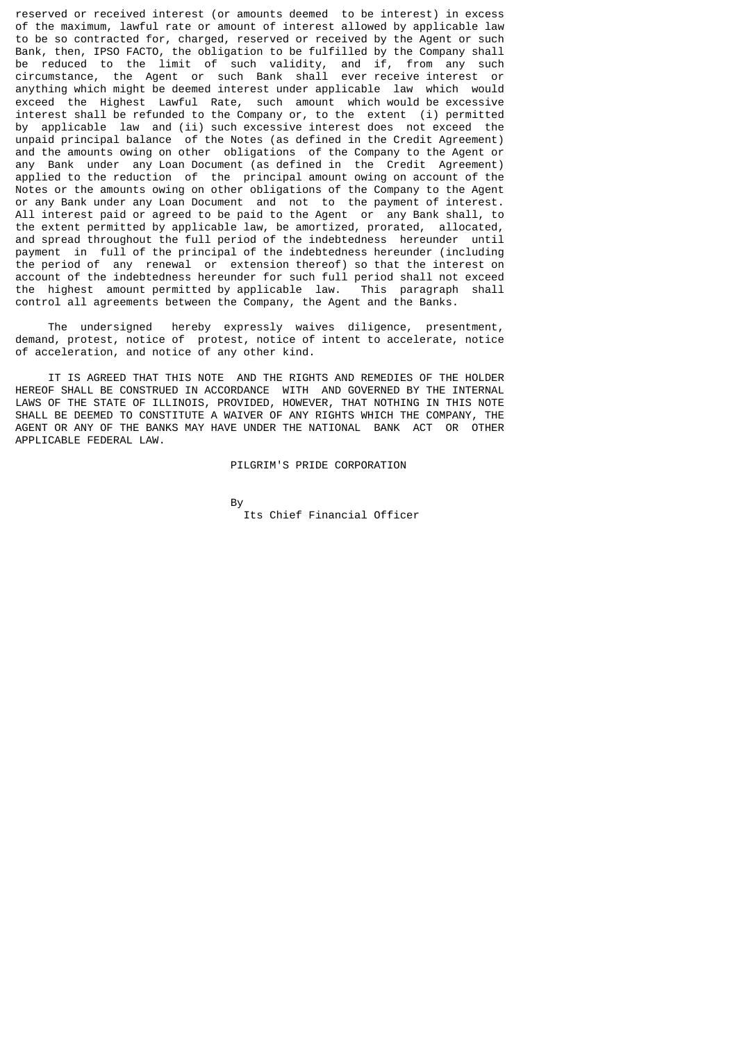reserved or received interest (or amounts deemed to be interest) in excess of the maximum, lawful rate or amount of interest allowed by applicable law to be so contracted for, charged, reserved or received by the Agent or such Bank, then, IPSO FACTO, the obligation to be fulfilled by the Company shall be reduced to the limit of such validity, and if, from any such circumstance, the Agent or such Bank shall ever receive interest or anything which might be deemed interest under applicable law which would exceed the Highest Lawful Rate, such amount which would be excessive interest shall be refunded to the Company or, to the extent (i) permitted by applicable law and (ii) such excessive interest does not exceed the unpaid principal balance of the Notes (as defined in the Credit Agreement) and the amounts owing on other obligations of the Company to the Agent or any Bank under any Loan Document (as defined in the Credit Agreement) applied to the reduction of the principal amount owing on account of the Notes or the amounts owing on other obligations of the Company to the Agent or any Bank under any Loan Document and not to the payment of interest. All interest paid or agreed to be paid to the Agent or any Bank shall, to the extent permitted by applicable law, be amortized, prorated, allocated, and spread throughout the full period of the indebtedness hereunder until payment in full of the principal of the indebtedness hereunder (including the period of any renewal or extension thereof) so that the interest on account of the indebtedness hereunder for such full period shall not exceed the highest amount permitted by applicable law. This paragraph shall control all agreements between the Company, the Agent and the Banks.

 The undersigned hereby expressly waives diligence, presentment, demand, protest, notice of protest, notice of intent to accelerate, notice of acceleration, and notice of any other kind.

 IT IS AGREED THAT THIS NOTE AND THE RIGHTS AND REMEDIES OF THE HOLDER HEREOF SHALL BE CONSTRUED IN ACCORDANCE WITH AND GOVERNED BY THE INTERNAL LAWS OF THE STATE OF ILLINOIS, PROVIDED, HOWEVER, THAT NOTHING IN THIS NOTE SHALL BE DEEMED TO CONSTITUTE A WAIVER OF ANY RIGHTS WHICH THE COMPANY, THE AGENT OR ANY OF THE BANKS MAY HAVE UNDER THE NATIONAL BANK ACT OR OTHER APPLICABLE FEDERAL LAW.

## PILGRIM'S PRIDE CORPORATION

and the state of the Bystem of the Bystem of the Bystem of the Bystem of the Bystem of the Bystem of the Bystem of the Bystem of the Bystem of the Bystem of the Bystem of the Bystem of the Bystem of the Bystem of the Byste Its Chief Financial Officer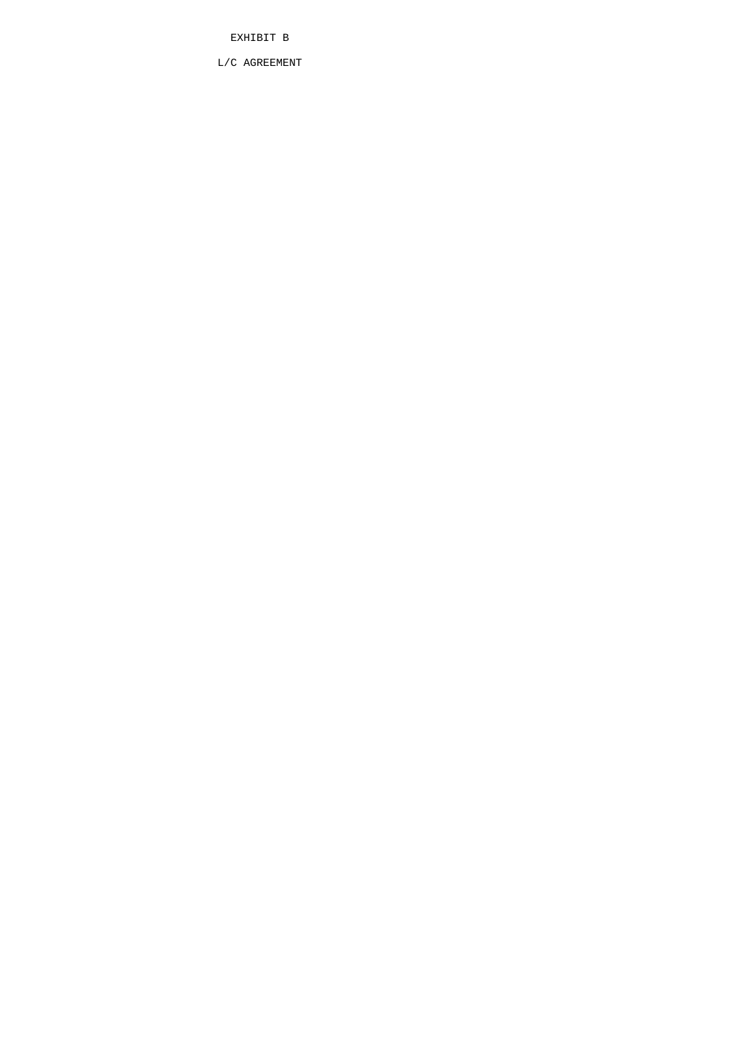EXHIBIT B

L/C AGREEMENT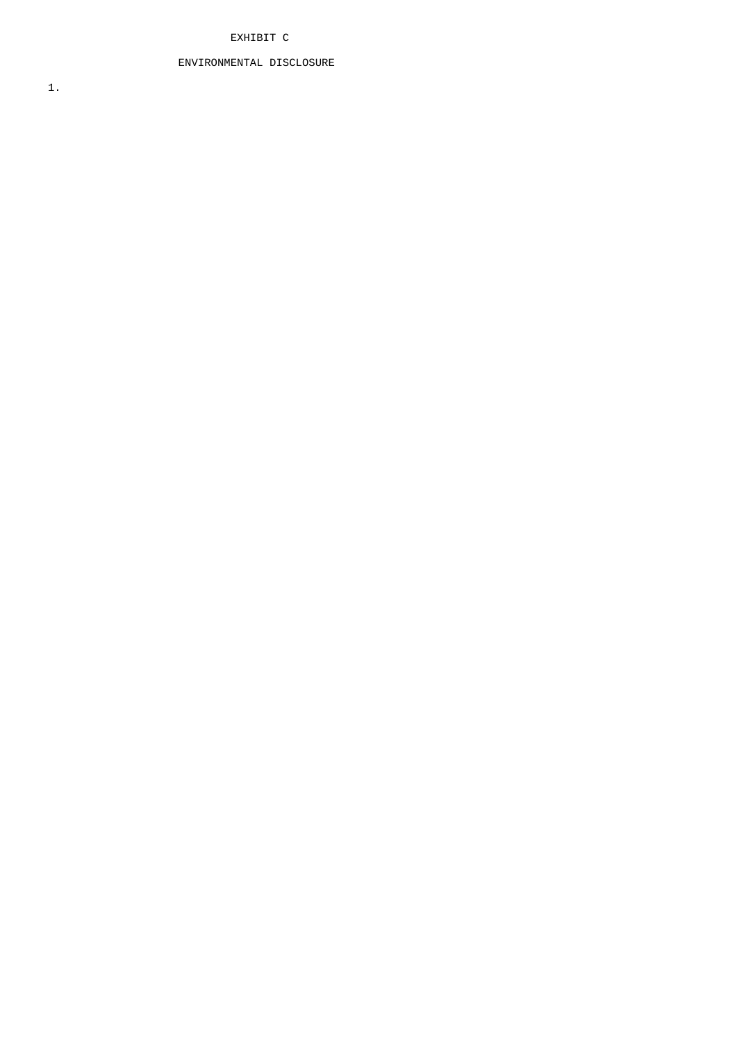## EXHIBIT C

# ENVIRONMENTAL DISCLOSURE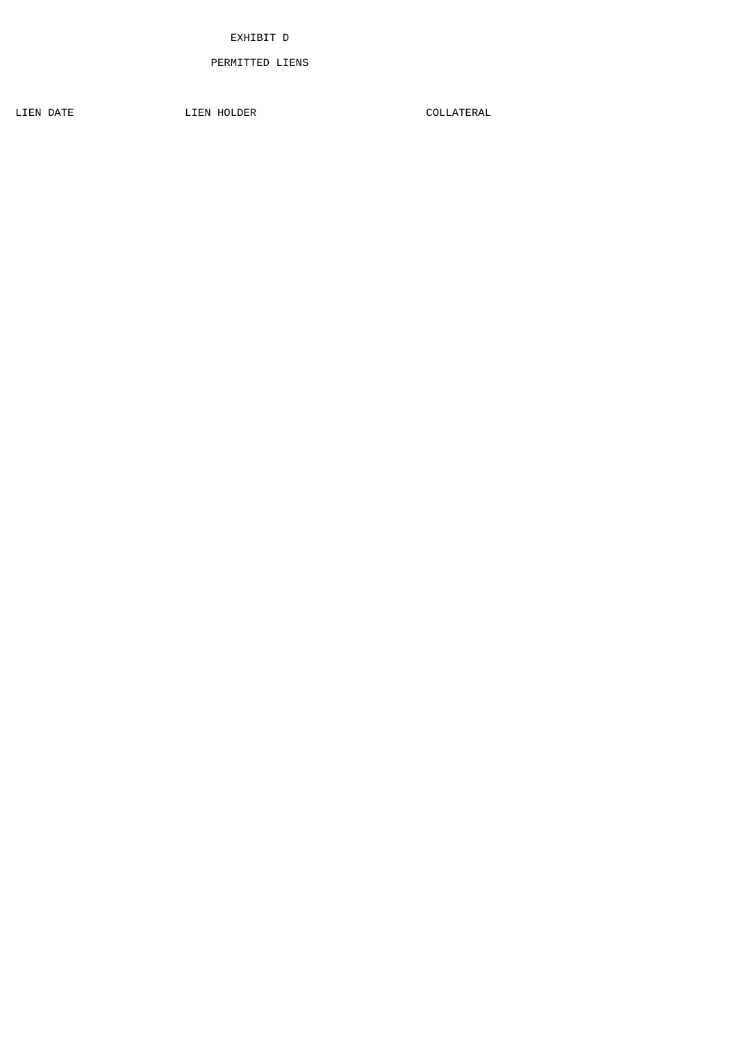## PERMITTED LIENS

LIEN DATE COLLATERAL LIEN HOLDER COLLATERAL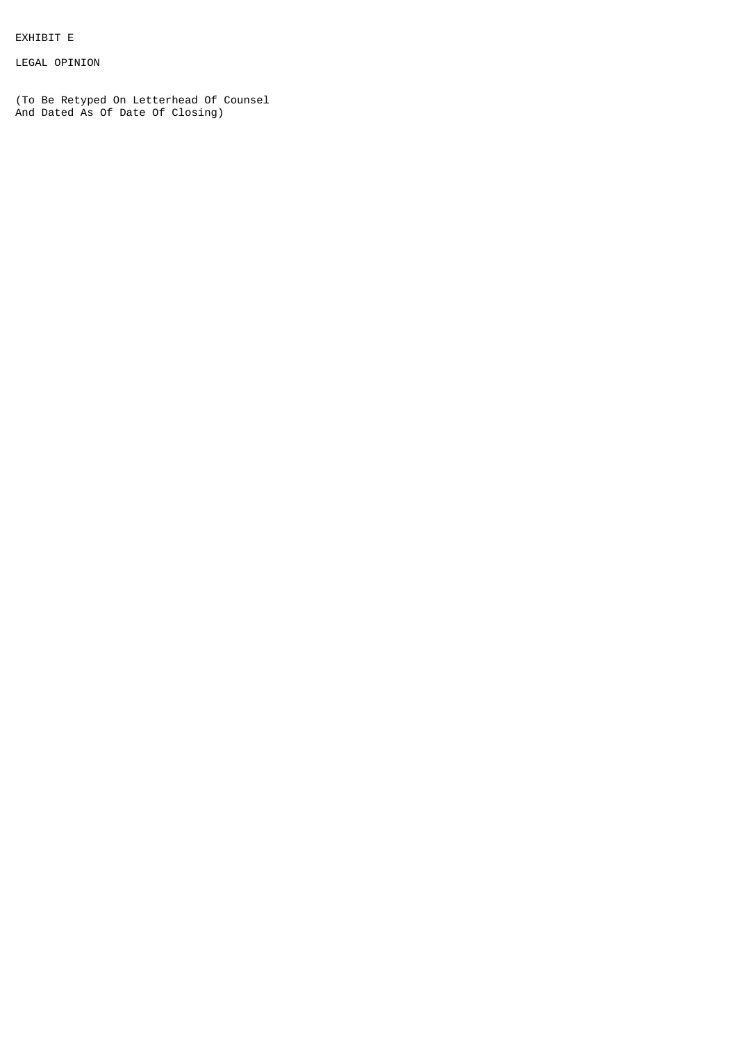EXHIBIT E

LEGAL OPINION

(To Be Retyped On Letterhead Of Counsel And Dated As Of Date Of Closing)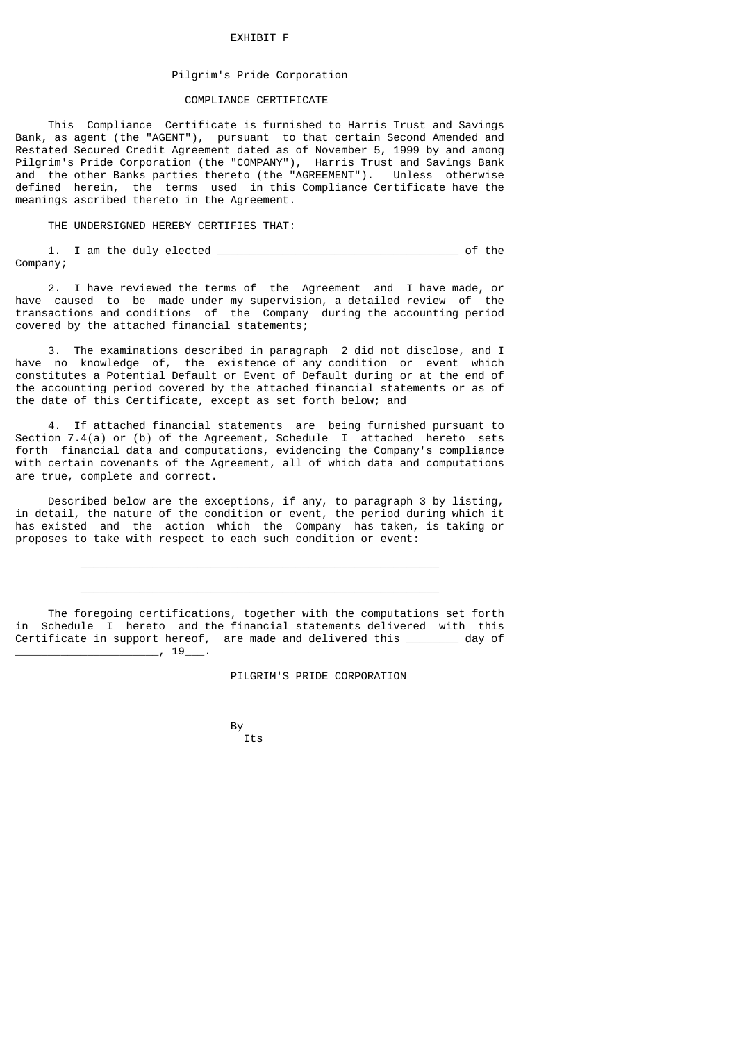### EXHIBIT F

# Pilgrim's Pride Corporation

### COMPLIANCE CERTIFICATE

 This Compliance Certificate is furnished to Harris Trust and Savings Bank, as agent (the "AGENT"), pursuant to that certain Second Amended and Restated Secured Credit Agreement dated as of November 5, 1999 by and among Pilgrim's Pride Corporation (the "COMPANY"), Harris Trust and Savings Bank and the other Banks parties thereto (the "AGREEMENT"). Unless otherwise defined herein, the terms used in this Compliance Certificate have the meanings ascribed thereto in the Agreement.

THE UNDERSIGNED HEREBY CERTIFIES THAT:

1. I am the duly elected \_\_\_\_\_\_\_\_\_\_\_\_\_\_\_\_\_\_\_\_\_\_\_\_\_\_\_\_\_\_\_\_\_\_\_\_\_ of the

Company;

 2. I have reviewed the terms of the Agreement and I have made, or have caused to be made under my supervision, a detailed review of the transactions and conditions of the Company during the accounting period covered by the attached financial statements;

 3. The examinations described in paragraph 2 did not disclose, and I have no knowledge of, the existence of any condition or event which constitutes a Potential Default or Event of Default during or at the end of the accounting period covered by the attached financial statements or as of the date of this Certificate, except as set forth below; and

 4. If attached financial statements are being furnished pursuant to Section 7.4(a) or (b) of the Agreement, Schedule I attached hereto sets forth financial data and computations, evidencing the Company's compliance with certain covenants of the Agreement, all of which data and computations are true, complete and correct.

 Described below are the exceptions, if any, to paragraph 3 by listing, in detail, the nature of the condition or event, the period during which it has existed and the action which the Company has taken, is taking or proposes to take with respect to each such condition or event:

 $\frac{1}{\sqrt{2}}$  ,  $\frac{1}{\sqrt{2}}$  ,  $\frac{1}{\sqrt{2}}$  ,  $\frac{1}{\sqrt{2}}$  ,  $\frac{1}{\sqrt{2}}$  ,  $\frac{1}{\sqrt{2}}$  ,  $\frac{1}{\sqrt{2}}$  ,  $\frac{1}{\sqrt{2}}$  ,  $\frac{1}{\sqrt{2}}$  ,  $\frac{1}{\sqrt{2}}$  ,  $\frac{1}{\sqrt{2}}$  ,  $\frac{1}{\sqrt{2}}$  ,  $\frac{1}{\sqrt{2}}$  ,  $\frac{1}{\sqrt{2}}$  ,  $\frac{1}{\sqrt{2}}$ 

 $\frac{1}{\sqrt{2}}$  ,  $\frac{1}{\sqrt{2}}$  ,  $\frac{1}{\sqrt{2}}$  ,  $\frac{1}{\sqrt{2}}$  ,  $\frac{1}{\sqrt{2}}$  ,  $\frac{1}{\sqrt{2}}$  ,  $\frac{1}{\sqrt{2}}$  ,  $\frac{1}{\sqrt{2}}$  ,  $\frac{1}{\sqrt{2}}$  ,  $\frac{1}{\sqrt{2}}$  ,  $\frac{1}{\sqrt{2}}$  ,  $\frac{1}{\sqrt{2}}$  ,  $\frac{1}{\sqrt{2}}$  ,  $\frac{1}{\sqrt{2}}$  ,  $\frac{1}{\sqrt{2}}$ 

 The foregoing certifications, together with the computations set forth in Schedule I hereto and the financial statements delivered with this Certificate in support hereof, are made and delivered this \_\_\_\_\_\_\_\_ day of  $\_\_$ , 19 $\_\_$ 

PILGRIM'S PRIDE CORPORATION

and the state of the Bystem of the Bystem of the Bystem of the Bystem of the Bystem of the Bystem of the Bystem of the Bystem of the Bystem of the Bystem of the Bystem of the Bystem of the Bystem of the Bystem of the Byste By<br>Its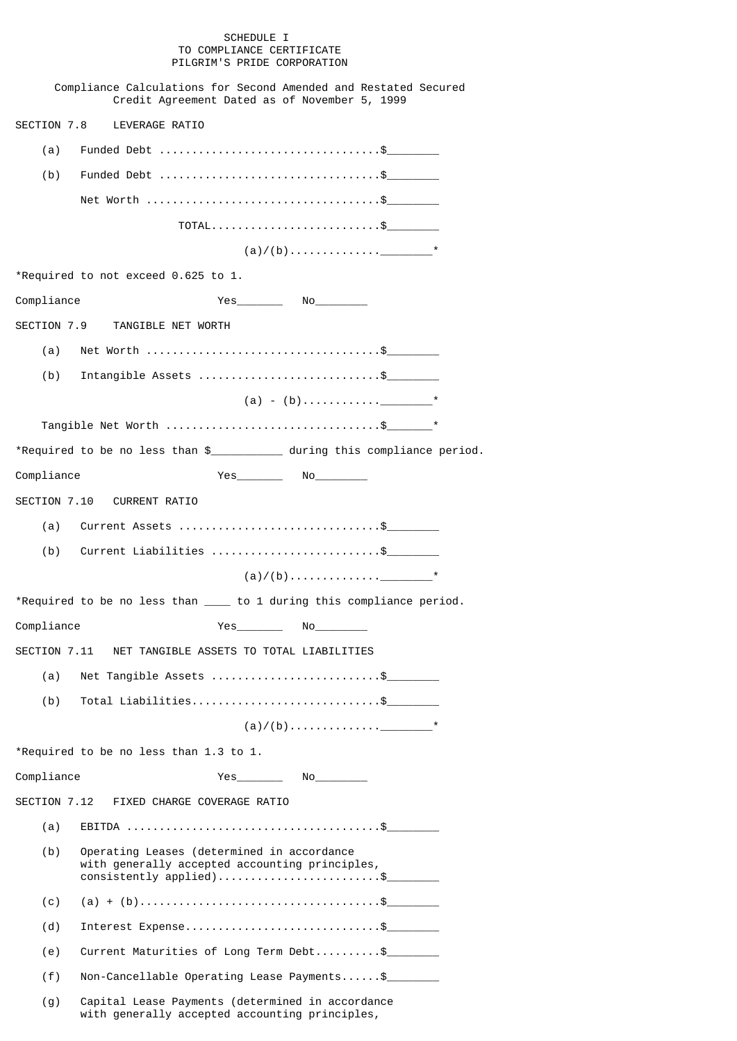# SCHEDULE I TO COMPLIANCE CERTIFICATE PILGRIM'S PRIDE CORPORATION

|              | Compliance Calculations for Second Amended and Restated Secured<br>Credit Agreement Dated as of November 5, 1999           |
|--------------|----------------------------------------------------------------------------------------------------------------------------|
| SECTION 7.8  | LEVERAGE RATIO                                                                                                             |
| (a)          |                                                                                                                            |
| (b)          | Funded Debt \$                                                                                                             |
|              |                                                                                                                            |
|              | TOTAL\$                                                                                                                    |
|              |                                                                                                                            |
|              | *Required to not exceed 0.625 to 1.                                                                                        |
| Compliance   |                                                                                                                            |
| SECTION 7.9  | TANGIBLE NET WORTH                                                                                                         |
| (a)          |                                                                                                                            |
| (b)          | Intangible Assets \$                                                                                                       |
|              |                                                                                                                            |
|              |                                                                                                                            |
|              |                                                                                                                            |
| Compliance   |                                                                                                                            |
|              | SECTION 7.10 CURRENT RATIO                                                                                                 |
| (a)          | Current Assets \$                                                                                                          |
| (b)          | Current Liabilities \$                                                                                                     |
|              |                                                                                                                            |
|              | *Required to be no less than _____ to 1 during this compliance period.                                                     |
| Compliance   |                                                                                                                            |
| SECTION 7.11 | NET TANGIBLE ASSETS TO TOTAL LIABILITIES                                                                                   |
| (a)          | Net Tangible Assets \$                                                                                                     |
| (b)          | Total Liabilities\$                                                                                                        |
|              |                                                                                                                            |
|              | *Required to be no less than 1.3 to 1.                                                                                     |
| Compliance   |                                                                                                                            |
| SECTION 7.12 | FIXED CHARGE COVERAGE RATIO                                                                                                |
| (a)          |                                                                                                                            |
| (b)          | Operating Leases (determined in accordance<br>with generally accepted accounting principles,<br>$consistently applied)$ \$ |
| (c)          |                                                                                                                            |
| (d)          | Interest $Expense$ \$                                                                                                      |
| (e)          | Current Maturities of Long Term Debt\$                                                                                     |
| (f)          | $Non\text{-}\text{C}ancellable Operating Least Payments$                                                                   |
| (g)          | Capital Lease Payments (determined in accordance<br>with generally accepted accounting principles,                         |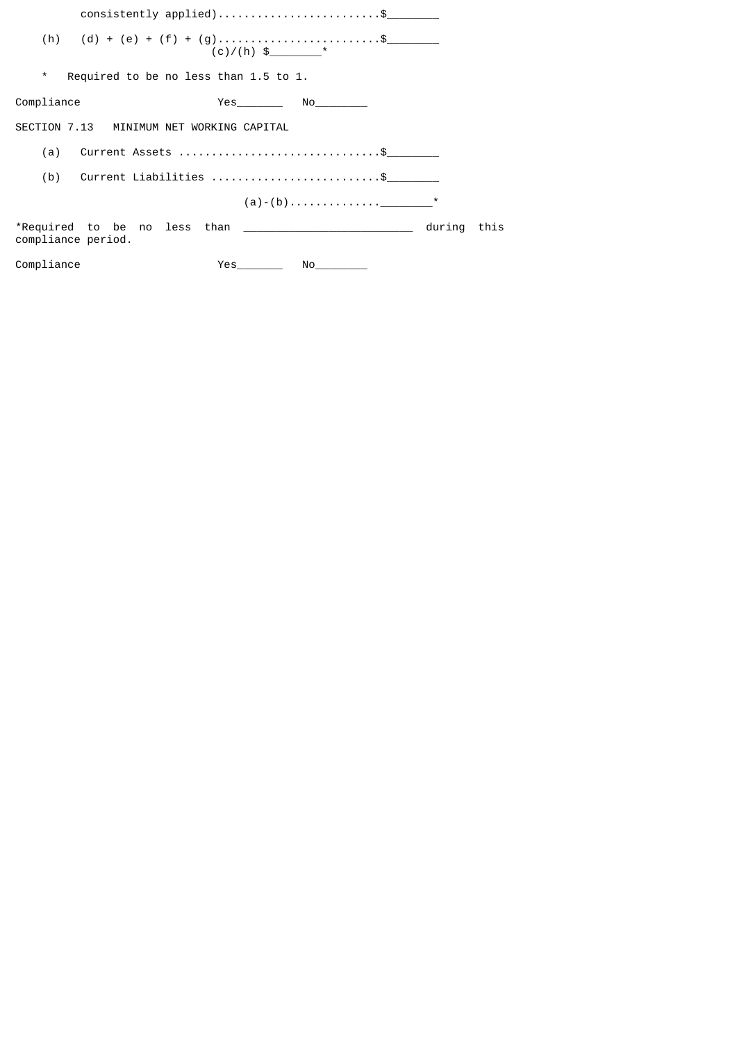|                                                  | consistently applied)\$                                                                                                                                                                                                                      |                |  |  |  |
|--------------------------------------------------|----------------------------------------------------------------------------------------------------------------------------------------------------------------------------------------------------------------------------------------------|----------------|--|--|--|
| (h) (d) + (e) + (f) + (g)\$                      |                                                                                                                                                                                                                                              |                |  |  |  |
| $\star$<br>Required to be no less than 1.5 to 1. |                                                                                                                                                                                                                                              |                |  |  |  |
| Compliance                                       | Yes No                                                                                                                                                                                                                                       |                |  |  |  |
| SECTION 7.13 MINIMUM NET WORKING CAPITAL         |                                                                                                                                                                                                                                              |                |  |  |  |
| (a) Current Assets \$                            |                                                                                                                                                                                                                                              |                |  |  |  |
| (b) Current Liabilities \$                       |                                                                                                                                                                                                                                              |                |  |  |  |
|                                                  |                                                                                                                                                                                                                                              |                |  |  |  |
| compliance period.                               |                                                                                                                                                                                                                                              | during<br>this |  |  |  |
| Compliance                                       | <b>Yes</b><br>No and the state of the state of the state of the state of the state of the state of the state of the state of the state of the state of the state of the state of the state of the state of the state of the state of the sta |                |  |  |  |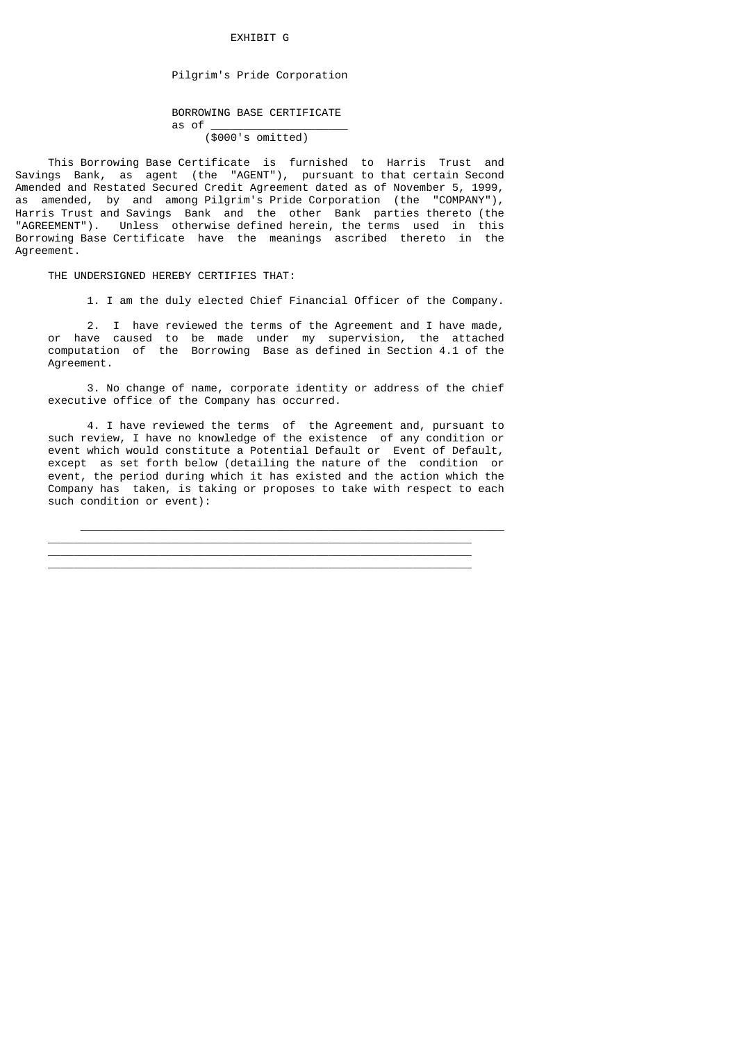# EXHIBIT G

# Pilgrim's Pride Corporation

# BORROWING BASE CERTIFICATE as of \_\_\_\_\_\_\_\_\_\_\_\_\_\_\_\_\_\_\_\_\_

(\$000's omitted)

 This Borrowing Base Certificate is furnished to Harris Trust and Savings Bank, as agent (the "AGENT"), pursuant to that certain Second Amended and Restated Secured Credit Agreement dated as of November 5, 1999, as amended, by and among Pilgrim's Pride Corporation (the "COMPANY"), Harris Trust and Savings Bank and the other Bank parties thereto (the "AGREEMENT"). Unless otherwise defined herein, the terms used in this Borrowing Base Certificate have the meanings ascribed thereto in the Agreement.

THE UNDERSIGNED HEREBY CERTIFIES THAT:

1. I am the duly elected Chief Financial Officer of the Company.

 2. I have reviewed the terms of the Agreement and I have made, or have caused to be made under my supervision, the attached computation of the Borrowing Base as defined in Section 4.1 of the Agreement.

 3. No change of name, corporate identity or address of the chief executive office of the Company has occurred.

 4. I have reviewed the terms of the Agreement and, pursuant to such review, I have no knowledge of the existence of any condition or event which would constitute a Potential Default or Event of Default, except as set forth below (detailing the nature of the condition or event, the period during which it has existed and the action which the Company has taken, is taking or proposes to take with respect to each such condition or event):

 $\overline{\phantom{a}}$  ,  $\overline{\phantom{a}}$  ,  $\overline{\phantom{a}}$  ,  $\overline{\phantom{a}}$  ,  $\overline{\phantom{a}}$  ,  $\overline{\phantom{a}}$  ,  $\overline{\phantom{a}}$  ,  $\overline{\phantom{a}}$  ,  $\overline{\phantom{a}}$  ,  $\overline{\phantom{a}}$  ,  $\overline{\phantom{a}}$  ,  $\overline{\phantom{a}}$  ,  $\overline{\phantom{a}}$  ,  $\overline{\phantom{a}}$  ,  $\overline{\phantom{a}}$  ,  $\overline{\phantom{a}}$  $\overline{\phantom{a}}$  , and the contribution of the contribution of the contribution of the contribution of the contribution of the contribution of the contribution of the contribution of the contribution of the contribution of the  $\overline{\phantom{a}}$  , and the contribution of the contribution of the contribution of the contribution of the contribution of the contribution of the contribution of the contribution of the contribution of the contribution of the  $\frac{1}{2}$  ,  $\frac{1}{2}$  ,  $\frac{1}{2}$  ,  $\frac{1}{2}$  ,  $\frac{1}{2}$  ,  $\frac{1}{2}$  ,  $\frac{1}{2}$  ,  $\frac{1}{2}$  ,  $\frac{1}{2}$  ,  $\frac{1}{2}$  ,  $\frac{1}{2}$  ,  $\frac{1}{2}$  ,  $\frac{1}{2}$  ,  $\frac{1}{2}$  ,  $\frac{1}{2}$  ,  $\frac{1}{2}$  ,  $\frac{1}{2}$  ,  $\frac{1}{2}$  ,  $\frac{1$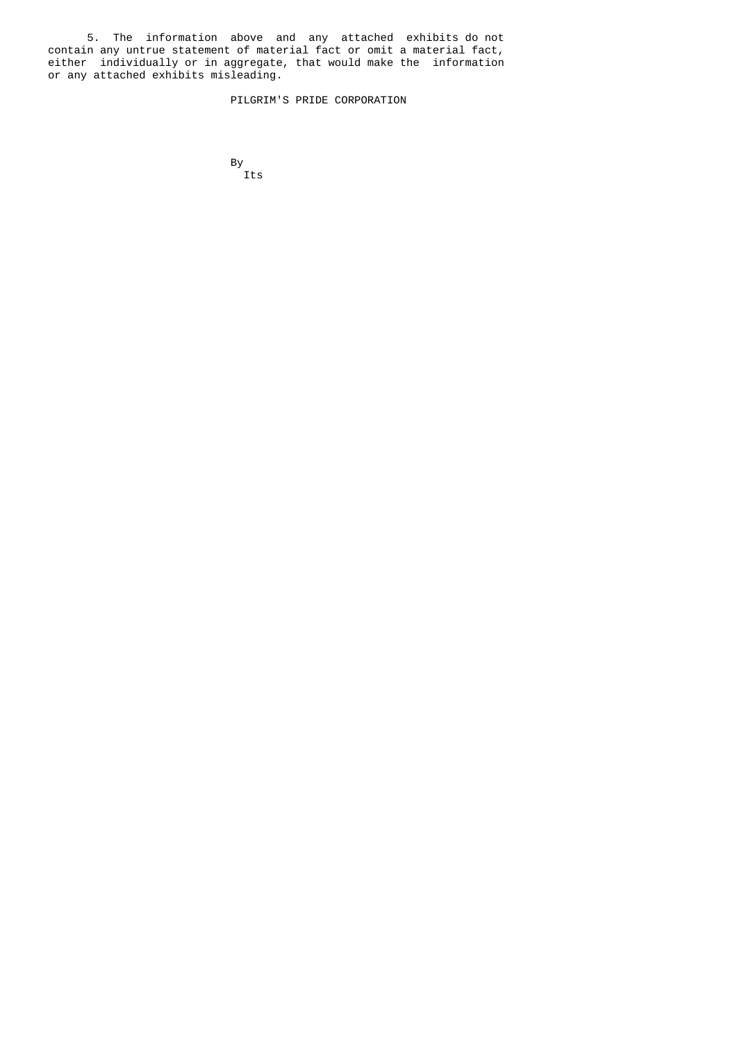5. The information above and any attached exhibits do not contain any untrue statement of material fact or omit a material fact, either individually or in aggregate, that would make the information or any attached exhibits misleading.

PILGRIM'S PRIDE CORPORATION

and the state of the Bystem of the Bystem of the Bystem of the Bystem of the Bystem of the Bystem of the Bystem of the Bystem of the Bystem of the Bystem of the Bystem of the Bystem of the Bystem of the Bystem of the Byste By<br>Its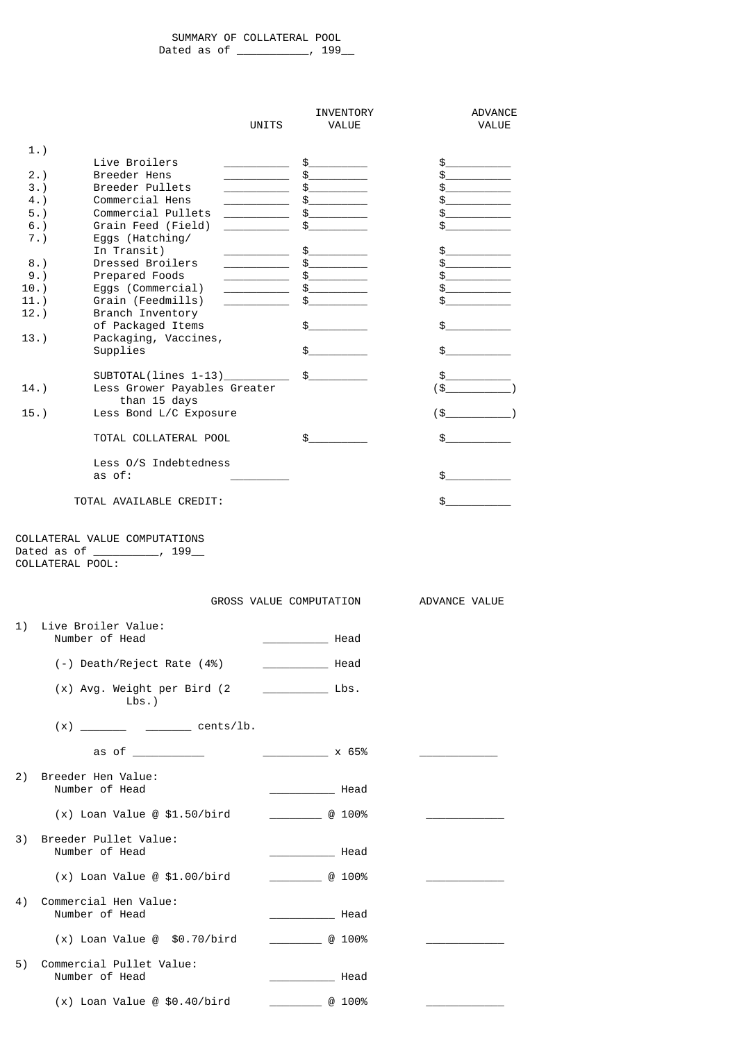SUMMARY OF COLLATERAL POOL Dated as of \_\_\_\_\_\_\_\_\_, 199\_\_

|         |                                                    | UNITS                                                                                                                                                                                                                                                                                                                              | INVENTORY<br>VALUE                                                                                                                                                                                                                                                                                                                                                                                                                                                              | ADVANCE<br>VALUE                                                                                                                                                                                                                                                                                                                                                                                                                                                                                                                                                                                                                                                   |
|---------|----------------------------------------------------|------------------------------------------------------------------------------------------------------------------------------------------------------------------------------------------------------------------------------------------------------------------------------------------------------------------------------------|---------------------------------------------------------------------------------------------------------------------------------------------------------------------------------------------------------------------------------------------------------------------------------------------------------------------------------------------------------------------------------------------------------------------------------------------------------------------------------|--------------------------------------------------------------------------------------------------------------------------------------------------------------------------------------------------------------------------------------------------------------------------------------------------------------------------------------------------------------------------------------------------------------------------------------------------------------------------------------------------------------------------------------------------------------------------------------------------------------------------------------------------------------------|
|         | 1.                                                 |                                                                                                                                                                                                                                                                                                                                    |                                                                                                                                                                                                                                                                                                                                                                                                                                                                                 |                                                                                                                                                                                                                                                                                                                                                                                                                                                                                                                                                                                                                                                                    |
|         | Live Broilers                                      | $\overline{a}$ and $\overline{a}$ are $\overline{a}$ and $\overline{a}$ and $\overline{a}$ are $\overline{a}$ and $\overline{a}$ are $\overline{a}$ and $\overline{a}$ and $\overline{a}$ are $\overline{a}$ and $\overline{a}$ and $\overline{a}$ are $\overline{a}$ and $\overline{a}$ and $\overline{a}$ are $\overline{a}$ and | $\mathfrak s$ and $\mathfrak s$ and $\mathfrak s$ and $\mathfrak s$ and $\mathfrak s$ and $\mathfrak s$ and $\mathfrak s$ and $\mathfrak s$ and $\mathfrak s$ and $\mathfrak s$ and $\mathfrak s$ and $\mathfrak s$ and $\mathfrak s$ and $\mathfrak s$ and $\mathfrak s$ and $\mathfrak s$ and $\mathfrak s$ and $\mathfrak s$ and $\mathfrak$                                                                                                                                 | $\frac{1}{2}$                                                                                                                                                                                                                                                                                                                                                                                                                                                                                                                                                                                                                                                      |
|         | Breeder Hens<br>2.<br>Breeder Pullets<br>3.        |                                                                                                                                                                                                                                                                                                                                    | $\sim$<br>$\mathbb S$ and $\mathbb S$ and $\mathbb S$ and $\mathbb S$ and $\mathbb S$ and $\mathbb S$ and $\mathbb S$ and $\mathbb S$ and $\mathbb S$ and $\mathbb S$ and $\mathbb S$ and $\mathbb S$ and $\mathbb S$ and $\mathbb S$ and $\mathbb S$ and $\mathbb S$ and $\mathbb S$ and $\mathbb S$ and $\mathbb S$ and $\mathbb S$ and                                                                                                                                       | $\mathbb S$ and $\mathbb S$ and $\mathbb S$ and $\mathbb S$ and $\mathbb S$ and $\mathbb S$ and $\mathbb S$ and $\mathbb S$ and $\mathbb S$ and $\mathbb S$ and $\mathbb S$ and $\mathbb S$ and $\mathbb S$ and $\mathbb S$ and $\mathbb S$ and $\mathbb S$ and $\mathbb S$ and $\mathbb S$ and $\mathbb S$ and $\mathbb S$ and<br>$\mathbb S$ and $\mathbb S$ and $\mathbb S$ and $\mathbb S$ and $\mathbb S$ and $\mathbb S$ and $\mathbb S$ and $\mathbb S$ and $\mathbb S$ and $\mathbb S$ and $\mathbb S$ and $\mathbb S$ and $\mathbb S$ and $\mathbb S$ and $\mathbb S$ and $\mathbb S$ and $\mathbb S$ and $\mathbb S$ and $\mathbb S$ and $\mathbb S$ and |
|         | 4.<br>Commercial Hens                              |                                                                                                                                                                                                                                                                                                                                    | $\mathbb S$ and $\mathbb S$ and $\mathbb S$ and $\mathbb S$ and $\mathbb S$ and $\mathbb S$ and $\mathbb S$ and $\mathbb S$ and $\mathbb S$ and $\mathbb S$ and $\mathbb S$ and $\mathbb S$ and $\mathbb S$ and $\mathbb S$ and $\mathbb S$ and $\mathbb S$ and $\mathbb S$ and $\mathbb S$ and $\mathbb S$ and $\mathbb S$ and                                                                                                                                                 | \$                                                                                                                                                                                                                                                                                                                                                                                                                                                                                                                                                                                                                                                                 |
|         | Commercial Pullets<br>$5.$ )                       |                                                                                                                                                                                                                                                                                                                                    | \$                                                                                                                                                                                                                                                                                                                                                                                                                                                                              | \$                                                                                                                                                                                                                                                                                                                                                                                                                                                                                                                                                                                                                                                                 |
|         | Grain Feed (Field)<br>6.<br>7.)<br>Eggs (Hatching/ |                                                                                                                                                                                                                                                                                                                                    | \$                                                                                                                                                                                                                                                                                                                                                                                                                                                                              | \$                                                                                                                                                                                                                                                                                                                                                                                                                                                                                                                                                                                                                                                                 |
|         | In Transit)                                        |                                                                                                                                                                                                                                                                                                                                    | \$                                                                                                                                                                                                                                                                                                                                                                                                                                                                              | \$                                                                                                                                                                                                                                                                                                                                                                                                                                                                                                                                                                                                                                                                 |
|         | Dressed Broilers<br>8.                             |                                                                                                                                                                                                                                                                                                                                    | \$                                                                                                                                                                                                                                                                                                                                                                                                                                                                              | \$                                                                                                                                                                                                                                                                                                                                                                                                                                                                                                                                                                                                                                                                 |
| $10.$ ) | 9.<br>Prepared Foods<br>Eggs (Commercial)          | $\overline{\phantom{a}}$ . The contract of $\overline{\phantom{a}}$                                                                                                                                                                                                                                                                | $\frac{1}{2}$<br>$\sim$                                                                                                                                                                                                                                                                                                                                                                                                                                                         | $\sim$<br>$\mathbb S$ and $\mathbb S$                                                                                                                                                                                                                                                                                                                                                                                                                                                                                                                                                                                                                              |
| 11.     | Grain (Feedmills)                                  |                                                                                                                                                                                                                                                                                                                                    |                                                                                                                                                                                                                                                                                                                                                                                                                                                                                 |                                                                                                                                                                                                                                                                                                                                                                                                                                                                                                                                                                                                                                                                    |
| 12.     | Branch Inventory                                   |                                                                                                                                                                                                                                                                                                                                    |                                                                                                                                                                                                                                                                                                                                                                                                                                                                                 |                                                                                                                                                                                                                                                                                                                                                                                                                                                                                                                                                                                                                                                                    |
| $13.$ ) | of Packaged Items<br>Packaging, Vaccines,          |                                                                                                                                                                                                                                                                                                                                    | \$                                                                                                                                                                                                                                                                                                                                                                                                                                                                              | \$                                                                                                                                                                                                                                                                                                                                                                                                                                                                                                                                                                                                                                                                 |
|         | Supplies                                           |                                                                                                                                                                                                                                                                                                                                    | \$                                                                                                                                                                                                                                                                                                                                                                                                                                                                              | \$                                                                                                                                                                                                                                                                                                                                                                                                                                                                                                                                                                                                                                                                 |
|         | $SUBTOTAL(lines 1-13)$                             |                                                                                                                                                                                                                                                                                                                                    | $\frac{1}{2}$                                                                                                                                                                                                                                                                                                                                                                                                                                                                   | \$                                                                                                                                                                                                                                                                                                                                                                                                                                                                                                                                                                                                                                                                 |
| $14.$ ) | Less Grower Payables Greater                       |                                                                                                                                                                                                                                                                                                                                    |                                                                                                                                                                                                                                                                                                                                                                                                                                                                                 | $(* \_$                                                                                                                                                                                                                                                                                                                                                                                                                                                                                                                                                                                                                                                            |
|         | than 15 days                                       |                                                                                                                                                                                                                                                                                                                                    |                                                                                                                                                                                                                                                                                                                                                                                                                                                                                 |                                                                                                                                                                                                                                                                                                                                                                                                                                                                                                                                                                                                                                                                    |
| $15.$ ) | Less Bond L/C Exposure                             |                                                                                                                                                                                                                                                                                                                                    |                                                                                                                                                                                                                                                                                                                                                                                                                                                                                 | (\$__                                                                                                                                                                                                                                                                                                                                                                                                                                                                                                                                                                                                                                                              |
|         | TOTAL COLLATERAL POOL                              |                                                                                                                                                                                                                                                                                                                                    | \$                                                                                                                                                                                                                                                                                                                                                                                                                                                                              | \$                                                                                                                                                                                                                                                                                                                                                                                                                                                                                                                                                                                                                                                                 |
|         | Less O/S Indebtedness<br>as of:                    |                                                                                                                                                                                                                                                                                                                                    |                                                                                                                                                                                                                                                                                                                                                                                                                                                                                 |                                                                                                                                                                                                                                                                                                                                                                                                                                                                                                                                                                                                                                                                    |
|         | TOTAL AVAILABLE CREDIT:                            |                                                                                                                                                                                                                                                                                                                                    |                                                                                                                                                                                                                                                                                                                                                                                                                                                                                 | \$                                                                                                                                                                                                                                                                                                                                                                                                                                                                                                                                                                                                                                                                 |
|         | COLLATERAL POOL:                                   |                                                                                                                                                                                                                                                                                                                                    | GROSS VALUE COMPUTATION                                                                                                                                                                                                                                                                                                                                                                                                                                                         | ADVANCE VALUE                                                                                                                                                                                                                                                                                                                                                                                                                                                                                                                                                                                                                                                      |
| 1)      | Live Broiler Value:<br>Number of Head              |                                                                                                                                                                                                                                                                                                                                    | e Head Head                                                                                                                                                                                                                                                                                                                                                                                                                                                                     |                                                                                                                                                                                                                                                                                                                                                                                                                                                                                                                                                                                                                                                                    |
|         | (-) Death/Reject Rate (4%)                         |                                                                                                                                                                                                                                                                                                                                    | _____________________ Head                                                                                                                                                                                                                                                                                                                                                                                                                                                      |                                                                                                                                                                                                                                                                                                                                                                                                                                                                                                                                                                                                                                                                    |
|         | (x) Avg. Weight per Bird (2)                       |                                                                                                                                                                                                                                                                                                                                    | $\overline{\phantom{a}}$ $\overline{\phantom{a}}$ $\overline{\phantom{a}}$ $\overline{\phantom{a}}$ $\overline{\phantom{a}}$ $\overline{\phantom{a}}$ $\overline{\phantom{a}}$ $\overline{\phantom{a}}$ $\overline{\phantom{a}}$ $\overline{\phantom{a}}$ $\overline{\phantom{a}}$ $\overline{\phantom{a}}$ $\overline{\phantom{a}}$ $\overline{\phantom{a}}$ $\overline{\phantom{a}}$ $\overline{\phantom{a}}$ $\overline{\phantom{a}}$ $\overline{\phantom{a}}$ $\overline{\$ |                                                                                                                                                                                                                                                                                                                                                                                                                                                                                                                                                                                                                                                                    |
|         | $Lbs.$ )                                           |                                                                                                                                                                                                                                                                                                                                    |                                                                                                                                                                                                                                                                                                                                                                                                                                                                                 |                                                                                                                                                                                                                                                                                                                                                                                                                                                                                                                                                                                                                                                                    |
|         |                                                    |                                                                                                                                                                                                                                                                                                                                    |                                                                                                                                                                                                                                                                                                                                                                                                                                                                                 |                                                                                                                                                                                                                                                                                                                                                                                                                                                                                                                                                                                                                                                                    |
|         | as of ____________                                 |                                                                                                                                                                                                                                                                                                                                    | $\sim$ $\times$ 65%                                                                                                                                                                                                                                                                                                                                                                                                                                                             |                                                                                                                                                                                                                                                                                                                                                                                                                                                                                                                                                                                                                                                                    |
| 2)      | Breeder Hen Value:<br>Number of Head               |                                                                                                                                                                                                                                                                                                                                    | ___________________ Неаd                                                                                                                                                                                                                                                                                                                                                                                                                                                        |                                                                                                                                                                                                                                                                                                                                                                                                                                                                                                                                                                                                                                                                    |
|         | $(x)$ Loan Value @ \$1.50/bird                     |                                                                                                                                                                                                                                                                                                                                    | $\overline{a}$ 100%                                                                                                                                                                                                                                                                                                                                                                                                                                                             |                                                                                                                                                                                                                                                                                                                                                                                                                                                                                                                                                                                                                                                                    |
| 3)      | Breeder Pullet Value:<br>Number of Head            |                                                                                                                                                                                                                                                                                                                                    | <b>Manufacture 1997</b>                                                                                                                                                                                                                                                                                                                                                                                                                                                         |                                                                                                                                                                                                                                                                                                                                                                                                                                                                                                                                                                                                                                                                    |
|         | $(x)$ Loan Value @ \$1.00/bird                     |                                                                                                                                                                                                                                                                                                                                    | $\overline{a}$ 100%                                                                                                                                                                                                                                                                                                                                                                                                                                                             | the company of the company of                                                                                                                                                                                                                                                                                                                                                                                                                                                                                                                                                                                                                                      |
| 4)      | Commercial Hen Value:<br>Number of Head            |                                                                                                                                                                                                                                                                                                                                    | <b>Head</b> Head                                                                                                                                                                                                                                                                                                                                                                                                                                                                |                                                                                                                                                                                                                                                                                                                                                                                                                                                                                                                                                                                                                                                                    |
|         | $(x)$ Loan Value @ \$0.70/bird                     |                                                                                                                                                                                                                                                                                                                                    | $\begin{array}{ccc}\n & & \mathbb{Q} & 100\% \end{array}$                                                                                                                                                                                                                                                                                                                                                                                                                       |                                                                                                                                                                                                                                                                                                                                                                                                                                                                                                                                                                                                                                                                    |
| 5)      | Commercial Pullet Value:<br>Number of Head         |                                                                                                                                                                                                                                                                                                                                    | Head                                                                                                                                                                                                                                                                                                                                                                                                                                                                            |                                                                                                                                                                                                                                                                                                                                                                                                                                                                                                                                                                                                                                                                    |
|         | $(x)$ Loan Value @ \$0.40/bird                     |                                                                                                                                                                                                                                                                                                                                    | $\overline{a}$ 100%                                                                                                                                                                                                                                                                                                                                                                                                                                                             |                                                                                                                                                                                                                                                                                                                                                                                                                                                                                                                                                                                                                                                                    |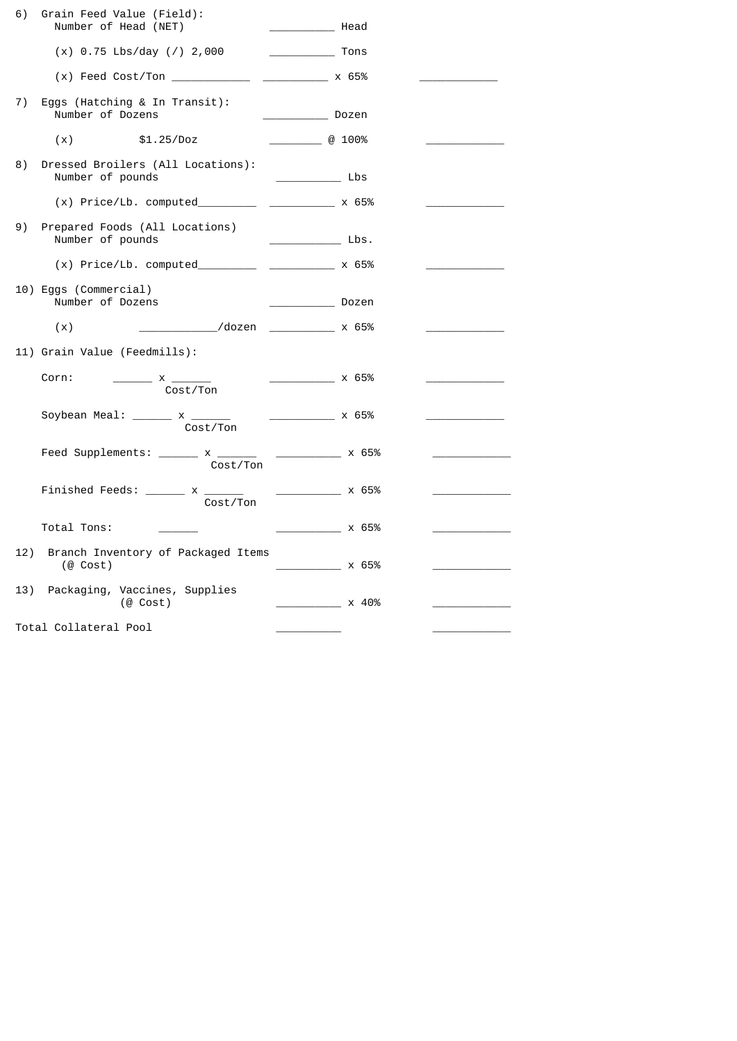| 6)                    | Grain Feed Value (Field):<br>Number of Head (NET)                                                                                                                                                                                                                                                                                                                                                                                                                              | Head                                                          |                                          |
|-----------------------|--------------------------------------------------------------------------------------------------------------------------------------------------------------------------------------------------------------------------------------------------------------------------------------------------------------------------------------------------------------------------------------------------------------------------------------------------------------------------------|---------------------------------------------------------------|------------------------------------------|
|                       | $(x)$ 0.75 Lbs/day $(7)$ 2,000                                                                                                                                                                                                                                                                                                                                                                                                                                                 |                                                               |                                          |
|                       |                                                                                                                                                                                                                                                                                                                                                                                                                                                                                |                                                               |                                          |
| 7)                    | Eggs (Hatching & In Transit):<br>Number of Dozens                                                                                                                                                                                                                                                                                                                                                                                                                              | $\overline{\phantom{iiiiiiiiiiiiiiiiiiiiiiiiiiiiiiii}}$ Dozen |                                          |
|                       | (x)<br>\$1.25/Doz                                                                                                                                                                                                                                                                                                                                                                                                                                                              | $\omega$ 100%                                                 |                                          |
| 8)                    | Dressed Broilers (All Locations):<br>Number of pounds                                                                                                                                                                                                                                                                                                                                                                                                                          |                                                               |                                          |
|                       | $(x)$ Price/Lb. computed____________________________ x 65%                                                                                                                                                                                                                                                                                                                                                                                                                     |                                                               |                                          |
| 9)                    | Prepared Foods (All Locations)<br>Number of pounds                                                                                                                                                                                                                                                                                                                                                                                                                             |                                                               |                                          |
|                       | $(x)$ Price/Lb. computed___________________________ x 65%                                                                                                                                                                                                                                                                                                                                                                                                                      |                                                               |                                          |
|                       | 10) Eggs (Commercial)<br>Number of Dozens                                                                                                                                                                                                                                                                                                                                                                                                                                      | <u>Dozen</u>                                                  |                                          |
|                       | ______________/dozen _____________ x 65%<br>(x)                                                                                                                                                                                                                                                                                                                                                                                                                                |                                                               |                                          |
|                       | 11) Grain Value (Feedmills):                                                                                                                                                                                                                                                                                                                                                                                                                                                   |                                                               |                                          |
|                       | Corn:<br>$\frac{1}{\sqrt{1-\frac{1}{2}}}\times\frac{1}{\sqrt{1-\frac{1}{2}}}\times\frac{1}{\sqrt{1-\frac{1}{2}}}\times\frac{1}{\sqrt{1-\frac{1}{2}}}\times\frac{1}{\sqrt{1-\frac{1}{2}}}\times\frac{1}{\sqrt{1-\frac{1}{2}}}\times\frac{1}{\sqrt{1-\frac{1}{2}}}\times\frac{1}{\sqrt{1-\frac{1}{2}}}\times\frac{1}{\sqrt{1-\frac{1}{2}}}\times\frac{1}{\sqrt{1-\frac{1}{2}}}\times\frac{1}{\sqrt{1-\frac{1}{2}}}\times\frac{1}{\sqrt{1-\frac{1}{2}}}\times\frac{1$<br>Cost/Ton | <b>EXECUTE:</b> X 65%                                         |                                          |
|                       | Soybean Meal: ______ x ______ _ _ ______ x 65%<br>Cost/Ton                                                                                                                                                                                                                                                                                                                                                                                                                     |                                                               | <u> 1989 - Johann Marie Barn, mars a</u> |
|                       | Feed Supplements: ______ x ______ _ _______ x 65%<br>Cost/Ton                                                                                                                                                                                                                                                                                                                                                                                                                  |                                                               |                                          |
|                       | Finished Feeds: ______ x _____<br>Cost/Ton                                                                                                                                                                                                                                                                                                                                                                                                                                     | $\frac{1}{1}$ x 65%                                           |                                          |
|                       | Total Tons:                                                                                                                                                                                                                                                                                                                                                                                                                                                                    |                                                               |                                          |
| 12)                   | Branch Inventory of Packaged Items<br>$(@$ Cost)                                                                                                                                                                                                                                                                                                                                                                                                                               | $\frac{1}{2}$ x 65%                                           |                                          |
| 13)                   | Packaging, Vaccines, Supplies<br>$(@$ Cost)                                                                                                                                                                                                                                                                                                                                                                                                                                    | $\times$ 40%                                                  |                                          |
| Total Collateral Pool |                                                                                                                                                                                                                                                                                                                                                                                                                                                                                |                                                               |                                          |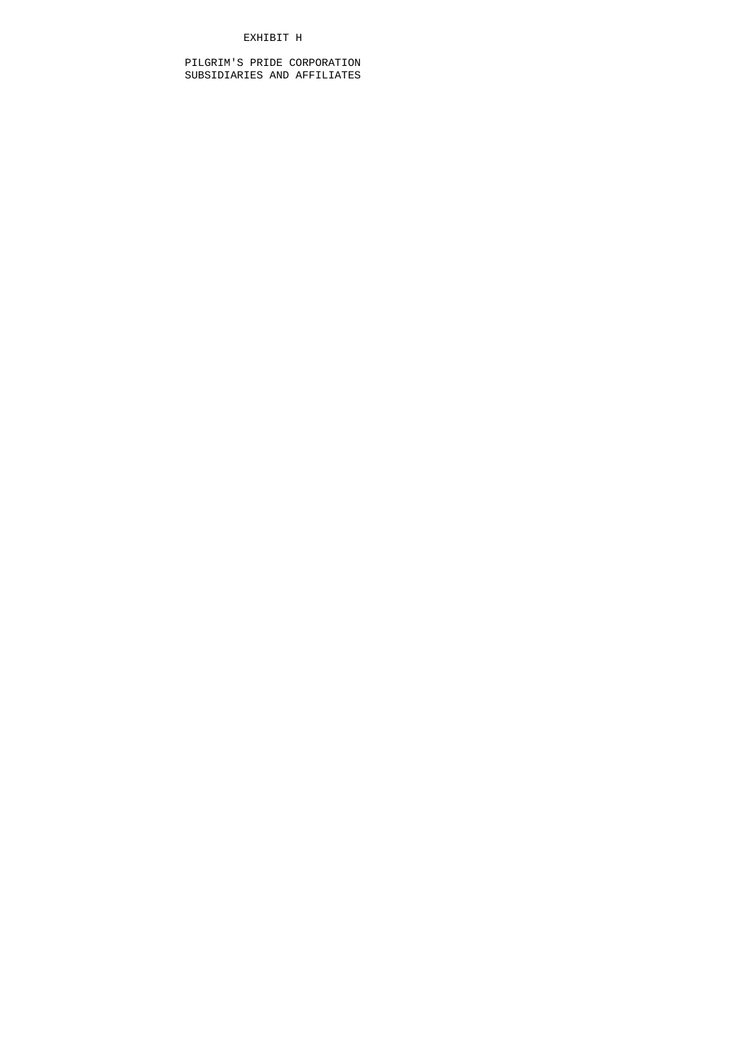# EXHIBIT H

 PILGRIM'S PRIDE CORPORATION SUBSIDIARIES AND AFFILIATES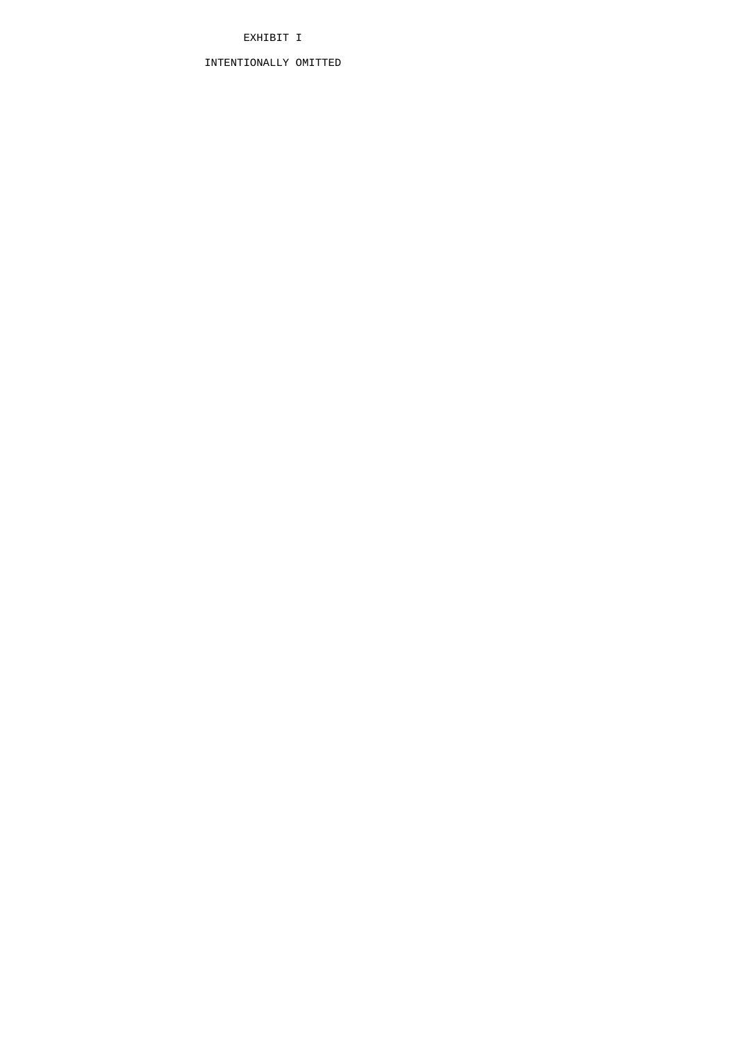# EXHIBIT I

# INTENTIONALLY OMITTED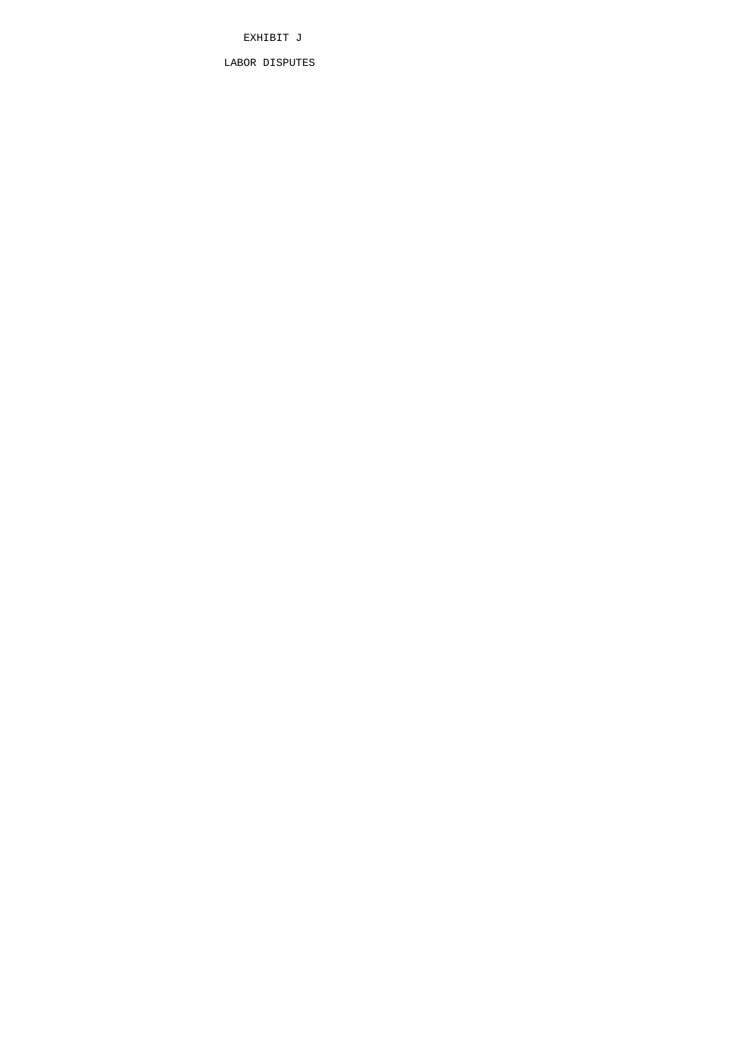EXHIBIT J

LABOR DISPUTES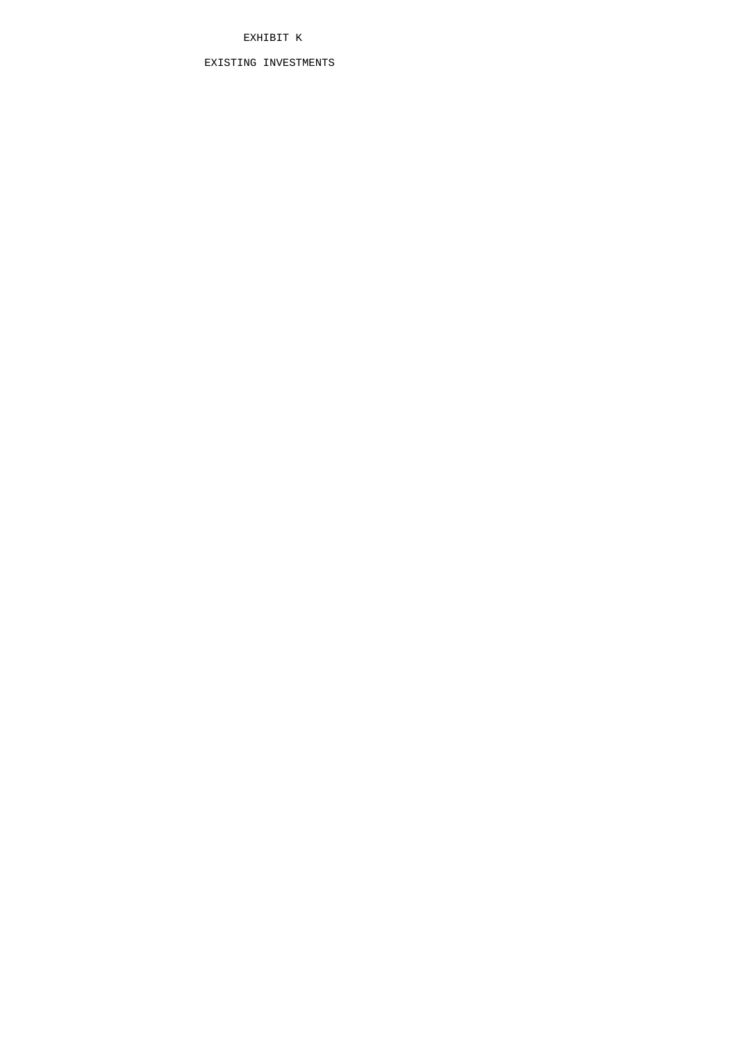# EXHIBIT K

# EXISTING INVESTMENTS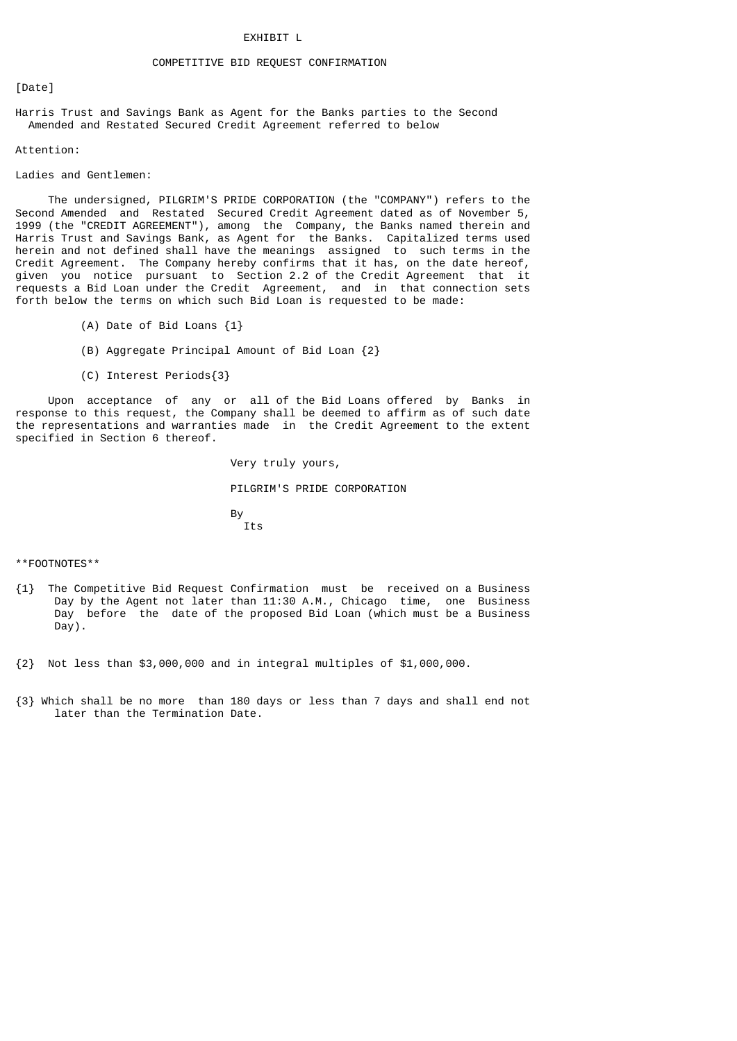# COMPETITIVE BID REQUEST CONFIRMATION

# [Date]

Harris Trust and Savings Bank as Agent for the Banks parties to the Second Amended and Restated Secured Credit Agreement referred to below

#### Attention:

#### Ladies and Gentlemen:

 The undersigned, PILGRIM'S PRIDE CORPORATION (the "COMPANY") refers to the Second Amended and Restated Secured Credit Agreement dated as of November 5, 1999 (the "CREDIT AGREEMENT"), among the Company, the Banks named therein and Harris Trust and Savings Bank, as Agent for the Banks. Capitalized terms used herein and not defined shall have the meanings assigned to such terms in the Credit Agreement. The Company hereby confirms that it has, on the date hereof, given you notice pursuant to Section 2.2 of the Credit Agreement that it requests a Bid Loan under the Credit Agreement, and in that connection sets forth below the terms on which such Bid Loan is requested to be made:

- (A) Date of Bid Loans {1}
- (B) Aggregate Principal Amount of Bid Loan {2}
- (C) Interest Periods{3}

 Upon acceptance of any or all of the Bid Loans offered by Banks in response to this request, the Company shall be deemed to affirm as of such date the representations and warranties made in the Credit Agreement to the extent specified in Section 6 thereof.

 Very truly yours, PILGRIM'S PRIDE CORPORATION and the state of the Bystem of the Bystem of the Bystem of the Bystem of the Bystem of the Bystem of the Bystem of the Bystem of the Bystem of the Bystem of the Bystem of the Bystem of the Bystem of the Bystem of the Byste Its

\*\*FOOTNOTES\*\*

- {1} The Competitive Bid Request Confirmation must be received on a Business Day by the Agent not later than 11:30 A.M., Chicago time, one Business Day before the date of the proposed Bid Loan (which must be a Business Day).
- {2} Not less than \$3,000,000 and in integral multiples of \$1,000,000.
- {3} Which shall be no more than 180 days or less than 7 days and shall end not later than the Termination Date.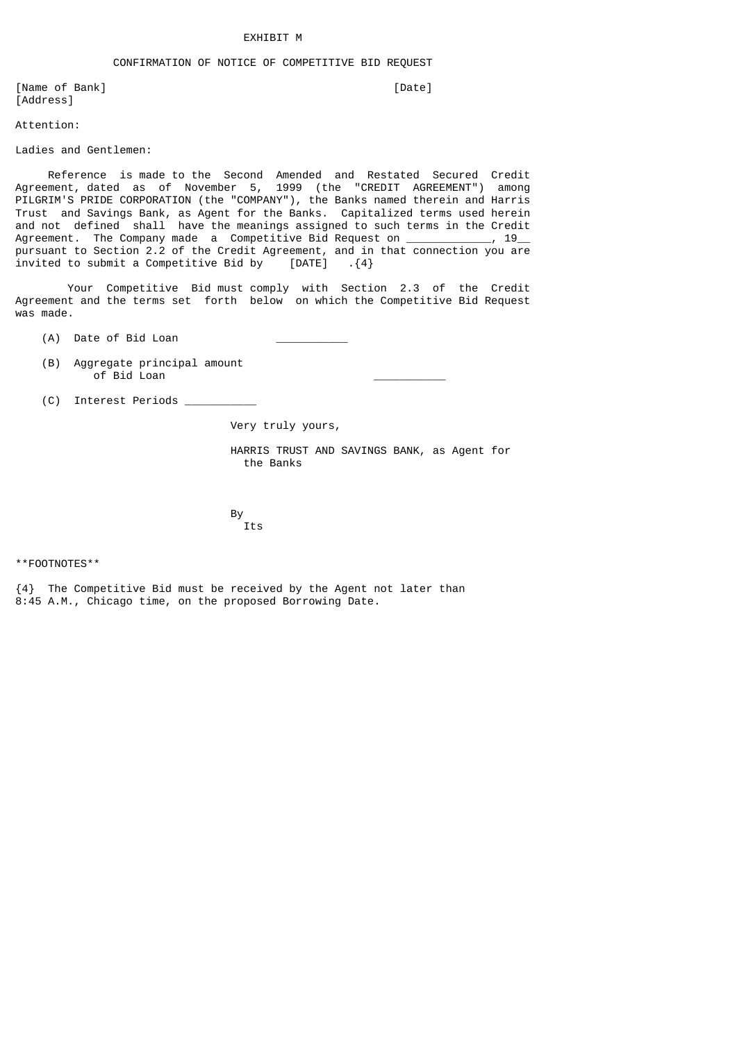#### EXHIBIT M

# CONFIRMATION OF NOTICE OF COMPETITIVE BID REQUEST

[Name of Bank] [Date] [Address]

Attention:

Ladies and Gentlemen:

 Reference is made to the Second Amended and Restated Secured Credit Agreement, dated as of November 5, 1999 (the "CREDIT AGREEMENT") among PILGRIM'S PRIDE CORPORATION (the "COMPANY"), the Banks named therein and Harris Trust and Savings Bank, as Agent for the Banks. Capitalized terms used herein and not defined shall have the meanings assigned to such terms in the Credit Agreement. The Company made a Competitive Bid Request on \_\_\_\_\_\_\_\_\_\_\_, 19\_ pursuant to Section 2.2 of the Credit Agreement, and in that connection you are invited to submit a Competitive Bid by [DATE]  $\{4\}$  $i$ nvited to submit a Competitive Bid by

 Your Competitive Bid must comply with Section 2.3 of the Credit Agreement and the terms set forth below on which the Competitive Bid Request was made.

- (A) Date of Bid Loan
- (B) Aggregate principal amount  $\overline{0}$ of Bid Loan
- (C) Interest Periods \_\_\_\_\_\_\_\_\_\_\_

Very truly yours,

 HARRIS TRUST AND SAVINGS BANK, as Agent for the Banks

and the state of the Bystem of the Bystem of the Bystem of the Bystem of the Bystem of the Bystem of the Bystem of the Bystem of the Bystem of the Bystem of the Bystem of the Bystem of the Bystem of the Bystem of the Byste Its

\*\*FOOTNOTES\*\*

{4} The Competitive Bid must be received by the Agent not later than 8:45 A.M., Chicago time, on the proposed Borrowing Date.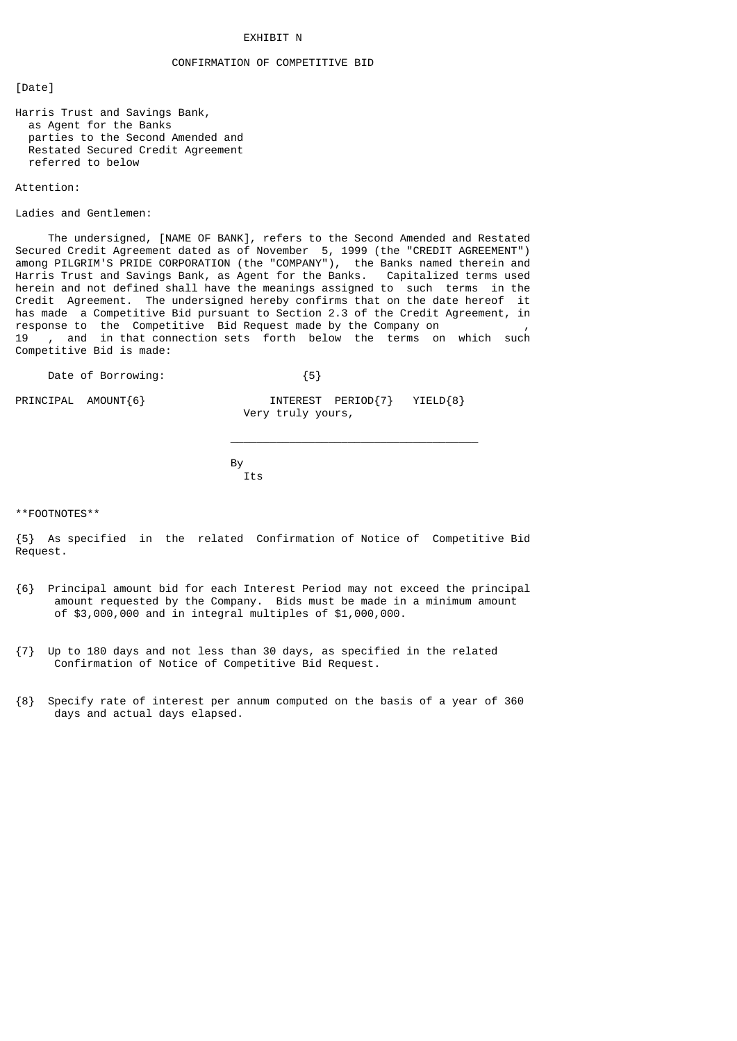# **EXHIBIT N**

# CONFIRMATION OF COMPETITIVE BID

[Date]

Harris Trust and Savings Bank, as Agent for the Banks parties to the Second Amended and Restated Secured Credit Agreement referred to below

#### Attention:

Ladies and Gentlemen:

 The undersigned, [NAME OF BANK], refers to the Second Amended and Restated Secured Credit Agreement dated as of November 5, 1999 (the "CREDIT AGREEMENT") among PILGRIM'S PRIDE CORPORATION (the "COMPANY"), the Banks named therein and Harris Trust and Savings Bank, as Agent for the Banks. Capitalized terms used herein and not defined shall have the meanings assigned to such terms in the Credit Agreement. The undersigned hereby confirms that on the date hereof it has made a Competitive Bid pursuant to Section 2.3 of the Credit Agreement, in response to the Competitive Bid Request made by the Company on 19 , and in that connection sets forth below the terms on which such Competitive Bid is made:

Date of Borrowing:  ${5}$ 

PRINCIPAL AMOUNT{6}  $\overline{O}$  INTEREST PERIOD{7} YIELD{8} Very truly yours,

and the state of the Bystem of the Bystem of the Bystem of the Bystem of the Bystem of the Bystem of the Bystem of the Bystem of the Bystem of the Bystem of the Bystem of the Bystem of the Bystem of the Bystem of the Byste Its

 $\_$ 

\*\*FOOTNOTES\*\*

{5} As specified in the related Confirmation of Notice of Competitive Bid Request.

- {6} Principal amount bid for each Interest Period may not exceed the principal amount requested by the Company. Bids must be made in a minimum amount of \$3,000,000 and in integral multiples of \$1,000,000.
- {7} Up to 180 days and not less than 30 days, as specified in the related Confirmation of Notice of Competitive Bid Request.
- {8} Specify rate of interest per annum computed on the basis of a year of 360 days and actual days elapsed.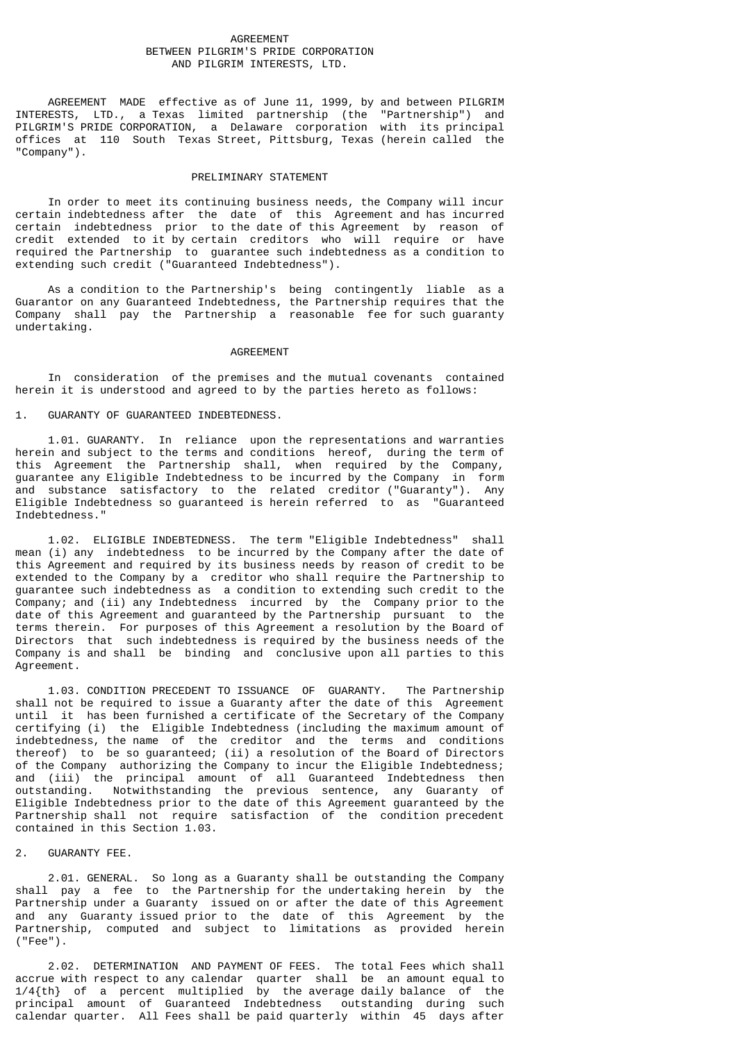### AGREEMENT BETWEEN PILGRIM'S PRIDE CORPORATION AND PILGRIM INTERESTS, LTD.

 AGREEMENT MADE effective as of June 11, 1999, by and between PILGRIM INTERESTS, LTD., a Texas limited partnership (the "Partnership") and PILGRIM'S PRIDE CORPORATION, a Delaware corporation with its principal offices at 110 South Texas Street, Pittsburg, Texas (herein called the "Company").

### PRELIMINARY STATEMENT

 In order to meet its continuing business needs, the Company will incur certain indebtedness after the date of this Agreement and has incurred certain indebtedness prior to the date of this Agreement by reason of credit extended to it by certain creditors who will require or have required the Partnership to guarantee such indebtedness as a condition to extending such credit ("Guaranteed Indebtedness").

 As a condition to the Partnership's being contingently liable as a Guarantor on any Guaranteed Indebtedness, the Partnership requires that the Company shall pay the Partnership a reasonable fee for such guaranty undertaking.

#### AGREEMENT

 In consideration of the premises and the mutual covenants contained herein it is understood and agreed to by the parties hereto as follows:

# 1. GUARANTY OF GUARANTEED INDEBTEDNESS.

 1.01. GUARANTY. In reliance upon the representations and warranties herein and subject to the terms and conditions hereof, during the term of this Agreement the Partnership shall, when required by the Company, guarantee any Eligible Indebtedness to be incurred by the Company in form and substance satisfactory to the related creditor ("Guaranty"). Any Eligible Indebtedness so guaranteed is herein referred to as "Guaranteed Indebtedness."

 1.02. ELIGIBLE INDEBTEDNESS. The term "Eligible Indebtedness" shall mean (i) any indebtedness to be incurred by the Company after the date of this Agreement and required by its business needs by reason of credit to be extended to the Company by a creditor who shall require the Partnership to guarantee such indebtedness as a condition to extending such credit to the Company; and (ii) any Indebtedness incurred by the Company prior to the date of this Agreement and guaranteed by the Partnership pursuant to the terms therein. For purposes of this Agreement a resolution by the Board of Directors that such indebtedness is required by the business needs of the Company is and shall be binding and conclusive upon all parties to this Agreement.

 1.03. CONDITION PRECEDENT TO ISSUANCE OF GUARANTY. The Partnership shall not be required to issue a Guaranty after the date of this Agreement until it has been furnished a certificate of the Secretary of the Company certifying (i) the Eligible Indebtedness (including the maximum amount of indebtedness, the name of the creditor and the terms and conditions thereof) to be so guaranteed; (ii) a resolution of the Board of Directors of the Company authorizing the Company to incur the Eligible Indebtedness; and (iii) the principal amount of all Guaranteed Indebtedness then outstanding. Notwithstanding the previous sentence, any Guaranty of Eligible Indebtedness prior to the date of this Agreement guaranteed by the Partnership shall not require satisfaction of the condition precedent contained in this Section 1.03.

#### 2. GUARANTY FEE.

 2.01. GENERAL. So long as a Guaranty shall be outstanding the Company shall pay a fee to the Partnership for the undertaking herein by the Partnership under a Guaranty issued on or after the date of this Agreement and any Guaranty issued prior to the date of this Agreement by the Partnership, computed and subject to limitations as provided herein ("Fee").

 2.02. DETERMINATION AND PAYMENT OF FEES. The total Fees which shall accrue with respect to any calendar quarter shall be an amount equal to 1/4{th} of a percent multiplied by the average daily balance of the principal amount of Guaranteed Indebtedness outstanding during such calendar quarter. All Fees shall be paid quarterly within 45 days after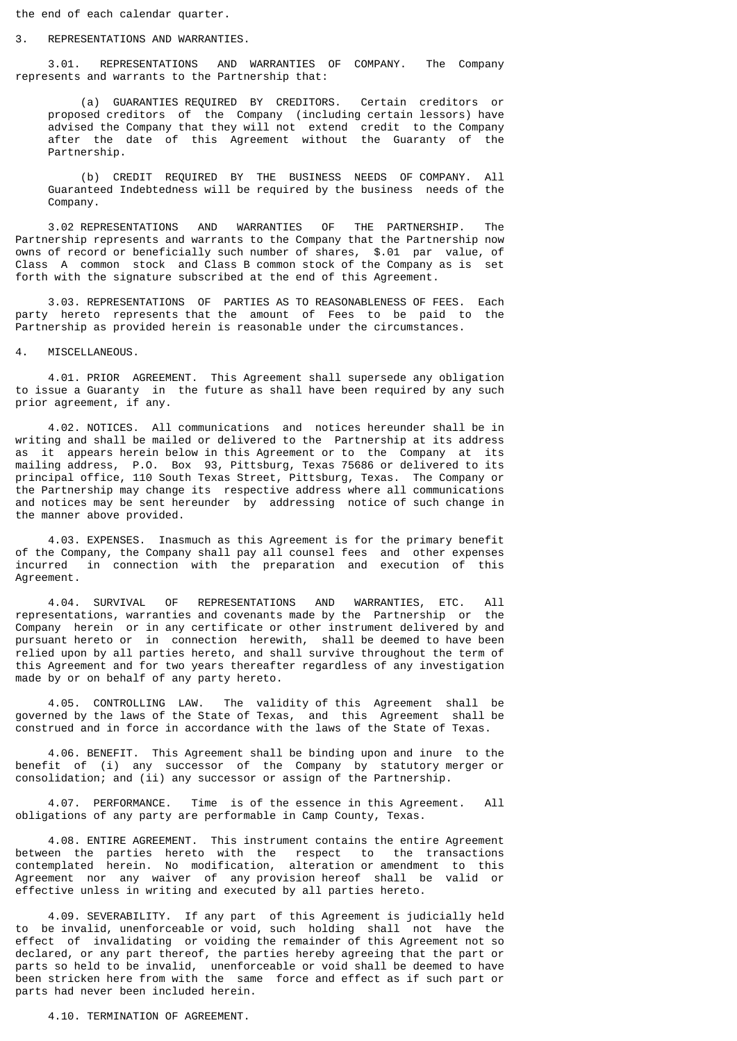the end of each calendar quarter.

#### 3. REPRESENTATIONS AND WARRANTIES.

 3.01. REPRESENTATIONS AND WARRANTIES OF COMPANY. The Company represents and warrants to the Partnership that:

 (a) GUARANTIES REQUIRED BY CREDITORS. Certain creditors or proposed creditors of the Company (including certain lessors) have advised the Company that they will not extend credit to the Company after the date of this Agreement without the Guaranty of the Partnership.

 (b) CREDIT REQUIRED BY THE BUSINESS NEEDS OF COMPANY. All Guaranteed Indebtedness will be required by the business needs of the Company.

 3.02 REPRESENTATIONS AND WARRANTIES OF THE PARTNERSHIP. The Partnership represents and warrants to the Company that the Partnership now owns of record or beneficially such number of shares, \$.01 par value, of Class A common stock and Class B common stock of the Company as is set forth with the signature subscribed at the end of this Agreement.

 3.03. REPRESENTATIONS OF PARTIES AS TO REASONABLENESS OF FEES. Each party hereto represents that the amount of Fees to be paid to the Partnership as provided herein is reasonable under the circumstances.

4. MISCELLANEOUS.

 4.01. PRIOR AGREEMENT. This Agreement shall supersede any obligation to issue a Guaranty in the future as shall have been required by any such prior agreement, if any.

 4.02. NOTICES. All communications and notices hereunder shall be in writing and shall be mailed or delivered to the Partnership at its address as it appears herein below in this Agreement or to the Company at its mailing address, P.O. Box 93, Pittsburg, Texas 75686 or delivered to its principal office, 110 South Texas Street, Pittsburg, Texas. The Company or the Partnership may change its respective address where all communications and notices may be sent hereunder by addressing notice of such change in the manner above provided.

 4.03. EXPENSES. Inasmuch as this Agreement is for the primary benefit of the Company, the Company shall pay all counsel fees and other expenses incurred in connection with the preparation and execution of this Agreement.

 4.04. SURVIVAL OF REPRESENTATIONS AND WARRANTIES, ETC. All representations, warranties and covenants made by the Partnership or the Company herein or in any certificate or other instrument delivered by and pursuant hereto or in connection herewith, shall be deemed to have been relied upon by all parties hereto, and shall survive throughout the term of this Agreement and for two years thereafter regardless of any investigation made by or on behalf of any party hereto.

 4.05. CONTROLLING LAW. The validity of this Agreement shall be governed by the laws of the State of Texas, and this Agreement shall be construed and in force in accordance with the laws of the State of Texas.

 4.06. BENEFIT. This Agreement shall be binding upon and inure to the benefit of (i) any successor of the Company by statutory merger or consolidation; and (ii) any successor or assign of the Partnership.

 4.07. PERFORMANCE. Time is of the essence in this Agreement. All obligations of any party are performable in Camp County, Texas.

 4.08. ENTIRE AGREEMENT. This instrument contains the entire Agreement between the parties hereto with the respect to the transactions contemplated herein. No modification, alteration or amendment to this Agreement nor any waiver of any provision hereof shall be valid or effective unless in writing and executed by all parties hereto.

 4.09. SEVERABILITY. If any part of this Agreement is judicially held to be invalid, unenforceable or void, such holding shall not have the effect of invalidating or voiding the remainder of this Agreement not so declared, or any part thereof, the parties hereby agreeing that the part or parts so held to be invalid, unenforceable or void shall be deemed to have been stricken here from with the same force and effect as if such part or parts had never been included herein.

4.10. TERMINATION OF AGREEMENT.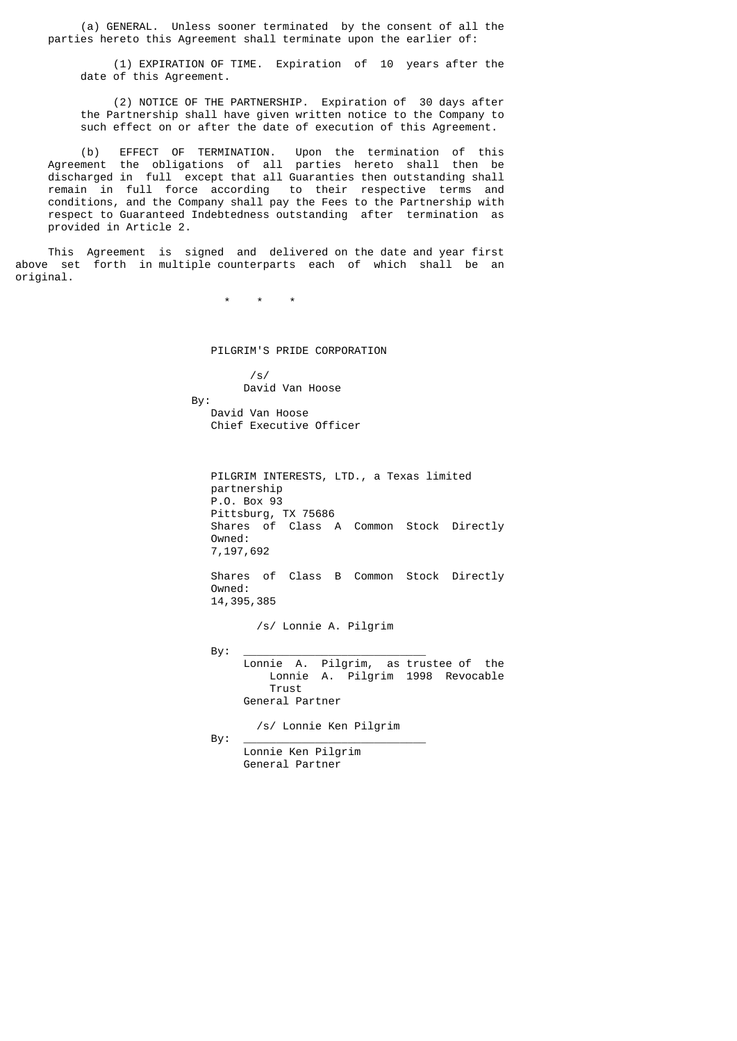(a) GENERAL. Unless sooner terminated by the consent of all the parties hereto this Agreement shall terminate upon the earlier of:

 (1) EXPIRATION OF TIME. Expiration of 10 years after the date of this Agreement.

 (2) NOTICE OF THE PARTNERSHIP. Expiration of 30 days after the Partnership shall have given written notice to the Company to such effect on or after the date of execution of this Agreement.

 (b) EFFECT OF TERMINATION. Upon the termination of this Agreement the obligations of all parties hereto shall then be discharged in full except that all Guaranties then outstanding shall remain in full force according to their respective terms and conditions, and the Company shall pay the Fees to the Partnership with respect to Guaranteed Indebtedness outstanding after termination as provided in Article 2.

 This Agreement is signed and delivered on the date and year first above set forth in multiple counterparts each of which shall be an original.

\* \* \*

PILGRIM'S PRIDE CORPORATION

 $\frac{1}{s}$ /s/ David Van Hoose By: David Van Hoose

Chief Executive Officer

 PILGRIM INTERESTS, LTD., a Texas limited partnership P.O. Box 93 Pittsburg, TX 75686 Shares of Class A Common Stock Directly Owned: 7,197,692

 Shares of Class B Common Stock Directly Owned: 14,395,385

/s/ Lonnie A. Pilgrim

 By: \_\_\_\_\_\_\_\_\_\_\_\_\_\_\_\_\_\_\_\_\_\_\_\_\_\_\_\_ Lonnie A. Pilgrim, as trustee of the Lonnie A. Pilgrim 1998 Revocable **Trust Trust** General Partner

/s/ Lonnie Ken Pilgrim

By: \_\_\_\_\_\_\_\_\_\_\_\_\_\_\_\_\_\_\_\_\_\_\_\_\_\_\_\_

 Lonnie Ken Pilgrim General Partner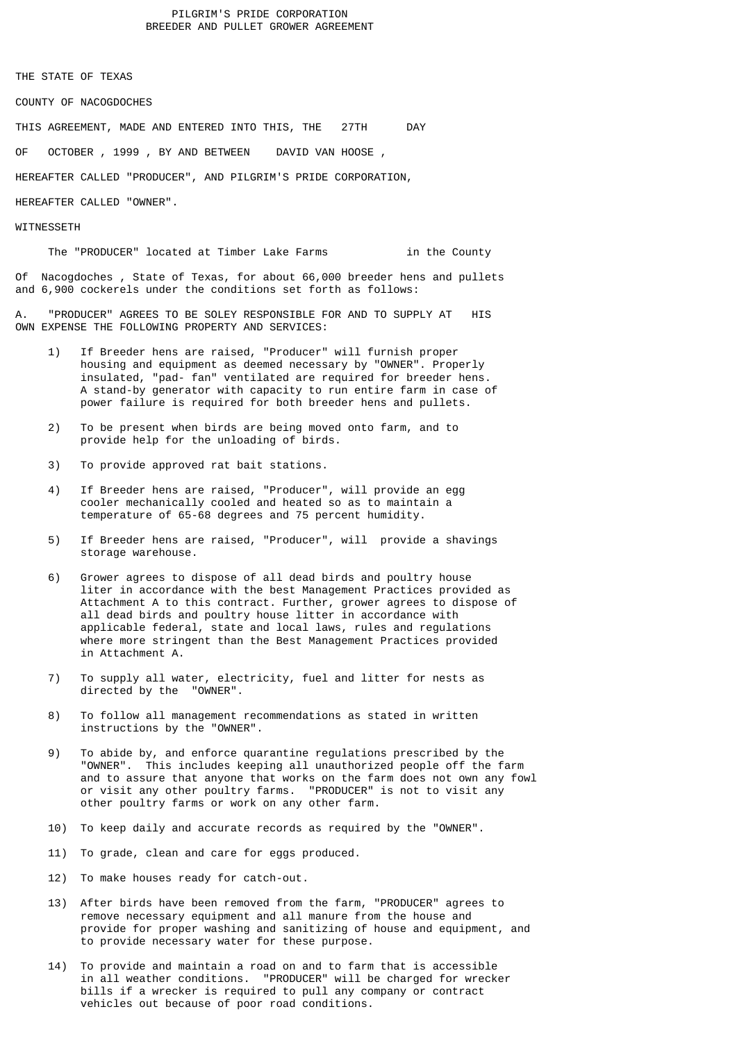# PILGRIM'S PRIDE CORPORATION BREEDER AND PULLET GROWER AGREEMENT

THE STATE OF TEXAS

COUNTY OF NACOGDOCHES

THIS AGREEMENT, MADE AND ENTERED INTO THIS, THE 27TH DAY

OF OCTOBER , 1999 , BY AND BETWEEN DAVID VAN HOOSE ,

HEREAFTER CALLED "PRODUCER", AND PILGRIM'S PRIDE CORPORATION,

HEREAFTER CALLED "OWNER".

## **WITNESSETH**

The "PRODUCER" located at Timber Lake Farms in the County

Of Nacogdoches , State of Texas, for about 66,000 breeder hens and pullets and 6,900 cockerels under the conditions set forth as follows:

A. "PRODUCER" AGREES TO BE SOLEY RESPONSIBLE FOR AND TO SUPPLY AT HIS OWN EXPENSE THE FOLLOWING PROPERTY AND SERVICES:

- 1) If Breeder hens are raised, "Producer" will furnish proper housing and equipment as deemed necessary by "OWNER". Properly insulated, "pad- fan" ventilated are required for breeder hens. A stand-by generator with capacity to run entire farm in case of power failure is required for both breeder hens and pullets.
- 2) To be present when birds are being moved onto farm, and to provide help for the unloading of birds.
- 3) To provide approved rat bait stations.
- 4) If Breeder hens are raised, "Producer", will provide an egg cooler mechanically cooled and heated so as to maintain a temperature of 65-68 degrees and 75 percent humidity.
- 5) If Breeder hens are raised, "Producer", will provide a shavings storage warehouse.
- 6) Grower agrees to dispose of all dead birds and poultry house liter in accordance with the best Management Practices provided as Attachment A to this contract. Further, grower agrees to dispose of all dead birds and poultry house litter in accordance with applicable federal, state and local laws, rules and regulations where more stringent than the Best Management Practices provided in Attachment A.
	- 7) To supply all water, electricity, fuel and litter for nests as directed by the "OWNER".
	- 8) To follow all management recommendations as stated in written instructions by the "OWNER".
	- 9) To abide by, and enforce quarantine regulations prescribed by the "OWNER". This includes keeping all unauthorized people off the farm and to assure that anyone that works on the farm does not own any fowl or visit any other poultry farms. "PRODUCER" is not to visit any other poultry farms or work on any other farm.
	- 10) To keep daily and accurate records as required by the "OWNER".
	- 11) To grade, clean and care for eggs produced.
	- 12) To make houses ready for catch-out.
	- 13) After birds have been removed from the farm, "PRODUCER" agrees to remove necessary equipment and all manure from the house and provide for proper washing and sanitizing of house and equipment, and to provide necessary water for these purpose.
- 14) To provide and maintain a road on and to farm that is accessible in all weather conditions. "PRODUCER" will be charged for wrecker bills if a wrecker is required to pull any company or contract vehicles out because of poor road conditions.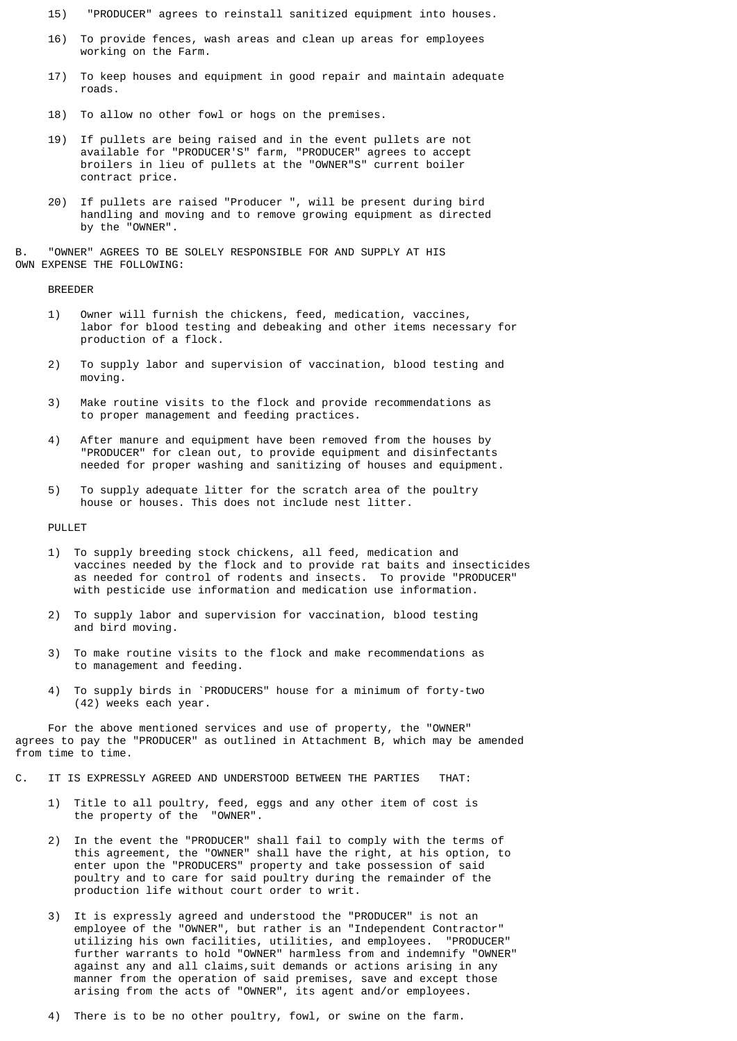- 15) "PRODUCER" agrees to reinstall sanitized equipment into houses.
- 16) To provide fences, wash areas and clean up areas for employees working on the Farm.
- 17) To keep houses and equipment in good repair and maintain adequate roads.
- 18) To allow no other fowl or hogs on the premises.
- 19) If pullets are being raised and in the event pullets are not available for "PRODUCER'S" farm, "PRODUCER" agrees to accept broilers in lieu of pullets at the "OWNER"S" current boiler contract price.
	- 20) If pullets are raised "Producer ", will be present during bird handling and moving and to remove growing equipment as directed by the "OWNER".

B. "OWNER" AGREES TO BE SOLELY RESPONSIBLE FOR AND SUPPLY AT HIS OWN EXPENSE THE FOLLOWING:

BREEDER

- 1) Owner will furnish the chickens, feed, medication, vaccines, labor for blood testing and debeaking and other items necessary for production of a flock.
- 2) To supply labor and supervision of vaccination, blood testing and moving.
- 3) Make routine visits to the flock and provide recommendations as to proper management and feeding practices.
- 4) After manure and equipment have been removed from the houses by "PRODUCER" for clean out, to provide equipment and disinfectants needed for proper washing and sanitizing of houses and equipment.
- 5) To supply adequate litter for the scratch area of the poultry house or houses. This does not include nest litter.

PULLET

- 1) To supply breeding stock chickens, all feed, medication and vaccines needed by the flock and to provide rat baits and insecticides as needed for control of rodents and insects. To provide "PRODUCER" with pesticide use information and medication use information.
- 2) To supply labor and supervision for vaccination, blood testing and bird moving.
- 3) To make routine visits to the flock and make recommendations as to management and feeding.
- 4) To supply birds in `PRODUCERS" house for a minimum of forty-two (42) weeks each year.

 For the above mentioned services and use of property, the "OWNER" agrees to pay the "PRODUCER" as outlined in Attachment B, which may be amended from time to time.

- C. IT IS EXPRESSLY AGREED AND UNDERSTOOD BETWEEN THE PARTIES THAT:
- 1) Title to all poultry, feed, eggs and any other item of cost is the property of the "OWNER".
- 2) In the event the "PRODUCER" shall fail to comply with the terms of this agreement, the "OWNER" shall have the right, at his option, to enter upon the "PRODUCERS" property and take possession of said poultry and to care for said poultry during the remainder of the production life without court order to writ.
	- 3) It is expressly agreed and understood the "PRODUCER" is not an employee of the "OWNER", but rather is an "Independent Contractor" utilizing his own facilities, utilities, and employees. "PRODUCER" further warrants to hold "OWNER" harmless from and indemnify "OWNER" against any and all claims,suit demands or actions arising in any manner from the operation of said premises, save and except those arising from the acts of "OWNER", its agent and/or employees.
	- 4) There is to be no other poultry, fowl, or swine on the farm.